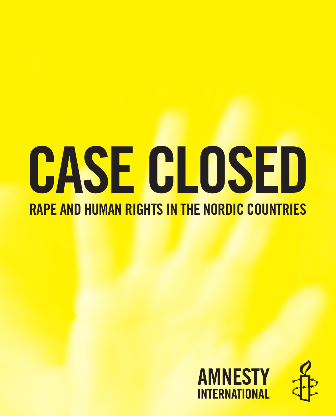# CASE CLOSED RAPE AND HUMAN RIGHTS IN THE NORDIC COUNTRIES

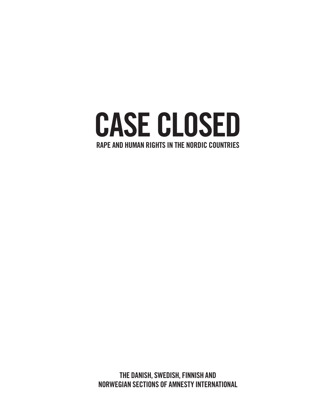

The Danish, Swedish, Finnish and Norwegian sections of AMNESTY INTERNATIONAL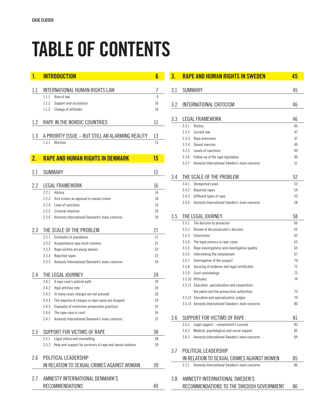# table of contents

| 1.               | <b>INTRODUCTION</b>                                                 | 6      |  |
|------------------|---------------------------------------------------------------------|--------|--|
| 1.1              | INTERNATIONAL HUMAN RIGHTS LAW                                      |        |  |
|                  | 1.1.1<br>Rule of law                                                | 7<br>9 |  |
|                  | 1.1.2<br>Support and assistance                                     | 10     |  |
|                  | 1.1.3<br>Change of attitudes                                        | 10     |  |
|                  |                                                                     |        |  |
| 1.2              | RAPE IN THE NORDIC COUNTRIES                                        | 11     |  |
| 1.3              | A PRIORITY ISSUE - BUT STILL AN ALARMING REALITY                    | 13     |  |
|                  | 1.3.1<br>Attrition                                                  | 13     |  |
|                  |                                                                     |        |  |
| $\overline{2}$ . | <b>RAPE AND HUMAN RIGHTS IN DENMARK</b>                             | 15     |  |
|                  |                                                                     |        |  |
| 2.1              | <b>SUMMARY</b>                                                      | 15     |  |
| $2.2\,$          | LEGAL FRAMEWORK                                                     | 16     |  |
|                  | 2.2.1<br>History                                                    | 16     |  |
|                  | 2.2.3<br>Vice crimes as opposed to sexual crimes                    | 18     |  |
|                  | 2.2.4<br>Level of sanctions                                         | 19     |  |
|                  | 2.2.5<br>Criminal intention                                         | 20     |  |
|                  | 2.2.6<br>Amnesty International Denmark's main concerns              | 20     |  |
| 2.3              | THE SCALE OF THE PROBLEM                                            | 21     |  |
|                  | 2.3.1<br><b>Estimates of prevalence</b>                             | 21     |  |
|                  | 2.3.2<br>Acquaintance rape most common                              | 21     |  |
|                  | 2.3.3<br>Rape victims are young women                               | 22     |  |
|                  | 2.3.4<br>Reported rapes                                             | 22     |  |
|                  | 2.3.5<br>Amnesty International Denmark's main concerns              | 24     |  |
|                  | THE LEGAL JOURNEY                                                   | 24     |  |
| 2.4              | 2.4.1                                                               | 24     |  |
|                  | A rape case's judicial path<br>2.4.2<br>High attrition rate         | 26     |  |
|                  | 2.4.3<br>In many cases charges are not pressed                      | 26     |  |
|                  | 2.4.4<br>The majority of charges in rape cases are dropped          | 29     |  |
|                  | 2.4.5<br>Examples of restrictive prosecution practices              | 32     |  |
|                  | 2.4.6<br>The rape case in court                                     | 36     |  |
|                  | 2.4.7<br>Amnesty International Denmark's main concerns              | 37     |  |
|                  |                                                                     |        |  |
| 2.5              | SUPPORT FOR VICTIMS OF RAPE                                         | 38     |  |
|                  | Legal status and counselling<br>2.5.1                               | 38     |  |
|                  | 2.5.2<br>Help and support for survivors of rape and sexual violence | 39     |  |
| 2.6              | POLITICAL LEADERSHIP                                                |        |  |
|                  | IN RELATION TO SEXUAL CRIMES AGAINST WOMAN                          | 39     |  |
|                  |                                                                     |        |  |
| 2.7              | AMNESTY INTERNATIONAL DENMARK'S                                     |        |  |
|                  | <b>RECOMMENDATIONS</b>                                              | 40     |  |

| 3.  |                                            | <b>RAPE AND HUMAN RIGHTS IN SWEDEN</b>              | 45       |  |  |
|-----|--------------------------------------------|-----------------------------------------------------|----------|--|--|
| 3.1 |                                            | <b>SUMMARY</b>                                      | 45       |  |  |
|     |                                            |                                                     |          |  |  |
| 3.2 |                                            | INTERNATIONAL CRITICISM                             | 46       |  |  |
|     |                                            |                                                     |          |  |  |
| 3.3 | LEGAL FRAMEWORK                            |                                                     |          |  |  |
|     | 3.3.1                                      | History                                             | 46       |  |  |
|     | 3.3.2                                      | <b>Current law</b>                                  | 47       |  |  |
|     | 3.3.3                                      | Rape provisions                                     | 47       |  |  |
|     | 3.3.4                                      | Sexual coercion                                     | 49       |  |  |
|     | 3.3.5                                      | Levels of sanctions                                 | 49       |  |  |
|     | 3.3.6                                      | Follow-up of the rape legislation                   | 49       |  |  |
|     | 3.3.7                                      | Amnesty International Sweden's main concerns        | 51       |  |  |
| 3.4 |                                            | THE SCALE OF THE PROBLEM                            | 52       |  |  |
|     | 3.4.1                                      | <b>Unreported cases</b>                             | 52       |  |  |
|     | 3.4.2                                      | Reported rapes                                      | 54       |  |  |
|     | 3.4.3                                      | Different types of rape                             | 55       |  |  |
|     | 3.4.4                                      | Amnesty International Sweden's main concerns        | 58       |  |  |
| 3.5 |                                            | THE LEGAL JOURNEY                                   | 58       |  |  |
|     | 3.5.1                                      | The decision to prosecute                           | 60       |  |  |
|     | 3.5.2                                      | Review of the prosecutor's decision                 | 62       |  |  |
|     | 3.5.3                                      | Convictions                                         | 62       |  |  |
|     | 3.5.4                                      | The legal process in rape cases                     | 63       |  |  |
|     | 3.5.5                                      | Rape investigations and investigative quality       | 65       |  |  |
|     | 3.5.6                                      | Interviewing the complainant                        | 67       |  |  |
|     | 3.5.7                                      | Interrogation of the suspect                        | 70       |  |  |
|     | 3.5.8                                      | Securing of evidence and legal certificates         | 72       |  |  |
|     | 3.5.9                                      | Court proceedings                                   | 73       |  |  |
|     |                                            | 3.5.10 Attitudes                                    | 74       |  |  |
|     |                                            | 3.5.11 Education, specialisation and cooperation:   |          |  |  |
|     |                                            | the police and the prosecution authorities          | 75       |  |  |
|     |                                            | 3.5.12 Education and specialisation: judges         | 79       |  |  |
|     |                                            | 3.5.13 Amnesty International Sweden's main concerns | 80       |  |  |
|     |                                            | SUPPORT FOR VICTIMS OF RAPE                         |          |  |  |
| 3.6 |                                            |                                                     | 81       |  |  |
|     |                                            | 3.6.1 Legal support - complainant's counsel         | 82       |  |  |
|     | 3.6.2                                      | Medical, psychological and social support           | 82       |  |  |
|     | 3.6.3                                      | Amnesty International Sweden's main concerns        | 84       |  |  |
| 3.7 | POLITICAL LEADERSHIP                       |                                                     |          |  |  |
|     | IN RELATION TO SEXUAL CRIMES AGAINST WOMEN |                                                     |          |  |  |
|     | 3.7.1                                      | Amnesty International Sweden's main concerns        | 85<br>86 |  |  |
| 3.8 |                                            | AMNESTY INTERNATIONAL SWEDEN'S                      |          |  |  |
|     | RECOMMENDATIONS TO THE SWEDISH GOVERNMENT  |                                                     |          |  |  |
|     |                                            |                                                     | 86       |  |  |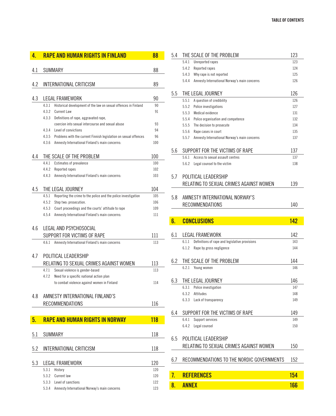| 4.  | <b>RAPE AND HUMAN RIGHTS IN FINLAND</b>                                                                 |            |  |  |
|-----|---------------------------------------------------------------------------------------------------------|------------|--|--|
| 4.1 | <b>SUMMARY</b>                                                                                          |            |  |  |
| 4.2 | INTERNATIONAL CRITICISM                                                                                 |            |  |  |
| 4.3 | LEGAL FRAMEWORK                                                                                         |            |  |  |
|     | 4.3.1<br>Historical development of the law on sexual offences in Finland<br>4.3.2<br><b>Current Law</b> | 90<br>91   |  |  |
|     | 4.3.3<br>Definitions of rape, aggravated rape,                                                          |            |  |  |
|     | coercion into sexual intercourse and sexual abuse                                                       | 93         |  |  |
|     | 4.3.4<br>Level of convictions                                                                           | 94         |  |  |
|     | 4.3.5<br>Problems with the current Finnish legislation on sexual offences                               | 96         |  |  |
|     | 4.3.6<br>Amnesty International Finland's main concerns:                                                 | 100        |  |  |
| 4.4 | THE SCALE OF THE PROBLEM                                                                                |            |  |  |
|     | 4.4.1<br><b>Estimates of prevalence</b>                                                                 | 100        |  |  |
|     | 4.4.2<br>Reported rapes                                                                                 | 102        |  |  |
|     | 4.4.3<br>Amnesty International Finland's main concerns:                                                 | 103        |  |  |
| 4.5 | THE LEGAL JOURNEY                                                                                       | 104        |  |  |
|     | 4.5.1<br>Reporting the crime to the police and the police investigation                                 | 105        |  |  |
|     | 4.5.2<br>Step two: prosecution.                                                                         | 106        |  |  |
|     | 4.5.3<br>Court proceedings and the courts' attitude to rape                                             | 109        |  |  |
|     | 4.5.4<br>Amnesty International Finland's main concerns:                                                 | 111        |  |  |
| 4.6 | LEGAL AND PSYCHOSOCIAL                                                                                  |            |  |  |
|     | SUPPORT FOR VICTIMS OF RAPE                                                                             | 111        |  |  |
|     | 4.6.1<br>Amnesty International Finland's main concerns                                                  | 113        |  |  |
|     |                                                                                                         |            |  |  |
| 4.7 | POLITICAL LEADERSHIP                                                                                    |            |  |  |
|     | RELATING TO SEXUAL CRIMES AGAINST WOMEN                                                                 | 113        |  |  |
|     | Sexual violence is gender-based<br>4.7.1<br>4.7.2<br>Need for a specific national action plan           | 113        |  |  |
|     | to combat violence against women in Finland                                                             | 114        |  |  |
|     |                                                                                                         |            |  |  |
| 4.8 | AMNESTY INTERNATIONAL FINLAND'S                                                                         |            |  |  |
|     | RECOMMENDATIONS                                                                                         | 116        |  |  |
|     |                                                                                                         |            |  |  |
| 5.  | <b>RAPE AND HUMAN RIGHTS IN NORWAY</b>                                                                  | <b>118</b> |  |  |
| 5.1 | <b>SUMMARY</b>                                                                                          | 118        |  |  |
| 5.2 | INTERNATIONAL CRITICISM                                                                                 | 118        |  |  |
| 5.3 | <b>LEGAL FRAMEWORK</b>                                                                                  | 120        |  |  |
|     | 5.3.1<br>History                                                                                        | 120        |  |  |
|     | 5.3.2<br><b>Current law</b>                                                                             | 120        |  |  |
|     | 5.3.3<br>Level of sanctions                                                                             | 122        |  |  |
|     | 5.3.4<br>Amnesty International Norway's main concerns                                                   | 123        |  |  |

| 5.4 | THE SCALE OF THE PROBLEM                                |            |  |  |  |
|-----|---------------------------------------------------------|------------|--|--|--|
|     | 5.4.1<br>Unreported rapes                               | 123        |  |  |  |
|     | 5.4.2<br>Reported rapes                                 | 124        |  |  |  |
|     | 5.4.3<br>Why rape is not reported                       | 125        |  |  |  |
|     | 5.4.4<br>Amnesty International Norway's main concerns   | 126        |  |  |  |
| 5.5 | THE LEGAL JOURNEY                                       | 126        |  |  |  |
|     | 5.5.1<br>A question of credibility                      | 126        |  |  |  |
|     | 5.5.2<br>Police investigations                          | 127        |  |  |  |
|     | 5.5.3<br>Medical evidence                               | 131        |  |  |  |
|     | 5.5.4 Police organisation and competence                | 132        |  |  |  |
|     | 5.5.5<br>The decision to prosecute                      | 134        |  |  |  |
|     | 5.5.6<br>Rape cases in court                            | 135        |  |  |  |
|     | 5.5.7<br>Amnesty International Norway's main concerns   | 137        |  |  |  |
| 5.6 | SUPPORT FOR THE VICTIMS OF RAPE                         | 137        |  |  |  |
|     | 5.6.1<br>Access to sexual assault centres               | 137        |  |  |  |
|     | 5.6.2<br>Legal counsel to the victim                    | 138        |  |  |  |
| 5.7 | POLITICAL LEADERSHIP                                    |            |  |  |  |
|     | RELATING TO SEXUAL CRIMES AGAINST WOMEN                 | 139        |  |  |  |
|     |                                                         |            |  |  |  |
| 58  | AMNESTY INTERNATIONAL NORWAY'S                          |            |  |  |  |
|     | <b>RECOMMENDATIONS</b>                                  | 140        |  |  |  |
|     |                                                         |            |  |  |  |
| 6.  | <b>CONCLUSIONS</b>                                      | 142        |  |  |  |
|     |                                                         |            |  |  |  |
|     |                                                         |            |  |  |  |
| 6.1 | LEGAL FRAMEWORK                                         | 142        |  |  |  |
|     | Definitions of rape and legislative provisions<br>6.1.1 | 143        |  |  |  |
|     | Rape by gross negligence<br>6.1.2                       | 144        |  |  |  |
| 6.2 | THE SCALE OF THE PROBLEM                                | 144        |  |  |  |
|     | 6.2.1<br>Young women                                    | 146        |  |  |  |
| 6.3 | THE LEGAL JOURNEY                                       | 146        |  |  |  |
|     | 6.3.1<br>Police investigation                           | 147        |  |  |  |
|     | 6.3.2<br>Attitudes                                      | 148        |  |  |  |
|     | 6.3.3<br>Lack of transparency                           | 149        |  |  |  |
|     |                                                         |            |  |  |  |
| 6.4 | SUPPORT FOR THE VICTIMS OF RAPE                         | 149        |  |  |  |
|     | 6.4.1<br>Support services<br>6.4.2<br>Legal counsel     | 149<br>150 |  |  |  |
|     |                                                         |            |  |  |  |
| 6.5 | POLITICAL LEADERSHIP                                    |            |  |  |  |
|     | RELATING TO SEXUAL CRIMES AGAINST WOMEN                 | 150        |  |  |  |
| 6.7 | RECOMMENDATIONS TO THE NORDIC GOVERNMENTS               | 152        |  |  |  |
|     |                                                         |            |  |  |  |
| 7.  | <b>REFERENCES</b>                                       | 154        |  |  |  |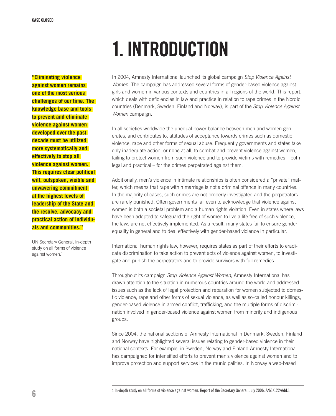# 1. introduction

**"Eliminating violence against women remains one of the most serious challenges of our time. The knowledge base and tools to prevent and eliminate violence against women developed over the past decade must be utilized more systematically and effectively to stop all violence against women. This requires clear political will, outspoken, visible and unwavering commitment at the highest levels of leadership of the State and the resolve, advocacy and practical action of individuals and communities."**

UN Secretary General, In-depth study on all forms of violence against women.<sup>1</sup>

In 2004, Amnesty International launched its global campaign *Stop Violence Against Women*. The campaign has addressed several forms of gender-based violence against girls and women in various contexts and countries in all regions of the world. This report, which deals with deficiencies in law and practice in relation to rape crimes in the Nordic countries (Denmark, Sweden, Finland and Norway), is part of the *Stop Violence Against Women* campaign.

In all societies worldwide the unequal power balance between men and women generates, and contributes to, attitudes of acceptance towards crimes such as domestic violence, rape and other forms of sexual abuse. Frequently governments and states take only inadequate action, or none at all, to combat and prevent violence against women, failing to protect women from such violence and to provide victims with remedies – both legal and practical – for the crimes perpetrated against them.

Additionally, men's violence in intimate relationships is often considered a "private" matter, which means that rape within marriage is not a criminal offence in many countries. In the majority of cases, such crimes are not properly investigated and the perpetrators are rarely punished. Often governments fail even to acknowledge that violence against women is both a societal problem and a human rights violation. Even in states where laws have been adopted to safeguard the right of women to live a life free of such violence, the laws are not effectively implemented. As a result, many states fail to ensure gender equality in general and to deal effectively with gender-based violence in particular.

International human rights law, however, requires states as part of their efforts to eradicate discrimination to take action to prevent acts of violence against women, to investigate and punish the perpetrators and to provide survivors with full remedies.

Throughout its campaign *Stop Violence Against Women*, Amnesty International has drawn attention to the situation in numerous countries around the world and addressed issues such as the lack of legal protection and reparation for women subjected to domestic violence, rape and other forms of sexual violence, as well as so-called honour killings, gender-based violence in armed conflict, trafficking, and the multiple forms of discrimination involved in gender-based violence against women from minority and indigenous groups.

Since 2004, the national sections of Amnesty International in Denmark, Sweden, Finland and Norway have highlighted several issues relating to gender-based violence in their national contexts. For example, in Sweden, Norway and Finland Amnesty International has campaigned for intensified efforts to prevent men's violence against women and to improve protection and support services in the municipalities. In Norway a web-based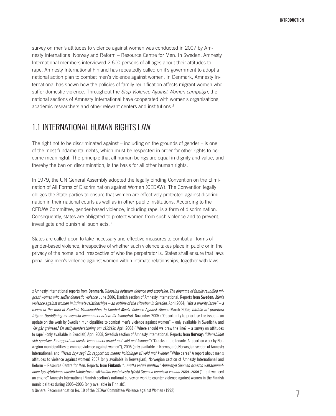survey on men's attitudes to violence against women was conducted in 2007 by Amnesty International Norway and Reform – Resource Centre for Men. In Sweden, Amnesty International members interviewed 2 600 persons of all ages about their attitudes to rape. Amnesty International Finland has repeatedly called on it's government to adopt a national action plan to combat men's violence against women. In Denmark, Amnesty International has shown how the policies of family reunification affects migrant women who suffer domestic violence. Throughout the *Stop Violence Against Women campaign*, the national sections of Amnesty International have cooperated with women's organisations, academic researchers and other relevant centers and institutions.<sup>2</sup>

# 1.1 International human rights law

The right not to be discriminated against – including on the grounds of gender – is one of the most fundamental rights, which must be respected in order for other rights to become meaningful. The principle that all human beings are equal in dignity and value, and thereby the ban on discrimination, is the basis for all other human rights.

In 1979, the UN General Assembly adopted the legally binding Convention on the Elimination of All Forms of Discrimination against Women (CEDAW). The Convention legally obliges the State parties to ensure that women are effectively protected against discrimination in their national courts as well as in other public institutions. According to the CEDAW Committee, gender-based violence, including rape, is a form of discrimination. Consequently, states are obligated to protect women from such violence and to prevent, investigate and punish all such acts.3

States are called upon to take necessary and effective measures to combat all forms of gender-based violence, irrespective of whether such violence takes place in public or in the privacy of the home, and irrespective of who the perpetrator is. States shall ensure that laws penalising men's violence against women within intimate relationships, together with laws

2 Amnesty International reports from Denmark: C*hoosing between violence and expulsion. The dilemma of family reunified migrant women who suffer domestic violence*, June 2006, Danish section of Amnesty International. Reports from Sweden: *Men's violence against women in intimate relationships – an outline of the situation in Sweden*, April 2004; *"Not a priority issue" – a review of the work of Swedish Municipalities to Combat Men's Violence Against Women* March 2005; *Tillfälle att prioritera frågan: Uppföljning av svenska kommuners arbete för kvinnofrid.* November 2005 ("Opportunity to prioritise the issue – an update on the work by Swedish municipalities to combat men's violence against women" – only available in Swedish); and *Var går gränsen? En attitydundersökning om våldtäkt.* April 2008 ("Where should we draw the line? – a survey on attitudes to rape" (only available in Swedish) April 2008, Swedish section of Amnesty International. Reports from Norway: *"Glansbildet slår sprekker. En rapport om norske kommuners arbeid mot vold mot kvinner"* ("Cracks in the facade. A report on work by Norwegian municipalities to combat violence against women"), 2005 (only available in Norwegian), Norwegian section of Amnesty International; and *"Hvem bryr seg? En rapport om menns holdninger til vold mot kvinner."* (Who cares? A report about men's attitudes to violence against women) 2007 (only available in Norwegian), Norwegian section of Amnesty International and Reform – Resource Centre for Men. Reports from Finland: *"...mutta veturi puuttuu" Amnestyn Suomen osaston valtakunnallinen kyselytutkimus naisiin kohdistuvan väkivallan vastaisesta työstä Suomen kunnissa vuonna 2005–2006* ("...but we need an engine" Amnesty International Finnish section's national survey on work to counter violence against women in the Finnish municipalities during 2005–2006 (only available in Finnish)).

3 General Recommendation No. 19 of the CEDAW Committee: Violence against Women (1992)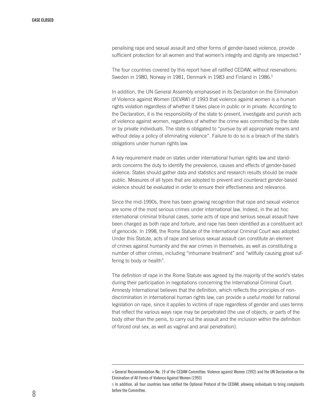penalising rape and sexual assault and other forms of gender-based violence, provide sufficient protection for all women and that women's integrity and dignity are respected.<sup>4</sup>

The four countries covered by this report have all ratified CEDAW, without reservations: Sweden in 1980, Norway in 1981, Denmark in 1983 and Finland in 1986.<sup>5</sup>

In addition, the UN General Assembly emphasised in its Declaration on the Elimination of Violence against Women (DEVAW) of 1993 that violence against women is a human rights violation regardless of whether it takes place in public or in private. According to the Declaration, it is the responsibility of the state to prevent, investigate and punish acts of violence against women, regardless of whether the crime was committed by the state or by private individuals. The state is obligated to "pursue by all appropriate means and without delay a policy of eliminating violence". Failure to do so is a breach of the state's obligations under human rights law.

A key requirement made on states under international human rights law and standards concerns the duty to identify the prevalence, causes and effects of gender-based violence. States should gather data and statistics and research results should be made public. Measures of all types that are adopted to prevent and counteract gender-based violence should be evaluated in order to ensure their effectiveness and relevance.

Since the mid-1990s, there has been growing recognition that rape and sexual violence are some of the most serious crimes under international law. Indeed, in the ad hoc international criminal tribunal cases, some acts of rape and serious sexual assault have been charged as both rape and torture, and rape has been identified as a constituent act of genocide. In 1998, the Rome Statute of the International Criminal Court was adopted. Under this Statute, acts of rape and serious sexual assault can constitute an element of crimes against humanity and the war crimes in themselves, as well as constituting a number of other crimes, including "inhumane treatment" and "willfully causing great suffering to body or health".

The definition of rape in the Rome Statute was agreed by the majority of the world's states during their participation in negotiations concerning the International Criminal Court. Amnesty International believes that the definition, which reflects the principles of nondiscrimination in international human rights law, can provide a useful model for national legislation on rape, since it applies to victims of rape regardless of gender and uses terms that reflect the various ways rape may be perpetrated (the use of objects, or parts of the body other than the penis, to carry out the assault and the inclusion within the definition of forced oral sex, as well as vaginal and anal penetration).

<sup>4</sup> General Recommendation No. 19 of the CEDAW Committee: Violence against Women (1992) and the UN Declaration on the Elimination of All Forms of Violence Against Women (1993)

<sup>5</sup> In addition, all four countries have ratified the Optional Protocol of the CEDAW, allowing individuals to bring complaints before the Committee.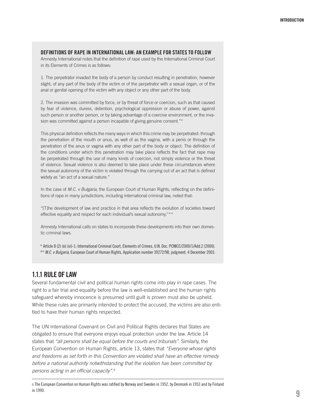### Definitions of rape in international law: an example for states to follow

Amnesty International notes that the definition of rape used by the International Criminal Court in its Elements of Crimes is as follows:

1. The perpetrator invaded the body of a person by conduct resulting in penetration, however slight, of any part of the body of the victim or of the perpetrator with a sexual organ, or of the anal or genital opening of the victim with any object or any other part of the body.

2. The invasion was committed by force, or by threat of force or coercion, such as that caused by fear of violence, duress, detention, psychological oppression or abuse of power, against such person or another person, or by taking advantage of a coercive environment, or the invasion was committed against a person incapable of giving genuine consent."\*

This physical definition reflects the many ways in which this crime may be perpetrated: through the penetration of the mouth or anus, as well of as the vagina, with a penis or through the penetration of the anus or vagina with any other part of the body or object. The definition of the conditions under which this penetration may take place reflects the fact that rape may be perpetrated through the use of many kinds of coercion, not simply violence or the threat of violence. Sexual violence is also deemed to take place under these circumstances where the sexual autonomy of the victim is violated through the carrying out of an act that is defined widely as "an act of a sexual nature."

In the case of *M.C. v Bulgaria*, the European Court of Human Rights, reflecting on the definitions of rape in many jurisdictions, including international criminal law, noted that:

"[T]he development of law and practice in that area reflects the evolution of societies toward effective equality and respect for each individual's sexual autonomy."\*\*

Amnesty International calls on states to incorporate these developments into their own domestic criminal laws.

\* Article 8 (2) (e) (vi)-1: International Criminal Court, Elements of Crimes, U.N. Doc. PCNICC/2000/1/Add.2 (2000).

\*\* *M.C. v Bulgaria*, European Court of Human Rights, Application number 39272/98, judgment, 4 December 2003.

# 1.1.1 Rule of law

Several fundamental civil and political human rights come into play in rape cases. The right to a fair trial and equality before the law is well-established and the human rights safeguard whereby innocence is presumed until guilt is proven must also be upheld. While these rules are primarily intended to protect the accused, the victims are also entitled to have their human rights respected.

The UN International Covenant on Civil and Political Rights declares that States are obligated to ensure that everyone enjoys equal protection under the law. Article 14 states that *"all persons shall be equal before the courts and tribunals"*. Similarly, the European Convention on Human Rights, article 13, states that *"Everyone whose rights and freedoms as set forth in this Convention are violated shall have an effective remedy before a national authority notwithstanding that the violation has been committed by persons acting in an official capacity"*. 6

<sup>6</sup> The European Convention on Human Rights was ratified by Norway and Sweden in 1952, by Denmark in 1953 and by Finland in 1990.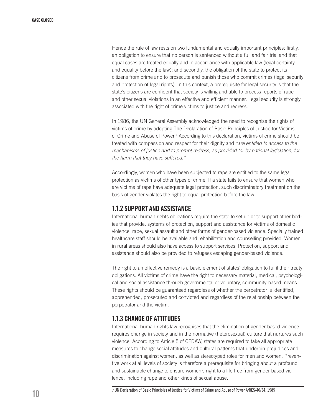Hence the rule of law rests on two fundamental and equally important principles: firstly, an obligation to ensure that no person is sentenced without a full and fair trial and that equal cases are treated equally and in accordance with applicable law (legal certainty and equality before the law); and secondly, the obligation of the state to protect its citizens from crime and to prosecute and punish those who commit crimes (legal security and protection of legal rights). In this context, a prerequisite for legal security is that the state's citizens are confident that society is willing and able to process reports of rape and other sexual violations in an effective and efficient manner. Legal security is strongly associated with the right of crime victims to justice and redress.

In 1986, the UN General Assembly acknowledged the need to recognise the rights of victims of crime by adopting The Declaration of Basic Principles of Justice for Victims of Crime and Abuse of Power.<sup>7</sup> According to this declaration, victims of crime should be treated with compassion and respect for their dignity and *"are entitled to access to the mechanisms of justice and to prompt redress, as provided for by national legislation, for the harm that they have suffered."*

Accordingly, women who have been subjected to rape are entitled to the same legal protection as victims of other types of crime. If a state fails to ensure that women who are victims of rape have adequate legal protection, such discriminatory treatment on the basis of gender violates the right to equal protection before the law.

# 1.1.2 Support and assistance

International human rights obligations require the state to set up or to support other bodies that provide, systems of protection, support and assistance for victims of domestic violence, rape, sexual assault and other forms of gender-based violence. Specially trained healthcare staff should be available and rehabilitation and counselling provided. Women in rural areas should also have access to support services. Protection, support and assistance should also be provided to refugees escaping gender-based violence.

The right to an effective remedy is a basic element of states' obligation to fulfil their treaty obligations. All victims of crime have the right to necessary material, medical, psychological and social assistance through governmental or voluntary, community-based means. These rights should be guaranteed regardless of whether the perpetrator is identified, apprehended, prosecuted and convicted and regardless of the relationship between the perpetrator and the victim.

# 1.1.3 Change of attitudes

International human rights law recognises that the elimination of gender-based violence requires change in society and in the normative (heterosexual) culture that nurtures such violence. According to Article 5 of CEDAW, states are required to take all appropriate measures to change social attitudes and cultural patterns that underpin prejudices and discrimination against women, as well as stereotyped roles for men and women. Preventive work at all levels of society is therefore a prerequisite for bringing about a profound and sustainable change to ensure women's right to a life free from gender-based violence, including rape and other kinds of sexual abuse.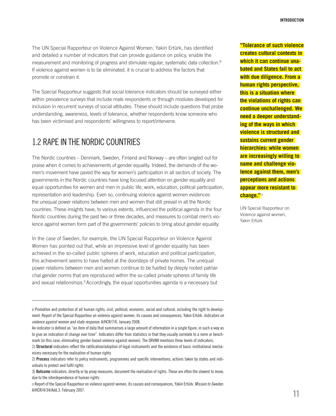The UN Special Rapporteur on Violence Against Women, Yakin Ertürk, has identified and detailed a number of indicators that can provide guidance on policy, enable the measurement and monitoring of progress and stimulate regular, systematic data collection.8 If violence against women is to be eliminated, it is crucial to address the factors that promote or constrain it.

The Special Rapporteur suggests that social tolerance indicators should be surveyed either within prevalence surveys that include male respondents or through modules developed for inclusion in recurrent surveys of social attitudes. These should include questions that probe understanding, awareness, levels of tolerance, whether respondents know someone who has been victimised and respondents' willingness to report/intervene.

# 1.2 Rape in the Nordic countries

The Nordic countries – Denmark, Sweden, Finland and Norway – are often singled out for praise when it comes to achievements of gender equality. Indeed, the demands of the women's movement have paved the way for women's participation in all sectors of society. The governments in the Nordic countries have long focused attention on gender equality and equal opportunities for women and men in public life, work, education, political participation, representation and leadership. Even so, continuing violence against women evidences the unequal power relations between men and women that still prevail in all the Nordic countries. These insights have, to various extents, influenced the political agenda in the four Nordic countries during the past two or three decades, and measures to combat men's violence against women form part of the governments' policies to bring about gender equality.

In the case of Sweden, for example, the UN Special Rapporteur on Violence Against Women has pointed out that, while an impressive level of gender equality has been achieved in the so-called public spheres of work, education and political participation, this achievement seems to have halted at the doorsteps of private homes. The unequal power relations between men and women continue to be fuelled by deeply rooted patriarchal gender norms that are reproduced within the so-called private spheres of family life and sexual relationships.9 Accordingly, the equal opportunities agenda is a necessary but

**"Tolerance of such violence creates cultural contexts in which it can continue unabated and States fail to act with due diligence. From a human rights perspective, this is a situation where the violations of rights can continue unchallenged. We need a deeper understanding of the ways in which violence is structured and sustains current gender hierarchies: while women are increasingly willing to name and challenge violence against them, men's perceptions and actions appear more resistant to change."** <sup>8</sup>

UN Special Rapporteur on Violence against women, Yakin Ertürk

<sup>8</sup> Promotion and protection of all human rights, civil, political, economic, social and cultural, including the right to development. Report of the Special Rapporteur on violence against women, its causes and consequences, Yakin Ertürk. *Indicators on violence against women and state response.* A/HCR/7/6. January 2008.

An indicator is defined as "an item of data that summarises a large amount of information in a single figure, in such a way as to give an indication of change over time". Indicators differ from statistics in that they usually correlate to a norm or benchmark (in this case, eliminating gender-based violence against women). The SRVAW mentions three levels of indicators:

<sup>1)</sup> Structural indicators reflect the ratification/adoption of legal instruments and the existence of basic institutional mechanisms necessary for the realisation of human rights

<sup>2)</sup> Process indicators refer to policy instruments, programmes and specific interventions; actions taken by states and individuals to protect and fulfil rights

<sup>3)</sup> Outcome indicators, directly or by proxy measures, document the realisation of rights. These are often the slowest to move, due to the interdependence of human rights

<sup>9</sup> Report of the Special Rapporteur on violence against women, its causes and consequences, Yakin Ertürk. *Mission to Sweden.* A/HCR/4/34/Add.3. February 2007.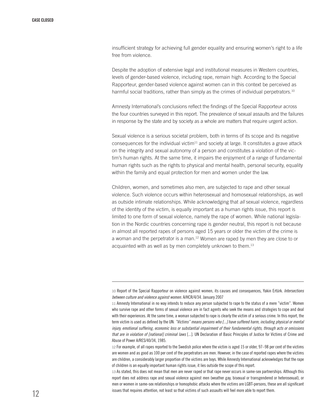insufficient strategy for achieving full gender equality and ensuring women's right to a life free from violence.

Despite the adoption of extensive legal and institutional measures in Western countries, levels of gender-based violence, including rape, remain high. According to the Special Rapporteur, gender-based violence against women can in this context be perceived as harmful social traditions, rather than simply as the crimes of individual perpetrators.<sup>10</sup>

Amnesty International's conclusions reflect the findings of the Special Rapporteur across the four countries surveyed in this report. The prevalence of sexual assaults and the failures in response by the state and by society as a whole are matters that require urgent action.

Sexual violence is a serious societal problem, both in terms of its scope and its negative consequences for the individual victim $11$  and society at large. It constitutes a grave attack on the integrity and sexual autonomy of a person and constitutes a violation of the victim's human rights. At the same time, it impairs the enjoyment of a range of fundamental human rights such as the rights to physical and mental health, personal security, equality within the family and equal protection for men and women under the law.

Children, women, and sometimes also men, are subjected to rape and other sexual violence. Such violence occurs within heterosexual and homosexual relationships, as well as outside intimate relationships. While acknowledging that *all* sexual violence, regardless of the identity of the victim, is equally important as a human rights issue, this report is limited to one form of sexual violence, namely the rape of women. While national legislation in the Nordic countries concerning rape is gender neutral, this report is not because in almost all reported rapes of persons aged 15 years or older the victim of the crime is a woman and the perpetrator is a man.12 Women are raped by men they are close to or acquainted with as well as by men completely unknown to them.<sup>13</sup>

<sup>10</sup> Report of the Special Rapporteur on violence against women, its causes and consequences, Yakin Ertürk. *Intersections between culture and violence against women.* A/HCR/4/34. January 2007

<sup>11</sup> Amnesty International in no way intends to reduce any person subjected to rape to the status of a mere "victim". Women who survive rape and other forms of sexual violence are in fact agents who seek the means and strategies to cope and deal with their experiences. At the same time, a woman subjected to rape is clearly the victim of a serious crime. In this report, the term victim is used as defined by the UN: *"Victims" means persons who [...] have suffered harm, including physical or mental injury, emotional suffering, economic loss or substantial impairment of their fundamental rights, through acts or omissions that are in violation of [national] criminal laws* [...]. UN Declaration of Basic Principles of Justice for Victims of Crime and Abuse of Power A/RES/40/34, 1985.

<sup>12</sup> For example, of all rapes reported to the Swedish police where the victim is aged 15 or older, 97–98 per cent of the victims are women and as good as 100 per cent of the perpetrators are men. However, in the case of reported rapes where the victims are children, a considerably larger proportion of the victims are boys. While Amnesty International acknowledges that the rape of children is an equally important human rights issue, it lies outside the scope of this report.

<sup>13</sup> As stated, this does not mean that men are never raped or that rape never occurs in same-sex partnerships. Although this report does not address rape and sexual violence against men (weather gay, bisexual or transgendered or heterosexual), or men or women in same-sex relationships or homophobic attacks where the victims are LGBT-persons, these are all significant issues that requires attention, not least so that victims of such assaults will feel more able to report them.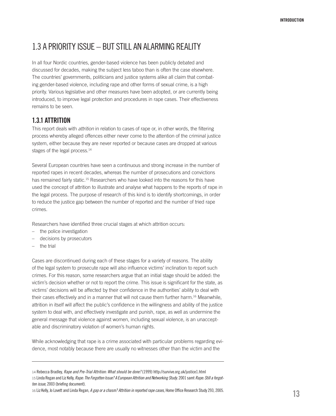# 1.3 A priority issue – but still an alarming reality

In all four Nordic countries, gender-based violence has been publicly debated and discussed for decades, making the subject less taboo than is often the case elsewhere. The countries' governments, politicians and justice systems alike all claim that combating gender-based violence, including rape and other forms of sexual crime, is a high priority. Various legislative and other measures have been adopted, or are currently being introduced, to improve legal protection and procedures in rape cases. Their effectiveness remains to be seen.

# 1.3.1 Attrition

This report deals with *attrition* in relation to cases of rape or, in other words, the filtering process whereby alleged offences either never come to the attention of the criminal justice system, either because they are never reported or because cases are dropped at various stages of the legal process.<sup>14</sup>

Several European countries have seen a continuous and strong increase in the number of reported rapes in recent decades, whereas the number of prosecutions and convictions has remained fairly static.15 Researchers who have looked into the reasons for this have used the concept of attrition to illustrate and analyse what happens to the reports of rape in the legal process. The purpose of research of this kind is to identify shortcomings, in order to reduce the justice gap between the number of reported and the number of tried rape crimes.

Researchers have identified three crucial stages at which attrition occurs:

- the police investigation
- decisions by prosecutors
- the trial

Cases are discontinued during each of these stages for a variety of reasons. The ability of the legal system to prosecute rape will also influence victims' inclination to report such crimes. For this reason, some researchers argue that an initial stage should be added: the victim's decision whether or not to report the crime. This issue is significant for the state, as victims' decisions will be affected by their confidence in the authorities' ability to deal with their cases effectively and in a manner that will not cause them further harm.16 Meanwhile, attrition in itself will affect the public's confidence in the willingness and ability of the justice system to deal with, and effectively investigate and punish, rape, as well as undermine the general message that violence against women, including sexual violence, is an unacceptable and discriminatory violation of women's human rights.

While acknowledging that rape is a crime associated with particular problems regarding evidence, most notably because there are usually no witnesses other than the victim and the

<sup>14</sup> Rebecca Bradley, *Rape and Pre-Trial Attrition: What should be done?* (1999) http://survive.org.uk/justice1.html 15 Linda Regan and Liz Kelly, *Rape: The Forgotten Issue? A European Attrition and Networking Study*. 2001 samt *Rape: Still a forgotten issue*, 2003 (briefing document).

<sup>16</sup> Liz Kelly, Jo Lovett and Linda Regan, *A gap or a chasm? Attrition in reported rape cases*, Home Office Research Study 293, 2005.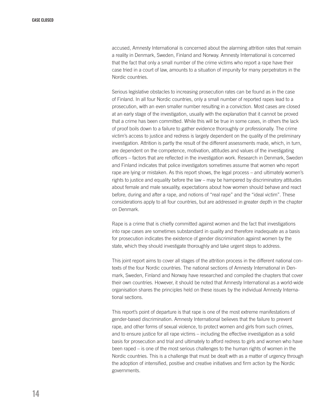accused, Amnesty International is concerned about the alarming attrition rates that remain a reality in Denmark, Sweden, Finland and Norway. Amnesty International is concerned that the fact that only a small number of the crime victims who report a rape have their case tried in a court of law, amounts to a situation of impunity for many perpetrators in the Nordic countries.

Serious legislative obstacles to increasing prosecution rates can be found as in the case of Finland. In all four Nordic countries, only a small number of reported rapes lead to a prosecution, with an even smaller number resulting in a conviction. Most cases are closed at an early stage of the investigation, usually with the explanation that it cannot be proved that a crime has been committed. While this will be true in some cases, in others the lack of proof boils down to a failure to gather evidence thoroughly or professionally. The crime victim's access to justice and redress is largely dependent on the quality of the preliminary investigation. Attrition is partly the result of the different assessments made, which, in turn, are dependent on the competence, motivation, attitudes and values of the investigating officers – factors that are reflected in the investigation work. Research in Denmark, Sweden and Finland indicates that police investigators sometimes assume that women who report rape are lying or mistaken. As this report shows, the legal process – and ultimately women's rights to justice and equality before the law – may be hampered by discriminatory attitudes about female and male sexuality, expectations about how women should behave and react before, during and after a rape, and notions of "real rape" and the "ideal victim". These considerations apply to all four countries, but are addressed in greater depth in the chapter on Denmark.

Rape is a crime that is chiefly committed against women and the fact that investigations into rape cases are sometimes substandard in quality and therefore inadequate as a basis for prosecution indicates the existence of gender discrimination against women by the state, which they should investigate thoroughly and take urgent steps to address.

This joint report aims to cover all stages of the attrition process in the different national contexts of the four Nordic countries. The national sections of Amnesty International in Denmark, Sweden, Finland and Norway have researched and compiled the chapters that cover their own countries. However, it should be noted that Amnesty International as a world-wide organisation shares the principles held on these issues by the individual Amnesty International sections.

This report's point of departure is that rape is one of the most extreme manifestations of gender-based discrimination. Amnesty International believes that the failure to prevent rape, and other forms of sexual violence, to protect women and girls from such crimes, and to ensure justice for all rape victims – including the effective investigation as a solid basis for prosecution and trial and ultimately to afford redress to girls and women who have been raped – is one of the most serious challenges to the human rights of women in the Nordic countries. This is a challenge that must be dealt with as a matter of urgency through the adoption of intensified, positive and creative initiatives and firm action by the Nordic governments.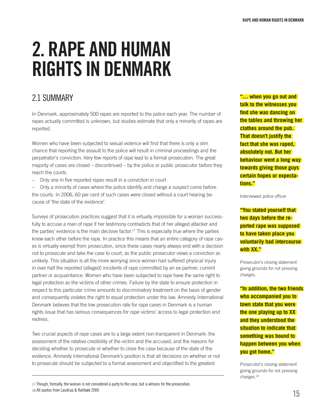# 2. RAPE and human rights in denmark

# 2.1 Summary

In Denmark, approximately 500 rapes are reported to the police each year. The number of rapes actually committed is unknown, but studies estimate that only a minority of rapes are reported.

Women who have been subjected to sexual violence will find that there is only a slim chance that reporting the assault to the police will result in criminal proceedings and the perpetrator's conviction. Very few reports of rape lead to a formal prosecution. The great majority of cases are closed – discontinued – by the police or public prosecutor before they reach the courts.

– Only one in five reported rapes result in a conviction in court

– Only a minority of cases where the police identify and charge a suspect come before the courts. In 2006, 60 per cent of such cases were closed without a court hearing because of 'the state of the evidence'.

Surveys of prosecution practices suggest that it is virtually impossible for a woman successfully to accuse a man of rape if her testimony contradicts that of her alleged attacker and the parties' evidence is the main decisive factor.17 This is especially true where the parties knew each other before the rape. In practice this means that an entire category of rape cases is virtually exempt from prosecution, since these cases nearly always end with a decision not to prosecute and take the case to court, as the public prosecutor views a conviction as unlikely. This situation is all the more worrying since women had suffered physical injury in over half the reported (alleged) incidents of rape committed by an ex-partner, current partner or acquaintance. Women who have been subjected to rape have the same right to legal protection as the victims of other crimes. Failure by the state to ensure protection in respect to this particular crime amounts to discriminatory treatment on the basis of gender and consequently violates the right to equal protection under the law. Amnesty International Denmark believes that the low prosecution rate for rape cases in Denmark is a human rights issue that has serious consequences for rape victims' access to legal protection and redress.

Two crucial aspects of rape cases are to a large extent non-transparent in Denmark: the assessment of the relative credibility of the victim and the accused; and the reasons for deciding whether to prosecute or whether to close the case because of the state of the evidence. Amnesty International Denmark's position is that all decisions on whether or not to prosecute should be subjected to a formal assessment and objectified to the greatest

17 Though, formally, the woman is not considered a party to the case, but a witness for the prosecution. 18 All quotes from Laudrup & Rahbæk 2006

**"… when you go out and talk to the witnesses you find she was dancing on the tables and throwing her clothes around the pub. That doesn't justify the fact that she was raped, absolutely not. But her behaviour went a long way towards giving those guys certain hopes or expectations."**

Interviewed police officer

**"You stated yourself that two days before the reported rape was supposed to have taken place you voluntarily had intercourse with XX."**

Prosecutor's closing statement giving grounds for not pressing charges.

**"In addition, the two friends who accompanied you to town state that you were the one playing up to XX and they understood the situation to indicate that something was bound to happen between you when you got home."**

Prosecutor's closing statement giving grounds for not pressing charges.18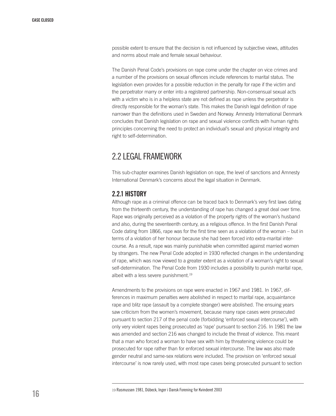possible extent to ensure that the decision is not influenced by subjective views, attitudes and norms about male and female sexual behaviour.

The Danish Penal Code's provisions on rape come under the chapter on vice crimes and a number of the provisions on sexual offences include references to marital status. The legislation even provides for a possible reduction in the penalty for rape if the victim and the perpetrator marry or enter into a registered partnership. Non-consensual sexual acts with a victim who is in a helpless state are not defined as rape unless the perpetrator is directly responsible for the woman's state. This makes the Danish legal definition of rape narrower than the definitions used in Sweden and Norway. Amnesty International Denmark concludes that Danish legislation on rape and sexual violence conflicts with human rights principles concerning the need to protect an individual's sexual and physical integrity and right to self-determination.

# 2.2 Legal framework

This sub-chapter examines Danish legislation on rape, the level of sanctions and Amnesty International Denmark's concerns about the legal situation in Denmark.

# 2.2.1 History

Although rape as a criminal offence can be traced back to Denmark's very first laws dating from the thirteenth century, the understanding of rape has changed a great deal over time. Rape was originally perceived as a violation of the property rights of the woman's husband and also, during the seventeenth century, as a religious offence. In the first Danish Penal Code dating from 1866, rape was for the first time seen as a violation of the woman – but in terms of a violation of her honour because she had been forced into extra-marital intercourse. As a result, rape was mainly punishable when committed against married women by strangers. The new Penal Code adopted in 1930 reflected changes in the understanding of rape, which was now viewed to a greater extent as a violation of a woman's right to sexual self-determination. The Penal Code from 1930 includes a possibility to punish marital rape, albeit with a less severe punishment.<sup>19</sup>

Amendments to the provisions on rape were enacted in 1967 and 1981. In 1967, differences in maximum penalties were abolished in respect to marital rape, acquaintance rape and blitz rape (assault by a complete stranger) were abolished. The ensuing years saw criticism from the women's movement, because many rape cases were prosecuted pursuant to section 217 of the penal code (forbidding 'enforced sexual intercourse'), with only very violent rapes being prosecuted as 'rape' pursuant to section 216. In 1981 the law was amended and section 216 was changed to include the threat of violence. This meant that a man who forced a woman to have sex with him by threatening violence could be prosecuted for rape rather than for enforced sexual intercourse. The law was also made gender neutral and same-sex relations were included. The provision on 'enforced sexual intercourse' is now rarely used, with most rape cases being prosecuted pursuant to section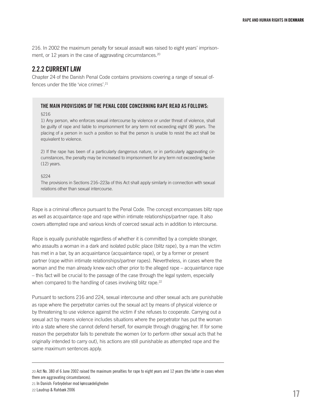216. In 2002 the maximum penalty for sexual assault was raised to eight years' imprisonment, or 12 years in the case of aggravating circumstances.<sup>20</sup>

# 2.2.2 Currentlaw

Chapter 24 of the Danish Penal Code contains provisions covering a range of sexual offences under the title 'vice crimes'.21

### The main provisions of the Penal Code concerning rape read as follows:

### §216

1) Any person, who enforces sexual intercourse by violence or under threat of violence, shall be guilty of rape and liable to imprisonment for any term not exceeding eight (8) years. The placing of a person in such a position so that the person is unable to resist the act shall be equivalent to violence.

2) If the rape has been of a particularly dangerous nature, or in particularly aggravating circumstances, the penalty may be increased to imprisonment for any term not exceeding twelve (12) years.

§224

The provisions in Sections 216–223a of this Act shall apply similarly in connection with sexual relations other than sexual intercourse.

Rape is a criminal offence pursuant to the Penal Code. The concept encompasses blitz rape as well as acquaintance rape and rape within intimate relationships/partner rape. It also covers attempted rape and various kinds of coerced sexual acts in addition to intercourse.

Rape is equally punishable regardless of whether it is committed by a complete stranger, who assaults a woman in a dark and isolated public place (blitz rape), by a man the victim has met in a bar, by an acquaintance (acquaintance rape), or by a former or present partner (rape within intimate relationships/partner rapes). Nevertheless, in cases where the woman and the man already knew each other prior to the alleged rape – acquaintance rape – this fact will be crucial to the passage of the case through the legal system, especially when compared to the handling of cases involving blitz rape.<sup>22</sup>

Pursuant to sections 216 and 224, sexual intercourse and other sexual acts are punishable as rape where the perpetrator carries out the sexual act by means of physical violence or by threatening to use violence against the victim if she refuses to cooperate. Carrying out a sexual act by means violence includes situations where the perpetrator has put the woman into a state where she cannot defend herself, for example through drugging her. If for some reason the perpetrator fails to penetrate the women (or to perform other sexual acts that he originally intended to carry out), his actions are still punishable as attempted rape and the same maximum sentences apply.

21 In Danish: Forbrydelser mod kønssædeligheden

<sup>20</sup> Act No. 380 of 6 June 2002 raised the maximum penalties for rape to eight years and 12 years (the latter in cases where there are aggravating circumstances).

<sup>22</sup> Laudrup & Rahbæk 2006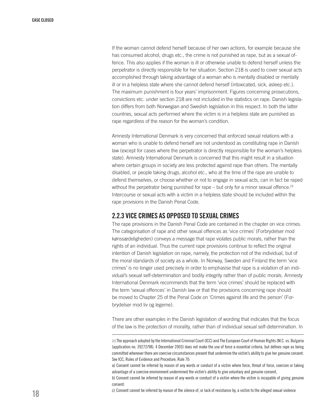If the woman cannot defend herself because of her own actions, for example because she has consumed alcohol, drugs etc., the crime is not punished as rape, but as a sexual offence. This also applies if the woman is ill or otherwise unable to defend herself unless the perpetrator is directly responsible for her situation. Section 218 is used to cover sexual acts accomplished through taking advantage of a woman who is mentally disabled or mentally ill or in a helpless state where she cannot defend herself (intoxicated, sick, asleep etc.). The maximum punishment is four years' imprisonment. Figures concerning prosecutions, convictions etc. under section 218 are not included in the statistics on rape. Danish legislation differs from both Norwegian and Swedish legislation in this respect. In both the latter countries, sexual acts performed where the victim is in a helpless state are punished as rape regardless of the reason for the woman's condition.

Amnesty International Denmark is very concerned that enforced sexual relations with a woman who is unable to defend herself are not understood as constituting rape in Danish law (except for cases where the perpetrator is directly responsible for the woman's helpless state). Amnesty International Denmark is concerned that this might result in a situation where certain groups in society are less protected against rape than others. The mentally disabled, or people taking drugs, alcohol etc., who at the time of the rape are unable to defend themselves, or choose whether or not to engage in sexual acts, can in fact be raped without the perpetrator being punished for rape – but only for a minor sexual offence.<sup>23</sup> Intercourse or sexual acts with a victim in a helpless state should be included within the rape provisions in the Danish Penal Code.

# 2.2.3 Vice crimes as opposed to sexual crimes

The rape provisions in the Danish Penal Code are contained in the chapter on vice crimes. The categorisation of rape and other sexual offences as 'vice crimes' (Forbrydelser mod kønssædeligheden) conveys a message that rape violates public morals, rather than the rights of an individual. Thus the current rape provisions continue to reflect the original intention of Danish legislation on rape, namely, the protection not of the individual, but of the moral standards of society as a whole. In Norway, Sweden and Finland the term 'vice crimes' is no longer used precisely in order to emphasise that rape is a violation of an individual's sexual self-determination and bodily integrity rather than of public morals. Amnesty International Denmark recommends that the term 'vice crimes' should be replaced with the term 'sexual offences' in Danish law or that the provisions concerning rape should be moved to Chapter 25 of the Penal Code on 'Crimes against life and the person' (Forbrydelser mod liv og legeme).

There are other examples in the Danish legislation of wording that indicates that the focus of the law is the protection of morality, rather than of individual sexual self-determination. In

<sup>23</sup> The approach adopted by the International Criminal Court (ICC) and The European Court of Human Rights (M.C. vs. Bulgaria (application no. 39272/98). 4 December 2003) does not make the use of force a essential criteria, but defines rape as being committed whenever there are coercive circumstances present that undermine the victim's ability to give her genuine consent. See ICC, Rules of Evidence and Procedure, Rule 70:

a) Consent cannot be inferred by reason of any words or conduct of a victim where force, threat of force, coercion or taking advantage of a coercive environment undermined the victim's ability to give voluntary and genuine consent,

b) Consent cannot be inferred by reason of any words or conduct of a victim where the victim is incapable of giving genuine consent.

c) Consent cannot be inferred by reason of the silence of, or lack of resistance by, a victim to the alleged sexual violence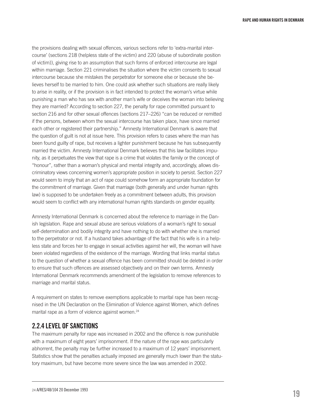the provisions dealing with sexual offences, various sections refer to 'extra-marital intercourse' (sections 218 (helpless state of the victim) and 220 (abuse of subordinate position of victim)), giving rise to an assumption that such forms of enforced intercourse are legal within marriage. Section 221 criminalises the situation where the victim consents to sexual intercourse because she mistakes the perpetrator for someone else or because she believes herself to be married to him. One could ask whether such situations are really likely to arise in reality, or if the provision is in fact intended to protect the woman's virtue while punishing a man who has sex with another man's wife or deceives the woman into believing they are married? According to section 227, the penalty for rape committed pursuant to section 216 and for other sexual offences (sections 217–226) "can be reduced or remitted if the persons, between whom the sexual intercourse has taken place, have since married each other or registered their partnership." Amnesty International Denmark is aware that the question of guilt is not at issue here. This provision refers to cases where the man has been found guilty of rape, but receives a lighter punishment because he has subsequently married the victim. Amnesty International Denmark believes that this law facilitates impunity, as it perpetuates the view that rape is a crime that violates the family or the concept of "honour", rather than a woman's physical and mental integrity and, accordingly, allows discriminatory views concerning women's appropriate position in society to persist. Section 227 would seem to imply that an act of rape could somehow form an appropriate foundation for the commitment of marriage. Given that marriage (both generally and under human rights law) is supposed to be undertaken freely as a commitment between adults, this provision would seem to conflict with any international human rights standards on gender equality.

Amnesty International Denmark is concerned about the reference to marriage in the Danish legislation. Rape and sexual abuse are serious violations of a woman's right to sexual self-determination and bodily integrity and have nothing to do with whether she is married to the perpetrator or not. If a husband takes advantage of the fact that his wife is in a helpless state and forces her to engage in sexual activities against her will, the woman will have been violated regardless of the existence of the marriage. Wording that links marital status to the question of whether a sexual offence has been committed should be deleted in order to ensure that such offences are assessed objectively and on their own terms. Amnesty International Denmark recommends amendment of the legislation to remove references to marriage and marital status.

A requirement on states to remove exemptions applicable to marital rape has been recognised in the UN Declaration on the Elimination of Violence against Women, which defines marital rape as a form of violence against women.<sup>24</sup>

# 2.2.4 Level of sanctions

The maximum penalty for rape was increased in 2002 and the offence is now punishable with a maximum of eight years' imprisonment. If the nature of the rape was particularly abhorrent, the penalty may be further increased to a maximum of 12 years' imprisonment. Statistics show that the penalties actually imposed are generally much lower than the statutory maximum, but have become more severe since the law was amended in 2002.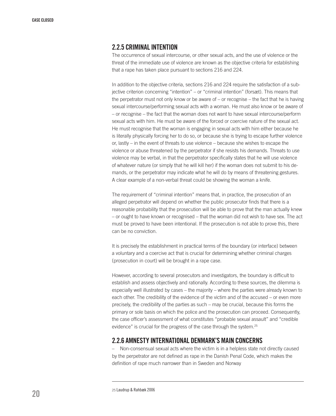# 2.2.5 CRIMINAL INTENTION

The occurrence of sexual intercourse, or other sexual acts, and the use of violence or the threat of the immediate use of violence are known as the objective criteria for establishing that a rape has taken place pursuant to sections 216 and 224.

In addition to the objective criteria, sections 216 and 224 require the satisfaction of a subjective criterion concerning "intention" – or "criminal intention" (forsæt). This means that the perpetrator must not only know or be aware of – or recognise – the fact that he is having sexual intercourse/performing sexual acts with a woman. He must also know or be aware of – or recognise – the fact that the woman does not want to have sexual intercourse/perform sexual acts with him. He must be aware of the forced or coercive nature of the sexual act. He must recognise that the woman is engaging in sexual acts with him either because he is literally physically forcing her to do so, or because she is trying to escape further violence or, lastly – in the event of threats to use violence – because she wishes to escape the violence or abuse threatened by the perpetrator if she resists his demands. Threats to use violence may be verbal, in that the perpetrator specifically states that he will use violence of whatever nature (or simply that he will kill her) if the woman does not submit to his demands, or the perpetrator may indicate what he will do by means of threatening gestures. A clear example of a non-verbal threat could be showing the woman a knife.

The requirement of "criminal intention" means that, in practice, the prosecution of an alleged perpetrator will depend on whether the public prosecutor finds that there is a reasonable probability that the prosecution will be able to prove that the man actually knew – or ought to have known or recognised – that the woman did not wish to have sex. The act must be proved to have been intentional. If the prosecution is not able to prove this, there can be no conviction.

It is precisely the establishment in practical terms of the boundary (or interface) between a voluntary and a coercive act that is crucial for determining whether criminal charges (prosecution in court) will be brought in a rape case.

However, according to several prosecutors and investigators, the boundary is difficult to establish and assess objectively and rationally. According to these sources, the dilemma is especially well illustrated by cases – the majority – where the parties were already known to each other. The credibility of the evidence of the victim and of the accused – or even more precisely, the credibility of the parties as such – may be crucial, because this forms the primary or sole basis on which the police and the prosecution can proceed. Consequently, the case officer's assessment of what constitutes "probable sexual assault" and "credible evidence" is crucial for the progress of the case through the system.<sup>25</sup>

# 2.2.6 Amnesty International Denmark's main concerns

– Non-consensual sexual acts where the victim is in a helpless state not directly caused by the perpetrator are not defined as rape in the Danish Penal Code, which makes the definition of rape much narrower than in Sweden and Norway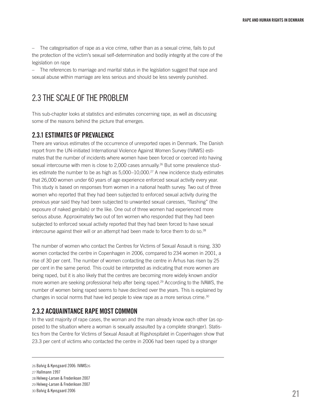– The categorisation of rape as a vice crime, rather than as a sexual crime, fails to put the protection of the victim's sexual self-determination and bodily integrity at the core of the legislation on rape

– The references to marriage and marital status in the legislation suggest that rape and sexual abuse within marriage are less serious and should be less severely punished.

# 2.3 The scale of the problem

This sub-chapter looks at statistics and estimates concerning rape, as well as discussing some of the reasons behind the picture that emerges.

# 2.3.1 Estimates oF prevalence

There are various estimates of the occurrence of unreported rapes in Denmark. The Danish report from the UN-initiated International Violence Against Women Survey (IVAWS) estimates that the number of incidents where women have been forced or coerced into having sexual intercourse with men is close to 2,000 cases annually.<sup>26</sup> But some prevalence studies estimate the number to be as high as 5,000–10,000.27 A new incidence study estimates that 26,000 women under 60 years of age experience enforced sexual activity every year. This study is based on responses from women in a national health survey. Two out of three women who reported that they had been subjected to enforced sexual activity during the previous year said they had been subjected to unwanted sexual caresses, "flashing" (the exposure of naked genitals) or the like. One out of three women had experienced more serious abuse. Approximately two out of ten women who responded that they had been subjected to enforced sexual activity reported that they had been forced to have sexual intercourse against their will or an attempt had been made to force them to do so.<sup>28</sup>

The number of women who contact the Centres for Victims of Sexual Assault is rising. 330 women contacted the centre in Copenhagen in 2006, compared to 234 women in 2001, a rise of 30 per cent. The number of women contacting the centre in Århus has risen by 25 per cent in the same period. This could be interpreted as indicating that more women are being raped, but it is also likely that the centres are becoming more widely known and/or more women are seeking professional help after being raped.29 According to the IVAWS, the number of women being raped seems to have declined over the years. This is explained by changes in social norms that have led people to view rape as a more serious crime.30

# 2.3.2 Acquaintance rape most common

In the vast majority of rape cases, the woman and the man already know each other (as opposed to the situation where a woman is sexually assaulted by a complete stranger). Statistics from the Centre for Victims of Sexual Assault at Rigshospitalet in Copenhagen show that 23.3 per cent of victims who contacted the centre in 2006 had been raped by a stranger

<sup>26</sup> Balvig & Kyvsgaard 2006: IVAWS26

<sup>27</sup> Hallmann 1997

<sup>28</sup> Helweg-Larsen & Frederiksen 2007

<sup>29</sup> Helweg-Larsen & Frederiksen 2007

<sup>30</sup> Balvig & Kyvsgaard 2006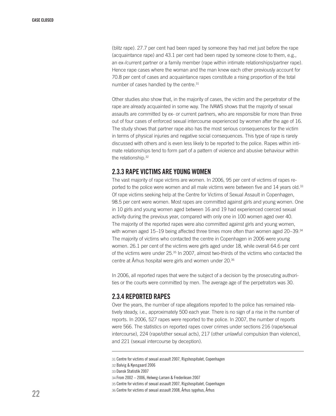(blitz rape). 27.7 per cent had been raped by someone they had met just before the rape (acquaintance rape) and 43.1 per cent had been raped by someone close to them, e.g., an ex-/current partner or a family member (rape within intimate relationships/partner rape). Hence rape cases where the woman and the man knew each other previously account for 70.8 per cent of cases and acquaintance rapes constitute a rising proportion of the total number of cases handled by the centre.<sup>31</sup>

Other studies also show that, in the majority of cases, the victim and the perpetrator of the rape are already acquainted in some way. The IVAWS shows that the majority of sexual assaults are committed by ex- or current partners, who are responsible for more than three out of four cases of enforced sexual intercourse experienced by women after the age of 16. The study shows that partner rape also has the most serious consequences for the victim in terms of physical injuries and negative social consequences. This type of rape is rarely discussed with others and is even less likely to be reported to the police. Rapes within intimate relationships tend to form part of a pattern of violence and abusive behaviour within the relationship.<sup>32</sup>

# 2.3.3 Rape victims are young women

The vast majority of rape victims are women. In 2006, 95 per cent of victims of rapes reported to the police were women and all male victims were between five and 14 years old.<sup>33</sup> Of rape victims seeking help at the Centre for Victims of Sexual Assault in Copenhagen, 98.5 per cent were women. Most rapes are committed against girls and young women. One in 10 girls and young women aged between 16 and 19 had experienced coerced sexual activity during the previous year, compared with only one in 100 women aged over 40. The majority of the reported rapes were also committed against girls and young women, with women aged 15–19 being affected three times more often than women aged 20–39.<sup>34</sup> The majority of victims who contacted the centre in Copenhagen in 2006 were young women. 26.1 per cent of the victims were girls aged under 18, while overall 64.6 per cent of the victims were under 25.35 In 2007, almost two-thirds of the victims who contacted the centre at Århus hospital were girls and women under 20.36

In 2006, all reported rapes that were the subject of a decision by the prosecuting authorities or the courts were committed by men. The average age of the perpetrators was 30.

# 2.3.4 Reported rapes

Over the years, the number of rape allegations reported to the police has remained relatively steady, i.e., approximately 500 each year. There is no sign of a rise in the number of reports. In 2006, 527 rapes were reported to the police. In 2007, the number of reports were 566. The statistics on reported rapes cover crimes under sections 216 (rape/sexual intercourse), 224 (rape/other sexual acts), 217 (other unlawful compulsion than violence), and 221 (sexual intercourse by deception).

<sup>31</sup> Centre for victims of sexual assault 2007, Rigshospitalet, Copenhagen

<sup>32</sup> Balvig & Kyvsgaard 2006

<sup>33</sup> Dansk Statistik 2007

<sup>34</sup> From 2002 – 2006, Helweg-Larsen & Frederiksen 2007

<sup>35</sup> Centre for victims of sexual assault 2007, Rigshospitalet, Copenhagen

<sup>36</sup> Centre for victims of sexual assault 2008, Århus sygehus, Århus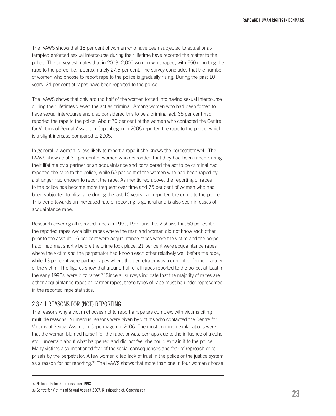The IVAWS shows that 18 per cent of women who have been subjected to actual or attempted enforced sexual intercourse during their lifetime have reported the matter to the police. The survey estimates that in 2003, 2,000 women were raped, with 550 reporting the rape to the police, i.e., approximately 27.5 per cent. The survey concludes that the number of women who choose to report rape to the police is gradually rising. During the past 10 years, 24 per cent of rapes have been reported to the police.

The IVAWS shows that only around half of the women forced into having sexual intercourse during their lifetimes viewed the act as criminal. Among women who had been forced to have sexual intercourse and also considered this to be a criminal act, 35 per cent had reported the rape to the police. About 70 per cent of the women who contacted the Centre for Victims of Sexual Assault in Copenhagen in 2006 reported the rape to the police, which is a slight increase compared to 2005.

In general, a woman is less likely to report a rape if she knows the perpetrator well. The IWAVS shows that 31 per cent of women who responded that they had been raped during their lifetime by a partner or an acquaintance and considered the act to be criminal had reported the rape to the police, while 50 per cent of the women who had been raped by a stranger had chosen to report the rape. As mentioned above, the reporting of rapes to the police has become more frequent over time and 75 per cent of women who had been subjected to blitz rape during the last 10 years had reported the crime to the police. This trend towards an increased rate of reporting is general and is also seen in cases of acquaintance rape.

Research covering all reported rapes in 1990, 1991 and 1992 shows that 50 per cent of the reported rapes were blitz rapes where the man and woman did not know each other prior to the assault. 16 per cent were acquaintance rapes where the victim and the perpetrator had met shortly before the crime took place. 21 per cent were acquaintance rapes where the victim and the perpetrator had known each other relatively well before the rape, while 13 per cent were partner rapes where the perpetrator was a current or former partner of the victim. The figures show that around half of all rapes reported to the police, at least in the early 1990s, were blitz rapes.37 Since all surveys indicate that the majority of rapes are either acquaintance rapes or partner rapes, these types of rape must be under-represented in the reported rape statistics.

# 2.3.4.1 Reasons for (not) reporting

The reasons why a victim chooses not to report a rape are complex, with victims citing multiple reasons. Numerous reasons were given by victims who contacted the Centre for Victims of Sexual Assault in Copenhagen in 2006. The most common explanations were that the woman blamed herself for the rape, or was, perhaps due to the influence of alcohol etc., uncertain about what happened and did not feel she could explain it to the police. Many victims also mentioned fear of the social consequences and fear of reproach or reprisals by the perpetrator. A few women cited lack of trust in the police or the justice system as a reason for not reporting.38 The IVAWS shows that more than one in four women choose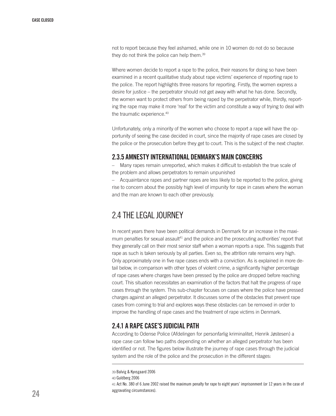not to report because they feel ashamed, while one in 10 women do not do so because they do not think the police can help them.39

Where women decide to report a rape to the police, their reasons for doing so have been examined in a recent qualitative study about rape victims' experience of reporting rape to the police. The report highlights three reasons for reporting. Firstly, the women express a desire for justice – the perpetrator should not get away with what he has done. Secondly, the women want to protect others from being raped by the perpetrator while, thirdly, reporting the rape may make it more 'real' for the victim and constitute a way of trying to deal with the traumatic experience.40

Unfortunately, only a minority of the women who choose to report a rape will have the opportunity of seeing the case decided in court, since the majority of rape cases are closed by the police or the prosecution before they get to court. This is the subject of the next chapter.

# 2.3.5 Amnesty International Denmark's main concerns

– Many rapes remain unreported, which makes it difficult to establish the true scale of the problem and allows perpetrators to remain unpunished

– Acquaintance rapes and partner rapes are less likely to be reported to the police, giving rise to concern about the possibly high level of impunity for rape in cases where the woman and the man are known to each other previously.

# 2.4 The legal journey

In recent years there have been political demands in Denmark for an increase in the maximum penalties for sexual assault<sup>41</sup> and the police and the prosecuting authorities' report that they generally call on their most senior staff when a woman reports a rape. This suggests that rape as such is taken seriously by all parties. Even so, the attrition rate remains very high. Only approximately one in five rape cases ends with a conviction. As is explained in more detail below, in comparison with other types of violent crime, a significantly higher percentage of rape cases where charges have been pressed by the police are dropped before reaching court. This situation necessitates an examination of the factors that halt the progress of rape cases through the system. This sub-chapter focuses on cases where the police have pressed charges against an alleged perpetrator. It discusses some of the obstacles that prevent rape cases from coming to trial and explores ways these obstacles can be removed in order to improve the handling of rape cases and the treatment of rape victims in Denmark.

# 2.4.1 A rape case's judicial path

According to Odense Police (Afdelingen for personfarlig kriminalitet, Henrik Jøstesen) a rape case can follow two paths depending on whether an alleged perpetrator has been identified or not. The figures below illustrate the journey of rape cases through the judicial system and the role of the police and the prosecution in the different stages:

40 Guldberg 2006

<sup>39</sup> Balvig & Kyvsgaard 2006

<sup>41</sup> Act No. 380 of 6 June 2002 raised the maximum penalty for rape to eight years' imprisonment (or 12 years in the case of aggravating circumstances).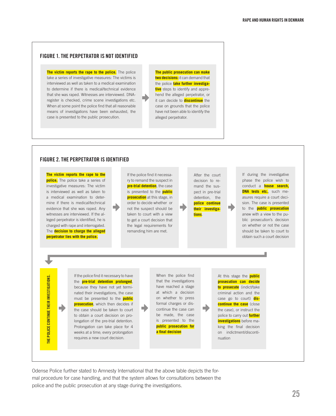### FIGURE 1. THE PERPETRATOR IS NOT IDENTIFIED

**The victim reports the rape to the police.** The police take a series of investigative measures: The victims is interviewed as well as taken to a medical examination to determine if there is medical/technical evidence that she was raped. Witnesses are interviewed. DNAregister is checked, crime scene investigations etc. When at some point the police find that all reasonable means of investigations have been exhausted, the case is presented to the public prosecution.

**The public prosecution can make two decisions:** it can demand that the police **take further investigative** steps to identify and apprehend the alleged perpetrator, or it can decide to **discontinue** the case on grounds that the police have not been able to identify the alleged perpetrator.

 $\rightarrow$ 

### FIGURE 2. THE PERPETRATOR IS IDENTIFIED

**The victim reports the rape to the police.** The police take a series of investigative measures: The victim is interviewed as well as taken to a medical examination to determine if there is medical/technical evidence that she was raped. Any witnesses are interviewed. If the alleged perpetrator is identified, he is charged with rape and interrogated. The **decision to charge the alleged perpetrator lies with the police.**

If the police find it necessary to remand the suspect in **pre-trial detention**, the case is presented to the **public prosecution** at this stage, in order to decide whether or not the suspect should be taken to court with a view to get a court decision that the legal requirements for remanding him are met.

decision to remand the suspect in pre-trial detention, the **police continue their investigations**.

∙

After the court

If during the investigative phase the police wish to conduct a **house search, DNA tests etc.**, such measures require a court decision. The case is presented to the **public prosecution** anew with a view to the public prosecution's decision on whether or not the case should be taken to court to obtain such a court decision

**HE POLICE CONTINUE THEIR INVESTIGATIONS.** THE **POLICE** CONTINUE THEIR INvESTIGATIONS.

D

If the police find it necessary to have the **pre-trial detention prolonged**, because they have not yet terminated their investigations, the case must be presented to the **public prosecution**, which then decides if the case should be taken to court to obtain a court decision on prolongation of the pre-trial detention. Prolongation can take place for 4 weeks at a time; every prolongation requires a new court decision.

➡

When the police find that the investigations have reached a stage at which a decision on whether to press formal charges or discontinue the case can be made, the case is presented to the **public prosecution for a** final decision

At this stage the **public prosecution can decide to prosecute** (indict/take criminal action and the case go to court) **discontinue the case** (close the case), or instruct the police to carry out **further investigations** before making the final decision on indictment/discontinuation

Odense Police further stated to Amnesty International that the above table depicts the formal procedure for case handling, and that the system allows for consultations between the police and the public prosecution at any stage during the investigations.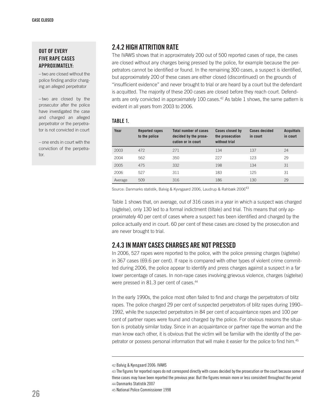## OUT OF EVERY five rape cases approximately:

– two are closed without the police finding and/or charging an alleged perpetrator

– two are closed by the prosecutor after the police have investigated the case and charged an alleged perpetrator or the perpetrator is not convicted in court

– one ends in court with the conviction of the perpetrator.

# 2.4.2 High attrition rate

The IVAWS shows that in approximately 200 out of 500 reported cases of rape, the cases are closed without any charges being pressed by the police, for example because the perpetrators cannot be identified or found. In the remaining 300 cases, a suspect is identified, but approximately 200 of these cases are either closed (discontinued) on the grounds of "insufficient evidence" and never brought to trial or are heard by a court but the defendant is acquitted. The majority of these 200 cases are closed before they reach court. Defendants are only convicted in approximately 100 cases.<sup>42</sup> As table 1 shows, the same pattern is evident in all years from 2003 to 2006.

### Table 1.

| Year    | Reported rapes<br>to the police | <b>Total number of cases</b><br>decided by the prose-<br>cution or in court | Cases closed by<br>the prosecution<br>without trial | <b>Cases decided</b><br>in court | <b>Acquittals</b><br>in court |
|---------|---------------------------------|-----------------------------------------------------------------------------|-----------------------------------------------------|----------------------------------|-------------------------------|
| 2003    | 472                             | 271                                                                         | 134                                                 | 137                              | 24                            |
| 2004    | 562                             | 350                                                                         | 227                                                 | 123                              | 29                            |
| 2005    | 475                             | 332                                                                         | 198                                                 | 134                              | 31                            |
| 2006    | 527                             | 311                                                                         | 183                                                 | 125                              | 31                            |
| Average | 509                             | 316                                                                         | 186                                                 | 130                              | 29                            |

Source: Danmarks statistik, Balvig & Kyvsgaard 2006, Laudrup & Rahbæk 2006<sup>43</sup>

Table 1 shows that, on average, out of 316 cases in a year in which a suspect was charged (sigtelse), only 130 led to a formal indictment (tiltale) and trial. This means that only approximately 40 per cent of cases where a suspect has been identified and charged by the police actually end in court. 60 per cent of these cases are closed by the prosecution and are never brought to trial.

# 2.4.3 In many cases charges are not pressed

In 2006, 527 rapes were reported to the police, with the police pressing charges (sigtelse) in 367 cases (69.6 per cent). If rape is compared with other types of violent crime committed during 2006, the police appear to identify and press charges against a suspect in a far lower percentage of cases. In non-rape cases involving grievous violence, charges (sigtelse) were pressed in 81.3 per cent of cases.44

In the early 1990s, the police most often failed to find and charge the perpetrators of blitz rapes. The police charged 29 per cent of suspected perpetrators of blitz rapes during 1990– 1992, while the suspected perpetrators in 84 per cent of acquaintance rapes and 100 per cent of partner rapes were found and charged by the police. For obvious reasons the situation is probably similar today. Since in an acquaintance or partner rape the woman and the man know each other, it is obvious that the victim will be familiar with the identity of the perpetrator or possess personal information that will make it easier for the police to find him.45

<sup>42</sup> Balvig & Kyvsgaard 2006: IVAWS

<sup>43</sup> The figures for reported rapes do not correspond directly with cases decided by the prosecution or the court because some of these cases may have been reported the previous year. But the figures remain more or less consistent throughout the period 44 Danmarks Statistik 2007

<sup>45</sup> National Police Commissioner 1998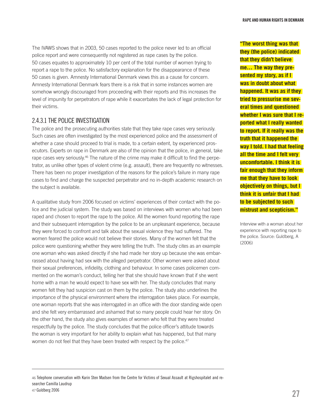The IVAWS shows that in 2003, 50 cases reported to the police never led to an official police report and were consequently not registered as rape cases by the police. 50 cases equates to approximately 10 per cent of the total number of women trying to report a rape to the police. No satisfactory explanation for the disappearance of these 50 cases is given. Amnesty International Denmark views this as a cause for concern. Amnesty International Denmark fears there is a risk that in some instances women are somehow wrongly discouraged from proceeding with their reports and this increases the level of impunity for perpetrators of rape while it exacerbates the lack of legal protection for their victims.

# 2.4.3.1 The police investigation

The police and the prosecuting authorities state that they take rape cases very seriously. Such cases are often investigated by the most experienced police and the assessment of whether a case should proceed to trial is made, to a certain extent, by experienced prosecutors. Experts on rape in Denmark are also of the opinion that the police, in general, take rape cases very seriously.<sup>46</sup> The nature of the crime may make it difficult to find the perpetrator, as unlike other types of violent crime (e.g. assault), there are frequently no witnesses. There has been no proper investigation of the reasons for the police's failure in many rape cases to find and charge the suspected perpetrator and no in-depth academic research on the subject is available.

A qualitative study from 2006 focused on victims' experiences of their contact with the police and the judicial system. The study was based on interviews with women who had been raped and chosen to report the rape to the police. All the women found reporting the rape and their subsequent interrogation by the police to be an unpleasant experience, because they were forced to confront and talk about the sexual violence they had suffered. The women feared the police would not believe their stories. Many of the women felt that the police were questioning whether they were telling the truth. The study cites as an example one woman who was asked directly if she had made her story up because she was embarrassed about having had sex with the alleged perpetrator. Other women were asked about their sexual preferences, infidelity, clothing and behaviour. In some cases policemen commented on the woman's conduct, telling her that she should have known that if she went home with a man he would expect to have sex with her. The study concludes that many women felt they had suspicion cast on them by the police. The study also underlines the importance of the physical environment where the interrogation takes place. For example, one woman reports that she was interrogated in an office with the door standing wide open and she felt very embarrassed and ashamed that so many people could hear her story. On the other hand, the study also gives examples of women who felt that they were treated respectfully by the police. The study concludes that the police officer's attitude towards the woman is very important for her ability to explain what has happened, but that many women do not feel that they have been treated with respect by the police.<sup>47</sup>

**"The worst thing was that they (the police) indicated that they didn't believe me… The way they presented my story, as if I was in doubt about what happened. It was as if they tried to pressurise me several times and questioned whether I was sure that I reported what I really wanted to report. If it really was the truth that it happened the way I told. I had that feeling all the time and I felt very uncomfortable. I think it is fair enough that they inform me that they have to look objectively on things, but I think it is unfair that I had to be subjected to such mistrust and scepticism."**

Interview with a woman about her experience with reporting rape to the police. Source: Guldberg, A (2006)

<sup>46</sup> Telephone conversation with Karin Sten Madsen from the Centre for Victims of Sexual Assault at Rigshospitalet and researcher Camilla Laudrup 47 Guldberg 2006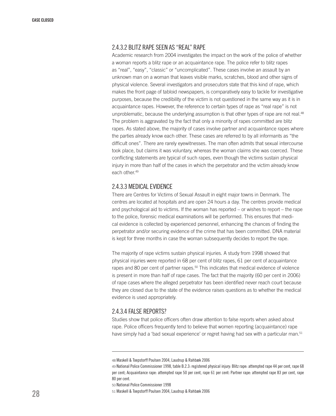# 2.4.3.2 Blitz rape seen as "real" rape

Academic research from 2004 investigates the impact on the work of the police of whether a woman reports a blitz rape or an acquaintance rape. The police refer to blitz rapes as "real", "easy", "classic" or "uncomplicated". These cases involve an assault by an unknown man on a woman that leaves visible marks, scratches, blood and other signs of physical violence. Several investigators and prosecutors state that this kind of rape, which makes the front page of tabloid newspapers, is comparatively easy to tackle for investigative purposes, because the credibility of the victim is not questioned in the same way as it is in acquaintance rapes. However, the reference to certain types of rape as "real rape" is not unproblematic, because the underlying assumption is that other types of rape are not real.<sup>48</sup> The problem is aggravated by the fact that only a minority of rapes committed are blitz rapes. As stated above, the majority of cases involve partner and acquaintance rapes where the parties already know each other. These cases are referred to by all informants as "the difficult ones". There are rarely eyewitnesses. The man often admits that sexual intercourse took place, but claims it was voluntary, whereas the woman claims she was coerced. These conflicting statements are typical of such rapes, even though the victims sustain physical injury in more than half of the cases in which the perpetrator and the victim already know each other.49

# 2.4.3.3 Medical evidence

There are Centres for Victims of Sexual Assault in eight major towns in Denmark. The centres are located at hospitals and are open 24 hours a day. The centres provide medical and psychological aid to victims. If the woman has reported – or wishes to report – the rape to the police, forensic medical examinations will be performed. This ensures that medical evidence is collected by experienced personnel, enhancing the chances of finding the perpetrator and/or securing evidence of the crime that has been committed. DNA material is kept for three months in case the woman subsequently decides to report the rape.

The majority of rape victims sustain physical injuries. A study from 1998 showed that physical injuries were reported in 68 per cent of blitz rapes, 61 per cent of acquaintance rapes and 80 per cent of partner rapes.<sup>50</sup> This indicates that medical evidence of violence is present in more than half of rape cases. The fact that the majority (60 per cent in 2006) of rape cases where the alleged perpetrator has been identified never reach court because they are closed due to the state of the evidence raises questions as to whether the medical evidence is used appropriately.

## 2.4.3.4 False reports?

Studies show that police officers often draw attention to false reports when asked about rape. Police officers frequently tend to believe that women reporting (acquaintance) rape have simply had a 'bad sexual experience' or regret having had sex with a particular man.<sup>51</sup>

<sup>48</sup> Maskell & Toepstorff Poulsen 2004, Laudrup & Rahbæk 2006

<sup>49</sup> National Police Commissioner 1998, table B.2.3: registered physical injury: Blitz rape: attempted rape 44 per cent, rape 68 per cent; Acquaintance rape: attempted rape 50 per cent, rape 61 per cent: Partner rape: attempted rape 83 per cent, rape 80 per cent.

<sup>50</sup> National Police Commissioner 1998

<sup>51</sup> Maskell & Toepstorff Poulsen 2004, Laudrup & Rahbæk 2006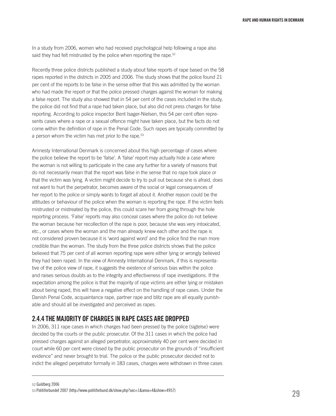In a study from 2006, women who had received psychological help following a rape also said they had felt mistrusted by the police when reporting the rape.<sup>52</sup>

Recently three police districts published a study about false reports of rape based on the 58 rapes reported in the districts in 2005 and 2006. The study shows that the police found 21 per cent of the reports to be false in the sense either that this was admitted by the woman who had made the report or that the police pressed charges against the woman for making a false report. The study also showed that in 54 per cent of the cases included in the study, the police did not find that a rape had taken place, but also did not press charges for false reporting. According to police inspector Bent Isager-Nielsen, this 54 per cent often represents cases where a rape or a sexual offence might have taken place, but the facts do not come within the definition of rape in the Penal Code. Such rapes are typically committed by a person whom the victim has met prior to the rape.<sup>53</sup>

Amnesty International Denmark is concerned about this high percentage of cases where the police believe the report to be 'false'. A 'false' report may actually hide a case where the woman is not willing to participate in the case any further for a variety of reasons that do not necessarily mean that the report was false in the sense that no rape took place or that the victim was lying. A victim might decide to try to pull out because she is afraid, does not want to hurt the perpetrator, becomes aware of the social or legal consequences of her report to the police or simply wants to forget all about it. Another reason could be the attitudes or behaviour of the police when the woman is reporting the rape. If the victim feels mistrusted or mistreated by the police, this could scare her from going through the hole reporting process. 'False' reports may also conceal cases where the police do not believe the woman because her recollection of the rape is poor, because she was very intoxicated, etc., or cases where the woman and the man already knew each other and the rape is not considered proven because it is 'word against word' and the police find the man more credible than the woman. The study from the three police districts shows that the police believed that 75 per cent of all women reporting rape were either lying or wrongly believed they had been raped. In the view of Amnesty International Denmark, if this is representative of the police view of rape, it suggests the existence of serious bias within the police and raises serious doubts as to the integrity and effectiveness of rape investigations. If the expectation among the police is that the majority of rape victims are either lying or mistaken about being raped, this will have a negative effect on the handling of rape cases. Under the Danish Penal Code, acquaintance rape, partner rape and blitz rape are all equally punishable and should all be investigated and perceived as rapes.

# 2.4.4 The majority of charges in rape cases are dropped

In 2006, 311 rape cases in which charges had been pressed by the police (sigtelse) were decided by the courts or the public prosecutor. Of the 311 cases in which the police had pressed charges against an alleged perpetrator, approximately 40 per cent were decided in court while 60 per cent were closed by the public prosecutor on the grounds of "insufficient evidence" and never brought to trial. The police or the public prosecutor decided not to indict the alleged perpetrator formally in 183 cases, charges were withdrawn in three cases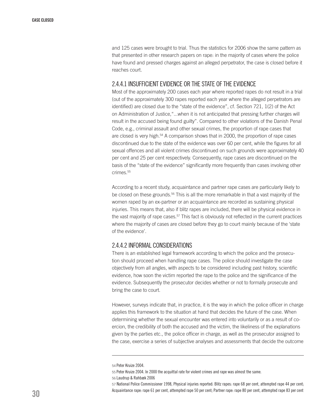and 125 cases were brought to trial. Thus the statistics for 2006 show the same pattern as that presented in other research papers on rape: in the majority of cases where the police have found and pressed charges against an alleged perpetrator, the case is closed before it reaches court.

### 2.4.4.1 Insufficient evidence or the state of the evidence

Most of the approximately 200 cases each year where reported rapes do not result in a trial (out of the approximately 300 rapes reported each year where the alleged perpetrators are identified) are closed due to the "state of the evidence", cf. Section 721, 1(2) of the Act on Administration of Justice,"...when it is not anticipated that pressing further charges will result in the accused being found guilty". Compared to other violations of the Danish Penal Code, e.g., criminal assault and other sexual crimes, the proportion of rape cases that are closed is very high. $54$  A comparison shows that in 2000, the proportion of rape cases discontinued due to the state of the evidence was over 60 per cent, while the figures for all sexual offences and all violent crimes discontinued on such grounds were approximately 40 per cent and 25 per cent respectively. Consequently, rape cases are discontinued on the basis of the "state of the evidence" significantly more frequently than cases involving other crimes.<sup>55</sup>

According to a recent study, acquaintance and partner rape cases are particularly likely to be closed on these grounds.<sup>56</sup> This is all the more remarkable in that a vast majority of the women raped by an ex-partner or an acquaintance are recorded as sustaining physical injuries. This means that, also if blitz rapes are included, there will be physical evidence in the vast majority of rape cases. $57$  This fact is obviously not reflected in the current practices where the majority of cases are closed before they go to court mainly because of the 'state of the evidence'.

# 2.4.4.2 Informal considerations

There is an established legal framework according to which the police and the prosecution should proceed when handling rape cases. The police should investigate the case objectively from all angles, with aspects to be considered including past history, scientific evidence, how soon the victim reported the rape to the police and the significance of the evidence. Subsequently the prosecutor decides whether or not to formally prosecute and bring the case to court.

However, surveys indicate that, in practice, it is the way in which the police officer in charge applies this framework to the situation at hand that decides the future of the case. When determining whether the sexual encounter was entered into voluntarily or as a result of coercion, the credibility of both the accused and the victim, the likeliness of the explanations given by the parties etc., the police officer in charge, as well as the prosecutor assigned to the case, exercise a series of subjective analyses and assessments that decide the outcome

<sup>54</sup> Peter Kruize 2004.

<sup>55</sup> Peter Kruize 2004. In 2000 the acquittal rate for violent crimes and rape was almost the same.

<sup>56</sup> Laudrup & Rahbæk 2006

<sup>57</sup> National Police Commissioner 1998, Physical injuries reported: Blitz rapes: rape 68 per cent, attempted rape 44 per cent; Acquaintance rape: rape 61 per cent, attempted rape 50 per cent; Partner rape: rape 80 per cent, attempted rape 83 per cent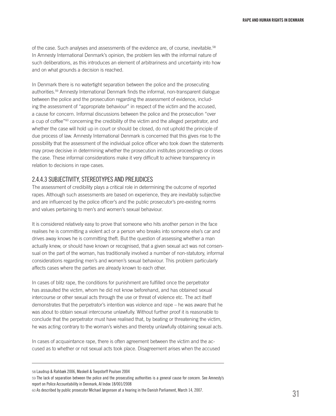of the case. Such analyses and assessments of the evidence are, of course, inevitable.<sup>58</sup> In Amnesty International Denmark's opinion, the problem lies with the informal nature of such deliberations, as this introduces an element of arbitrariness and uncertainty into how and on what grounds a decision is reached.

In Denmark there is no watertight separation between the police and the prosecuting authorities.59 Amnesty International Denmark finds the informal, non-transparent dialogue between the police and the prosecution regarding the assessment of evidence, including the assessment of "appropriate behaviour" in respect of the victim and the accused, a cause for concern. Informal discussions between the police and the prosecution "over a cup of coffee"<sup>60</sup> concerning the credibility of the victim and the alleged perpetrator, and whether the case will hold up in court or should be closed, do not uphold the principle of due process of law. Amnesty International Denmark is concerned that this gives rise to the possibility that the assessment of the individual police officer who took down the statements may prove decisive in determining whether the prosecution institutes proceedings or closes the case. These informal considerations make it very difficult to achieve transparency in relation to decisions in rape cases.

# 2.4.4.3 Subjectivity, stereotypes and prejudices

The assessment of credibility plays a critical role in determining the outcome of reported rapes. Although such assessments are based on experience, they are inevitably subjective and are influenced by the police officer's and the public prosecutor's pre-existing norms and values pertaining to men's and women's sexual behaviour.

It is considered relatively easy to prove that someone who hits another person in the face realises he is committing a violent act or a person who breaks into someone else's car and drives away knows he is committing theft. But the question of assessing whether a man actually knew, or should have known or recognised, that a given sexual act was not consensual on the part of the woman, has traditionally involved a number of non-statutory, informal considerations regarding men's and women's sexual behaviour. This problem particularly affects cases where the parties are already known to each other.

In cases of blitz rape, the conditions for punishment are fulfilled once the perpetrator has assaulted the victim, whom he did not know beforehand, and has obtained sexual intercourse or other sexual acts through the use or threat of violence etc. The act itself demonstrates that the perpetrator's intention was violence and rape – he was aware that he was about to obtain sexual intercourse unlawfully. Without further proof it is reasonable to conclude that the perpetrator must have realised that, by beating or threatening the victim, he was acting contrary to the woman's wishes and thereby unlawfully obtaining sexual acts.

In cases of acquaintance rape, there is often agreement between the victim and the accused as to whether or not sexual acts took place. Disagreement arises when the accused

<sup>58</sup> Laudrup & Rahbæk 2006, Maskell & Toepstorff Poulsen 2004

<sup>59</sup> The lack of separation between the police and the prosecuting authorities is a general cause for concern. See Amnesty's report on Police Accountability in Denmark, AI Index 18/001/2008

<sup>60</sup> As described by public prosecutor Michael Jørgensen at a hearing in the Danish Parliament, March 14, 2007.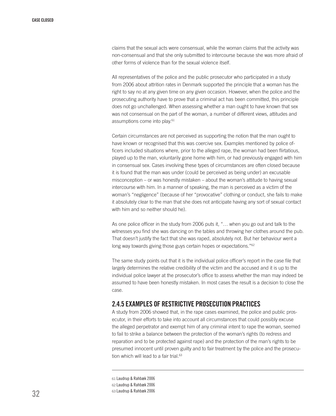claims that the sexual acts were consensual, while the woman claims that the activity was non-consensual and that she only submitted to intercourse because she was more afraid of other forms of violence than for the sexual violence itself.

All representatives of the police and the public prosecutor who participated in a study from 2006 about attrition rates in Denmark supported the principle that a woman has the right to say no at any given time on any given occasion. However, when the police and the prosecuting authority have to prove that a criminal act has been committed, this principle does not go unchallenged. When assessing whether a man ought to have known that sex was not consensual on the part of the woman, a number of different views, attitudes and assumptions come into play.<sup>61</sup>

Certain circumstances are not perceived as supporting the notion that the man ought to have known or recognised that this was coercive sex. Examples mentioned by police officers included situations where, prior to the alleged rape, the woman had been flirtatious, played up to the man, voluntarily gone home with him, or had previously engaged with him in consensual sex. Cases involving these types of circumstances are often closed because it is found that the man was under (could be perceived as being under) an excusable misconception – or was honestly mistaken – about the woman's attitude to having sexual intercourse with him. In a manner of speaking, the man is perceived as a victim of the woman's "negligence" (because of her "provocative" clothing or conduct, she fails to make it absolutely clear to the man that she does not anticipate having any sort of sexual contact with him and so neither should he).

As one police officer in the study from 2006 puts it, "… when you go out and talk to the witnesses you find she was dancing on the tables and throwing her clothes around the pub. That doesn't justify the fact that she was raped, absolutely not. But her behaviour went a long way towards giving those guys certain hopes or expectations."<sup>62</sup>

The same study points out that it is the individual police officer's report in the case file that largely determines the relative credibility of the victim and the accused and it is up to the individual police lawyer at the prosecutor's office to assess whether the man may indeed be assumed to have been honestly mistaken. In most cases the result is a decision to close the case.

# 2.4.5 Examples of restrictive prosecution practices

A study from 2006 showed that, in the rape cases examined, the police and public prosecutor, in their efforts to take into account all circumstances that could possibly excuse the alleged perpetrator and exempt him of any criminal intent to rape the woman, seemed to fail to strike a balance between the protection of the woman's rights (to redress and reparation and to be protected against rape) and the protection of the man's rights to be presumed innocent until proven guilty and to fair treatment by the police and the prosecution which will lead to a fair trial.<sup>63</sup>

61 Laudrup & Rahbæk 2006 62 Laudrup & Rahbæk 2006 63 Laudrup & Rahbæk 2006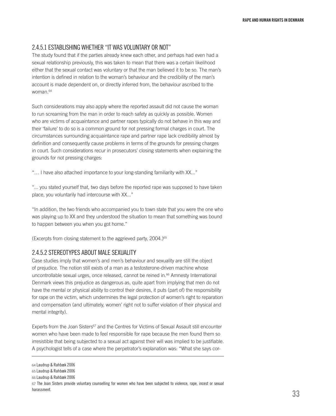# 2.4.5.1 Establishing whether "it was voluntary or not"

The study found that if the parties already knew each other, and perhaps had even had a sexual relationship previously, this was taken to mean that there was a certain likelihood either that the sexual contact was voluntary or that the man believed it to be so. The man's intention is defined in relation to the woman's behaviour and the credibility of the man's account is made dependent on, or directly inferred from, the behaviour ascribed to the woman.64

Such considerations may also apply where the reported assault did not cause the woman to run screaming from the man in order to reach safety as quickly as possible. Women who are victims of acquaintance and partner rapes typically do not behave in this way and their 'failure' to do so is a common ground for not pressing formal charges in court. The circumstances surrounding acquaintance rape and partner rape lack credibility almost by definition and consequently cause problems in terms of the grounds for pressing charges in court. Such considerations recur in prosecutors' closing statements when explaining the grounds for not pressing charges:

"… I have also attached importance to your long-standing familiarity with XX..."

"... you stated yourself that, two days before the reported rape was supposed to have taken place, you voluntarily had intercourse with XX..."

"In addition, the two friends who accompanied you to town state that you were the one who was playing up to XX and they understood the situation to mean that something was bound to happen between you when you got home."

(Excerpts from closing statement to the aggrieved party,  $2004.$ )<sup>65</sup>

# 2.4.5.2 Stereotypes about male sexuality

Case studies imply that women's and men's behaviour and sexuality are still the object of prejudice. The notion still exists of a man as a testosterone-driven machine whose uncontrollable sexual urges, once released, cannot be reined in.66 Amnesty International Denmark views this prejudice as dangerous as, quite apart from implying that men do not have the mental or physical ability to control their desires, it puts (part of) the responsibility for rape on the victim, which undermines the legal protection of women's right to reparation and compensation (and ultimately, women' right not to suffer violation of their physical and mental integrity).

Experts from the Joan Sisters<sup>67</sup> and the Centres for Victims of Sexual Assault still encounter women who have been made to feel responsible for rape because the men found them so irresistible that being subjected to a sexual act against their will was implied to be justifiable. A psychologist tells of a case where the perpetrator's explanation was: "What she says cor-

<sup>64</sup> Laudrup & Rahbæk 2006

<sup>65</sup> Laudrup & Rahbæk 2006

<sup>66</sup> Laudrup & Rahbæk 2006

<sup>67</sup> The Joan Sisters provide voluntary counselling for women who have been subjected to violence, rape, incest or sexual harassment.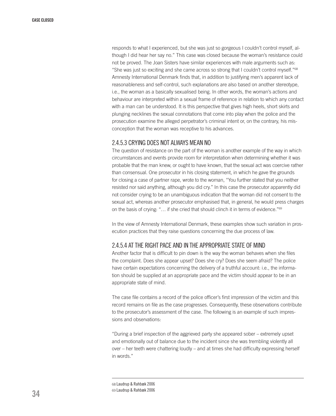responds to what I experienced, but she was just so gorgeous I couldn't control myself, although I did hear her say no." This case was closed because the woman's resistance could not be proved. The Joan Sisters have similar experiences with male arguments such as: "She was just so exciting and she came across so strong that I couldn't control myself."68 Amnesty International Denmark finds that, in addition to justifying men's apparent lack of reasonableness and self-control, such explanations are also based on another stereotype, i.e., the woman as a basically sexualised being. In other words, the woman's actions and behaviour are interpreted within a sexual frame of reference in relation to which any contact with a man can be understood. It is this perspective that gives high heels, short skirts and plunging necklines the sexual connotations that come into play when the police and the prosecution examine the alleged perpetrator's criminal intent or, on the contrary, his misconception that the woman was receptive to his advances.

# 2.4.5.3 Crying does not always mean no

The question of resistance on the part of the woman is another example of the way in which circumstances and events provide room for interpretation when determining whether it was probable that the man knew, or ought to have known, that the sexual act was coercive rather than consensual. One prosecutor in his closing statement, in which he gave the grounds for closing a case of partner rape, wrote to the woman, "You further stated that you neither resisted nor said anything, although you did cry." In this case the prosecutor apparently did not consider crying to be an unambiguous indication that the woman did not consent to the sexual act, whereas another prosecutor emphasised that, in general, he would press charges on the basis of crying: "… if she cried that should clinch it in terms of evidence."69

In the view of Amnesty International Denmark, these examples show such variation in prosecution practices that they raise questions concerning the due process of law.

# 2.4.5.4 At the right pace and in the appropriate state of mind

Another factor that is difficult to pin down is the way the woman behaves when she files the complaint. Does she appear upset? Does she cry? Does she seem afraid? The police have certain expectations concerning the delivery of a truthful account: i.e., the information should be supplied at an appropriate pace and the victim should appear to be in an appropriate state of mind.

The case file contains a record of the police officer's first impression of the victim and this record remains on file as the case progresses. Consequently, these observations contribute to the prosecutor's assessment of the case. The following is an example of such impressions and observations:

"During a brief inspection of the aggrieved party she appeared sober – extremely upset and emotionally out of balance due to the incident since she was trembling violently all over – her teeth were chattering loudly – and at times she had difficulty expressing herself in words."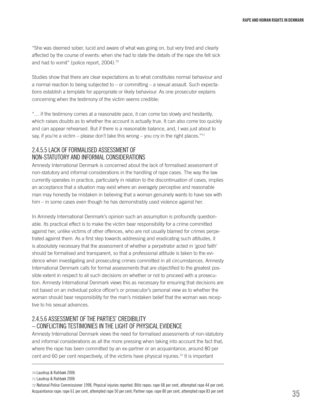"She was deemed sober, lucid and aware of what was going on, but very tired and clearly affected by the course of events: when she had to state the details of the rape she felt sick and had to vomit" (police report, 2004).<sup>70</sup>

Studies show that there are clear expectations as to what constitutes normal behaviour and a normal reaction to being subjected to – or committing – a sexual assault. Such expectations establish a template for appropriate or likely behaviour. As one prosecutor explains concerning when the testimony of the victim seems credible:

"… if the testimony comes at a reasonable pace, it can come too slowly and hesitantly, which raises doubts as to whether the account is actually true. It can also come too quickly and can appear rehearsed. But if there is a reasonable balance, and, I was just about to say, if you're a victim – please don't take this wrong – you cry in the right places."<sup>71</sup>

# 2.4.5.5 Lack of formalised assessment of non-statutory and informal considerations

Amnesty International Denmark is concerned about the lack of formalised assessment of non-statutory and informal considerations in the handling of rape cases. The way the law currently operates in practice, particularly in relation to the discontinuation of cases, implies an acceptance that a situation may exist where an averagely perceptive and reasonable man may honestly be mistaken in believing that a woman genuinely wants to have sex with him – in some cases even though he has demonstrably used violence against her.

In Amnesty International Denmark's opinion such an assumption is profoundly questionable. Its practical effect is to make the victim bear responsibility for a crime committed against her, unlike victims of other offences, who are not usually blamed for crimes perpetrated against them. As a first step towards addressing and eradicating such attitudes, it is absolutely necessary that the assessment of whether a perpetrator acted in 'good faith' should be formalised and transparent, so that a professional attitude is taken to the evidence when investigating and prosecuting crimes committed in all circumstances. Amnesty International Denmark calls for formal assessments that are objectified to the greatest possible extent in respect to all such decisions on whether or not to proceed with a prosecution. Amnesty International Denmark views this as necessary for ensuring that decisions are not based on an individual police officer's or prosecutor's personal view as to whether the woman should bear responsibility for the man's mistaken belief that the woman was receptive to his sexual advances.

# 2.4.5.6 Assessment of the parties' credibility – conflicting testimonies in the light of physical evidence

Amnesty International Denmark views the need for formalised assessments of non-statutory and informal considerations as all the more pressing when taking into account the fact that, where the rape has been committed by an ex-partner or an acquaintance, around 80 per cent and 60 per cent respectively, of the victims have physical injuries.<sup>72</sup> It is important

72 National Police Commissioner 1998, Physical injuries reported: Blitz rapes: rape 68 per cent, attempted rape 44 per cent; Acquaintance rape: rape 61 per cent, attempted rape 50 per cent; Partner rape: rape 80 per cent, attempted rape 83 per cent

<sup>70</sup> Laudrup & Rahbæk 2006

<sup>71</sup> Laudrup & Rahbæk 2006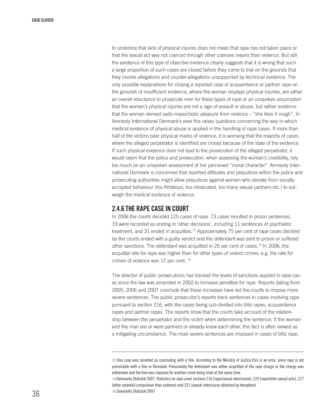to underline that lack of physical injuries does not mean that rape has not taken place or that the sexual act was not coerced through other coersive means than violence. But still the existence of this type of objective evidence clearly suggests that it is wrong that such a large proportion of such cases are closed before they come to trial on the grounds that they involve allegations and counter-allegations unsupported by technical evidence. The only possible explanations for closing a reported case of acquaintance or partner rape on the grounds of insufficient evidence, where the woman displays physical injuries, are either an overall reluctance to prosecute men for these types of rape or an unspoken assumption that the woman's physical injuries are not a sign of assault or abuse, but rather evidence that the woman derived sado-masochistic pleasure from violence – "she likes it rough". In Amnesty International Denmark's view this raises questions concerning the way in which medical evidence of physical abuse is applied in the handling of rape cases. If more than half of the victims bear physical marks of violence, it is worrying that the majority of cases where the alleged perpetrator is identified are closed because of the state of the evidence. If such physical evidence does not lead to the prosecution of the alleged perpetrator, it would seem that the police and prosecution, when assessing the woman's credibility, rely too much on an unspoken assessment of her perceived "moral character". Amnesty International Denmark is concerned that reported attitudes and prejudices within the police and prosecuting authorities might allow prejudices against women who deviate from socially accepted behaviour (too flirtatious, too intoxicated, too many sexual partners etc.) to outweigh the medical evidence of violence.

# 2.4.6 The rape case in court

In 2006 the courts decided 125 cases of rape. 73 cases resulted in prison sentences, 19 were recorded as ending in 'other decisions', including 11 sentences of psychiatric treatment, and 31 ended in acquittals.<sup>73</sup> Approximately 75 per cent of rape cases decided by the courts ended with a guilty verdict and the defendant was sent to prison or suffered other sanctions. The defendant was acquitted in 25 per cent of cases.<sup>74</sup> In 2006, the acquittal rate for rape was higher than for other types of violent crimes, e.g. the rate for crimes of violence was 12 per cent. 75

The director of public prosecutions has tracked the levels of sanctions applied in rape cases since the law was amended in 2002 to increase penalties for rape. Reports dating from 2005, 2006 and 2007 conclude that these increases have led the courts to impose more severe sentences. The public prosecutor's reports track sentences in cases involving rape pursuant to section 216, with the cases being sub-divided into blitz rapes, acquaintance rapes and partner rapes. The reports show that the courts take account of the relationship between the perpetrator and the victim when determining the sentence. If the woman and the man are or were partners or already knew each other, this fact is often viewed as a mitigating circumstance. The most severe sentences are imposed in cases of blitz rape,

<sup>73</sup> One case was recorded as concluding with a fine. According to the Ministry of Justice this is an error, since rape is not punishable with a fine in Denmark. Presumably the defendant was either acquitted of the rape charge or the charge was withdrawn and the fine was imposed for another crime being tried at the same time.

<sup>74</sup> Danmarks Statistik 2007, Statistics on rape cover sections 216 (rape/sexual intercourse), 224 (rape/other sexual acts), 217 (other unlawful compulsion than violence) and 221 (sexual intercourse obtained by deception). 75 Danmarks Statistik 2007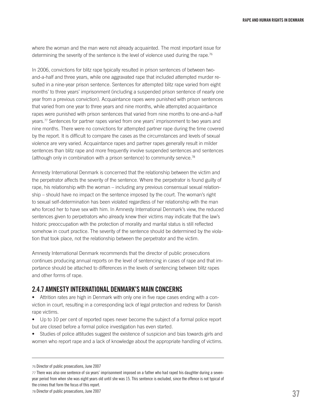where the woman and the man were not already acquainted. The most important issue for determining the severity of the sentence is the level of violence used during the rape.76

In 2006, convictions for blitz rape typically resulted in prison sentences of between twoand-a-half and three years, while one aggravated rape that included attempted murder resulted in a nine-year prison sentence. Sentences for attempted blitz rape varied from eight months' to three years' imprisonment (including a suspended prison sentence of nearly one year from a previous conviction). Acquaintance rapes were punished with prison sentences that varied from one year to three years and nine months, while attempted acquaintance rapes were punished with prison sentences that varied from nine months to one-and-a-half years.77 Sentences for partner rapes varied from one years' imprisonment to two years and nine months. There were no convictions for attempted partner rape during the time covered by the report. It is difficult to compare the cases as the circumstances and levels of sexual violence are very varied. Acquaintance rapes and partner rapes generally result in milder sentences than blitz rape and more frequently involve suspended sentences and sentences (although only in combination with a prison sentence) to community service.78

Amnesty International Denmark is concerned that the relationship between the victim and the perpetrator affects the severity of the sentence. Where the perpetrator is found guilty of rape, his relationship with the woman – including any previous consensual sexual relationship – should have no impact on the sentence imposed by the court. The woman's right to sexual self-determination has been violated regardless of her relationship with the man who forced her to have sex with him. In Amnesty International Denmark's view, the reduced sentences given to perpetrators who already knew their victims may indicate that the law's historic preoccupation with the protection of morality and marital status is still reflected somehow in court practice. The severity of the sentence should be determined by the violation that took place, not the relationship between the perpetrator and the victim.

Amnesty International Denmark recommends that the director of public prosecutions continues producing annual reports on the level of sentencing in cases of rape and that importance should be attached to differences in the levels of sentencing between blitz rapes and other forms of rape.

#### 2.4.7 Amnesty International Denmark's main concerns

• Attrition rates are high in Denmark with only one in five rape cases ending with a conviction in court, resulting in a corresponding lack of legal protection and redress for Danish rape victims.

- Up to 10 per cent of reported rapes never become the subject of a formal police report but are closed before a formal police investigation has even started.
- Studies of police attitudes suggest the existence of suspicion and bias towards girls and women who report rape and a lack of knowledge about the appropriate handling of victims.

<sup>76</sup> Director of public prosecutions, June 2007

<sup>77</sup> There was also one sentence of six years' imprisonment imposed on a father who had raped his daughter during a sevenyear period from when she was eight years old until she was 15. This sentence is excluded, since the offence is not typical of the crimes that form the focus of this report.

<sup>78</sup> Director of public prosecutions, June 2007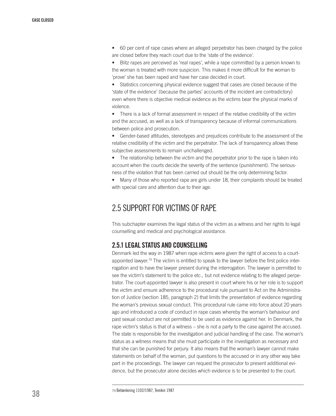• 60 per cent of rape cases where an alleged perpetrator has been charged by the police are closed before they reach court due to the 'state of the evidence'.

• Blitz rapes are perceived as 'real rapes', while a rape committed by a person known to the woman is treated with more suspicion. This makes it more difficult for the woman to 'prove' she has been raped and have her case decided in court.

• Statistics concerning physical evidence suggest that cases are closed because of the 'state of the evidence' (because the parties' accounts of the incident are contradictory) even where there is objective medical evidence as the victims bear the physical marks of violence.

• There is a lack of formal assessment in respect of the relative credibility of the victim and the accused, as well as a lack of transparency because of informal communications between police and prosecution.

• Gender-based attitudes, stereotypes and prejudices contribute to the assessment of the relative credibility of the victim and the perpetrator. The lack of transparency allows these subjective assessments to remain unchallenged.

• The relationship between the victim and the perpetrator prior to the rape is taken into account when the courts decide the severity of the sentence (punishment). The seriousness of the violation that has been carried out should be the only determining factor.

• Many of those who reported rape are girls under 18, their complaints should be treated with special care and attention due to their age.

# 2.5 Support for victims of rape

This subchapter examines the legal status of the victim as a witness and her rights to legal counselling and medical and psychological assistance.

#### 2.5.1 Legal status and counselling

Denmark led the way in 1987 when rape victims were given the right of access to a courtappointed lawyer.<sup>79</sup> The victim is entitled to speak to the lawyer before the first police interrogation and to have the lawyer present during the interrogation. The lawyer is permitted to see the victim's statement to the police etc., but not evidence relating to the alleged perpetrator. The court-appointed lawyer is also present in court where his or her role is to support the victim and ensure adherence to the procedural rule pursuant to Act on the Administration of Justice (section 185, paragraph 2) that limits the presentation of evidence regarding the woman's previous sexual conduct. This procedural rule came into force about 20 years ago and introduced a code of conduct in rape cases whereby the woman's behaviour and past sexual conduct are not permitted to be used as evidence against her. In Denmark, the rape victim's status is that of a witness – she is not a party to the case against the accused. The state is responsible for the investigation and judicial handling of the case. The woman's status as a witness means that she must participate in the investigation as necessary and that she can be punished for perjury. It also means that the woman's lawyer cannot make statements on behalf of the woman, put questions to the accused or in any other way take part in the proceedings. The lawyer can request the prosecutor to present additional evidence, but the prosecutor alone decides which evidence is to be presented to the court.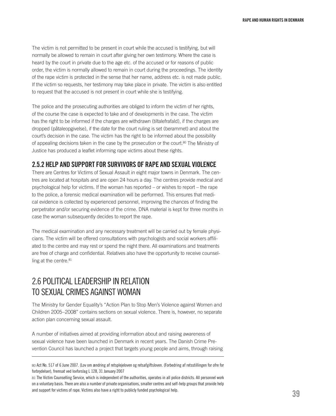The victim is not permitted to be present in court while the accused is testifying, but will normally be allowed to remain in court after giving her own testimony. Where the case is heard by the court in private due to the age etc. of the accused or for reasons of public order, the victim is normally allowed to remain in court during the proceedings. The identity of the rape victim is protected in the sense that her name, address etc. is not made public. If the victim so requests, her testimony may take place in private. The victim is also entitled to request that the accused is not present in court while she is testifying.

The police and the prosecuting authorities are obliged to inform the victim of her rights, of the course the case is expected to take and of developments in the case. The victim has the right to be informed if the charges are withdrawn (tiltalefrafald), if the charges are dropped (påtaleopgivelse), if the date for the court ruling is set (berammet) and about the court's decision in the case. The victim has the right to be informed about the possibility of appealing decisions taken in the case by the prosecution or the court.<sup>80</sup> The Ministry of Justice has produced a leaflet informing rape victims about these rights.

#### 2.5.2 Help and support for survivors of rape and sexual violence

There are Centres for Victims of Sexual Assault in eight major towns in Denmark. The centres are located at hospitals and are open 24 hours a day. The centres provide medical and psychological help for victims. If the woman has reported – or wishes to report – the rape to the police, a forensic medical examination will be performed. This ensures that medical evidence is collected by experienced personnel, improving the chances of finding the perpetrator and/or securing evidence of the crime. DNA material is kept for three months in case the woman subsequently decides to report the rape.

The medical examination and any necessary treatment will be carried out by female physicians. The victim will be offered consultations with psychologists and social workers affiliated to the centre and may rest or spend the night there. All examinations and treatments are free of charge and confidential. Relatives also have the opportunity to receive counselling at the centre.<sup>81</sup>

# 2.6 Political leadership in relation to sexual crimes against woman

The Ministry for Gender Equality's "Action Plan to Stop Men's Violence against Women and Children 2005–2008" contains sections on sexual violence. There is, however, no separate action plan concerning sexual assault.

A number of initiatives aimed at providing information about and raising awareness of sexual violence have been launched in Denmark in recent years. The Danish Crime Prevention Council has launched a project that targets young people and aims, through raising

<sup>80</sup> Act No. 517 of 6 June 2007. (Lov om ændring af retsplejeloven og retsafgiftsloven. (Forbedring af retsstillingen for ofre for forbrydelser), fremsat ved lovforslag L 128, 31 January 2007

<sup>81</sup> The Victim Counselling Service, which is independent of the authorities, operates in all police districts. All personnel work on a voluntary basis. There are also a number of private organisations, smaller centres and self-help groups that provide help and support for victims of rape. Victims also have a right to publicly funded psychological help.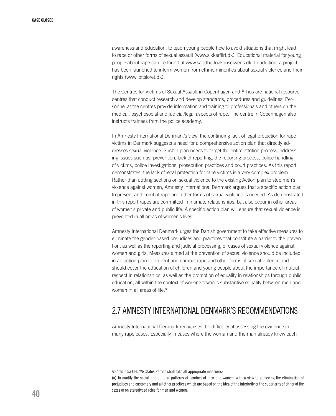awareness and education, to teach young people how to avoid situations that might lead to rape or other forms of sexual assault (www.sikkerflirt.dk). Educational material for young people about rape can be found at www.sandhedogkonsekvens.dk. In addition, a project has been launched to inform women from ethnic minorities about sexual violence and their rights (www.loftsloret.dk).

The Centres for Victims of Sexual Assault in Copenhagen and Århus are national resource centres that conduct research and develop standards, procedures and guidelines. Personnel at the centres provide information and training to professionals and others on the medical, psychosocial and judicial/legal aspects of rape. The centre in Copenhagen also instructs trainees from the police academy.

In Amnesty International Denmark's view, the continuing lack of legal protection for rape victims in Denmark suggests a need for a comprehensive action plan that directly addresses sexual violence. Such a plan needs to target the entire attrition process, addressing issues such as: prevention, lack of reporting, the reporting process, police handling of victims, police investigations, prosecution practices and court practices. As this report demonstrates, the lack of legal protection for rape victims is a very complex problem. Rather than adding sections on sexual violence to the existing Action plan to stop men's violence against women, Amnesty International Denmark argues that a specific action plan to prevent and combat rape and other forms of sexual violence is needed. As demonstrated in this report rapes are committed in intimate relationships, but also occur in other areas of women's private and public life. A specific action plan will ensure that sexual violence is prevented in all areas of women's lives.

Amnesty International Denmark urges the Danish government to take effective measures to eliminate the gender-based prejudices and practices that constitute a barrier to the prevention, as well as the reporting and judicial processing, of cases of sexual violence against women and girls. Measures aimed at the prevention of sexual violence should be included in an action plan to prevent and combat rape and other forms of sexual violence and should cover the education of children and young people about the importance of mutual respect in relationships, as well as the promotion of equality in relationships through public education, all within the context of working towards substantive equality between men and women in all areas of life.<sup>82</sup>

## 2.7 Amnesty International Denmark's recommendations

Amnesty International Denmark recognises the difficulty of assessing the evidence in many rape cases. Especially in cases where the woman and the man already knew each

<sup>82</sup> Article 5a CEDAW: States Parties shall take all appropriate measures:

<sup>(</sup>a) To modify the social and cultural patterns of conduct of men and women, with a view to achieving the elimination of prejudices and customary and all other practices which are based on the idea of the inferiority or the superiority of either of the sexes or on stereotyped roles for men and women.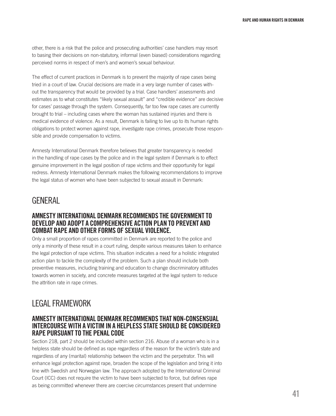other, there is a risk that the police and prosecuting authorities' case handlers may resort to basing their decisions on non-statutory, informal (even biased) considerations regarding perceived norms in respect of men's and women's sexual behaviour.

The effect of current practices in Denmark is to prevent the majority of rape cases being tried in a court of law. Crucial decisions are made in a very large number of cases without the transparency that would be provided by a trial. Case handlers' assessments and estimates as to what constitutes "likely sexual assault" and "credible evidence" are decisive for cases' passage through the system. Consequently, far too few rape cases are currently brought to trial – including cases where the woman has sustained injuries and there is medical evidence of violence. As a result, Denmark is failing to live up to its human rights obligations to protect women against rape, investigate rape crimes, prosecute those responsible and provide compensation to victims.

Amnesty International Denmark therefore believes that greater transparency is needed in the handling of rape cases by the police and in the legal system if Denmark is to effect genuine improvement in the legal position of rape victims and their opportunity for legal redress. Amnesty International Denmark makes the following recommendations to improve the legal status of women who have been subjected to sexual assault in Denmark:

# **GENERAL**

#### AMNESTY INTERNATIONAL DENMARK RECOMMENDS THE GOVERNMENT TO develop and adopt a comprehensive action plan to prevent and combat rape and other forms of sexual violence.

Only a small proportion of rapes committed in Denmark are reported to the police and only a minority of these result in a court ruling, despite various measures taken to enhance the legal protection of rape victims. This situation indicates a need for a holistic integrated action plan to tackle the complexity of the problem. Such a plan should include both preventive measures, including training and education to change discriminatory attitudes towards women in society, and concrete measures targeted at the legal system to reduce the attrition rate in rape crimes.

# Legal framework

#### Amnesty International Denmark recommends that non-consensual intercourse with a victim in a helpless state should be considered RAPE PURSUANT TO THE PENAL CODE

Section 218, part 2 should be included within section 216. Abuse of a woman who is in a helpless state should be defined as rape regardless of the reason for the victim's state and regardless of any (marital) relationship between the victim and the perpetrator. This will enhance legal protection against rape, broaden the scope of the legislation and bring it into line with Swedish and Norwegian law. The approach adopted by the International Criminal Court (ICC) does not require the victim to have been subjected to force, but defines rape as being committed whenever there are coercive circumstances present that undermine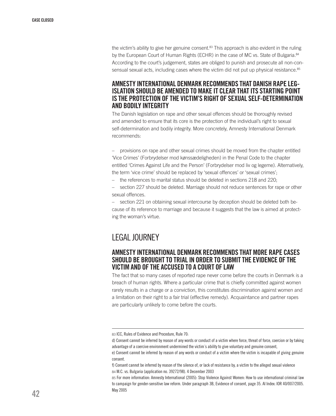the victim's ability to give her genuine consent. $83$  This approach is also evident in the ruling by the European Court of Human Rights (ECHR) in the case of MC vs. State of Bulgaria.<sup>84</sup> According to the court's judgement, states are obliged to punish and prosecute all non-consensual sexual acts, including cases where the victim did not put up physical resistance.<sup>85</sup>

# Amnesty International Denmark recommends that Danish rape leg- islation should be amended to make it clear thatits starting point is the protection of the victim's right of sexual self-determination and bodily integrity

The Danish legislation on rape and other sexual offences should be thoroughly revised and amended to ensure that its core is the protection of the individual's right to sexual self-determination and bodily integrity. More concretely, Amnesty International Denmark recommends:

– provisions on rape and other sexual crimes should be moved from the chapter entitled 'Vice Crimes' (Forbrydelser mod kønssædeligheden) in the Penal Code to the chapter entitled 'Crimes Against Life and the Person' (Forbrydelser mod liv og legeme). Alternatively, the term 'vice crime' should be replaced by 'sexual offences' or 'sexual crimes';

– the references to marital status should be deleted in sections 218 and 220;

– section 227 should be deleted. Marriage should not reduce sentences for rape or other sexual offences.

– section 221 on obtaining sexual intercourse by deception should be deleted both because of its reference to marriage and because it suggests that the law is aimed at protecting the woman's virtue.

# Legal journey

#### Amnesty International Denmark recommends that more rape cases SHOULD BE BROUGHT TO TRIAL IN ORDER TO SUBMIT THE EVIDENCE OF THE victim and of the accused to a court of law

The fact that so many cases of reported rape never come before the courts in Denmark is a breach of human rights. Where a particular crime that is chiefly committed against women rarely results in a charge or a conviction, this constitutes discrimination against women and a limitation on their right to a fair trial (effective remedy). Acquaintance and partner rapes are particularly unlikely to come before the courts.

<sup>83</sup> ICC, Rules of Evidence and Procedure, Rule 70:

d) Consent cannot be inferred by reason of any words or conduct of a victim where force, threat of force, coercion or by taking advantage of a coercive environment undermined the victim´s ability to give voluntary and genuine consent,

e) Consent cannot be inferred by reason of any words or conduct of a victim where the victim is incapable of giving genuine consent.

f) Consent cannot be inferred by reason of the silence of, or lack of resistance by, a victim to the alleged sexual violence 84 M.C. vs. Bulgaria (application no. 39272/98). 4 December 2003

<sup>85</sup> For more information: Amnesty International (2005): Stop Violence Against Women: How to use international criminal law to campaign for gender-sensitive law reform. Under paragraph 3B, Evidence of consent, page 35. AI Index: IOR 40/007/2005. May 2005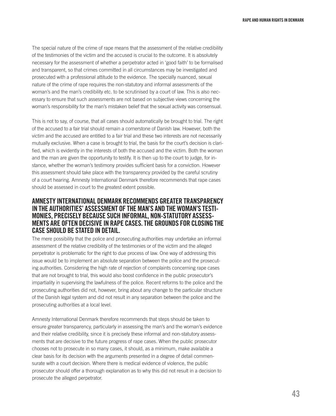The special nature of the crime of rape means that the assessment of the relative credibility of the testimonies of the victim and the accused is crucial to the outcome. It is absolutely necessary for the assessment of whether a perpetrator acted in 'good faith' to be formalised and transparent, so that crimes committed in all circumstances may be investigated and prosecuted with a professional attitude to the evidence. The specially nuanced, sexual nature of the crime of rape requires the non-statutory and informal assessments of the woman's and the man's credibility etc. to be scrutinised by a court of law. This is also necessary to ensure that such assessments are not based on subjective views concerning the woman's responsibility for the man's mistaken belief that the sexual activity was consensual.

This is not to say, of course, that all cases should automatically be brought to trial. The right of the accused to a fair trial should remain a cornerstone of Danish law. However, both the victim and the accused are entitled to a fair trial and these two interests are not necessarily mutually exclusive. When a case is brought to trial, the basis for the court's decision is clarified, which is evidently in the interests of both the accused and the victim. Both the woman and the man are given the opportunity to testify. It is then up to the court to judge, for instance, whether the woman's testimony provides sufficient basis for a conviction. However this assessment should take place with the transparency provided by the careful scrutiny of a court hearing. Amnesty International Denmark therefore recommends that rape cases should be assessed in court to the greatest extent possible.

# Amnesty International Denmark recommends greater transparency monies, precisely because such informal, non-statutory assess-<br>Ments are often decisive in rape cases. The grounds for closing the case should be stated in detail.

The mere possibility that the police and prosecuting authorities may undertake an informal assessment of the relative credibility of the testimonies or of the victim and the alleged perpetrator is problematic for the right to due process of law. One way of addressing this issue would be to implement an absolute separation between the police and the prosecuting authorities. Considering the high rate of rejection of complaints concerning rape cases that are not brought to trial, this would also boost confidence in the public prosecutor's impartiality in supervising the lawfulness of the police. Recent reforms to the police and the prosecuting authorities did not, however, bring about any change to the particular structure of the Danish legal system and did not result in any separation between the police and the prosecuting authorities at a local level.

Amnesty International Denmark therefore recommends that steps should be taken to ensure greater transparency, particularly in assessing the man's and the woman's evidence and their relative credibility, since it is precisely these informal and non-statutory assessments that are decisive to the future progress of rape cases. When the public prosecutor chooses not to prosecute in so many cases, it should, as a minimum, make available a clear basis for its decision with the arguments presented in a degree of detail commensurate with a court decision. Where there is medical evidence of violence, the public prosecutor should offer a thorough explanation as to why this did not result in a decision to prosecute the alleged perpetrator.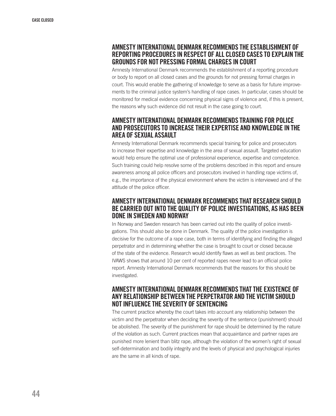#### Amnesty International Denmark recommends the establishment of reporting procedures in respect of all closed cases to explain the grounds for not pressing formal charges in court

Amnesty International Denmark recommends the establishment of a reporting procedure or body to report on all closed cases and the grounds for not pressing formal charges in court. This would enable the gathering of knowledge to serve as a basis for future improvements to the criminal justice system's handling of rape cases. In particular, cases should be monitored for medical evidence concerning physical signs of violence and, if this is present, the reasons why such evidence did not result in the case going to court.

#### Amnesty International Denmark recommends training for police and prosecutors to increase their expertise and knowledge in the area of sexual assault

Amnesty International Denmark recommends special training for police and prosecutors to increase their expertise and knowledge in the area of sexual assault. Targeted education would help ensure the optimal use of professional experience, expertise and competence. Such training could help resolve some of the problems described in this report and ensure awareness among all police officers and prosecutors involved in handling rape victims of, e.g., the importance of the physical environment where the victim is interviewed and of the attitude of the police officer.

#### Amnesty International Denmark recommends that research should be carried outinto the quality of police investigations, as has been done in Sweden and Norway

In Norway and Sweden research has been carried out into the quality of police investigations. This should also be done in Denmark. The quality of the police investigation is decisive for the outcome of a rape case, both in terms of identifying and finding the alleged perpetrator and in determining whether the case is brought to court or closed because of the state of the evidence. Research would identify flaws as well as best practices. The IVAWS shows that around 10 per cent of reported rapes never lead to an official police report. Amnesty International Denmark recommends that the reasons for this should be investigated.

#### Amnesty International Denmark recommends thatthe existence of any relationship between the perpetrator and the victim should notinfluence the severity of sentencing

The current practice whereby the court takes into account any relationship between the victim and the perpetrator when deciding the severity of the sentence (punishment) should be abolished. The severity of the punishment for rape should be determined by the nature of the violation as such. Current practices mean that acquaintance and partner rapes are punished more lenient than blitz rape, although the violation of the women's right of sexual self-determination and bodily integrity and the levels of physical and psychological injuries are the same in all kinds of rape.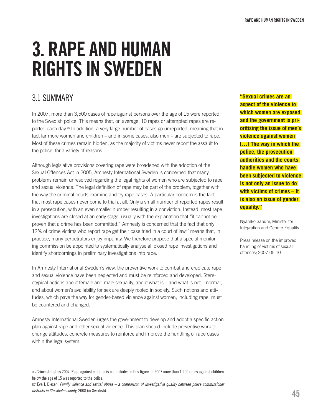# 3. RAPE and human rights IN SWEDEN

# 3.1 SUMMARY

In 2007, more than 3,500 cases of rape against persons over the age of 15 were reported to the Swedish police. This means that, on average, 10 rapes or attempted rapes are reported each day.86 In addition, a very large number of cases go unreported, meaning that in fact far more women and children – and in some cases, also men – are subjected to rape. Most of these crimes remain hidden, as the majority of victims never report the assault to the police, for a variety of reasons.

Although legislative provisions covering rape were broadened with the adoption of the Sexual Offences Act in 2005, Amnesty International Sweden is concerned that many problems remain unresolved regarding the legal rights of women who are subjected to rape and sexual violence. The legal definition of rape may be part of the problem, together with the way the criminal courts examine and try rape cases. A particular concern is the fact that most rape cases never come to trial at all. Only a small number of reported rapes result in a prosecution, with an even smaller number resulting in a conviction. Instead, most rape investigations are closed at an early stage, usually with the explanation that "it cannot be proven that a crime has been committed." Amnesty is concerned that the fact that only 12% of crime victims who report rape get their case tried in a court of law<sup>87</sup> means that, in practice, many perpetrators enjoy impunity. We therefore propose that a special monitoring commission be appointed to systematically analyse all closed rape investigations and identify shortcomings in preliminary investigations into rape.

In Amnesty International Sweden's view, the preventive work to combat and eradicate rape and sexual violence have been neglected and must be reinforced and developed. Stereotypical notions about female and male sexuality, about what is – and what is not – normal, and about women's availability for sex are deeply rooted in society. Such notions and attitudes, which pave the way for gender-based violence against women, including rape, must be countered and changed.

Amnesty International Sweden urges the government to develop and adopt a specific action plan against rape and other sexual violence. This plan should include preventive work to change attitudes, concrete measures to reinforce and improve the handling of rape cases within the legal system.

87 Eva L Diesen: *Family violence and sexual abuse – a comparison of investigative quality between police commissioner districts in Stockholm county*, 2008 (in Swedish).

**"Sexual crimes are an aspect of the violence to which women are exposed and the government is prioritising the issue of men's violence against women […] The way in which the police, the prosecution authorities and the courts handle women who have been subjected to violence is not only an issue to do with victims of crimes – it is also an issue of gender equality."**

Nyamko Sabuni, Minister for Integration and Gender Equality

Press release on the improved handling of victims of sexual offences; 2007-05-10

<sup>86</sup> Crime statistics 2007. Rape against children is not includes in this figure. In 2007 more than 1 200 rapes against children below the age of 15 was reported to the police.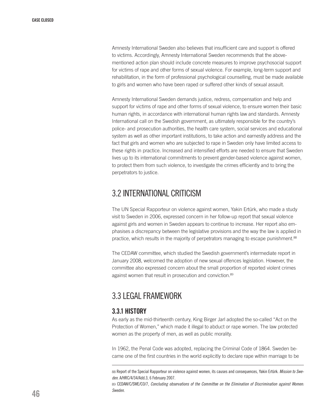Amnesty International Sweden also believes that insufficient care and support is offered to victims. Accordingly, Amnesty International Sweden recommends that the abovementioned action plan should include concrete measures to improve psychosocial support for victims of rape and other forms of sexual violence. For example, long-term support and rehabilitation, in the form of professional psychological counselling, must be made available to girls and women who have been raped or suffered other kinds of sexual assault.

Amnesty International Sweden demands justice, redress, compensation and help and support for victims of rape and other forms of sexual violence, to ensure women their basic human rights, in accordance with international human rights law and standards. Amnesty International call on the Swedish government, as ultimately responsible for the country's police- and prosecution authorities, the health care system, social services and educational system as well as other important institutions, to take action and earnestly address and the fact that girls and women who are subjected to rape in Sweden only have limited access to these rights in practice. Increased and intensified efforts are needed to ensure that Sweden lives up to its international commitments to prevent gender-based violence against women, to protect them from such violence, to investigate the crimes efficiently and to bring the perpetrators to justice.

# 3.2 INTERNATIONAL CRITICISM

The UN Special Rapporteur on violence against women, Yakin Ertürk, who made a study visit to Sweden in 2006, expressed concern in her follow-up report that sexual violence against girls and women in Sweden appears to continue to increase. Her report also emphasises a discrepancy between the legislative provisions and the way the law is applied in practice, which results in the majority of perpetrators managing to escape punishment.<sup>88</sup>

The CEDAW committee, which studied the Swedish government's intermediate report in January 2008, welcomed the adoption of new sexual offences legislation. However, the committee also expressed concern about the small proportion of reported violent crimes against women that result in prosecution and conviction.<sup>89</sup>

## 3.3 LEGALFRAMEWORK

#### 3.3.1 History

As early as the mid-thirteenth century, King Birger Jarl adopted the so-called "Act on the Protection of Women," which made it illegal to abduct or rape women. The law protected women as the property of men, as well as public morality.

In 1962, the Penal Code was adopted, replacing the Criminal Code of 1864. Sweden became one of the first countries in the world explicitly to declare rape within marriage to be

89 CEDAW/C/SWE/CO/7, *Concluding observations of the Committee on the Elimination of Discrimination against Women: Sweden*.

<sup>88</sup> Report of the Special Rapporteur on violence against women, its causes and consequences, Yakin Ertürk. *Mission to Sweden*. A/HRC/4/34/Add.3, 6 February 2007.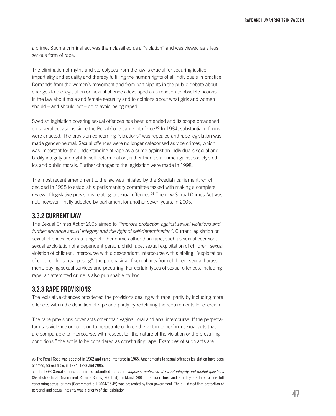a crime. Such a criminal act was then classified as a "violation" and was viewed as a less serious form of rape.

The elimination of myths and stereotypes from the law is crucial for securing justice, impartiality and equality and thereby fulfilling the human rights of all individuals in practice. Demands from the women's movement and from participants in the public debate about changes to the legislation on sexual offences developed as a reaction to obsolete notions in the law about male and female sexuality and to opinions about what girls and women should – and should not – do to avoid being raped.

Swedish legislation covering sexual offences has been amended and its scope broadened on several occasions since the Penal Code came into force.<sup>90</sup> In 1984, substantial reforms were enacted. The provision concerning "violations" was repealed and rape legislation was made gender-neutral. Sexual offences were no longer categorised as vice crimes, which was important for the understanding of rape as a crime against an individual's sexual and bodily integrity and right to self-determination, rather than as a crime against society's ethics and public morals. Further changes to the legislation were made in 1998.

The most recent amendment to the law was initiated by the Swedish parliament, which decided in 1998 to establish a parliamentary committee tasked with making a complete review of legislative provisions relating to sexual offences.<sup>91</sup> The new Sexual Crimes Act was not, however, finally adopted by parliament for another seven years, in 2005.

#### 3.3.2 Currentlaw

The Sexual Crimes Act of 2005 aimed to *"improve protection against sexual violations and further enhance sexual integrity and the right of self-determination"*. Current legislation on sexual offences covers a range of other crimes other than rape, such as sexual coercion, sexual exploitation of a dependent person, child rape, sexual exploitation of children, sexual violation of children, intercourse with a descendant, intercourse with a sibling, "exploitation of children for sexual posing", the purchasing of sexual acts from children, sexual harassment, buying sexual services and procuring. For certain types of sexual offences, including rape, an attempted crime is also punishable by law.

#### 3.3.3 Rape provisions

The legislative changes broadened the provisions dealing with rape, partly by including more offences within the definition of rape and partly by redefining the requirements for coercion.

The rape provisions cover acts other than vaginal, oral and anal intercourse. If the perpetrator uses violence or coercion to perpetrate or force the victim to perform sexual acts that are comparable to intercourse, with respect to "the nature of the violation or the prevailing conditions," the act is to be considered as constituting rape. Examples of such acts are

<sup>90</sup> The Penal Code was adopted in 1962 and came into force in 1965. Amendments to sexual offences legislation have been enacted, for example, in 1984, 1998 and 2005.

<sup>91</sup> The 1998 Sexual Crimes Committee submitted its report, *Improved protection of sexual integrity and related questions*  (Swedish Official Government Reports Series, 2001:14), in March 2001. Just over three-and-a-half years later, a new bill concerning sexual crimes (Government bill 2004/05:45) was presented by then government. The bill stated that protection of personal and sexual integrity was a priority of the legislation.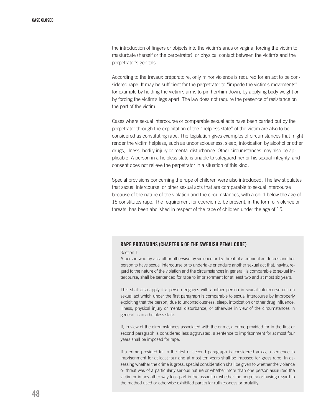the introduction of fingers or objects into the victim's anus or vagina, forcing the victim to masturbate (herself or the perpetrator), or physical contact between the victim's and the perpetrator's genitals.

According to the travaux préparatoire, only minor violence is required for an act to be considered rape. It may be sufficient for the perpetrator to "impede the victim's movements", for example by holding the victim's arms to pin her/him down, by applying body weight or by forcing the victim's legs apart. The law does not require the presence of resistance on the part of the victim.

Cases where sexual intercourse or comparable sexual acts have been carried out by the perpetrator through the exploitation of the "helpless state" of the victim are also to be considered as constituting rape. The legislation gives examples of circumstances that might render the victim helpless, such as unconsciousness, sleep, intoxication by alcohol or other drugs, illness, bodily injury or mental disturbance. Other circumstances may also be applicable. A person in a helpless state is unable to safeguard her or his sexual integrity, and consent does not relieve the perpetrator in a situation of this kind.

Special provisions concerning the rape of children were also introduced. The law stipulates that sexual intercourse, or other sexual acts that are comparable to sexual intercourse because of the nature of the violation and the circumstances, with a child below the age of 15 constitutes rape. The requirement for coercion to be present, in the form of violence or threats, has been abolished in respect of the rape of children under the age of 15.

#### Rape provisions (Chapter 6 of the Swedish Penal Code)

#### Section 1

A person who by assault or otherwise by violence or by threat of a criminal act forces another person to have sexual intercourse or to undertake or endure another sexual act that, having regard to the nature of the violation and the circumstances in general, is comparable to sexual intercourse, shall be sentenced for rape to imprisonment for at least two and at most six years.

This shall also apply if a person engages with another person in sexual intercourse or in a sexual act which under the first paragraph is comparable to sexual intercourse by improperly exploiting that the person, due to unconsciousness, sleep, intoxication or other drug influence, illness, physical injury or mental disturbance, or otherwise in view of the circumstances in general, is in a helpless state.

If, in view of the circumstances associated with the crime, a crime provided for in the first or second paragraph is considered less aggravated, a sentence to imprisonment for at most four years shall be imposed for rape.

If a crime provided for in the first or second paragraph is considered gross, a sentence to imprisonment for at least four and at most ten years shall be imposed for gross rape. In assessing whether the crime is gross, special consideration shall be given to whether the violence or threat was of a particularly serious nature or whether more than one person assaulted the victim or in any other way took part in the assault or whether the perpetrator having regard to the method used or otherwise exhibited particular ruthlessness or brutality.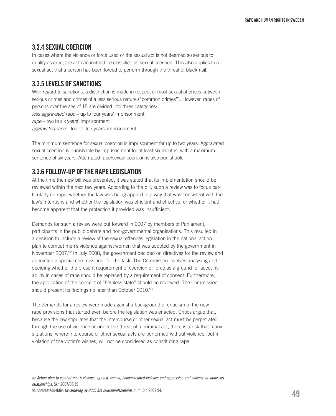#### 3.3.4 Sexual coercion

In cases where the violence or force used or the sexual act is not deemed so serious to qualify as rape, the act can instead be classified as sexual coercion. This also applies to a sexual act that a person has been forced to perform through the threat of blackmail.

#### 3.3.5 Levels of sanctions

With regard to sanctions, a distinction is made in respect of most sexual offences between serious crimes and crimes of a less serious nature ("common crimes"). However, rapes of persons over the age of 15 are divided into three categories: *less aggravated rape* – up to four years' imprisonment *rape* – two to six years' imprisonment *aggravated rape* – four to ten years' imprisonment.

The minimum sentence for sexual coercion is imprisonment for up to two years. Aggravated sexual coercion is punishable by imprisonment for at least six months, with a maximum sentence of six years. Attempted rape/sexual coercion is also punishable.

#### 3.3.6 Follow-up of the rape legislation

At the time the new bill was presented, it was stated that its implementation should be reviewed within the next few years. According to the bill, such a review was to focus particularly on rape: whether the law was being applied in a way that was consistent with the law's intentions and whether the legislation was efficient and effective, or whether it had become apparent that the protection it provided was insufficient.

Demands for such a review were put forward in 2007 by members of Parliament, participants in the public debate and non-governmental organisations. This resulted in a decision to include a review of the sexual offences legislation in the national action plan to combat men's violence against women that was adopted by the government in November 2007.92 In July 2008, the government decided on directives for the review and appointed a special commissioner for the task. The Commisson involves analysing and deciding whether the present requirement of coercion or force as a ground for accountability in cases of rape should be replaced by a requirement of consent. Furthermore, the application of the concept of "helpless state" should be reviewed. The Commission should present its findings no later than October 2010.93

The demands for a review were made against a background of criticism of the new rape provisions that started even before the legislation was enacted. Critics argue that, because the law stipulates that the intercourse or other sexual act must be perpetrated through the use of violence or under the threat of a criminal act, there is a risk that many situations, where intercourse or other sexual acts are performed without violence, but in violation of the victim's wishes, will not be considered as constituting rape.

<sup>92</sup> *Action plan to combat men's violence against women, honour-related violence and oppression and violence in same-sex relationships*. Skr. 2007/08:39

<sup>93</sup> Kommittédirektiv: *Utvärdering av 2005 års sexualbrottsreform*, m.m. Dir. 2008:94.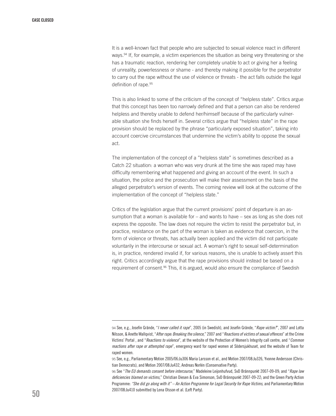It is a well-known fact that people who are subjected to sexual violence react in different ways.<sup>94</sup> If, for example, a victim experiences the situation as being very threatening or she has a traumatic reaction, rendering her completely unable to act or giving her a feeling of unreality, powerlessness or shame - and thereby making it possible for the perpetrator to carry out the rape without the use of violence or threats - the act falls outside the legal definition of rape.95

This is also linked to some of the criticism of the concept of "helpless state". Critics argue that this concept has been too narrowly defined and that a person can also be rendered helpless and thereby unable to defend her/himself because of the particularly vulnerable situation she finds herself in. Several critics argue that "helpless state" in the rape provision should be replaced by the phrase "particularly exposed situation", taking into account coercive circumstances that undermine the victim's ability to oppose the sexual act.

The implementation of the concept of a "helpless state" is sometimes described as a Catch 22 situation: a woman who was very drunk at the time she was raped may have difficulty remembering what happened and giving an account of the event. In such a situation, the police and the prosecution will make their assessment on the basis of the alleged perpetrator's version of events. The coming review will look at the outcome of the implementation of the concept of "helpless state."

Critics of the legislation argue that the current provisions' point of departure is an assumption that a woman is available for  $-$  and wants to have  $-$  sex as long as she does not express the opposite. The law does not require the victim to resist the perpetrator but, in practice, resistance on the part of the woman is taken as evidence that coercion, in the form of violence or threats, has actually been applied and the victim did not participate voluntarily in the intercourse or sexual act. A woman's right to sexual self-determination is, in practice, rendered invalid if, for various reasons, she is unable to actively assert this right. Critics accordingly argue that the rape provisions should instead be based on a requirement of consent.<sup>96</sup> This, it is argued, would also ensure the compliance of Swedish

<sup>94</sup> See, e.g., Josefin Grände, "*I never called it rape*", 2005 (in Swedish), and Josefin Grände, "*Rape victim?*", 2007 and Lotta Nilsson, & Anette Wallqvist, "*After rape: Breaking the silence*," 2007 and "*Reactions of victims of sexual offences*" at the Crime Victims' Portal , and "*Reactions to violence*", at the website of the Protection of Women's Integrity call centre, and "*Common reactions after rape or attempted rape*", emergency ward for raped women at Södersjukhuset, and the website of Team for raped women.

<sup>95</sup> See, e.g., Parliamentary Motion 2005/06:Ju306 Maria Larsson et al., and Motion 2007/08:Ju326, Yvonne Andersson (Christian Democrats), and Motion 2007/08:Ju432, Andreas Norlén (Conservative Party).

<sup>96</sup> See "*The EU demands consent before intercourse*," Madeleine Leijonhufvud, SvD Brännpunkt 2007-09-09; and "*Rape law deficiencies blamed on victims*," Christian Diesen & Eva Simonson, SvD Brännpunkt 2007-09-22; and the Green Party Action Programme: *"She did go along with it" – An Action Programme for Legal Security for Rape Victims*, and Parliamentary Motion 2007/08:Ju410 submitted by Lena Olsson et al. (Left Party).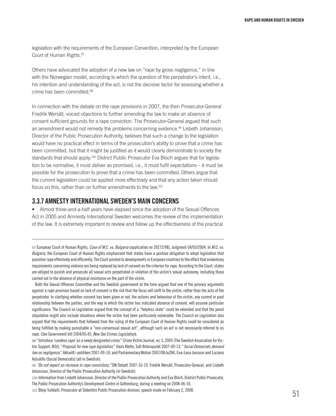legislation with the requirements of the European Convention, interpreted by the European Court of Human Rights.97

Others have advocated the adoption of a new law on "rape by gross negligence," in line with the Norwegian model, according to which the question of the perpetrator's intent, i.e., his intention and understanding of the act, is not the decisive factor for assessing whether a crime has been committed.98

In connection with the debate on the rape provisions in 2007, the then Prosecutor-General Fredrik Wersäll, voiced objections to further amending the law to make an absence of consent sufficient grounds for a rape conviction. The Prosecutor-General argued that such an amendment would not remedy the problems concerning evidence.99 Lisbeth Johansson, Director of the Public Prosecution Authority, believes that such a change to the legislation would have no practical effect in terms of the prosecution's ability to prove that a crime has been committed, but that it might be justified as it would clearly demonstrate to society the standards that should apply.<sup>100</sup> District Public Prosecutor Eva Bloch argues that for legislation to be normative, it must deliver as promised, i.e., it must fulfil expectations – it must be possible for the prosecution to prove that a crime has been committed.Others argue that the current legislation could be applied more effectively and that any action taken should focus on this, rather than on further amendments to the law.101

#### 3.3.7 Amnesty International Sweden's main concerns

• Almost three-and-a-half years have elapsed since the adoption of the Sexual Offences Act in 2005 and Amnesty International Sweden welcomes the review of the implementation of the law. It is extremely important to review and follow up the effectiveness of the practical

97 European Court of Human Rights, *Case of M.C. vs. Bulgaria* (application no 39272/98), Judgment 04/03/2004. In *M.C. vs. Bulgaria*, the European Court of Human Rights emphasised that states have a positive obligation to adopt legislation that punishes rape effectively and efficiently. The Court pointed to developments in European countries to the effect that evidentiary requirements concerning violence are being replaced by lack of consent as the criterion for rape. According to the Court, states are obliged to punish and prosecute all sexual acts perpetrated in violation of the victim's sexual autonomy, including those carried out in the absence of physical resistance on the part of the victim.

 Both the Sexual Offences Committee and the Swedish government at the time argued that one of the primary arguments against a rape provision based on lack of consent is the risk that the focus will shift to the victim, rather than the acts of the perpetrator. In clarifying whether consent has been given or not, the actions and behaviour of the victim, any current or past relationship between the parties, and the way in which the victim has indicated absence of consent, will assume particular significance. The Council on Legislation argued that the concept of a "helpless state" could be extended and that the penal stipulation might also include situations where the victim had been particularly vulnerable. The Council on Legislation also argued that the requirements that followed from the ruling of the European Court of Human Rights could be considered as being fulfilled by making punishable a "non-consensual sexual act", although such an act is not necessarily referred to as rape. (See Government bill 2004/05:45, *New Sex Crimes Legislation*).

98 "*Introduce 'careless rape' as a newly designated crime,*" Crime Victim Journal, no. 5, 2005 (The Swedish Association for Victim Support, BOJ); "*Proposal for new rape legislation*," Hans Klette, SvD Brännpunkt 2007-09-13; "*Social Democrats demand law on negligence*," Aktuellt i politiken 2007-09-10, and Parliamentary Motion 2007/08:Ju284, Eva-Lena Jansson and Luciano Astudillo (Social Democrats) (all in Swedish).

<sup>99</sup> *"Do not expect an increase in rape convictions,"* DN Debatt 2007-10-19, Fredrik Wersäll, Prosecutor-General, and Lisbeth Johansson, Director of the Public Prosecution Authority (in Swedish).

<sup>100</sup> Information from Lisbeth Johansson, Director of the Public Prosecution Authority and Eva Bloch, District Public Prosecutor, The Public Prosecution Authority's Development Centre in Gothenburg, during a meeting on 2008-06-16.

<sup>101</sup> Börje Tulldahl, Prosecutor at Södertörn Public Prosecution division; speech made on February 2, 2008.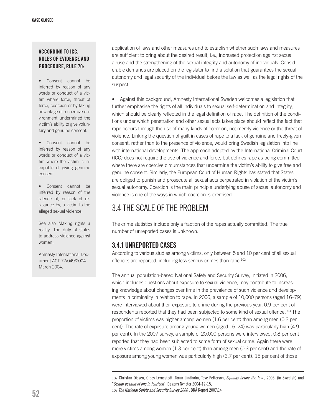#### According to ICC, Rules of Evidence and Procedure, Rule 70:

- • Consent cannot be inferred by reason of any words or conduct of a victim where force, threat of force, coercion or by taking advantage of a coercive environment undermined the victim's ability to give voluntary and genuine consent.
- • Consent cannot be inferred by reason of any words or conduct of a victim where the victim is incapable of giving genuine consent.
- • Consent cannot be inferred by reason of the silence of, or lack of resistance by, a victim to the alleged sexual violence.

See also Making rights a reality. The duty of states to address violence against women.

Amnesty International Document ACT 77/049/2004. March 2004.

application of laws and other measures and to establish whether such laws and measures are sufficient to bring about the desired result, i.e., increased protection against sexual abuse and the strengthening of the sexual integrity and autonomy of individuals. Considerable demands are placed on the legislator to find a solution that guarantees the sexual autonomy and legal security of the individual before the law as well as the legal rights of the suspect.

• Against this background, Amnesty International Sweden welcomes a legislation that further emphasise the rights of all individuals to sexual self-determination and integrity, which should be clearly reflected in the legal definition of rape. The definition of the conditions under which penetration and other sexual acts takes place should reflect the fact that rape occurs through the use of many kinds of coercion, not merely violence or the threat of violence. Linking the question of guilt in cases of rape to a lack of genuine and freely-given consent, rather than to the presence of violence, would bring Swedish legislation into line with international developments. The approach adopted by the International Criminal Court (ICC) does not require the use of violence and force, but defines rape as being committed where there are coercive circumstances that undermine the victim's ability to give free and genuine consent. Similarly, the European Court of Human Rights has stated that States are obliged to punish and prosecute all sexual acts perpetrated in violation of the victim's sexual autonomy. Coercion is the main principle underlying abuse of sexual autonomy and violence is one of the ways in which coercion is exercised.

# 3.4 THE SCALE OFTHE PROBLEM

The crime statistics include only a fraction of the rapes actually committed. The true number of unreported cases is unknown.

#### 3.4.1 Unreported cases

According to various studies among victims, only between 5 and 10 per cent of all sexual offences are reported, including less serious crimes than rape.<sup>102</sup>

The annual population-based National Safety and Security Survey, initiated in 2006, which includes questions about exposure to sexual violence, may contribute to increasing knowledge about changes over time in the prevalence of such violence and developments in criminality in relation to rape. In 2006, a sample of 10,000 persons (aged 16–79) were interviewed about their exposure to crime during the previous year. 0.9 per cent of respondents reported that they had been subjected to some kind of sexual offence.<sup>103</sup> The proportion of victims was higher among women (1.6 per cent) than among men (0.3 per cent). The rate of exposure among young women (aged 16–24) was particularly high (4.9 per cent). In the 2007 survey, a sample of 20,000 persons were interviewed. 0.8 per cent reported that they had been subjected to some form of sexual crime. Again there were more victims among women (1.3 per cent) than among men (0.3 per cent) and the rate of exposure among young women was particularly high (3.7 per cent). 15 per cent of those

102 Christan Diesen, Claes Lernestedt, Torun Lindholm, Tove Petterson, *Equality before the law* , 2005, (in Swedish) and "*Sexual assault of one in fourteen*", Dagens Nyheter 2004-12-15,

103 *The National Safety and Security Survey 2006* . BRÅ Report 2007:14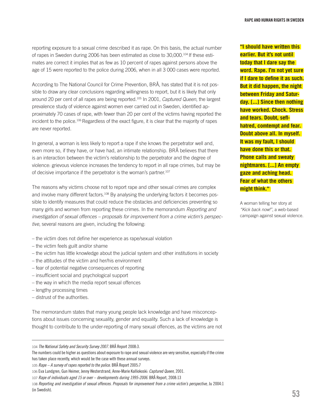reporting exposure to a sexual crime described it as rape. On this basis, the actual number of rapes in Sweden during 2006 has been estimated as close to  $30,000$ .<sup>104</sup> If these estimates are correct it implies that as few as 10 percent of rapes against persons above the age of 15 were reported to the police during 2006, when in all 3 000 cases were reported.

According to The National Council for Crime Prevention, BRÅ, has stated that it is not possible to draw any clear conclusions regarding willingness to report, but it is likely that only around 20 per cent of all rapes are being reported.105 In 2001, *Captured Queen*, the largest prevalence study of violence against women ever carried out in Sweden, identified approximately 70 cases of rape, with fewer than 20 per cent of the victims having reported the incident to the police.106 Regardless of the exact figure, it is clear that the majority of rapes are never reported.

In general, a woman is less likely to report a rape if she knows the perpetrator well and, even more so, if they have, or have had, an intimate relationship. BRÅ believes that there is an interaction between the victim's relationship to the perpetrator and the degree of violence: grievous violence increases the tendency to report in all rape crimes, but may be of decisive importance if the perpetrator is the woman's partner.<sup>107</sup>

The reasons why victims choose not to report rape and other sexual crimes are complex and involve many different factors.<sup>108</sup> By analysing the underlying factors it becomes possible to identify measures that could reduce the obstacles and deficiencies preventing so many girls and women from reporting these crimes. In the memorandum *Reporting and investigation of sexual offences – proposals for improvement from a crime victim's perspective*, several reasons are given, including the following:

- the victim does not define her experience as rape/sexual violation
- the victim feels guilt and/or shame
- the victim has little knowledge about the judicial system and other institutions in society
- the attitudes of the victim and her/his environment
- fear of potential negative consequences of reporting
- insufficient social and psychological support
- the way in which the media report sexual offences
- lengthy processing times
- distrust of the authorities.

The memorandum states that many young people lack knowledge and have misconceptions about issues concerning sexuality, gender and equality. Such a lack of knowledge is thought to contribute to the under-reporting of many sexual offences, as the victims are not **"I should have written this earlier. But it's not until today that I dare say the word. Rape. I'm not yet sure if I dare to define it as such. But it did happen, the night between Friday and Saturday. [...] Since then nothing have worked. Chock. Stress and tears. Doubt, seflhatred, comtempt and fear. Doubt above all. In myself. It was my fault, I should have done this or that. Phone calls and sweaty nightmares. [...] An empty gaze and aching head. Fear of what the others might think."** 

A woman telling her story at *"Kick back now!"*, a web-based campaign against sexual violence.

<sup>104</sup> *The National Safety and Security Survey 2007*. BRÅ Report 2008:3.

The numbers could be higher as questions about exposure to rape and sexual violence are very sensitive, especially if the crime has taken place recently, which would be the case with these annual surveys.

<sup>105</sup> *Rape – A survey of rapes reported to the police*. BRÅ Report 2005:7

<sup>106</sup> Eva Lundgren, Gun Heimer, Jenny Westerstrand, Anne-Marie Kalliokoski: *Captured Queen*, 2001.

<sup>107</sup> *Rape of individuals aged 15 or over – developments during 1995-2006*. BRÅ Report, 2008:13

<sup>108</sup> *Reporting and investigation of sexual offences. Proposals for improvement from a crime victim's perspective,* Ju 2004:1 (in Swedish).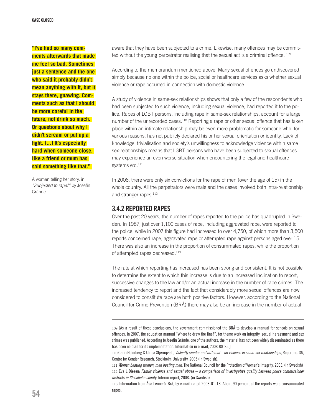**"I've had so many comments afterwards that made me feel so bad. Sometimes just a sentence and the one who said it probably didn't mean anything with it, but it stays there, gnawing. Comments such as that I should be more careful in the future, not drink so much. Or questions about why I didn't scream or put up a fight. [...] It's especially hard when someone close, like a friend or mum has said something like that."** 

A woman telling her story, in *"Subjected to rape?"* by Josefin Grände.

aware that they have been subjected to a crime. Likewise, many offences may be committed without the young perpetrator realising that the sexual act is a criminal offence. 109

According to the memorandum mentioned above, Many sexual offences go undiscovered simply because no one within the police, social or healthcare services asks whether sexual violence or rape occurred in connection with domestic violence.

A study of violence in same-sex relationships shows that only a few of the respondents who had been subjected to such violence, including sexual violence, had reported it to the police. Rapes of LGBT persons, including rape in same-sex relationships, account for a large number of the unrecorded cases.<sup>110</sup> Reporting a rape or other sexual offence that has taken place within an intimate relationship may be even more problematic for someone who, for various reasons, has not publicly declared his or her sexual orientation or identity. Lack of knowledge, trivialisation and society's unwillingness to acknowledge violence within same sex-relationships means that LGBT persons who have been subjected to sexual offences may experience an even worse situation when encountering the legal and healthcare systems etc.<sup>111</sup>

In 2006, there were only six convictions for the rape of men (over the age of 15) in the whole country. All the perpetrators were male and the cases involved both intra-relationship and stranger rapes.<sup>112</sup>

#### 3.4.2 Reported rapes

Over the past 20 years, the number of rapes reported to the police has quadrupled in Sweden. In 1987, just over 1,100 cases of rape, including aggravated rape, were reported to the police, while in 2007 this figure had increased to over 4,750, of which more than 3,500 reports concerned rape, aggravated rape or attempted rape against persons aged over 15. There was also an increase in the proportion of consummated rapes, while the proportion of attempted rapes decreased.113

The rate at which reporting has increased has been strong and consistent. It is not possible to determine the extent to which this increase is due to an increased inclination to report, successive changes to the law and/or an actual increase in the number of rape crimes. The increased tendency to report and the fact that considerably more sexual offences are now considered to constitute rape are both positive factors. However, according to the National Council for Crime Prevention (BRÅ) there may also be an increase in the number of actual

113 Information from Åsa Lennerö, Brå, by e-mail dated 2008-01-18. About 90 percent of the reports were consummated rapes.

<sup>109</sup> [As a result of these conclusions, the government commissioned the BRÅ to develop a manual for schools on sexual offences. In 2007, the education manual "Where to draw the line?", for theme work on integrity, sexual harassment and sex crimes was published. According to Josefin Grände, one of the authors, the material has not been widely disseminated as there has been no plan for its implementation. Information in e-mail, 2008-08-25.]

<sup>110</sup> Carin Holmberg & Ulrica Stjernqvist , *Violently similar and different – on violence in same-sex relationships*, Report no. 36, Centre for Gender Research, Stockholm University, 2005 (in Swedish).

<sup>111</sup> *Women beating women, men beating men*. The National Council for the Protection of Women's Integrity, 2003. (in Swedish) 112 Eva L Diesen: *Family violence and sexual abuse – a comparison of investigative quality between police commissioner districts in Stockholm county*. Interim report, 2008. (in Swedish)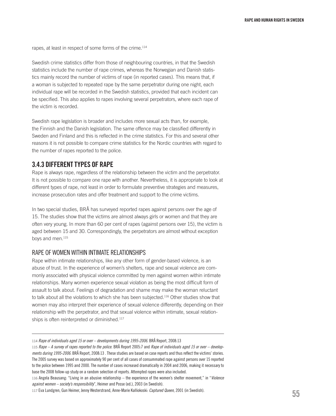rapes, at least in respect of some forms of the crime.<sup>114</sup>

Swedish crime statistics differ from those of neighbouring countries, in that the Swedish statistics include the number of rape crimes, whereas the Norwegian and Danish statistics mainly record the number of victims of rape (in reported cases). This means that, if a woman is subjected to repeated rape by the same perpetrator during one night, each individual rape will be recorded in the Swedish statistics, provided that each incident can be specified. This also applies to rapes involving several perpetrators, where each rape of the victim is recorded.

Swedish rape legislation is broader and includes more sexual acts than, for example, the Finnish and the Danish legislation. The same offence may be classified differently in Sweden and Finland and this is reflected in the crime statistics. For this and several other reasons it is not possible to compare crime statistics for the Nordic countries with regard to the number of rapes reported to the police.

#### 3.4.3 DIFFERENT TYPES OF RAPE

Rape is always rape, regardless of the relationship between the victim and the perpetrator. It is not possible to compare one rape with another. Nevertheless, it is appropriate to look at different types of rape, not least in order to formulate preventive strategies and measures, increase prosecution rates and offer treatment and support to the crime victims.

In two special studies, BRÅ has surveyed reported rapes against persons over the age of 15. The studies show that the victims are almost always girls or women and that they are often very young. In more than 60 per cent of rapes (against persons over 15), the victim is aged between 15 and 30. Correspondingly, the perpetrators are almost without exception boys and men.<sup>115</sup>

#### Rape of women within intimate relationships

Rape within intimate relationships, like any other form of gender-based violence, is an abuse of trust. In the experience of women's shelters, rape and sexual violence are commonly associated with physical violence committed by men against women within intimate relationships. Many women experience sexual violation as being the most difficult form of assault to talk about. Feelings of degradation and shame may make the woman reluctant to talk about all the violations to which she has been subjected.116 Other studies show that women may also interpret their experience of sexual violence differently, depending on their relationship with the perpetrator, and that sexual violence within intimate, sexual relationships is often reinterpreted or diminished.<sup>117</sup>

<sup>114</sup> *Rape of individuals aged 15 or over – developments during 1995-2006*. BRÅ Report, 2008:13

<sup>115</sup> *Rape – A survey of rapes reported to the police*. BRÅ Report 2005:7 and *Rape of individuals aged 15 or over – developments during 1995-2006*. BRÅ Report, 2008:13 . These studies are based on case reports and thus reflect the victims' stories. The 2005 survey was based on approximately 90 per cent of all cases of consummated rape against persons over 15 reported to the police between 1995 and 2000. The number of cases increased dramatically in 2004 and 2006, making it necessary to base the 2008 follow-up study on a random selection of reports. Attempted rapes were also included.

<sup>116</sup> Angela Beausang: "Living in an abusive relationship – the experience of the women's shelter movement," in "*Violence against women – society's responsibility*", Heimer and Posse (ed.), 2003 (in Swedish).

<sup>117</sup> Eva Lundgren, Gun Heimer, Jenny Westerstrand, Anne-Marie Kalliokoski: *Captured Queen*, 2001 (in Swedish).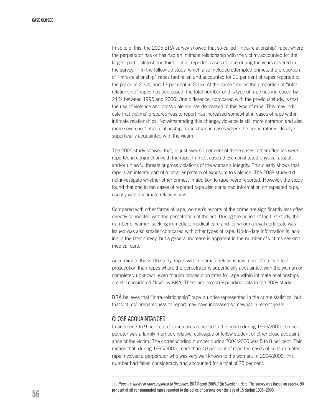In spite of this, the 2005 BRÅ survey showed that so-called "intra-relationship" rape, where the perpetrator has or has had an intimate relationship with the victim, accounted for the largest part – almost one third – of all reported cases of rape during the years covered in the survey.<sup>118</sup> In the follow-up study, which also included attempted crimes, the proportion of "intra-relationship" rapes had fallen and accounted for 21 per cent of rapes reported to the police in 2004, and 17 per cent in 2006. At the same time as the proportion of "intrarelationship" rapes has decreased, the total number of this type of rape has increased by 24 % between 1995 and 2006. One difference, compared with the previous study, is that the use of violence and gross violence has decreased in this type of rape. This may indicate that victims' preparedness to report has increased somewhat in cases of rape within intimate relationships. Notwithstanding this change, violence is still more common and also more severe in "intra-relationship" rapes than in cases where the perpetrator is closely or superficially acquainted with the victim.

The 2005 study showed that, in just over 60 per cent of these cases, other offences were reported in conjunction with the rape. In most cases these constituted physical assault and/or unlawful threats or gross violations of the woman's integrity. This clearly shows that rape is an integral part of a broader pattern of exposure to violence. The 2008 study did not investigate whether other crimes, in addition to rape, were reported. However, the study found that one in ten cases of reported rape also contained information on repeated rape, usually within intimate relationships.

Compared with other forms of rape, women's reports of the crime are significantly less often directly connected with the perpetration of the act. During the period of the first study, the number of women seeking immediate medical care and for whom a legal certificate was issued was also smaller compared with other types of rape. Up-to-date information is lacking in the later survey, but a general increase is apparent in the number of victims seeking medical care.

According to the 2005 study, rapes within intimate relationships more often lead to a prosecution than rapes where the perpetrator is superficially acquainted with the woman or completely unknown, even though prosecution rates for rape within intimate relationships are still considered "low" by BRÅ. There are no corresponding data in the 2008 study.

BRÅ believes that "intra-relationship" rape is under-represented in the crime statistics, but that victims' preparedness to report may have increased somewhat in recent years.

#### Close acquaintances

In another 7 to 9 per cent of rape cases reported to the police during 1995/2000, the perpetrator was a family member, relative, colleague or fellow student or other close acquaintance of the victim. The corresponding number during 2004/2006 was 5 to 8 per cent. This means that, during 1995/2000, more than 40 per cent of reported cases of consummated rape involved a perpetrator who was very well known to the woman. In 2004/2006, this number had fallen considerably and accounted for a total of 25 per cent.

118 *Rape - a survey of rapes reported to the police*, BRÅ Report 2005:7 (in Swedish). Note: The survey was based on approx. 90 per cent of all consummated rapes reported to the police of persons over the age of 15 during 1995–2000.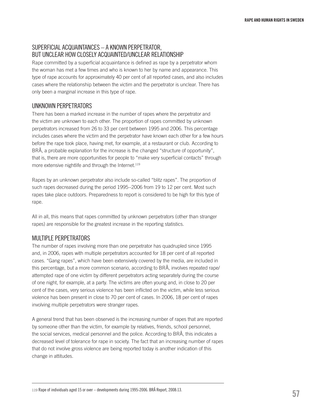#### Superficial acquaintances – a known perpetrator, but unclear how closely acquainted/unclear relationship

Rape committed by a superficial acquaintance is defined as rape by a perpetrator whom the woman has met a few times and who is known to her by name and appearance. This type of rape accounts for approximately 40 per cent of all reported cases, and also includes cases where the relationship between the victim and the perpetrator is unclear. There has only been a marginal increase in this type of rape.

#### Unknown perpetrators

There has been a marked increase in the number of rapes where the perpetrator and the victim are unknown to each other. The proportion of rapes committed by unknown perpetrators increased from 26 to 33 per cent between 1995 and 2006. This percentage includes cases where the victim and the perpetrator have known each other for a few hours before the rape took place, having met, for example, at a restaurant or club. According to BRÅ, a probable explanation for the increase is the changed "structure of opportunity", that is, there are more opportunities for people to "make very superficial contacts" through more extensive nightlife and through the Internet.<sup>119</sup>

Rapes by an unknown perpetrator also include so-called "blitz rapes". The proportion of such rapes decreased during the period 1995–2006 from 19 to 12 per cent. Most such rapes take place outdoors. Preparedness to report is considered to be high for this type of rape.

All in all, this means that rapes committed by unknown perpetrators (other than stranger rapes) are responsible for the greatest increase in the reporting statistics.

#### Multiple perpetrators

The number of rapes involving more than one perpetrator has quadrupled since 1995 and, in 2006, rapes with multiple perpetrators accounted for 18 per cent of all reported cases. "Gang rapes", which have been extensively covered by the media, are included in this percentage, but a more common scenario, according to BRÅ, involves repeated rape/ attempted rape of one victim by different perpetrators acting separately during the course of one night, for example, at a party. The victims are often young and, in close to 20 per cent of the cases, very serious violence has been inflicted on the victim, while less serious violence has been present in close to 70 per cent of cases. In 2006, 18 per cent of rapes involving multiple perpetrators were stranger rapes.

A general trend that has been observed is the increasing number of rapes that are reported by someone other than the victim, for example by relatives, friends, school personnel, the social services, medical personnel and the police. According to BRÅ, this indicates a decreased level of tolerance for rape in society. The fact that an increasing number of rapes that do not involve gross violence are being reported today is another indication of this change in attitudes.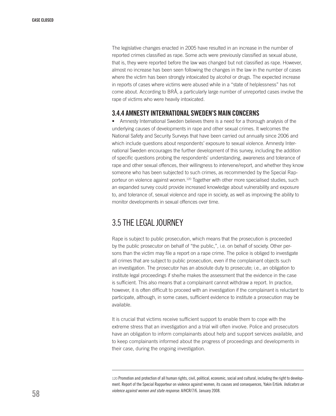The legislative changes enacted in 2005 have resulted in an increase in the number of reported crimes classified as rape. Some acts were previously classified as sexual abuse, that is, they were reported before the law was changed but not classified as rape. However, almost no increase has been seen following the changes in the law in the number of cases where the victim has been strongly intoxicated by alcohol or drugs. The expected increase in reports of cases where victims were abused while in a "state of helplessness" has not come about. According to BRÅ, a particularly large number of unreported cases involve the rape of victims who were heavily intoxicated.

#### 3.4.4 Amnesty International Sweden's main concerns

• Amnesty International Sweden believes there is a need for a thorough analysis of the underlying causes of developments in rape and other sexual crimes. It welcomes the National Safety and Security Surveys that have been carried out annually since 2006 and which include questions about respondents' exposure to sexual violence. Amnesty International Sweden encourages the further development of this survey, including the addition of specific questions probing the respondents' understanding, awareness and tolerance of rape and other sexual offences, their willingness to intervene/report, and whether they know someone who has been subjected to such crimes, as recommended by the Special Rapporteur on violence against women.<sup>120</sup> Together with other more specialised studies, such an expanded survey could provide increased knowledge about vulnerability and exposure to, and tolerance of, sexual violence and rape in society, as well as improving the ability to monitor developments in sexual offences over time.

# 3.5 THE LEGALJOURNEY

Rape is subject to public prosecution, which means that the prosecution is proceeded by the public prosecutor on behalf of "the public,", i.e. on behalf of society. Other persons than the victim may file a report on a rape crime. The police is obliged to investigate all crimes that are subject to public prosecution, even if the complainant objects such an investigation. The prosecutor has an absolute duty to prosecute; i.e., an obligation to institute legal proceedings if she/he makes the assessment that the evidence in the case is sufficient. This also means that a complainant cannot withdraw a report. In practice, however, it is often difficult to proceed with an investigation if the complainant is reluctant to participate, although, in some cases, sufficient evidence to institute a prosecution may be available.

It is crucial that victims receive sufficient support to enable them to cope with the extreme stress that an investigation and a trial will often involve. Police and prosecutors have an obligation to inform complainants about help and support services available, and to keep complainants informed about the progress of proceedings and developments in their case, during the ongoing investigation.

<sup>120</sup> Promotion and protection of all human rights, civil, political, economic, social and cultural, including the right to development. Report of the Special Rapporteur on violence against women, its causes and consequences, Yakin Ertürk. *Indicators on violence against women and state response.* A/HCR/7/6. January 2008.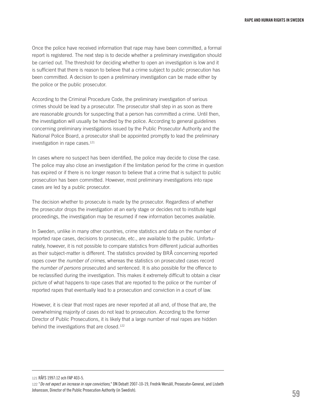Once the police have received information that rape may have been committed, a formal report is registered. The next step is to decide whether a preliminary investigation should be carried out. The threshold for deciding whether to open an investigation is low and it is sufficient that there is reason to believe that a crime subject to public prosecution has been committed. A decision to open a preliminary investigation can be made either by the police or the public prosecutor.

According to the Criminal Procedure Code, the preliminary investigation of serious crimes should be lead by a prosecutor. The prosecutor shall step in as soon as there are reasonable grounds for suspecting that a person has committed a crime. Until then, the investigation will usually be handled by the police. According to general guidelines concerning preliminary investigations issued by the Public Prosecutor Authority and the National Police Board, a prosecutor shall be appointed promptly to lead the preliminary investigation in rape cases.121

In cases where no suspect has been identified, the police may decide to close the case. The police may also close an investigation if the limitation period for the crime in question has expired or if there is no longer reason to believe that a crime that is subject to public prosecution has been committed. However, most preliminary investigations into rape cases are led by a public prosecutor.

The decision whether to prosecute is made by the prosecutor. Regardless of whether the prosecutor drops the investigation at an early stage or decides not to institute legal proceedings, the investigation may be resumed if new information becomes available.

In Sweden, unlike in many other countries, crime statistics and data on the number of reported rape cases, decisions to prosecute, etc., are available to the public. Unfortunately, however, it is not possible to compare statistics from different judicial authorities as their subject-matter is different. The statistics provided by BRÅ concerning reported rapes cover the *number of crimes*, whereas the statistics on prosecuted cases record the *number of persons* prosecuted and sentenced. It is also possible for the offence to be reclassified during the investigation. This makes it extremely difficult to obtain a clear picture of what happens to rape cases that are reported to the police or the number of reported rapes that eventually lead to a prosecution and conviction in a court of law.

However, it is clear that most rapes are never reported at all and, of those that are, the overwhelming majority of cases do not lead to prosecution. According to the former Director of Public Prosecutions, it is likely that a large number of real rapes are hidden behind the investigations that are closed.122

121 RÅFS 1997:12 och FAP 403-5.

<sup>122</sup> "*Do not expect an increase in rape convictions*," DN Debatt 2007-10-19, Fredrik Wersäll, Prosecutor-General, and Lisbeth Johansson, Director of the Public Prosecution Authority (in Swedish).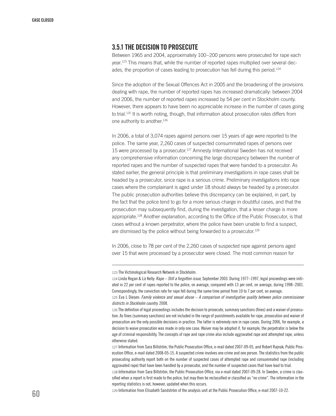#### 3.5.1 The decision to prosecute

Between 1965 and 2004, approximately 100–200 persons were prosecuted for rape each year.123 This means that, while the number of reported rapes multiplied over several decades, the proportion of cases leading to prosecution has fell during this period.<sup>124</sup>

Since the adoption of the Sexual Offences Act in 2005 and the broadening of the provisions dealing with rape, the number of reported rapes has increased dramatically: between 2004 and 2006, the number of reported rapes increased by 54 per cent in Stockholm county. However, there appears to have been no appreciable increase in the number of cases going to trial.<sup>125</sup> It is worth noting, though, that information about prosecution rates differs from one authority to another.<sup>126</sup>

In 2006, a total of 3,074 rapes against persons over 15 years of age were reported to the police. The same year, 2,260 cases of suspected consummated rapes of persons over 15 were processed by a prosecutor.127 Amnesty International Sweden has not received any comprehensive information concerning the large discrepancy between the number of reported rapes and the number of suspected rapes that were handed to a prosecutor. As stated earlier, the general principle is that preliminary investigations in rape cases shall be headed by a prosecutor, since rape is a serious crime. Preliminary investigations into rape cases where the complainant is aged under 18 should always be headed by a prosecutor. The public prosecution authorities believe this discrepancy can be explained, in part, by the fact that the police tend to go for a more serious charge in doubtful cases, and that the prosecution may subsequently find, during the investigation, that a lesser charge is more appropriate.128 Another explanation, according to the Office of the Public Prosecutor, is that cases without a known perpetrator, where the police have been unable to find a suspect, are dismissed by the police without being forwarded to a prosecutor.<sup>129</sup>

In 2006, close to 78 per cent of the 2,260 cases of suspected rape against persons aged over 15 that were processed by a prosecutor were closed. The most common reason for

123 The Victimological Research Network in Stockholm.

127 Information from Sara Billström, the Public Prosecution Office, e-mail dated 2007-09-05, and Robert Rajnak, Public Prosecution Office, e-mail dated 2008-05-15. A suspected crime involves one crime and one person. The statistics from the public prosecuting authority report both on the number of suspected cases of attempted rape and consummated rape (including aggravated rape) that have been handled by a prosecutor, and the number of suspected cases that have lead to trial.

128 Information from Sara Billström, the Public Prosecution Office, via e-mail dated 2007-09-28. In Sweden, a crime is classified when a report is first made to the police, but may then be reclassified or classified as "no crime". The information in the reporting statistics is not, however, updated when this occurs.

129 Information from Elisabeth Sandström of the analysis unit at the Public Prosecution Office, e-mail 2007-10-22.

<sup>124</sup> Linda Regan & Liz Kelly: *Rape – Still a forgotten issue*, September 2003. During 1977–1997, legal proceedings were initiated in 22 per cent of rapes reported to the police, on average, compared with 13 per cent, on average, during 1998–2001. Correspondingly, the conviction rate for rape fell during the same time period from 10 to 7 per cent, on average.

<sup>125</sup> Eva L Diesen: *Family violence and sexual abuse – A comparison of investigative quality between police commissioner districts in Stockholm country.* 2008.

<sup>126</sup> The definition of legal proceedings includes the decision to prosecute, summary sanctions (fines) and a waiver of prosecution. As fines (summary sanctions) are not included in the range of punishments available for rape, prosecution and waiver of prosecution are the only possible decisions in practice. The latter is extremely rare in rape cases. During 2006, for example, a decision to waive prosecution was made in only one case. Waiver may be adopted if, for example, the perpetrator is below the age of criminal responsibility. The concepts of rape and rape crime also include aggravated rape and attempted rape, unless otherwise stated.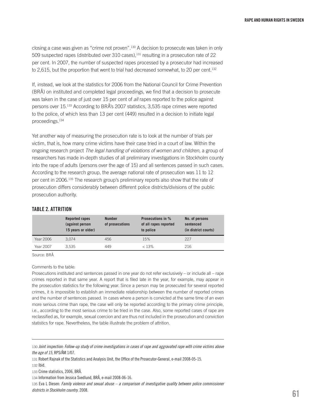closing a case was given as "crime not proven".130 A decision to prosecute was taken in only 509 suspected rapes (distributed over 310 cases),131 resulting in a prosecution rate of 22 per cent. In 2007, the number of suspected rapes processed by a prosecutor had increased to 2,615, but the proportion that went to trial had decreased somewhat, to 20 per cent.<sup>132</sup>

If, instead, we look at the statistics for 2006 from the National Council for Crime Prevention (BRÅ) on instituted and completed legal proceedings, we find that a decision to prosecute was taken in the case of just over 15 per cent of *all* rapes reported to the police against persons over 15.133 According to BRÅ's 2007 statistics, 3,535 rape crimes were reported to the police, of which less than 13 per cent (449) resulted in a decision to initiate legal proceedings.134

Yet another way of measuring the prosecution rate is to look at the number of trials per victim, that is, how many crime victims have their case tried in a court of law. Within the ongoing research project *The legal handling of violations of women and children*, a group of researchers has made in-depth studies of all preliminary investigations in Stockholm county into the rape of adults (persons over the age of 15) and all sentences passed in such cases. According to the research group, the average national rate of prosecution was 11 to 12 per cent in 2006.135 The research group's preliminary reports also show that the rate of prosecution differs considerably between different police districts/divisions of the public prosecution authority.

#### Table 2. Attrition

|           | <b>Reported rapes</b><br>(against person<br>15 years or older) | <b>Number</b><br>of prosecutions | <b>Prosecutions in %</b><br>of all rapes reported<br>to police | No. of persons<br>sentenced<br>(in district courts) |
|-----------|----------------------------------------------------------------|----------------------------------|----------------------------------------------------------------|-----------------------------------------------------|
| Year 2006 | 3.074                                                          | 456                              | 15%                                                            | 227                                                 |
| Year 2007 | 3.535                                                          | 449                              | < 13%                                                          | 216                                                 |

Source: BRÅ

#### Comments to the table:

Prosecutions instituted and sentences passed in one year do not refer exclusively – or include all – rape crimes reported in that same year. A report that is filed late in the year, for example, may appear in the prosecution statistics for the following year. Since a person may be prosecuted for several reported crimes, it is impossible to establish an immediate relationship between the number of reported crimes and the number of sentences passed. In cases where a person is convicted at the same time of an even more serious crime than rape, the case will only be reported according to the primary crime principle, i.e., according to the most serious crime to be tried in the case. Also, some reported cases of rape are reclassified as, for example, sexual coercion and are thus not included in the prosecution and conviction statistics for rape. Nevertheless, the table illustrate the problem of attrition.

<sup>130</sup> *Joint inspection: Follow-up study of crime investigations in cases of rape and aggravated rape with crime victims above the age of 15*, RPS/ÅM 1/07.

<sup>131</sup> Robert Rajnak of the Statistics and Analysis Unit, the Office of the Prosecutor-General, e-mail 2008-05-15.

<sup>132</sup> Ibid.

<sup>133</sup> Crime statistics, 2006, BRÅ.

<sup>134</sup> Information from Jessica Svedlund, BRÅ, e-mail 2008-06-16.

<sup>135</sup> Eva L Diesen: *Family violence and sexual abuse – a comparison of investigative quality between police commissioner districts in Stockholm country*. 2008.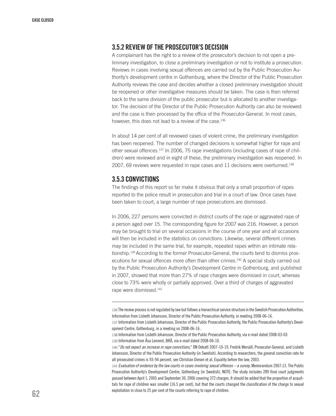#### 3.5.2 Review of the prosecutor's decision

A complainant has the right to a review of the prosecutor's decision to not open a preliminary investigation, to close a preliminary investigation or not to institute a prosecution. Reviews in cases involving sexual offences are carried out by the Public Prosecution Authority's development centre in Gothenburg, where the Director of the Public Prosecution Authority reviews the case and decides whether a closed preliminary investigation should be reopened or other investigative measures should be taken. The case is then referred back to the same division of the public prosecutor but is allocated to another investigator. The decision of the Director of the Public Prosecution Authority can also be reviewed and the case is then processed by the office of the Prosecutor-General. In most cases, however, this does not lead to a review of the case.<sup>136</sup>

In about 14 per cent of all reviewed cases of violent crime, the preliminary investigation has been reopened. The number of changed decisions is somewhat higher for rape and other sexual offences.<sup>137</sup> In 2006, 75 rape investigations (including cases of rape of children) were reviewed and in eight of these, the preliminary investigation was reopened. In 2007, 69 reviews were requested in rape cases and 11 decisions were overturned.138

#### 3.5.3 Convictions

The findings of this report so far make it obvious that only a small proportion of rapes reported to the police result in prosecution and trial in a court of law. Once cases have been taken to court, a large number of rape prosecutions are dismissed.

In 2006, 227 persons were convicted in district courts of the rape or aggravated rape of a person aged over 15. The corresponding figure for 2007 was 216. However, a person may be brought to trial on several occasions in the course of one year and all occasions will then be included in the statistics on convictions. Likewise, several different crimes may be included in the same trial, for example, repeated rapes within an intimate relationship.<sup>139</sup> According to the former Prosecutor-General, the courts tend to dismiss prosecutions for sexual offences more often than other crimes.140 A special study carried out by the Public Prosecution Authority's Development Centre in Gothenburg, and published in 2007, showed that more than 27% of rape charges were dismissed in court, whereas close to 73% were wholly or partially approved. Over a third of charges of aggravated rape were dismissed.141

<sup>136</sup> The review process is not regulated by law but follows a hierarchical service structure in the Swedish Prosecution Authorities. Information from Lisbeth Johansson, Director of the Public Prosecution Authority, in meeting 2008-06-16.

<sup>137</sup> Information from Lisbeth Johansson, Director of the Public Prosecution Authority, the Public Prosecution Authority's Development Centre, Gothenburg, in a meeting on 2008-06-16..

<sup>138</sup> Information from Lisbeth Johansson, Director of the Public Prosecution Authority, via e-mail dated 2008-03-03. 139 Information from Åsa Lennerö, BRÅ, via e-mail dated 2008-06-10.

<sup>140</sup> "*Do not expect an increase in rape convictions,*" DN Debatt 2007-10-19, Fredrik Wersäll, Prosecutor-General, and Lisbeth Johansson, Director of the Public Prosecution Authority (in Swedish). According to researchers, the general conviction rate for all prosecuted crimes is 93-94 percent, see Christian Diesen et al, Equality before the law, 2003.

<sup>141</sup> *Evaluation of evidence by the law courts in cases involving sexual offences – a survey*, Memorandum 2007:13. The Public Prosecution Authority's Development Centre, Gothenburg (in Swedish). NOTE: The study includes 289 final court judgments passed between April 1, 2005 and September 30, 2006 covering 372 charges. It should be added that the proportion of acquittals for rape of children was smaller (16.5 per cent), but that the courts changed the classification of the charge to sexual exploitation in close to 25 per cent of the counts referring to rape of children.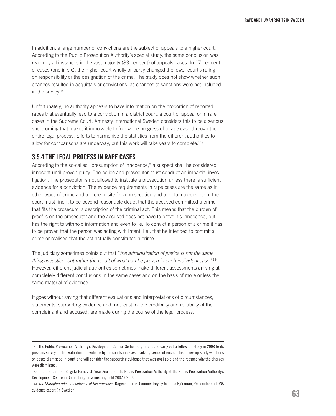In addition, a large number of convictions are the subject of appeals to a higher court. According to the Public Prosecution Authority's special study, the same conclusion was reach by all instances in the vast majority (83 per cent) of appeals cases. In 17 per cent of cases (one in six), the higher court wholly or partly changed the lower court's ruling on responsibility or the designation of the crime. The study does not show whether such changes resulted in acquittals or convictions, as changes to sanctions were not included in the survey.142

Unfortunately, no authority appears to have information on the proportion of reported rapes that eventually lead to a conviction in a district court, a court of appeal or in rare cases in the Supreme Court. Amnesty International Sweden considers this to be a serious shortcoming that makes it impossible to follow the progress of a rape case through the entire legal process. Efforts to harmonise the statistics from the different authorities to allow for comparisons are underway, but this work will take years to complete.<sup>143</sup>

#### 3.5.4 The legal process in rape cases

According to the so-called "presumption of innocence," a suspect shall be considered innocent until proven guilty. The police and prosecutor must conduct an impartial investigation. The prosecutor is not allowed to institute a prosecution unless there is sufficient evidence for a conviction. The evidence requirements in rape cases are the same as in other types of crime and a prerequisite for a prosecution and to obtain a conviction, the court must find it to be beyond reasonable doubt that the accused committed a crime that fits the prosecutor's description of the criminal act. This means that the burden of proof is on the prosecutor and the accused does not have to prove his innocence, but has the right to withhold information and even to lie. To convict a person of a crime it has to be proven that the person was acting with intent; i.e.. that he intended to commit a crime or realised that the act actually constituted a crime.

The judiciary sometimes points out that "*the administration of justice is not the same thing as justice, but rather the result of what can be proven in each individual case.*"144 However, different judicial authorities sometimes make different assessments arriving at completely different conclusions in the same cases and on the basis of more or less the same material of evidence.

It goes without saying that different evaluations and interpretations of circumstances, statements, supporting evidence and, not least, of the credibility and reliability of the complainant and accused, are made during the course of the legal process.

<sup>142</sup> The Public Prosecution Authority's Development Centre, Gothenburg intends to carry out a follow-up study in 2008 to its previous survey of the evaluation of evidence by the courts in cases involving sexual offences. This follow-up study will focus on cases dismissed in court and will consider the supporting evidence that was available and the reasons why the charges were dismissed.

<sup>143</sup> Information from Birgitta Fernqvist, Vice Director of the Public Prosecution Authority at the Public Prosecution Authority's Development Centre in Gothenburg, in a meeting held 2007-09-13.

<sup>144</sup> *The Stureplan rule – an outcome of the rape case*. Dagens Juridik: Commentary by Johanna Björkman, Prosecutor and DNA evidence expert (in Swedish).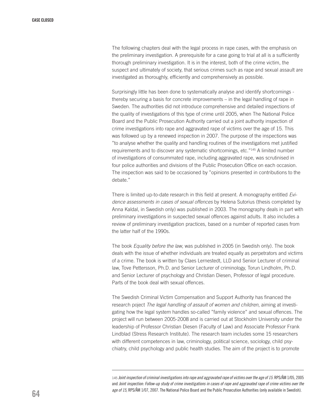The following chapters deal with the legal process in rape cases, with the emphasis on the preliminary investigation. A prerequisite for a case going to trial at all is a sufficiently thorough preliminary investigation. It is in the interest, both of the crime victim, the suspect and ultimately of society, that serious crimes such as rape and sexual assault are investigated as thoroughly, efficiently and comprehensively as possible.

Surprisingly little has been done to systematically analyse and identify shortcomings thereby securing a basis for concrete improvements – in the legal handling of rape in Sweden. The authorities did not introduce comprehensive and detailed inspections of the quality of investigations of this type of crime until 2005, when The National Police Board and the Public Prosecution Authority carried out a joint authority inspection of crime investigations into rape and aggravated rape of victims over the age of 15. This was followed up by a renewed inspection in 2007. The purpose of the inspections was "to analyse whether the quality and handling routines of the investigations met justified requirements and to discover any systematic shortcomings, etc."145 A limited number of investigations of consummated rape, including aggravated rape, was scrutinised in four police authorities and divisions of the Public Prosecution Office on each occasion. The inspection was said to be occasioned by "opinions presented in contributions to the debate."

There is limited up-to-date research in this field at present. A monography entitled *Evidence assessments in cases of sexual offences* by Helena Sutorius (thesis completed by Anna Kaldal, in Swedish only) was published in 2003. The monography deals in part with preliminary investigations in suspected sexual offences against adults. It also includes a review of preliminary investigation practices, based on a number of reported cases from the latter half of the 1990s.

The book *Equality before the law*, was published in 2005 (in Swedish only). The book deals with the issue of whether individuals are treated equally as perpetrators and victims of a crime. The book is written by Claes Lernestedt, LLD and Senior Lecturer of criminal law, Tove Pettersson, Ph.D. and Senior Lecturer of criminology, Torun Lindholm, Ph.D. and Senior Lecturer of psychology and Christian Diesen, Professor of legal procedure. Parts of the book deal with sexual offences.

The Swedish Criminal Victim Compensation and Support Authority has financed the research poject *The legal handling of assault of women and children*, aiming at investigating how the legal system handles so-called "family violence" and sexual offences. The project will run between 2005-2008 and is carried out at Stockholm University under the leadership of Professor Christian Diesen (Faculty of Law) and Associate Professor Frank Lindblad (Stress Research Institute). The research team includes some 15 researchers with different competences in law, criminology, political science, sociology, child psychiatry, child psychology and public health studies. The aim of the project is to promote

<sup>145</sup> *Joint inspection of criminal investigations into rape and aggravated rape of victims over the age of 15.* RPS/ÅM 1/05, 2005 and *Joint inspection: Follow-up study of crime investigations in cases of rape and aggravated rape of crime victims over the age of 15*, RPS/ÅM 1/07, 2007. The National Police Board and the Public Prosecution Authorities (only available in Swedish).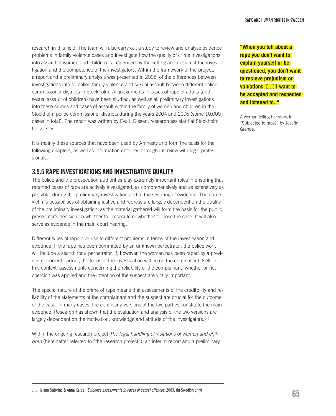research in this field. The team will also carry out a study to review and analyse evidence problems in family violence cases and investigate how the quality of crime investigations into assault of women and children is influenced by the setting and design of the investigation and the competence of the investigators. Within the framework of the project, a report and a preliminary analysis was presented in 2008, of the differences between investigations into so-called family violence and sexual assault between different police commissioner districts in Stockholm. All judgements in cases of rape of adults (and sexual assault of children) have been studied, as well as all preliminary investigations into these crimes and cases of assault within the family of women and children in the Stockholm police commissioner districts during the years 2004 and 2006 (some 10,000 cases in total). The report was written by Eva L Diesen, research assistant at Stockholm University.

It is mainly these sources that have been used by Amnesty and form the basis for the following chapters, as well as information obtained through interview with legal professionals.

#### 3.5.5 Rape investigations and investigative quality

The police and the prosecution authorities play extremely important roles in ensuring that reported cases of rape are actively investigated, as comprehensively and as extensively as possible, during the preliminary investigation and in the securing of evidence. The crime victim's possibilities of obtaining justice and redress are largely dependent on the quality of the preliminary investigation, as the material gathered will form the basis for the public prosecutor's decision on whether to prosecute or whether to close the case. It will also serve as evidence in the main court hearing.

Different types of rape give rise to different problems in terms of the investigation and evidence. If the rape has been committed by an unknown perpetrator, the police work will include a search for a perpetrator. If, however, the woman has been raped by a previous or current partner, the focus of the investigation will be on the criminal act itself. In this context, assessments concerning the reliability of the complainant, whether or not coercion was applied and the intention of the suspect are vitally important.

The special nature of the crime of rape means that assessments of the creditbility and reliability of the statements of the complainant and the suspect are crucial for the outcome of the case. In many cases, the conflicting versions of the two parties constitute the main evidence. Research has shown that the evaluation and analysis of the two versions are largely dependent on the motivation, knowledge and attitude of the investigators.<sup>146</sup>

Within the ongoing research project *The legal handling of violations of women and children* (hereinafter referred to "the research project"), an interim report and a preliminary **"When you tell about a rape you don't want to explain yourself or be questioned, you don't want to recieve prejudism or valuations. [...] I want to be accepted and respected and listened to. "**

A woman telling her story, in "Subjected to rape?" by Josefin Grände.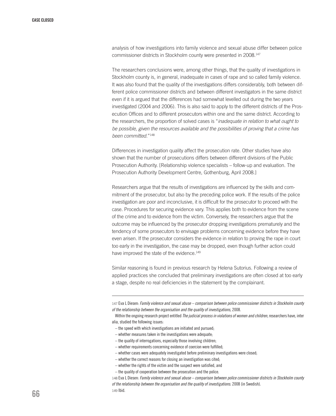analysis of how investigations into family violence and sexual abuse differ between police commissioner districts in Stockholm county were presented in 2008.147

The researchers conclusions were, among other things, that the quality of investigations in Stockholm county is, in general, inadequate in cases of rape and so called family violence. It was also found that the quality of the investigations differs considerably, both between different police commissioner districts and between different investigators in the same district even if it is argued that the differences had somewhat levelled out during the two years investigated (2004 and 2006). This is also said to apply to the different districts of the Prosecution Offices and to different prosecutors within one and the same district. According to the researchers, the proportion of solved cases is "*inadequate in relation to what ought to be possible, given the resources available and the possibilities of proving that a crime has been committed*."148

Differences in investigation quality affect the prosecution rate. Other studies have also shown that the number of prosecutions differs between different divisions of the Public Prosecution Authority. [Relationship violence specialists – follow-up and evaluation. The Prosecution Authority Development Centre, Gothenburg, April 2008.]

Researchers argue that the results of investigations are influenced by the skills and commitment of the prosecutor, but also by the preceding police work. If the results of the police investigation are poor and inconclusive, it is difficult for the prosecutor to proceed with the case. Procedures for securing evidence vary. This applies both to evidence from the scene of the crime and to evidence from the victim. Conversely, the researchers argue that the outcome may be influenced by the prosecutor dropping investigations prematurely and the tendency of some prosecutors to envisage problems concerning evidence before they have even arisen. If the prosecutor considers the evidence in relation to proving the rape in court too early in the investigation, the case may be dropped, even though further action could have improved the state of the evidence.<sup>149</sup>

Similar reasoning is found in previous research by Helena Sutorius. Following a review of applied practices she concluded that preliminary investigations are often closed at too early a stage, despite no real deficiencies in the statement by the complainant.

147 Eva L Diesen: *Family violence and sexual abuse – comparison between police commissioner districts in Stockholm county of the relationship between the organisation and the quality of investigations*, 2008.

 Within the ongoing research project entitled *The judicial process in violations of women and children*, researchers have, inter alia, studied the following issues:

- the speed with which investigations are initiated and pursued;
- whether measures taken in the investigations were adequate;
- the quality of interrogations, especially those involving children;
- whether requirements concerning evidence of coercion were fulfilled;
- whether cases were adequately investigated before preliminary investigations were closed;
- whether the correct reasons for closing an investigation was cited;
- whether the rights of the victim and the suspect were satisfied, and
- the quality of cooperation between the prosecution and the police.

148 Eva L Diesen: *Family violence and sexual abuse – comparison between police commissioner districts in Stockholm county of the relationship between the organisation and the quality of investigations*. 2008 (in Swedish). 149 Ibid.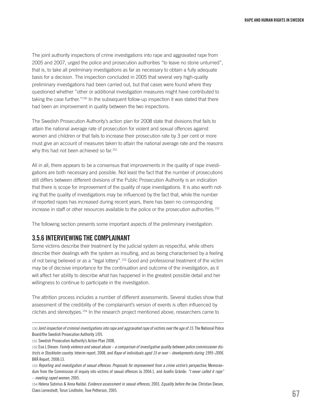The joint authority inspections of crime investigations into rape and aggravated rape from 2005 and 2007, urged the police and prosecution authorities "to leave no stone unturned", that is, to take all preliminary investigations as far as necessary to obtain a fully adequate basis for a decision. The inspection concluded in 2005 that several very high-quality preliminary investigations had been carried out, but that cases were found where they questioned whether "other or additional investigation measures might have contributed to taking the case further."<sup>150</sup> In the subsequent follow-up inspection it was stated that there had been an improvement in quality between the two inspections.

The Swedish Prosecution Authority's action plan for 2008 state that divisions that fails to attain the national average rate of prosecution for violent and sexual offences against women and children or that fails to increase their prosecution rate by 3 per cent or more must give an account of measures taken to attain the national average rate and the reasons why this had not been achieved so far.<sup>151</sup>

All in all, there appears to be a consensus that improvements in the quality of rape investigations are both necessary and possible. Not least the fact that the number of prosecutions still differs between different divisions of the Public Prosecution Authority is an indication that there is scope for improvement of the quality of rape investigations. It is also worth noting that the quality of investigations may be influenced by the fact that, while the number of reported rapes has increased during recent years, there has been no corresponding increase in staff or other resources available to the police or the prosecution authorities.152

The following section presents some important aspects of the preliminary investigation.

#### 3.5.6 Interviewing the complainant

Some victims describe their treatment by the judicial system as respectful, while others describe their dealings with the system as insulting, and as being characterised by a feeling of not being believed or as a "legal lottery".153 Good and professional treatment of the victim may be of decisive importance for the continuation and outcome of the investigation, as it will affect her ability to describe what has happened in the greatest possible detail and her willingness to continue to participate in the investigation.

The attrition process includes a number of different assessments. Several studies show that assessment of the credibility of the complainant's version of events is often influenced by clichés and stereotypes.154 In the research project mentioned above, researchers came to

151 Swedish Prosecution Authority's Action Plan 2008,

<sup>150</sup> *Joint inspection of criminal investigations into rape and aggravated rape of victims over the age of 15*. The National Police Board/the Swedish Prosecution Authority 1/05.

<sup>152</sup> Eva L Diesen: *Family violence and sexual abuse – a comparison of investigative quality between police commissioner districts in Stockholm country*. Interim report, 2008, and *Rape of individuals aged 15 or over – developments during 1995–2006*. BRÅ Report, 2008:13.

<sup>153</sup> *Reporting and investigation of sexual offences: Proposals for improvement from a crime victim's perspective*, Memorandum from the Commission of inquiry into victims of sexual offences Ju 2004:1, and Josefin Grände: *"I never called it rape" – meeting raped women*, 2005.

<sup>154</sup> Helena Sutorius & Anna Kaldal: *Evidence assessment in sexual offences*, 2003, *Equality before the law*, Christan Diesen, Claes Lernestedt, Torun Lindholm, Tove Petterson, 2005.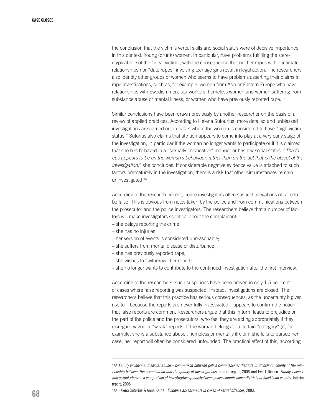the conclusion that the victim's verbal skills and social status were of decisive importance in this context. Young (drunk) women, in particular, have problems fulfilling the stereotypical role of the "ideal victim", with the consequence that neither rapes within intimate relationships nor "date rapes" involving teenage girls result in legal action. The researchers also identify other groups of women who seems to have problems asserting their claims in rape investigations, such as, for example, women from Asia or Eastern Europe who have relationships with Swedish men, sex workers, homeless women and women suffering from substance abuse or mental illness, or women who have previously reported rape.<sup>155</sup>

Similar conclusions have been drawn previously by another researcher on the basis of a review of applied practices. According to Helena Sutourius, more detailed and unbiassed investigations are carried out in cases where the woman is considered to have "high victim status." Sutorius also claims that attrition appears to come into play at a very early stage of the investigation, in particular if the woman no longer wants to participate or if it is claimed that she has behaved in a "sexually provocative" manner or has low social status. "*The focus appears to be on the woman's behaviour, rather than on the act that is the object of the investigation,*" she concludes. If considerable negative evidence value is attached to such factors prematurely in the investigation, there is a risk that other circumstances remain uninvestigated.156

According to the research project, police investigators often suspect allegations of rape to be false. This is obvious from notes taken by the police and from communications between the prosecutor and the police investigators. The researchers believe that a number of factors will make investigators sceptical about the complainant:

- she delays reporting the crime
- she has no injuries
- her version of events is considered unreasonable;
- she suffers from mental disease or disturbance;
- she has previously reported rape;
- she wishes to "withdraw" her report;
- she no longer wants to contribute to the continued investigation after the first interview.

According to the researchers, such suspicions have been proven in only 1.5 per cent of cases where false reporting was suspected. Instead, investigations are closed. The researchers believe that this practice has serious consequences, as the uncertainty it gives rise to – because the reports are never fully investigated – appears to confirm the notion that false reports are common. Researchers argue that this in turn, leads to prejudice on the part of the police and the prosecutors, who feel they are acting appropriately if they disregard vague or "weak" reports. If the woman belongs to a certain "category" (if, for example, she is a substance abuser, homeless or mentally ill), or if she fails to pursue her case, her report will often be considered unfounded. The practical effect of this, according

156 Helena Sutorius & Anna Kaldal: *Evidence assessments in cases of sexual offences*, 2003.

<sup>155</sup> *Family violence and sexual abuse – comparison between police commissioner districts in Stockholm county of the relationship between the organisation and the quality of investigations*. Interim report, 2006 and Eva L Diesen: *Family violence and sexual abuse – a comparison of investigative qualitybetween police commissioner districts in Stockholm country*. Interim report, 2008.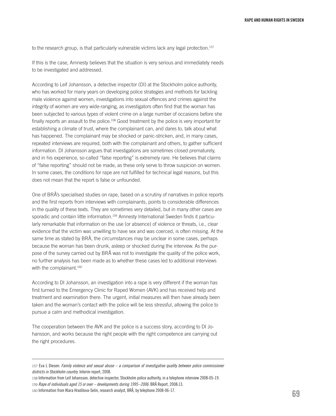to the research group, is that particularly vulnerable victims lack any legal protection.<sup>157</sup>

If this is the case, Amnesty believes that the situation is very serious and immediately needs to be investigated and addressed.

According to Leif Johansson, a detective inspector (DI) at the Stockholm police authority, who has worked for many years on developing police strategies and methods for tackling male violence against women, investigations into sexual offences and crimes against the integrity of women are very wide-ranging, as investigators often find that the woman has been subjected to various types of violent crime on a large number of occasions before she finally reports an assault to the police.<sup>158</sup> Good treatment by the police is very important for establishing a climate of trust, where the complainant can, and dares to, talk about what has happened. The complainant may be shocked or panic-stricken, and, in many cases, repeated interviews are required, both with the complainant and others, to gather sufficient information. DI Johansson argues that investigations are sometimes closed prematurely, and in his experience, so-called "false reporting" is extremely rare. He believes that claims of "false reporting" should not be made, as these only serve to throw suspicion on women. In some cases, the conditions for rape are not fulfilled for technical legal reasons, but this does not mean that the report is false or unfounded.

One of BRÅ's specialised studies on rape, based on a scrutiny of narratives in police reports and the first reports from interviews with complainants, points to considerable differences in the quality of these texts. They are sometimes very detailed, but in many other cases are sporadic and contain little information.159 Amnesty International Sweden finds it particularly remarkable that information on the use (or absence) of violence or threats, i.e., clear evidence that the victim was unwilling to have sex and was coerced, is often missing. At the same time as stated by BRÅ, the circumstances may be unclear in some cases, perhaps because the woman has been drunk, asleep or shocked during the interview. As the purpose of the survey carried out by BRÅ was not to investigate the quality of the police work, no further analysis has been made as to whether these cases led to additional interviews with the complainant.<sup>160</sup>

According to DI Johansson, an investigation into a rape is very different if the woman has first turned to the Emergency Clinic for Raped Women (AVK) and has received help and treatment and examination there. The urgent, initial measures will then have already been taken and the woman's contact with the police will be less stressful, allowing the police to pursue a calm and methodical investigation.

The cooperation between the AVK and the police is a success story, according to DI Johansson, and works because the right people with the right competence are carrying out the right procedures.

<sup>157</sup> Eva L Diesen: *Family violence and sexual abuse – a comparison of investigative quality between police commissioner districts in Stockholm country*. Interim report, 2008.

<sup>158</sup> Information from Leif Johansson, detective inspector, Stockholm police authority, in a telephone interview 2008-05-19. 159 *Rape of individuals aged 15 or over – developments during 1995–2006*. BRÅ Report, 2008:13.

<sup>160</sup> Information from Klara Hradilova-Selin, research analyst, BRÅ, by telephone 2008-06-17.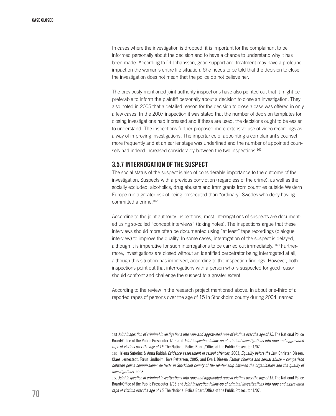In cases where the investigation is dropped, it is important for the complainant to be informed personally about the decision and to have a chance to understand why it has been made. According to DI Johansson, good support and treatment may have a profound impact on the woman's entire life situation. She needs to be told that the decision to close the investigation does not mean that the police do not believe her.

The previously mentioned joint authority inspections have also pointed out that it might be preferable to inform the plaintiff personally about a decision to close an investigation. They also noted in 2005 that a detailed reason for the decision to close a case was offered in only a few cases. In the 2007 inspection it was stated that the number of decision templates for closing investigations had increased and if these are used, the decisions ought to be easier to understand. The inspections further proposed more extensive use of video recordings as a way of improving investigations. The importance of appointing a complainant's counsel more frequently and at an earlier stage was underlined and the number of appointed counsels had indeed increased considerably between the two inspections.<sup>161</sup>

#### 3.5.7 Interrogation of the suspect

The social status of the suspect is also of considerable importance to the outcome of the investigation. Suspects with a previous conviction (regardless of the crime), as well as the socially excluded, alcoholics, drug abusers and immigrants from countries outside Western Europe run a greater risk of being prosecuted than "ordinary" Swedes who deny having committed a crime.162

According to the joint authority inspections, most interrogations of suspects are documented using so-called "concept interviews" (taking notes). The inspections argue that these interviews should more often be documented using "at least" tape recordings (dialogue interview) to improve the quality. In some cases, interrogation of the suspect is delayed, although it is imperative for such interrogations to be carried out immediately. 163 Furthermore, investigations are closed without an identified perpetrator being interrogated at all, although this situation has improved, according to the inspection findings. However, both inspections point out that interrogations with a person who is suspected for good reason should confront and challenge the suspect to a greater extent.

According to the review in the research project mentioned above. In about one-third of all reported rapes of persons over the age of 15 in Stockholm county during 2004, named

<sup>161</sup> *Joint inspection of criminal investigations into rape and aggravated rape of victims over the age of 15*. The National Police Board/Office of the Public Prosecutor 1/05 and *Joint inspection follow-up of criminal investigations into rape and aggravated rape of victims over the age of 15*. The National Police Board/Office of the Public Prosecutor 1/07.

<sup>162</sup> Helena Sutorius & Anna Kaldal: *Evidence assessment in sexual offences*, 2003, *Equality before the law*, Christan Diesen, Claes Lernestedt, Torun Lindholm, Tove Petterson, 2005, and Eva L Diesen: *Family violence and sexual abuse – comparison between police commissioner districts in Stockholm county of the relationship between the organisation and the quality of investigations*. 2008.

<sup>163</sup> *Joint inspection of criminal investigations into rape and aggravated rape of victims over the age of 15.*The National Police Board/Office of the Public Prosecutor 1/05 and *Joint inspection follow-up of criminal investigations into rape and aggravated rape of victims over the age of 15.* The National Police Board/Office of the Public Prosecutor 1/07.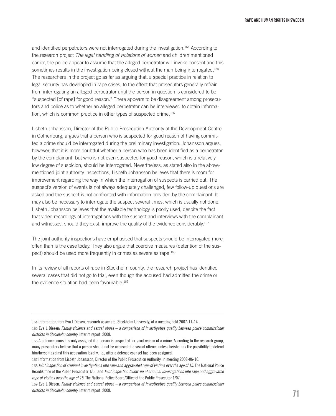and identified perpetrators were not interrogated during the investigation.164 According to the research project *The legal handling of violations of women* and children mentioned earlier, the police appear to assume that the alleged perpetrator will invoke consent and this sometimes results in the investigation being closed without the man being interrogated.<sup>165</sup> The researchers in the project go as far as arguing that, a special practice in relation to legal security has developed in rape cases, to the effect that prosecutors generally refrain from interrogating an alleged perpetrator until the person in question is considered to be "suspected [of rape] for good reason." There appears to be disagreement among prosecutors and police as to whether an alleged perpetrator can be interviewed to obtain information, which is common practice in other types of suspected crime.<sup>166</sup>

Lisbeth Johansson, Director of the Public Prosecution Authority at the Development Centre in Gothenburg, argues that a person who is suspected for good reason of having committed a crime should be interrogated during the preliminary investigation. Johansson argues, however, that it is more doubtful whether a person who has been identified as a perpetrator by the complainant, but who is not even suspected for good reason, which is a relatively low degree of suspicion, should be interrogated. Nevertheless, as stated also in the abovementioned joint authority inspections, Lisbeth Johansson believes that there is room for improvement regarding the way in which the interrogation of suspects is carried out. The suspect's version of events is not always adequately challenged, few follow-up questions are asked and the suspect is not confronted with information provided by the complainant. It may also be necessary to interrogate the suspect several times, which is usually not done. Lisbeth Johansson believes that the available technology is poorly used, despite the fact that video-recordings of interrogations with the suspect and interviews with the complainant and witnesses, should they exist, improve the quality of the evidence considerably.<sup>167</sup>

The joint authority inspections have emphasised that suspects should be interrogated more often than is the case today. They also argue that coercive measures (detention of the suspect) should be used more frequently in crimes as severe as rape.<sup>168</sup>

In its review of all reports of rape in Stockholm county, the research project has identified several cases that did not go to trial, even though the accused had admitted the crime or the evidence situation had been favourable.<sup>169</sup>

<sup>164</sup> Information from Eva L Diesen, research associate, Stockholm University, at a meeting held 2007-11-14.

<sup>165</sup> Eva L Diesen: *Family violence and sexual abuse – a comparison of investigative quality between police commissioner districts in Stockholm country*. Interim report, 2008.

<sup>166</sup> A defence counsel is only assigned if a person is suspected for good reason of a crime. According to the research group, many prosecutors believe that a person should not be accused of a sexual offence unless he/she has the possibility to defend him/herself against this accusation legally; i.e., after a defence counsel has been assigned.

<sup>167</sup> Information from Lisbeth Johansson, Director of the Public Prosecution Authority, in meeting 2008-06-16.

<sup>168</sup> *Joint inspection of criminal investigations into rape and aggravated rape of victims over the age of 15*. The National Police Board/Office of the Public Prosecutor 1/05 and *Joint inspection follow-up of criminal investigations into rape and aggravated rape of victims over the age of 15*. The National Police Board/Office of the Public Prosecutor 1/07.

<sup>169</sup> Eva L Diesen: *Family violence and sexual abuse – a comparison of investigative quality between police commissioner districts in Stockholm country*. Interim report, 2008.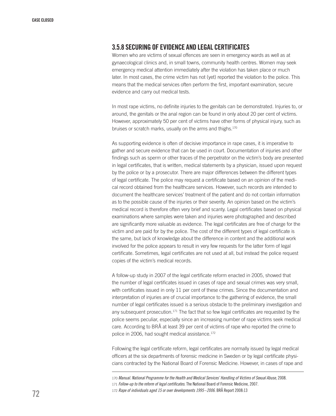#### 3.5.8 Securing of evidence and legal certificates

Women who are victims of sexual offences are seen in emergency wards as well as at gynaecological clinics and, in small towns, community health centres. Women may seek emergency medical attention immediately after the violation has taken place or much later. In most cases, the crime victim has not (yet) reported the violation to the police. This means that the medical services often perform the first, important examination, secure evidence and carry out medical tests.

In most rape victims, no definite injuries to the genitals can be demonstrated. Injuries to, or around, the genitals or the anal region can be found in only about 20 per cent of victims. However, approximately 50 per cent of victims have other forms of physical injury, such as bruises or scratch marks, usually on the arms and thighs.<sup>170</sup>

As supporting evidence is often of decisive importance in rape cases, it is imperative to gather and secure evidence that can be used in court. Documentation of injuries and other findings such as sperm or other traces of the perpetrator on the victim's body are presented in legal certificates, that is written, medical statements by a physician, issued upon request by the police or by a prosecutor. There are major differences between the different types of legal certificate. The police may request a certificate based on an opinion of the medical record obtained from the healthcare services. However, such records are intended to document the healthcare services' treatment of the patient and do not contain information as to the possible cause of the injuries or their severity. An opinion based on the victim's medical record is therefore often very brief and scanty. Legal certificates based on physical examinations where samples were taken and injuries were photographed and described are significantly more valuable as evidence. The legal certificates are free of charge for the victim and are paid for by the police. The cost of the different types of legal certificate is the same, but lack of knowledge about the difference in content and the additional work involved for the police appears to result in very few requests for the latter form of legal certificate. Sometimes, legal certificates are not used at all, but instead the police request copies of the victim's medical records.

A follow-up study in 2007 of the legal certificate reform enacted in 2005, showed that the number of legal certificates issued in cases of rape and sexual crimes was very small, with certificates issued in only 11 per cent of these crimes. Since the documentation and interpretation of injuries are of crucial importance to the gathering of evidence, the small number of legal certificates issued is a serious obstacle to the preliminary investigation and any subsequent prosecution.<sup>171</sup> The fact that so few legal certificates are requested by the police seems peculiar, especially since an increasing number of rape victims seek medical care. According to BRÅ at least 39 per cent of victims of rape who reported the crime to police in 2006, had sought medical assistance.<sup>172</sup>

Following the legal certificate reform, legal certificates are normally issued by legal medical officers at the six departments of forensic medicine in Sweden or by legal certificate physicians contracted by the National Board of Forensic Medicine. However, in cases of rape and

<sup>170</sup> *Manual. National Programme for the Health and Medical Services' Handling of Victims of Sexual Abuse*, 2008. 171 *Follow-up to the reform of legal certificates*. The National Board of Forensic Medicine, 2007. 172 *Rape of individuals aged 15 or over developments 1995–2006*. BRÅ Report 2008:13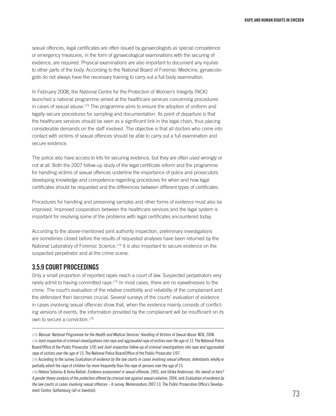sexual offences, legal certificates are often issued by gynaecologists as special competence or emergency measures, in the form of gynaecological examinations with the securing of evidence, are required. Physical examinations are also important to document any injuries to other parts of the body. According to the National Board of Forensic Medicine, gynaecologists do not always have the necessary training to carry out a full body examination.

In February 2008, the National Centre for the Protection of Women's Integrity (NCK) launched a national programme aimed at the healthcare services concerning procedures in cases of sexual abuse.173 The programme aims to ensure the adoption of uniform and legally secure procedures for sampling and documentation. Its point of departure is that the healthcare services should be seen as a significant link in the legal chain, thus placing considerable demands on the staff involved. The objective is that all doctors who come into contact with victims of sexual offences should be able to carry out a full examination and secure evidence.

The police also have access to kits for securing evidence, but they are often used wrongly or not at all. Both the 2007 follow-up study of the legal certificate reform and the programme for handling victims of sexual offences underline the importance of police and prosecutors developing knowledge and competence regarding procedures for when and how legal certificates should be requested and the differences between different types of certificates.

Procedures for handling and preserving samples and other forms of evidence must also be improved. Improved cooperation between the healthcare services and the legal system is important for resolving some of the problems with legal certificates encountered today.

According to the above-mentioned joint authority inspection, preliminary investigations are sometimes closed before the results of requested analyses have been returned by the National Laboratory of Forensic Science.<sup>174</sup> It is also important to secure evidence on the suspected perpetrator and at the crime scene.

# 3.5.9 Court proceedings

Only a small proportion of reported rapes reach a court of law. Suspected perpetrators very rarely admit to having committed rape.<sup>175</sup> In most cases, there are no eyewitnesses to the crime. The court's evaluation of the relative credibility and reliability of the complainant and the defendant then becomes crucial. Several surveys of the courts' evaluation of evidence in cases involving sexual offences show that, when the evidence mainly consists of conflicting versions of events, the information provided by the complainant will be insufficient on its own to secure a conviction.176

<sup>173</sup> *Manual. National Programme for the Health and Medical Services' Handling of Victims of Sexual Abuse*. NCK, 2008. 174 *Joint inspection of criminal investigations into rape and aggravated rape of victims over the age of 15*. The National Police Board/Office of the Public Prosecutor 1/05 and *Joint inspection follow-up of criminal investigations into rape and aggravated rape of victims over the age of 15*. The National Police Board/Office of the Public Prosecutor 1/07.

<sup>175</sup> According to the survey *Evaluation of evidence by the law courts in cases involving sexual offences*, defendants wholly or partially admit the rape of children far more frequently than the rape of persons over the age of 15.

<sup>176</sup> Helena Sutorius & Anna Kaldal: *Evidence assessment in sexual offence*s, 2003, and Ulrika Andersson: *His (word) or hers? A gender theory analysis of the protection offered by criminal law against sexual violation*, 2004, and *Evaluation of evidence by the law courts in cases involving sexual offences* – A survey, Memorandum 2007:13, The Public Prosecution Office's Development Centre, Gothenburg (all in Swedish).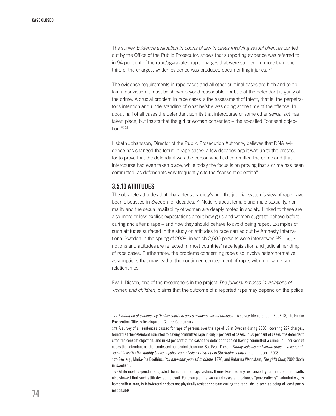The survey *Evidence evaluation in courts of law in cases involving sexual offences* carried out by the Office of the Public Prosecutor, shows that supporting evidence was referred to in 94 per cent of the rape/aggravated rape charges that were studied. In more than one third of the charges, written evidence was produced documenting injuries.<sup>177</sup>

The evidence requirements in rape cases and all other criminal cases are high and to obtain a conviction it must be shown beyond reasonable doubt that the defendant is guilty of the crime. A crucial problem in rape cases is the assessment of intent, that is, the perpetrator's intention and understanding of what he/she was doing at the time of the offence. In about half of all cases the defendant admits that intercourse or some other sexual act has taken place, but insists that the girl or woman consented – the so-called "consent objection."178

Lisbeth Johansson, Director of the Public Prosecution Authority, believes that DNA evidence has changed the focus in rape cases: a few decades ago it was up to the prosecutor to prove that the defendant was the person who had committed the crime and that intercourse had even taken place, while today the focus is on proving that a crime has been committed, as defendants very frequently cite the "consent objection".

# 3.5.10 Attitudes

The obsolete attitudes that characterise society's and the judicial system's view of rape have been discussed in Sweden for decades.179 Notions about female and male sexuality, normality and the sexual availability of women are deeply rooted in society. Linked to these are also more or less explicit expectations about how girls and women ought to behave before, during and after a rape – and how they should behave to avoid being raped. Examples of such attitudes surfaced in the study on attitudes to rape carried out by Amnesty International Sweden in the spring of 2008, in which 2,600 persons were interviewed.<sup>180</sup> These notions and attitudes are reflected in most countries' rape legislation and judicial handing of rape cases. Furthermore, the problems concerning rape also involve heteronormative assumptions that may lead to the continued concealment of rapes within in same-sex relationships.

Eva L Diesen, one of the researchers in the project *The judicial process in violations of women and children*, claims that the outcome of a reported rape may depend on the police

<sup>177</sup> *Evaluation of evidence by the law courts in cases involving sexual offences* – A survey, Memorandum 2007:13, The Public Prosecution Office's Development Centre, Gothenburg.

<sup>178</sup> A survey of all sentences passed for rape of persons over the age of 15 in Sweden during 2006 , covering 297 charges, found that the defendant admitted to having committed rape in only 2 per cent of cases. In 50 per cent of cases, the defendant cited the consent objection, and in 43 per cent of the cases the defendant denied having committed a crime. In 5 per cent of cases the defendant neither confessed nor denied the crime. See Eva L Diesen: *Family violence and sexual abuse – a comparison of investigative quality between police commissioner districts in Stockholm country*. Interim report, 2008.

<sup>179</sup> See, e.g., Maria-Pia Boëthius, *You have only yourself to blame*, 1976, and Katarina Wennstam, *The girl's fault*, 2002 (both in Swedish).

<sup>180</sup> While most respondents rejected the notion that rape victims themselves had any responsibility for the rape, the results also showed that such attitudes still prevail. For example, if a woman dresses and behaves "provocatively", voluntarily goes home with a man, is intoxicated or does not physically resist or scream during the rape, she is seen as being at least partly responsible.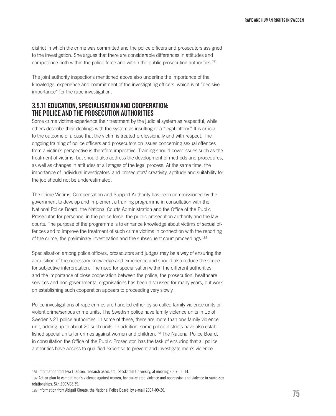district in which the crime was committed and the police officers and prosecutors assigned to the investigation. She argues that there are considerable differences in attitudes and competence both within the police force and within the public prosecution authorities.<sup>181</sup>

The joint authority inspections mentioned above also underline the importance of the knowledge, experience and commitment of the investigating officers, which is of "decisive importance" for the rape investigation.

# 3.5.11 Education, specialisation and cooperation: the police and the prosecution authorities

Some crime victims experience their treatment by the judicial system as respectful, while others describe their dealings with the system as insulting or a "legal lottery." It is crucial to the outcome of a case that the victim is treated professionally and with respect. The ongoing training of police officers and prosecutors on issues concerning sexual offences from a victim's perspective is therefore imperative. Training should cover issues such as the treatment of victims, but should also address the development of methods and procedures, as well as changes in attitudes at all stages of the legal process. At the same time, the importance of individual investigators' and prosecutors' creativity, aptitude and suitability for the job should not be underestimated.

The Crime Victims' Compensation and Support Authority has been commissioned by the government to develop and implement a training programme in consultation with the National Police Board, the National Courts Administration and the Office of the Public Prosecutor, for personnel in the police force, the public prosecution authority and the law courts. The purpose of the programme is to enhance knowledge about victims of sexual offences and to improve the treatment of such crime victims in connection with the reporting of the crime, the preliminary investigation and the subsequent court proceedings.182

Specialisation among police officers, prosecutors and judges may be a way of ensuring the acquisition of the necessary knowledge and experience and should also reduce the scope for subjective interpretation. The need for specialisation within the different authorities and the importance of close cooperation between the police, the prosecution, healthcare services and non-governmental organisations has been discussed for many years, but work on establishing such cooperation appears to proceeding very slowly.

Police investigations of rape crimes are handled either by so-called family violence units or violent crime/serious crime units. The Swedish police have family violence units in 15 of Sweden's 21 police authorities. In some of these, there are more than one family violence unit, adding up to about 20 such units. In addition, some police districts have also established special units for crimes against women and children.183 The National Police Board, in consultation the Office of the Public Prosecutor, has the task of ensuring that all police authorities have access to qualified expertise to prevent and investigate men's violence

<sup>181</sup> Information from Eva L Diesen, research associate , Stockholm University, at meeting 2007-11-14.

<sup>182</sup> Action plan to combat men's violence against women, honour-related violence and oppression and violence in same-sex relationships. Skr. 2007/08:39.

<sup>183</sup> Information from Abigail Choate, the National Police Board, by e-mail 2007-09-20.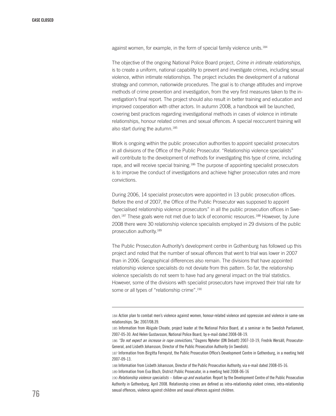against women, for example, in the form of special family violence units.<sup>184</sup>

The objective of the ongoing National Police Board project, *Crime in intimate relationships*, is to create a uniform, national capability to prevent and investigate crimes, including sexual violence, within intimate relationships. The project includes the development of a national strategy and common, nationwide procedures. The goal is to change attitudes and improve methods of crime prevention and investigation, from the very first measures taken to the investigation's final report. The project should also result in better training and education and improved cooperation with other actors. In autumn 2008, a handbook will be launched, covering best practices regarding investigational methods in cases of violence in intimate relationships, honour related crimes and sexual offences. A special reoccurent training will also start during the autumn.<sup>185</sup>

Work is ongoing within the public prosecution authorities to appoint specialist prosecutors in all divisions of the Office of the Public Prosecutor. "Relationship violence specialists" will contribute to the development of methods for investigating this type of crime, including rape, and will receive special training.186 The purpose of appointing specialist prosecutors is to improve the conduct of investigations and achieve higher prosecution rates and more convictions.

During 2006, 14 specialist prosecutors were appointed in 13 public prosecution offices. Before the end of 2007, the Office of the Public Prosecutor was supposed to appoint "specialised relationship violence prosecutors" in all the public prosecution offices in Sweden.<sup>187</sup> These goals were not met due to lack of economic resources.<sup>188</sup> However, by June 2008 there were 30 relationship violence specialists employed in 29 divisions of the public prosecution authority.189

The Public Prosecution Authority's development centre in Gothenburg has followed up this project and noted that the number of sexual offences that went to trial was lower in 2007 than in 2006. Geographical differences also remain. The divisions that have appointed relationship violence specialists do not deviate from this pattern. So far, the relationship violence specialists do not seem to have had any general impact on the trial statistics. However, some of the divisions with specialist prosecutors have improved their trial rate for some or all types of "relationship crime".<sup>190</sup>

189 Information from Eva Bloch, District Public Prosecutor, in a meeting held 2008-06-16

190 *Relationship violence specialists – follow-up and evaluation*. Report by the Development Centre of the Public Prosecution Authority in Gothenburg, April 2008. Relationship crimes are defined as intra-relationship violent crimes, intra-relationship sexual offences, violence against children and sexual offences against children.

<sup>184</sup> Action plan to combat men's violence against women, honour-related violence and oppression and violence in same-sex relationships. Skr. 2007/08:39.

<sup>185</sup> Information from Abigale Choate, project leader at the National Police Board, at a seminar in the Swedish Parliament, 2007-05-30. And Helen Gustavsson, National Police Board, by e-mail dated 2008-08-19.

<sup>186</sup> *"Do not expect an increase in rape convictions,"* Dagens Nyheter (DN Debatt) 2007-10-19, Fredrik Wersäll, Prosecutor-General, and Lisbeth Johansson, Director of the Public Prosecution Authority (in Swedish).

<sup>187</sup> Information from Birgitta Fernqvist, the Public Prosecution Office's Development Centre in Gothenburg, in a meeting held 2007-09-13.

<sup>188</sup> Information from Lisbeth Johansson, Director of the Public Prosecution Authority, via e-mail dated 2008-05-16.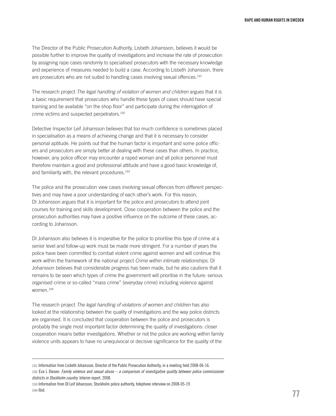The Director of the Public Prosecution Authority, Lisbeth Johansson, believes it would be possible further to improve the quality of investigations and increase the rate of prosecution by assigning rape cases randomly to specialised prosecutors with the necessary knowledge and experience of measures needed to build a case. According to Lisbeth Johansson, there are prosecutors who are not suited to handling cases involving sexual offences.<sup>191</sup>

The research project *The legal handling of violation of women and children* argues that it is a basic requirement that prosecutors who handle these types of cases should have special training and be available "on the shop floor" and participate during the interrogation of crime victims and suspected perpetrators.192

Detective Inspector Leif Johansson believes that too much confidence is sometimes placed in specialisation as a means of achieving change and that it is necessary to consider personal aptitude. He points out that the human factor is important and some police officers and prosecutors are simply better at dealing with these cases than others. In practice, however, any police officer may encounter a raped woman and all police personnel must therefore maintain a good and professional attitude and have a good basic knowledge of, and familiarity with, the relevant procedures.<sup>193</sup>

The police and the prosecution view cases involving sexual offences from different perspectives and may have a poor understanding of each other's work. For this reason, DI Johansson argues that it is important for the police and prosecutors to attend joint courses for training and skills development. Close cooperation between the police and the prosecution authorities may have a positive influence on the outcome of these cases, according to Johansson.

DI Johansson also believes it is imperative for the police to prioritise this type of crime at a senior level and follow-up work must be made more stringent. For a number of years the police have been committed to combat violent crime against women and will continue this work within the framework of the national project *Crime within intimate relationships*. DI Johansson believes that considerable progress has been made, but he also cautions that it remains to be seen which types of crime the government will prioritise in the future: serious organised crime or so-called "mass crime" (everyday crime) including violence against women.194

The research project *The legal handling of violations of women and children* has also looked at the relationship between the quality of investigations and the way police districts are organised. It is concluded that cooperation between the police and prosecutors is probably the single most important factor determining the quality of investigations: closer cooperation means better investigations. Whether or not the police are working within family violence units appears to have no unequivocal or decisive significance for the quality of the

<sup>191</sup> Information from Lisbeth Johansson, Director of the Public Prosecution Authority, in a meeting held 2008-06-16.

<sup>192</sup> Eva L Diesen: *Family violence and sexual abuse – a comparison of investigative quality between police commissioner districts in Stockholm country*. Interim report, 2008.

<sup>193</sup> Information from DI Leif Johansson, Stockholm police authority, telephone interview on 2008-05-19. 194 Ibid.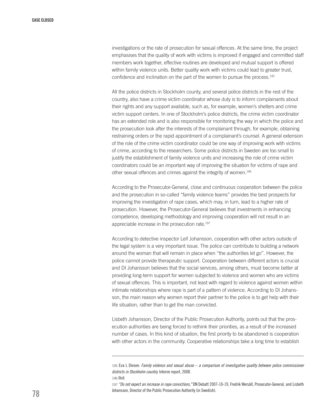investigations or the rate of prosecution for sexual offences. At the same time, the project emphasises that the quality of work with victims is improved if engaged and committed staff members work together, effective routines are developed and mutual support is offered within family violence units. Better quality work with victims could lead to greater trust, confidence and inclination on the part of the women to pursue the process.195

All the police districts in Stockholm county, and several police districts in the rest of the country, also have a crime victim coordinator whose duty is to inform complainants about their rights and any support available, such as, for example, women's shelters and crime victim support centers. In one of Stockholm's police districts, the crime victim coordinator has an extended role and is also responsible for monitoring the way in which the police and the prosecution look after the interests of the complainant through, for example, obtaining restraining orders or the rapid appointment of a complainant's counsel. A general extension of the role of the crime victim coordinator could be one way of improving work with victims of crime, according to the researchers. Some police districts in Sweden are too small to justify the establishment of family violence units and increasing the role of crime victim coordinators could be an important way of improving the situation for victims of rape and other sexual offences and crimes against the integrity of women.196

According to the Prosecutor-General, close and continuous cooperation between the police and the prosecution in so-called "family violence teams" provides the best prospects for improving the investigation of rape cases, which may, in turn, lead to a higher rate of prosecution. However, the Prosecutor-General believes that investments in enhancing competence, developing methodology and improving cooperation will not result in an appreciable increase in the prosecution rate.<sup>197</sup>

According to detective inspector Leif Johansson, cooperation with other actors outside of the legal system is a very important issue. The police can contribute to building a network around the woman that will remain in place when "the authorities let go". However, the police cannot provide therapeutic support. Cooperation between different actors is crucial and DI Johansson believes that the social services, among others, must become better at providing long-term support for women subjected to violence and women who are victims of sexual offences. This is important, not least with regard to violence against women within intimate relationships where rape is part of a pattern of violence. According to DI Johansson, the main reason why women report their partner to the police is to get help with their life situation, rather than to get the man convicted.

Lisbeth Johansson, Director of the Public Prosecution Authority, points out that the prosecution authorities are being forced to rethink their priorities, as a result of the increased number of cases. In this kind of situation, the first priority to be abandoned is cooperation with other actors in the community. Cooperative relationships take a long time to establish

<sup>195</sup> Eva L Diesen: *Family violence and sexual abuse – a comparison of investigative quality between police commissioner districts in Stockholm country.* Interim report, 2008.

<sup>196</sup> Ibid.

<sup>197</sup> *"Do not expect an increase in rape convictions,"* DN Debatt 2007-10-19, Fredrik Wersäll, Prosecutor-General, and Lisbeth Johansson, Director of the Public Prosecution Authority (in Swedish).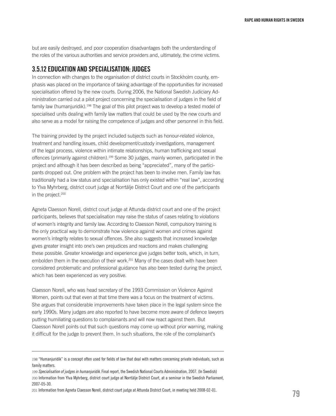but are easily destroyed, and poor cooperation disadvantages both the understanding of the roles of the various authorities and service providers and, ultimately, the crime victims.

# 3.5.12 Education and specialisation: judges

In connection with changes to the organisation of district courts in Stockholm county, emphasis was placed on the importance of taking advantage of the opportunities for increased specialisation offered by the new courts. During 2006, the National Swedish Judiciary Administration carried out a pilot project concerning the specialisation of judges in the field of family law (humanjuridik).<sup>198</sup> The goal of this pilot project was to develop a tested model of specialised units dealing with family law matters that could be used by the new courts and also serve as a model for raising the competence of judges and other personnel in this field.

The training provided by the project included subjects such as honour-related violence, treatment and handling issues, child development/custody investigations, management of the legal process, violence within intimate relationships, human trafficking and sexual offences (primarily against children).199 Some 30 judges, mainly women, participated in the project and although it has been described as being "appreciated", many of the participants dropped out. One problem with the project has been to involve men. Family law has traditionally had a low status and specialisation has only existed within "real law", according to Ylva Myhrberg, district court judge at Norrtälje District Court and one of the participants in the project.<sup>200</sup>

Agneta Claesson Norell, district court judge at Attunda district court and one of the project participants, believes that specialisation may raise the status of cases relating to violations of women's integrity and family law. According to Claesson Norell, compulsory training is the only practical way to demonstrate how violence against women and crimes against women's integrity relates to sexual offences. She also suggests that increased knowledge gives greater insight into one's own prejudices and reactions and makes challenging these possible. Greater knowledge and experience give judges better tools, which, in turn, embolden them in the execution of their work.<sup>201</sup> Many of the cases dealt with have been considered problematic and professional guidance has also been tested during the project, which has been experienced as very positive.

Claesson Norell, who was head secretary of the 1993 Commission on Violence Against Women, points out that even at that time there was a focus on the treatment of victims. She argues that considerable improvements have taken place in the legal system since the early 1990s. Many judges are also reported to have become more aware of defence lawyers putting humiliating questions to complainants and will now react against them. But Claesson Norell points out that such questions may come up without prior warning, making it difficult for the judge to prevent them. In such situations, the role of the complainant's

<sup>198</sup> "Humanjuridik" is a concept often used for fields of law that deal with matters concerning private individuals, such as family matters.

<sup>199</sup> *Specialisation of judges in humanjuridik.*Final report, the Swedish National Courts Administration, 2007. (In Swedish) 200 Information from Ylva Myhrberg, district court judge at Norrtälje District Court, at a seminar in the Swedish Parliament, 2007-05-30.

<sup>201</sup> Information from Agneta Claesson Norell, district court judge at Attunda District Court, in meeting held 2008-02-01.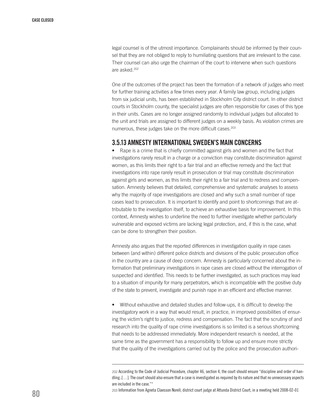legal counsel is of the utmost importance. Complainants should be informed by their counsel that they are not obliged to reply to humiliating questions that are irrelevant to the case. Their counsel can also urge the chairman of the court to intervene when such questions are asked.202

One of the outcomes of the project has been the formation of a network of judges who meet for further training activities a few times every year. A family law group, including judges from six judicial units, has been established in Stockholm City district court. In other district courts in Stockholm county, the specialist judges are often responsible for cases of this type in their units. Cases are no longer assigned randomly to individual judges but allocated to the unit and trials are assigned to different judges on a weekly basis. As violation crimes are numerous, these judges take on the more difficult cases.<sup>203</sup>

## 3.5.13 Amnesty International Sweden's main concerns

• Rape is a crime that is chiefly committed against girls and women and the fact that investigations rarely result in a charge or a conviction may constitute discrimination against women, as this limits their right to a fair trial and an effective remedy and the fact that investigations into rape rarely result in prosecution or trial may constitute discrimination against girls and women, as this limits their right to a fair trial and to redress and compensation. Amnesty believes that detailed, comprehensive and systematic analyses to assess why the majority of rape investigations are closed and why such a small number of rape cases lead to prosecution. It is important to identify and point to shortcomings that are attributable to the investigation itself, to achieve an exhaustive basis for improvement. In this context, Amnesty wishes to underline the need to further investigate whether particularly vulnerable and exposed victims are lacking legal protection, and, if this is the case, what can be done to strengthen their position.

Amnesty also argues that the reported differences in investigation quality in rape cases between (and within) different police districts and divisions of the public prosecution office in the country are a cause of deep concern. Amnesty is particularly concerned about the information that preliminary investigations in rape cases are closed without the interrogation of suspected and identified. This needs to be further investigated, as such practices may lead to a situation of impunity for many perpetrators, which is incompatible with the positive duty of the state to prevent, investigate and punish rape in an efficient and effective manner.

• Without exhaustive and detailed studies and follow-ups, it is difficult to develop the investigatory work in a way that would result, in practice, in improved possibilities of ensuring the victim's right to justice, redress and compensation. The fact that the scrutiny of and research into the quality of rape crime investigations is so limited is a serious shortcoming that needs to be addressed immediately. More independent research is needed, at the same time as the government has a responsibility to follow up and ensure more strictly that the quality of the investigations carried out by the police and the prosecution authori-

<sup>202</sup> According to the Code of Judicial Procedure, chapter 46, section 4, the court should ensure "discipline and order of handling..[…]. The court should also ensure that a case is investigated as required by its nature and that no unnecessary aspects are included in the case.""

<sup>203</sup> Information from Agneta Claesson Norell, district court judge at Attunda District Court, in a meeting held 2008-02-01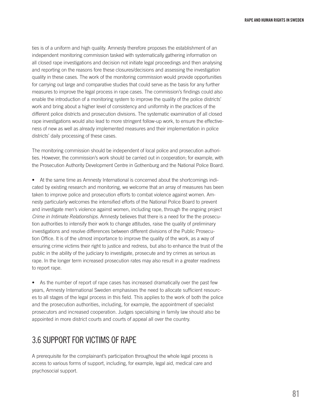ties is of a uniform and high quality. Amnesty therefore proposes the establishment of an independent monitoring commission tasked with systematically gathering information on all closed rape investigations and decision not initiate legal proceedings and then analysing and reporting on the reasons fore these closures/decisions and assessing the investigation quality in these cases. The work of the monitoring commission would provide opportunities for carrying out large and comparative studies that could serve as the basis for any further measures to improve the legal process in rape cases. The commission's findings could also enable the introduction of a monitoring system to improve the quality of the police districts' work and bring about a higher level of consistency and uniformity in the practices of the different police districts and prosecution divisions. The systematic examination of all closed rape investigations would also lead to more stringent follow-up work, to ensure the effectiveness of new as well as already implemented measures and their implementation in police districts' daily processing of these cases.

The monitoring commission should be independent of local police and prosecution authorities. However, the commission's work should be carried out in cooperation; for example, with the Prosecution Authority Development Centre in Gothenburg and the National Police Board.

• At the same time as Amnesty International is concerned about the shortcomings indicated by existing research and monitoring, we welcome that an array of measures has been taken to improve police and prosecution efforts to combat violence against women. Amnesty particularly welcomes the intensified efforts of the National Police Board to prevent and investigate men's violence against women, including rape, through the ongoing project *Crime in Intimate Relationships*. Amnesty believes that there is a need for the the prosecution authorities to intensify their work to change attitudes, raise the quality of preliminary investigations and resolve differences between different divisions of the Public Prosecution Office. It is of the utmost importance to improve the quality of the work, as a way of ensuring crime victims their right to justice and redress, but also to enhance the trust of the public in the ability of the judiciary to investigate, prosecute and try crimes as serious as rape. In the longer term increased prosecution rates may also result in a greater readiness to report rape.

• As the number of report of rape cases has increased dramatically over the past few years, Amnesty International Sweden emphasises the need to allocate sufficient resources to all stages of the legal process in this field. This applies to the work of both the police and the prosecution authorities, including, for example, the appointment of specialist prosecutors and increased cooperation. Judges specialising in family law should also be appointed in more district courts and courts of appeal all over the country.

# 3.6 SUPPORT FOR VICTIMS OF RAPE

A prerequisite for the complainant's participation throughout the whole legal process is access to various forms of support, including, for example, legal aid, medical care and psychosocial support.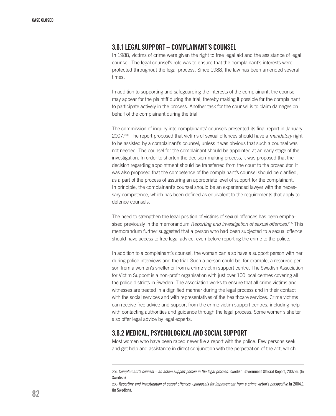## 3.6.1 Legal support – complainant's counsel

In 1988, victims of crime were given the right to free legal aid and the assistance of legal counsel. The legal counsel's role was to ensure that the complainant's interests were protected throughout the legal process. Since 1988, the law has been amended several times.

In addition to supporting and safeguarding the interests of the complainant, the counsel may appear for the plaintiff during the trial, thereby making it possible for the complainant to participate actively in the process. Another task for the counsel is to claim damages on behalf of the complainant during the trial.

The commission of inquiry into complainants' counsels presented its final report in January 2007.204 The report proposed that victims of sexual offences should have a *mandatory* right to be assisted by a complainant's counsel, unless it was obvious that such a counsel was not needed. The counsel for the complainant should be appointed at an early stage of the investigation. In order to shorten the decision-making process, it was proposed that the decision regarding appointment should be transferred from the court to the prosecutor. It was also proposed that the competence of the complainant's counsel should be clarified, as a part of the process of assuring an appropriate level of support for the complainant. In principle, the complainant's counsel should be an experienced lawyer with the necessary competence, which has been defined as equivalent to the requirements that apply to defence counsels.

The need to strengthen the legal position of victims of sexual offences has been emphasised previously in the memorandum *Reporting and investigation of sexual offences.*205 This memorandum further suggested that a person who had been subjected to a sexual offence should have access to free legal advice, even before reporting the crime to the police.

In addition to a complainant's counsel, the woman can also have a support person with her during police interviews and the trial. Such a person could be, for example, a resource person from a women's shelter or from a crime victim support centre. The Swedish Association for Victim Support is a non-profit organisation with just over 100 local centres covering all the police districts in Sweden. The association works to ensure that all crime victims and witnesses are treated in a dignified manner during the legal process and in their contact with the social services and with representatives of the healthcare services. Crime victims can receive free advice and support from the crime victim support centres, including help with contacting authorities and guidance through the legal process. Some women's shelter also offer legal advice by legal experts.

# 3.6.2 Medical, psychological and social support

Most women who have been raped never file a report with the police. Few persons seek and get help and assistance in direct conjunction with the perpetration of the act, which

<sup>204</sup> *Complainant's counsel – an active support person in the legal process*. Swedish Government Official Report, 2007:6. (In Swedish)

<sup>205</sup> *Reporting and investigation of sexual offences -.proposals for improvement from a crime victim's perspective* Ju 2004:1 (in Swedish).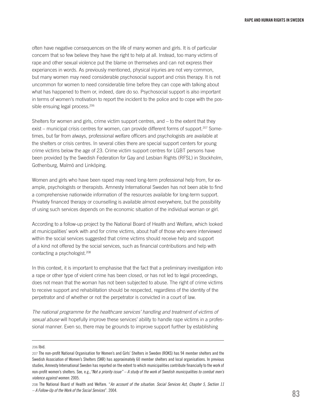often have negative consequences on the life of many women and girls. It is of particular concern that so few believe they have the right to help at all. Instead, too many victims of rape and other sexual violence put the blame on themselves and can not express their experiances in words. As previously mentioned, physical injuries are not very common, but many women may need considerable psychosocial support and crisis therapy. It is not uncommon for women to need considerable time before they can cope with talking about what has happened to them or, indeed, dare do so. Psychosocial support is also important in terms of women's motivation to report the incident to the police and to cope with the possible ensuing legal process.<sup>206</sup>

Shelters for women and girls, crime victim support centres, and – to the extent that they exist – municipal crisis centres for women, can provide different forms of support.<sup>207</sup> Sometimes, but far from always, professional welfare officers and psychologists are available at the shelters or crisis centres. In several cities there are special support centers for young crime victims below the age of 23. Crime victim support centres for LGBT persons have been provided by the Swedish Federation for Gay and Lesbian Rights (RFSL) in Stockholm, Gothenburg, Malmö and Linköping.

Women and girls who have been raped may need long-term professional help from, for example, psychologists or therapists. Amnesty International Sweden has not been able to find a comprehensive nationwide information of the resources available for long-term support. Privately financed therapy or counselling is available almost everywhere, but the possibility of using such services depends on the economic situation of the individual woman or girl.

According to a follow-up project by the National Board of Health and Welfare, which looked at municipalities' work with and for crime victims, about half of those who were interviewed within the social services suggested that crime victims should receive help and support of a kind not offered by the social services, such as financial contributions and help with contacting a psychologist.208

In this context, it is important to emphasise that the fact that a preliminary investigation into a rape or other type of violent crime has been closed, or has not led to legal proceedings, does not mean that the woman has not been subjected to abuse. The right of crime victims to receive support and rehabilitation should be respected, regardless of the identity of the perpetrator and of whether or not the perpetrator is convicted in a court of law.

*The national programme for the healthcare services' handling and treatment of victims of sexual abuse* will hopefully improve these services' ability to handle rape victims in a professional manner. Even so, there may be grounds to improve support further by establishing

206 Ibid.

<sup>207</sup> The non-profit National Organisation for Women's and Girls' Shelters in Sweden (ROKS) has 94 member shelters and the Swedish Association of Women's Shelters (SKR) has approximately 60 member shelters and local organisations. In previous studies, Amnesty International Sweden has reported on the extent to which municipalities contribute financially to the work of non-profit women's shelters. See, e.g.,*"Not a priority issue" – A study of the work of Swedish municipalities to combat men's violence against women.* 2005.

<sup>208</sup> The National Board of Health and Welfare. "*An account of the situation. Social Services Act, Chapter 5, Section 11 – A Follow-Up of the Work of the Social Services*". 2004.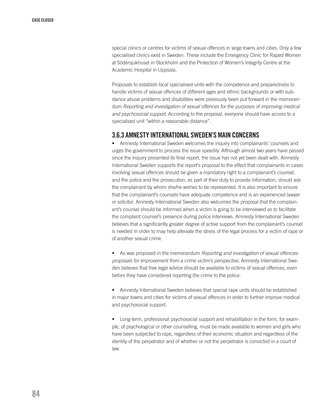special clinics or centres for victims of sexual offences in large towns and cities. Only a few specialised clinics exist in Sweden. These include the Emergency Clinic for Raped Women at Södersjukhuset in Stockholm and the Protection of Women's Integrity Centre at the Academic Hospital in Uppsala.

Proposals to establish local specialised units with the competence and preparedness to handle victims of sexual offences of different ages and ethnic backgrounds or with substance abuse problems and disabilities were previously been put forward in the memorandum *Reporting and investigation of sexual offences for the purposes of improving medical and psychosocial support.* According to the proposal, everyone should have access to a specialised unit "within a reasonable distance".

# 3.6.3 Amnesty International Sweden's main concerns

• Amnesty International Sweden welcomes the inquiry into complainants' counsels and urges the government to process the issue speedily. Although almost two years have passed since the inquiry presented its final report, the issue has not yet been dealt with. Amnesty International Sweden supports the report's proposal to the effect that complainants in cases involving sexual offences should be given a mandatory right to a complainant's counsel, and the police and the prosecution, as part of their duty to provide information, should ask the complainant by whom she/he wishes to be represented. It is also important to ensure that the complainant's counsels have adequate competence and is an experienced lawyer or solicitor. Amnesty International Sweden also welcomes the proposal that the complainant's counsel should be informed when a victim is going to be interviewed as to facilitate the complaint counsel's presence during police interviews. Amnesty International Sweden believes that a significantly greater degree of active support from the complainant's counsel is needed in order to may help alleviate the stress of the legal process for a victim of rape or of another sexual crime.

• As was proposed in the memorandum *Reporting and investigation of sexual offences: proposals for improvement from a crime victim's perspective*, Amnesty International Sweden believes that free legal advice should be available to victims of sexual offences, even before they have considered reporting the crime to the police.

• Amnesty International Sweden believes that special rape units should be established in major towns and cities for victims of sexual offences in order to further improve medical and psychosocial support.

• Long-term, professional psychosocial support and rehabilitation in the form, for example, of psychological or other counselling, must be made available to women and girls who have been subjected to rape, regardless of their economic situation and regardless of the identity of the perpetrator and of whether or not the perpetrator is convicted in a court of law.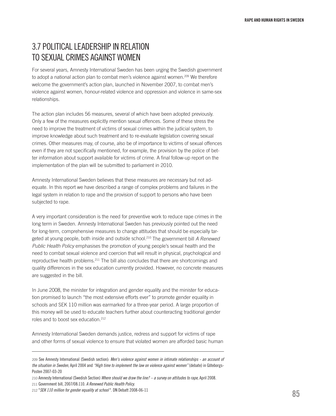# 3.7 POLITICAL LEADERSHIP IN RELATION TO SEXUAL CRIMES AGAINST WOMEN

For several years, Amnesty International Sweden has been urging the Swedish government to adopt a national action plan to combat men's violence against women.<sup>209</sup> We therefore welcome the government's action plan, launched in November 2007, to combat men's violence against women, honour-related violence and oppression and violence in same-sex relationships.

The action plan includes 56 measures, several of which have been adopted previously. Only a few of the measures explicitly mention sexual offences. Some of these stress the need to improve the treatment of victims of sexual crimes within the judicial system, to improve knowledge about such treatment and to re-evaluate legislation covering sexual crimes. Other measures may, of course, also be of importance to victims of sexual offences even if they are not specifically mentioned, for example, the provision by the police of better information about support available for victims of crime. A final follow-up report on the implementation of the plan will be submitted to parliament in 2010.

Amnesty International Sweden believes that these measures are necessary but not adequate. In this report we have described a range of complex problems and failures in the legal system in relation to rape and the provision of support to persons who have been subjected to rape.

A very important consideration is the need for preventive work to reduce rape crimes in the long term in Sweden. Amnesty International Sweden has previously pointed out the need for long-term, comprehensive measures to change attitudes that should be especially targeted at young people, both inside and outside school.210 The government bill *A Renewed Public Health Policy* emphasises the promotion of young people's sexual health and the need to combat sexual violence and coercion that will result in physical, psychological and reproductive health problems.211 The bill also concludes that there are shortcomings and quality differences in the sex education currently provided. However, no concrete measures are suggested in the bill.

In June 2008, the minister for integration and gender equality and the minister for education promised to launch "the most extensive efforts ever" to promote gender equality in schools and SEK 110 million was earmarked for a three-year period. A large proportion of this money will be used to educate teachers further about counteracting traditional gender roles and to boost sex education.212

Amnesty International Sweden demands justice, redress and support for victims of rape and other forms of sexual violence to ensure that violated women are afforded basic human

<sup>209</sup> See Amnesty International (Swedish section): *Men's violence against women in intimate relationships - an account of the situation in Sweden*, April 2004 and *"High time to implement the law on violence against women"* (debate) in Göteborgs-Posten 2007-03-20

<sup>210</sup> Amnesty International (Swedish Section) *Where should we draw the line? – a survey on attitudes to rape*, April 2008.

<sup>211</sup> Government bill, 2007/08:110. *A Renewed Public Health Policy*.

<sup>212</sup> "*SEK 110 million for gender equality at school* ". DN Debatt 2008-06-11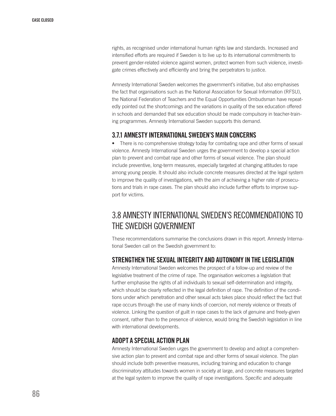rights, as recognised under international human rights law and standards. Increased and intensified efforts are required if Sweden is to live up to its international commitments to prevent gender-related violence against women, protect women from such violence, investigate crimes effectively and efficiently and bring the perpetrators to justice.

Amnesty International Sweden welcomes the government's initiative, but also emphasises the fact that organisations such as the National Association for Sexual Information (RFSU), the National Federation of Teachers and the Equal Opportunities Ombudsman have repeatedly pointed out the shortcomings and the variations in quality of the sex education offered in schools and demanded that sex education should be made compulsory in teacher-training programmes. Amnesty International Sweden supports this demand.

# 3.7.1 Amnesty International Sweden'smain concerns

• There is no comprehensive strategy today for combating rape and other forms of sexual violence. Amnesty International Sweden urges the government to develop a special action plan to prevent and combat rape and other forms of sexual violence. The plan should include preventive, long-term measures, especially targeted at changing attitudes to rape among young people. It should also include concrete measures directed at the legal system to improve the quality of investigations, with the aim of achieving a higher rate of prosecutions and trials in rape cases. The plan should also include further efforts to improve support for victims.

# 3.8 AMNESTY INTERNATIONAL SWEDEN'S RECOMMENDATIONS TO THE SWEDISH GOVERNMENT

These recommendations summarise the conclusions drawn in this report. Amnesty International Sweden call on the Swedish government to:

# STRENGTHEN THE SEXUAL INTEGRITY AND AUTONOMY IN THE LEGISLATION

Amnesty International Sweden welcomes the prospect of a follow-up and review of the legislative treatment of the crime of rape. The organisation welcomes a legislation that further emphasise the rights of all individuals to sexual self-determination and integrity, which should be clearly reflected in the legal definition of rape. The definition of the conditions under which penetration and other sexual acts takes place should reflect the fact that rape occurs through the use of many kinds of coercion, not merely violence or threats of violence. Linking the question of guilt in rape cases to the lack of genuine and freely-given consent, rather than to the presence of violence, would bring the Swedish legislation in line with international developments.

# ADOPT A SPECIAL ACTION PLAN

Amnesty International Sweden urges the government to develop and adopt a comprehensive action plan to prevent and combat rape and other forms of sexual violence. The plan should include both preventive measures, including training and education to change discriminatory attitudes towards women in society at large, and concrete measures targeted at the legal system to improve the quality of rape investigations. Specific and adequate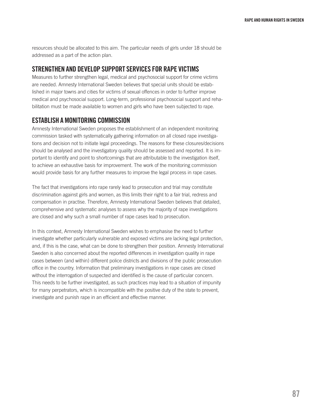resources should be allocated to this aim. The particular needs of girls under 18 should be addressed as a part of the action plan.

# STRENGTHEN AND DEVELOP SUPPORT SERVICES FOR RAPE VICTIMS

Measures to further strengthen legal, medical and psychosocial support for crime victims are needed. Amnesty International Sweden believes that special units should be established in major towns and cities for victims of sexual offences in order to further improve medical and psychosocial support. Long-term, professional psychosocial support and rehabilitation must be made available to women and girls who have been subjected to rape.

# ESTABLISH A MONITORING COMMISSION

Amnesty International Sweden proposes the establishment of an independent monitoring commission tasked with systematically gathering information on all closed rape investigations and decision not to initiate legal proceedings. The reasons for these closures/decisions should be analysed and the investigatory quality should be assessed and reported. It is important to identify and point to shortcomings that are attributable to the investigation itself, to achieve an exhaustive basis for improvement. The work of the monitoring commission would provide basis for any further measures to improve the legal process in rape cases.

The fact that investigations into rape rarely lead to prosecution and trial may constitute discrimination against girls and women, as this limits their right to a fair trial, redress and compensation in practise. Therefore, Amnesty International Sweden believes that detailed, comprehensive and systematic analyses to assess why the majority of rape investigations are closed and why such a small number of rape cases lead to prosecution.

In this context, Amnesty International Sweden wishes to emphasise the need to further investigate whether particularly vulnerable and exposed victims are lacking legal protection, and, if this is the case, what can be done to strengthen their position. Amnesty International Sweden is also concerned about the reported differences in investigation quality in rape cases between (and within) different police districts and divisions of the public prosecution office in the country. Information that preliminary investigations in rape cases are closed without the interrogation of suspected and identified is the cause of particular concern. This needs to be further investigated, as such practices may lead to a situation of impunity for many perpetrators, which is incompatible with the positive duty of the state to prevent, investigate and punish rape in an efficient and effective manner.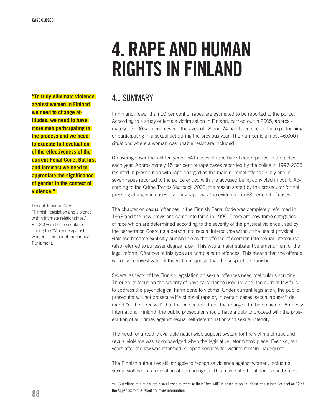# 4. Rape and human rights in Finland

**"To truly eliminate violence against women in Finland we need to change attitudes, we need to have more men participating in the process and we need to execute full evaluation of the effectiveness of the current Penal Code. But first and foremost we need to appreciate the significance of gender in the context of violence."** 

Docent Johanna Niemi: "Finnish legislation and violence within intimate relationships," 8.4.2008 in her presentation during the "Violence against women" seminar at the Finnish Parliament.

# 4.1 Summary

In Finland, fewer than 10 per cent of rapes are estimated to be reported to the police. According to a study of female victimisation in Finland, carried out in 2005, approximately 15,000 women between the ages of 18 and 74 had been coerced into performing or participating in a sexual act during the previous year. The number is almost 46,000 if situations where a woman was unable resist are included.

On average over the last ten years, 541 cases of rape have been reported to the police each year. Approximately 15 per cent of rape cases recorded by the police in 1997-2005 resulted in prosecution with rape charged as the main criminal offence. Only one in seven rapes reported to the police ended with the accused being convicted in court. According to the Crime Trends Yearbook 2006, the reason stated by the prosecutor for not pressing charges in cases involving rape was "no evidence" in 88 per cent of cases.

The chapter on sexual offences in the Finnish Penal Code was completely reformed in 1998 and the new provisions came into force in 1999. There are now three categories of rape which are determined according to the severity of the physical violence used by the perpetrator. Coercing a person into sexual intercourse without the use of physical violence became explicitly punishable as the offence of coercion into sexual intercourse (also referred to as lesser degree rape). This was a major substantive amendment of the legal reform. Offences of this type are complainant offences. This means that the offence will only be investigated if the victim requests that the suspect be punished.

Several aspects of the Finnish legislation on sexual offences need meticulous scrutiny. Through its focus on the severity of physical violence used in rape, the current law fails to address the psychological harm done to victims. Under current legislation, the public prosecutor will not prosecute if victims of rape or, in certain cases, sexual abuse $^{213}$  demand "of their free will" that the prosecutor drops the charges. In the opinion of Amnesty International Finland, the public prosecutor should have a duty to proceed with the prosecution of all crimes against sexual self-determination and sexual integrity.

The need for a readily available nationwide support system for the victims of rape and sexual violence was acknowledged when the legislative reform took place. Even so, ten years after the law was reformed, support services for victims remain inadequate.

The Finnish authorities still struggle to recognise violence against women, including sexual violence, as a violation of human rights. This makes it difficult for the authorities

213 Guardians of a minor are also allowed to exercise their "free will" in cases of sexual abuse of a minor. See section 12 of the Appendix to this report for more information.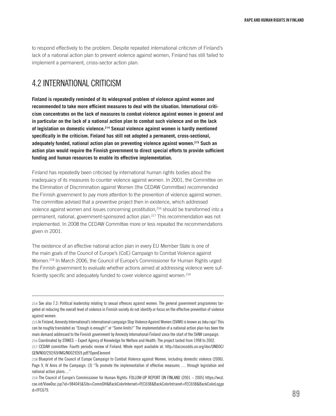to respond effectively to the problem. Despite repeated international criticism of Finland's lack of a national action plan to prevent violence against women, Finland has still failed to implement a permanent, cross-sector action plan.

# 4.2 International criticism

**Finland is repeatedly reminded of its widespread problem of violence against women and recommended to take more efficient measures to deal with the situation. International criticism concentrates on the lack of measures to combat violence against women in general and in particular on the lack of a national action plan to combat such violence and on the lack of legislation on domestic violence.214 Sexual violence against women is hardly mentioned specifically in the criticism. Finland has still not adopted a permanent, cross-sectional, adequately funded, national action plan on preventing violence against women.215 Such an action plan would require the Finnish government to direct special efforts to provide sufficient funding and human resources to enable its effective implementation.** 

Finland has repeatedly been criticised by international human rights bodies about the inadequacy of its measures to counter violence against women. In 2001, the Committee on the Elimination of Discrimination against Women (the CEDAW Committee) recommended the Finnish government to pay more attention to the prevention of violence against women. The committee advised that a preventive project then in existence, which addressed violence against women and issues concerning prostitution,216 should be transformed into a permanent, national, government-sponsored action plan.217 This recommendation was not implemented. In 2008 the CEDAW Committee more or less repeated the recommendations given in 2001.

The existence of an effective national action plan in every EU Member State is one of the main goals of the Council of Europe's (CoE) Campaign to Combat Violence against Women.218 In March 2006, the Council of Europe's Commissioner for Human Rights urged the Finnish government to evaluate whether actions aimed at addressing violence were sufficiently specific and adequately funded to cover violence against women.<sup>219</sup>

<sup>214</sup> See also 7.2: Political leadership relating to sexual offences against women. The general government programmes targeted at reducing the overall level of violence in Finnish society do not identify or focus on the effective prevention of violence against women.

<sup>215</sup> In Finland, Amnesty International's international campaign Stop Violence Against Women (SVAW) is known as Joku raja! This can be roughly translated as "Enough is enough!" or "Some limits!" The implementation of a national action plan has been the main demand addressed to the Finnish government by Amnesty International Finland since the start of the SVAW campaign. 216 Coordinated by STAKES – Expert Agency of Knowledge for Welfare and Health. The project lasted from 1998 to 2002.

<sup>217</sup> CEDAW committee: Fourth periodic review of Finland. Whole report available at: http://daccessdds.un.org/doc/UNDOC/ GEN/N00/292/69/IMG/N0029269.pdf?OpenElement

<sup>218</sup> Blueprint of the Council of Europe Campaign to Combat Violence against Women, including domestic violence (2006). Page 9, IV Aims of the Campaign: (3) "To promote the implementation of effective measures … through legislation and national action plans…"

<sup>219</sup> The Council of Europe's Commissioner for Human Rights: FOLLOW-UP REPORT ON FINLAND (2001 – 2005) https://wcd. coe.int/ViewDoc.jsp?id=984045&Site=CommDH&BackColorInternet=FEC65B&BackColorIntranet=FEC65B&BackColorLogge  $d =$ FFC679.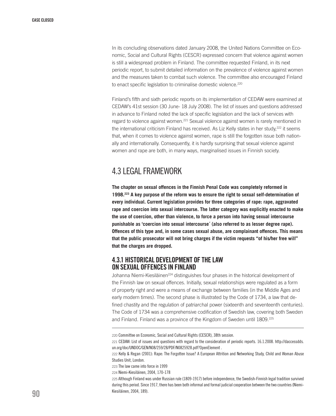In its concluding observations dated January 2008, the United Nations Committee on Economic, Social and Cultural Rights (CESCR) expressed concern that violence against women is still a widespread problem in Finland. The committee requested Finland, in its next periodic report, to submit detailed information on the prevalence of violence against women and the measures taken to combat such violence. The committee also encouraged Finland to enact specific legislation to criminalise domestic violence.<sup>220</sup>

Finland's fifth and sixth periodic reports on its implementation of CEDAW were examined at CEDAW's 41st session (30 June- 18 July 2008). The list of issues and questions addressed in advance to Finland noted the lack of specific legislation and the lack of services with regard to violence against women.<sup>221</sup> Sexual violence against women is rarely mentioned in the international criticism Finland has received. As Liz Kelly states in her study,<sup>222</sup> it seems that, when it comes to violence against women, rape is still the forgotten issue both nationally and internationally. Consequently, it is hardly surprising that sexual violence against women and rape are both, in many ways, marginalised issues in Finnish society.

# 4.3 Legal framework

**The chapter on sexual offences in the Finnish Penal Code was completely reformed in 1998.223 A key purpose of the reform was to ensure the right to sexual self-determination of every individual. Current legislation provides for three categories of rape: rape, aggravated rape and coercion into sexual intercourse. The latter category was explicitly enacted to make the use of coercion, other than violence, to force a person into having sexual intercourse punishable as 'coercion into sexual intercourse´ (also referred to as lesser degree rape). Offences of this type and, in some cases sexual abuse, are complainant offences. This means that the public prosecutor will not bring charges if the victim requests "of his/her free will" that the charges are dropped.**

# 4.3.1 Historical development of the law on sexual offences in Finland

Johanna Niemi-Kiesiläinen<sup>224</sup> distinguishes four phases in the historical development of the Finnish law on sexual offences. Initially, sexual relationships were regulated as a form of property right and were a means of exchange between families (in the Middle Ages and early modern times). The second phase is illustrated by the Code of 1734, a law that defined chastity and the regulation of patriarchal power (sixteenth and seventeenth centuries). The Code of 1734 was a comprehensive codification of Swedish law, covering both Sweden and Finland. Finland was a province of the Kingdom of Sweden until 1809.<sup>225</sup>

<sup>220</sup> Committee on Economic, Social and Cultural Rights (CESCR), 38th session.

<sup>221</sup> CEDAW: List of issues and questions with regard to the consideration of periodic reports. 16.1.2008. http://daccessdds. un.org/doc/UNDOC/GEN/N08/259/28/PDF/N0825928.pdf?OpenElement .

<sup>222</sup> Kelly & Regan (2001): Rape: The Forgotten Issue? A European Attrition and Networking Study, Child and Woman Abuse Studies Unit, London.

<sup>223</sup> The law came into force in 1999

<sup>224</sup> Niemi-Kiesiläinen, 2004, 170-178

<sup>225</sup> Although Finland was under Russian rule (1809-1917) before independence, the Swedish-Finnish legal tradition survived during this period. Since 1917, there has been both informal and formal judicial cooperation between the two countries (Niemi-Kiesiläinen, 2004, 189).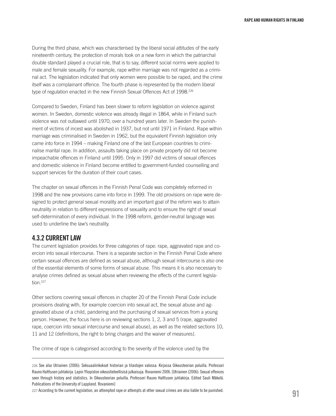During the third phase, which was characterised by the liberal social attitudes of the early nineteenth century, the protection of morals took on a new form in which the patriarchal double standard played a crucial role, that is to say, different social norms were applied to male and female sexuality. For example, rape within marriage was not regarded as a criminal act. The legislation indicated that only women were possible to be raped, and the crime itself was a complainant offence. The fourth phase is represented by the modern liberal type of regulation enacted in the new Finnish Sexual Offences Act of 1998.226

Compared to Sweden, Finland has been slower to reform legislation on violence against women. In Sweden, domestic violence was already illegal in 1864, while in Finland such violence was not outlawed until 1970, over a hundred years later. In Sweden the punishment of victims of incest was abolished in 1937, but not until 1971 in Finland. Rape within marriage was criminalised in Sweden in 1962, but the equivalent Finnish legislation only came into force in 1994 – making Finland one of the last European countries to criminalise marital rape. In addition, assaults taking place on private property did not become impeachable offences in Finland until 1995. Only in 1997 did victims of sexual offences and domestic violence in Finland become entitled to government-funded counselling and support services for the duration of their court cases.

The chapter on sexual offences in the Finnish Penal Code was completely reformed in 1998 and the new provisions came into force in 1999. The old provisions on rape were designed to protect general sexual morality and an important goal of the reform was to attain neutrality in relation to different expressions of sexuality and to ensure the right of sexual self-determination of every individual. In the 1998 reform, gender-neutral language was used to underline the law's neutrality.

# 4.3.2 Current Law

The current legislation provides for three categories of rape: rape, aggravated rape and coercion into sexual intercourse. There is a separate section in the Finnish Penal Code where certain sexual offences are defined as sexual abuse, although sexual intercourse is also one of the essential elements of some forms of sexual abuse. This means it is also necessary to analyse crimes defined as sexual abuse when reviewing the effects of the current legislation.227

Other sections covering sexual offences in chapter 20 of the Finnish Penal Code include provisions dealing with, for example coercion into sexual act, the sexual abuse and aggravated abuse of a child, pandering and the purchasing of sexual services from a young person. However, the focus here is on reviewing sections 1, 2, 3 and 5 (rape, aggravated rape, coercion into sexual intercourse and sexual abuse), as well as the related sections 10, 11 and 12 (definitions, the right to bring charges and the waiver of measures).

The crime of rape is categorised according to the severity of the violence used by the

227 According to the current legislation, an attempted rape or attempts at other sexual crimes are also liable to be punished.

<sup>226</sup> See also Utriainen (2006): Seksuaalirikokset historian ja tilastojen valossa. Kirjassa Oikeusteorian poluilla. Professori Rauno Halttusen juhlakirja. Lapin Yliopiston oikeustieteellisisä julkaisuja. Rovaniemi 2006. [Utriainen (2006): Sexual offences seen through history and statistics. In Oikeusteorian poluilla. Professori Rauno Halttusen juhlakirja. Edited Sauli Mäkelä. Publications of the University of Lappland. Rovaniemi]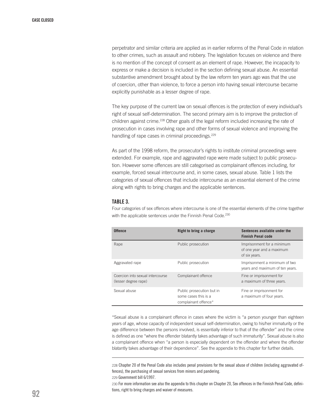perpetrator and similar criteria are applied as in earlier reforms of the Penal Code in relation to other crimes, such as assault and robbery. The legislation focuses on violence and there is no mention of the concept of consent as an element of rape. However, the incapacity to express or make a decision is included in the section defining sexual abuse. An essential substantive amendment brought about by the law reform ten years ago was that the use of coercion, other than violence, to force a person into having sexual intercourse became explicitly punishable as a lesser degree of rape.

The key purpose of the current law on sexual offences is the protection of every individual's right of sexual self-determination. The second primary aim is to improve the protection of children against crime.<sup>228</sup> Other goals of the legal reform included increasing the rate of prosecution in cases involving rape and other forms of sexual violence and improving the handling of rape cases in criminal proceedings.<sup>229</sup>

As part of the 1998 reform, the prosecutor's rights to institute criminal proceedings were extended. For example, rape and aggravated rape were made subject to public prosecution. However some offences are still categorised as complainant offences including, for example, forced sexual intercourse and, in some cases, sexual abuse. Table 1 lists the categories of sexual offences that include intercourse as an essential element of the crime along with rights to bring charges and the applicable sentences.

#### TABLE 3.

Four categories of sex offences where intercourse is one of the essential elements of the crime together with the applicable sentences under the Finnish Penal Code.<sup>230</sup>

| <b>Offence</b>                                           | Right to bring a charge                                                   | Sentences available under the<br><b>Finnish Penal code</b>               |
|----------------------------------------------------------|---------------------------------------------------------------------------|--------------------------------------------------------------------------|
| Rape                                                     | Public prosecution                                                        | Imprisonment for a minimum<br>of one year and a maximum<br>of six years. |
| Aggravated rape                                          | Public prosecution                                                        | Imprisonment a minimum of two<br>years and maximum of ten years.         |
| Coercion into sexual intercourse<br>(lesser degree rape) | Complainant offence                                                       | Fine or imprisonment for<br>a maximum of three years.                    |
| Sexual abuse                                             | Public prosecution but in<br>some cases this is a<br>complainant offence* | Fine or imprisonment for<br>a maximum of four years.                     |

\*Sexual abuse is a complainant offence in cases where the victim is "a person younger than eighteen years of age, whose capacity of independent sexual self-determination, owing to his/her immaturity or the age difference between the persons involved, is essentially inferior to that of the offender" and the crime is defined as one "where the offender blatantly takes advantage of such immaturity". Sexual abuse is also a complainant offence when "a person is especially dependent on the offender and where the offender blatantly takes advantage of their dependence". See the appendix to this chapter for further details.

228 Chapter 20 of the Penal Code also includes penal provisions for the sexual abuse of children (including aggravated offences), the purchasing of sexual services from minors and pandering. 229 Government bill 6/1997.

230 For more information see also the appendix to this chapter on Chapter 20, Sex offences in the Finnish Penal Code, definitions, right to bring charges and waiver of measures.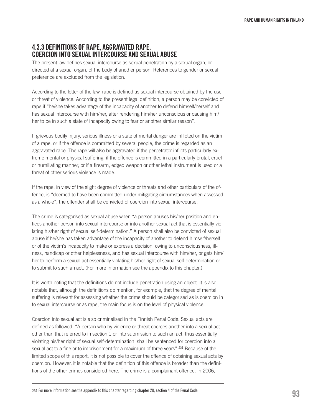# 4.3.3 Definitions of rape, aggravated rape, coercion into sexualintercourse and sexual abuse

The present law defines sexual intercourse as sexual penetration by a sexual organ, or directed at a sexual organ, of the body of another person. References to gender or sexual preference are excluded from the legislation.

According to the letter of the law, rape is defined as sexual intercourse obtained by the use or threat of violence. According to the present legal definition, a person may be convicted of rape if "he/she takes advantage of the incapacity of another to defend himself/herself and has sexual intercourse with him/her, after rendering him/her unconscious or causing him/ her to be in such a state of incapacity owing to fear or another similar reason".

If grievous bodily injury, serious illness or a state of mortal danger are inflicted on the victim of a rape, or if the offence is committed by several people, the crime is regarded as an aggravated rape. The rape will also be aggravated if the perpetrator inflicts particularly extreme mental or physical suffering, if the offence is committed in a particularly brutal, cruel or humiliating manner, or if a firearm, edged weapon or other lethal instrument is used or a threat of other serious violence is made.

If the rape, in view of the slight degree of violence or threats and other particulars of the offence, is "deemed to have been committed under mitigating circumstances when assessed as a whole", the offender shall be convicted of coercion into sexual intercourse.

The crime is categorised as sexual abuse when "a person abuses his/her position and entices another person into sexual intercourse or into another sexual act that is essentially violating his/her right of sexual self-determination." A person shall also be convicted of sexual abuse if he/she has taken advantage of the incapacity of another to defend himself/herself or of the victim's incapacity to make or express a decision, owing to unconsciousness, illness, handicap or other helplessness, and has sexual intercourse with him/her, or gets him/ her to perform a sexual act essentially violating his/her right of sexual self-determination or to submit to such an act. (For more information see the appendix to this chapter.)

It is worth noting that the definitions do not include penetration using an object. It is also notable that, although the definitions do mention, for example, that the degree of mental suffering is relevant for assessing whether the crime should be categorised as is coercion in to sexual intercourse or as rape, the main focus is on the level of physical violence.

Coercion into sexual act is also criminalised in the Finnish Penal Code. Sexual acts are defined as followed: "A person who by violence or threat coerces another into a sexual act other than that referred to in section 1 or into submission to such an act, thus essentially violating his/her right of sexual self-determination, shall be sentenced for coercion into a sexual act to a fine or to imprisonment for a maximum of three years".231 Because of the limited scope of this report, it is not possible to cover the offence of obtaining sexual acts by coercion. However, it is notable that the definition of this offence is broader than the definitions of the other crimes considered here. The crime is a complainant offence. In 2006,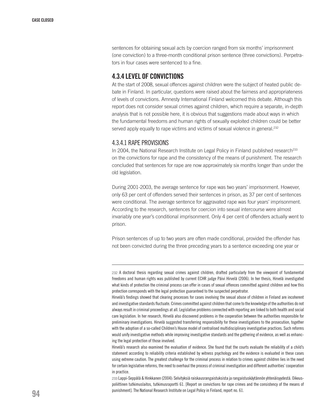sentences for obtaining sexual acts by coercion ranged from six months' imprisonment (one conviction) to a three-month conditional prison sentence (three convictions). Perpetrators in four cases were sentenced to a fine.

# 4.3.4 Level of convictions

At the start of 2008, sexual offences against children were the subject of heated public debate in Finland. In particular, questions were raised about the fairness and appropriateness of levels of convictions. Amnesty International Finland welcomed this debate. Although this report does not consider sexual crimes against children, which require a separate, in-depth analysis that is not possible here, it is obvious that suggestions made about ways in which the fundamental freedoms and human rights of sexually exploited children could be better served apply equally to rape victims and victims of sexual violence in general.<sup>232</sup>

### 4.3.4.1 RAPE PROVISIONS

In 2004, the National Research Institute on Legal Policy in Finland published research<sup>233</sup> on the convictions for rape and the consistency of the means of punishment. The research concluded that sentences for rape are now approximately six months longer than under the old legislation.

During 2001-2003, the average sentence for rape was two years' imprisonment. However, only 63 per cent of offenders served their sentences in prison, as 37 per cent of sentences were conditional. The average sentence for aggravated rape was four years' imprisonment. According to the research, sentences for coercion into sexual intercourse were almost invariably one year's conditional imprisonment. Only 4 per cent of offenders actually went to prison.

Prison sentences of up to two years are often made conditional, provided the offender has not been convicted during the three preceding years to a sentence exceeding one year or

233 Lappi-Seppälä & Hinkkanen (2004): Selvityksiä raiskausrangaistuksista ja rangaistuskäytännön yhtenäisyydestä. Oikeuspoliittinen tutkimuslaitos, tutkimusraportti 61. [Report on convictions for rape crimes and the consistency of the means of punishment]. The National Research Institute on Legal Policy in Finland, report no. 61.

<sup>232</sup> A doctoral thesis regarding sexual crimes against children, drafted particularly from the viewpoint of fundamental freedoms and human rights was published by current ECHR judge Päivi Hirvelä (2006). In her thesis, Hirvelä investigated what kinds of protection the criminal process can offer in cases of sexual offences committed against children and how this protection corresponds with the legal protection guaranteed to the suspected perpetrator.

Hirvelä's findings showed that clearing processes for cases involving the sexual abuse of children in Finland are incoherent and investigative standards fluctuate. Crimes committed against children that come to the knowledge of the authorities do not always result in criminal proceedings at all. Legislative problems connected with reporting are linked to both health and social care legislation. In her research, Hirvelä also discovered problems in the cooperation between the authorities responsible for preliminary investigations. Hirvelä suggested transferring responsibility for these investigations to the prosecution, together with the adoption of a so-called Children's House model of centralised multidisciplinary investigative practices. Such reforms would unify investigative methods while improving investigative standards and the gathering of evidence, as well as enhancing the legal protection of those involved.

Hirvelä's research also examined the evaluation of evidence. She found that the courts evaluate the reliability of a child's statement according to reliability criteria established by witness psychology and the evidence is evaluated in these cases using extreme caution. The greatest challenge for the criminal process in relation to crimes against children lies in the need for certain legislative reforms, the need to overhaul the process of criminal investigation and different authorities' cooperation in practice.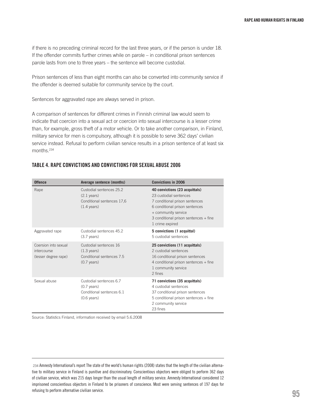if there is no preceding criminal record for the last three years, or if the person is under 18. If the offender commits further crimes while on parole – in conditional prison sentences parole lasts from one to three years – the sentence will become custodial.

Prison sentences of less than eight months can also be converted into community service if the offender is deemed suitable for community service by the court.

Sentences for aggravated rape are always served in prison.

A comparison of sentences for different crimes in Finnish criminal law would seem to indicate that coercion into a sexual act or coercion into sexual intercourse is a lesser crime than, for example, gross theft of a motor vehicle. Or to take another comparison, in Finland, military service for men is compulsory, although it is possible to serve 362 days' civilian service instead. Refusal to perform civilian service results in a prison sentence of at least six months.234

#### Table 4. Rape convictions and convictions for sexual abuse 2006

| <b>Offence</b>                                              | Average sentence (months)                                                                                | <b>Convictions in 2006</b>                                                                                                                                                                                      |
|-------------------------------------------------------------|----------------------------------------------------------------------------------------------------------|-----------------------------------------------------------------------------------------------------------------------------------------------------------------------------------------------------------------|
| Rape                                                        | Custodial sentences 25.2<br>$(2.1 \text{ years})$<br>Conditional sentences 17,6<br>$(1.4 \text{ years})$ | 40 convictions (23 acquittals)<br>23 custodial sentences<br>7 conditional prison sentences<br>6 conditional prison sentences<br>+ community service<br>3 conditional prison sentences + fine<br>1 crime expired |
| Aggravated rape                                             | Custodial sentences 45.2<br>$(3.7 \text{ years})$                                                        | 5 convictions (1 acquittal)<br>5 custodial sentences                                                                                                                                                            |
| Coersion into sexual<br>intercourse<br>(lesser degree rape) | Custodial sentences 16<br>$(1.3 \text{ years})$<br>Conditional sentences 7.5<br>$(0.7 \text{ years})$    | 25 convictions (11 acquittals)<br>2 custodial sentences<br>16 conditional prison sentences<br>4 conditional prison sentences + fine<br>1 community service<br>2 fines                                           |
| Sexual abuse                                                | Custodial sentences 6.7<br>$(0.7 \text{ years})$<br>Conditional sentences 6.1<br>$(0.6 \text{ years})$   | 71 convictions (35 acquittals)<br>4 custodial sentences<br>37 conditional prison sentences<br>5 conditional prison sentences + fine<br>2 community service<br>23 fines                                          |

Source: Statistics Finland, information received by email 5.6.2008

234 Amnesty International's report The state of the world's human rights (2008) states that the length of the civilian alternative to military service in Finland is punitive and discriminatory. Conscientious objectors were obliged to perform 362 days of civilian service, which was 215 days longer than the usual length of military service. Amnesty International considered 12 imprisoned conscientious objectors in Finland to be prisoners of conscience. Most were serving sentences of 197 days for refusing to perform alternative civilian service.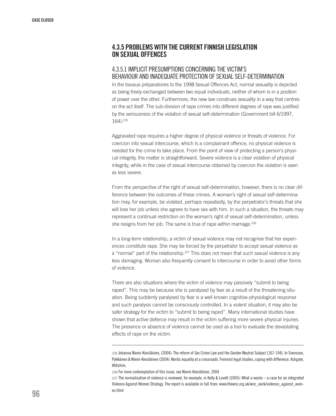# 4.3.5 Problems with the current Finnish legislation on sexual offences

## 4.3.5.1 Implicit presumptions concerning the victim's behaviour and inadequate protection of sexual self-determination

In the travaux préparatoires to the 1998 Sexual Offences Act, normal sexuality is depicted as being freely exchanged between two equal individuals, neither of whom is in a position of power over the other. Furthermore, the new law construes sexuality in a way that centres on the act itself. The sub-division of rape crimes into different degrees of rape was justified by the seriousness of the violation of sexual self-determination (Government bill 6/1997, 164).235

Aggravated rape requires a higher degree of physical violence or threats of violence. For coercion into sexual intercourse, which is a complainant offence, no physical violence is needed for the crime to take place. From the point of view of protecting a person's physical integrity, the matter is straightforward. Severe violence is a clear violation of physical integrity, while in the case of sexual intercourse obtained by coercion the violation is seen as less severe.

From the perspective of the right of sexual self-determination, however, there is no clear difference between the outcomes of these crimes. A woman's right of sexual self-determination may, for example, be violated, perhaps repeatedly, by the perpetrator's threats that she will lose her job unless she agrees to have sex with him. In such a situation, the threats may represent a continual restriction on the woman's right of sexual self-determination, unless she resigns from her job. The same is true of rape within marriage.<sup>236</sup>

In a long-term relationship, a victim of sexual violence may not recognise that her experiences constitute rape. She may be forced by the perpetrator to accept sexual violence as a "normal" part of the relationship.<sup>237</sup> This does not mean that such sexual violence is any less damaging. Woman also frequently consent to intercourse in order to avoid other forms of violence.

There are also situations where the victim of violence may passively "submit to being raped". This may be because she is paralysed by fear as a result of the threatening situation. Being suddenly paralysed by fear is a well known cognitive-physiological response and such paralysis cannot be consciously controlled. In a violent situation, it may also be safer strategy for the victim to "submit to being raped". Many international studies have shown that active defence may result in the victim suffering more severe physical injuries. The presence or absence of violence cannot be used as a tool to evaluate the devastating effects of rape on the victim.

236 For more contemplation of this issue, see Niemi-Kiesiläinen, 2004

237 The normalisation of violence is reviewed, for example, in Kelly & Lovett (2005): What a waste – a case for an integrated Violence Against Women Strategy. The report is available in full from: www.thewnc.org.uk/wnc\_work/violence\_against\_women.html

<sup>235</sup> Johanna Niemi-Kiesiläinen, (2004): The reform of Sex Crime Law and the Gender-Neutral Subject (167-194). In Svensson, Pylkkänen & Niemi-Kiesiläinen (2004): Nordic equality at a crossroads. Feminist legal studies, coping with difference. Ashgate, Wiltehire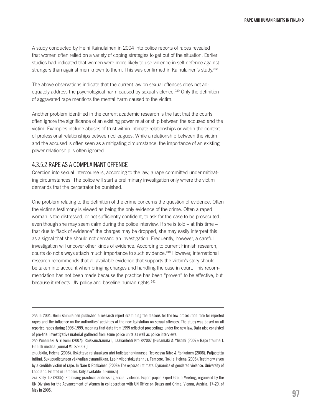A study conducted by Heini Kainulainen in 2004 into police reports of rapes revealed that women often relied on a variety of coping strategies to get out of the situation. Earlier studies had indicated that women were more likely to use violence in self-defence against strangers than against men known to them. This was confirmed in Kainulainen's study.<sup>238</sup>

The above observations indicate that the current law on sexual offences does not adequately address the psychological harm caused by sexual violence.239 Only the definition of aggravated rape mentions the mental harm caused to the victim.

Another problem identified in the current academic research is the fact that the courts often ignore the significance of an existing power relationship between the accused and the victim. Examples include abuses of trust within intimate relationships or within the context of professional relationships between colleagues. While a relationship between the victim and the accused is often seen as a mitigating circumstance, the importance of an existing power relationship is often ignored.

#### 4.3.5.2 Rape as a complainant offence

Coercion into sexual intercourse is, according to the law, a rape committed under mitigating circumstances. The police will start a preliminary investigation only where the victim demands that the perpetrator be punished.

One problem relating to the definition of the crime concerns the question of evidence. Often the victim's testimony is viewed as being the only evidence of the crime. Often a raped woman is too distressed, or not sufficiently confident, to ask for the case to be prosecuted, even though she may seem calm during the police interview. If she is told – at this time – that due to "lack of evidence" the charges may be dropped, she may easily interpret this as a signal that she should not demand an investigation. Frequently, however, a careful investigation will uncover other kinds of evidence. According to current Finnish research, courts do not always attach much importance to such evidence.<sup>240</sup> However, international research recommends that all available evidence that supports the victim's story should be taken into account when bringing charges and handling the case in court. This recommendation has not been made because the practice has been "proven" to be effective, but because it reflects UN policy and baseline human rights.<sup>241</sup>

<sup>238</sup> In 2004, Heini Kainulainen published a research report examining the reasons for the low prosecution rate for reported rapes and the influence on the authorities' activities of the new legislation on sexual offences. The study was based on all reported rapes during 1998-1999, meaning that data from 1999 reflected proceedings under the new law. Data also consisted of pre-trial investigative material gathered from some police units as well as police interviews.

<sup>239</sup> Punamäki & Ylikomi (2007): Raiskaustrauma I, Lääkärilehti Nro 8/2007 [Punamäki & Ylikomi (2007): Rape trauma I. Finnish medical journal Vol 8/2007.]

<sup>240</sup> Jokila, Helena (2008): Uskottava raiskauksen uhri todistusharkinnassa. Teoksessa Näre & Ronkainen (2008): Paljastettu intiimi. Sukupuolistuneen väkivallan dynamiikkaa. Lapin yliopistokustannus, Tampere. [Jokila, Helena (2008): Testimony given by a credible victim of rape. In Näre & Ronkainen (2008): The exposed intimate. Dynamics of gendered violence. University of Lappland. Printed in Tampere. Only available in Finnish]

<sup>241</sup> Kelly, Liz (2005): Promising practices addressing sexual violence. Expert paper. Expert Group Meeting, organised by the UN Division for the Advancement of Women in collaboration with UN Office on Drugs and Crime. Vienna, Austria, 17-20. of May in 2005.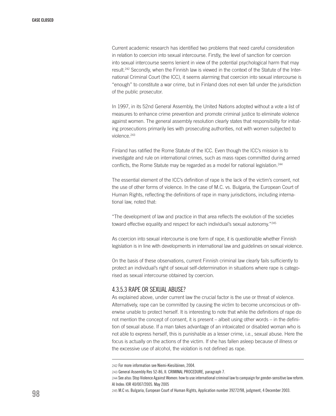Current academic research has identified two problems that need careful consideration in relation to coercion into sexual intercourse. Firstly, the level of sanction for coercion into sexual intercourse seems lenient in view of the potential psychological harm that may result.<sup>242</sup> Secondly, when the Finnish law is viewed in the context of the Statute of the International Criminal Court (the ICC), it seems alarming that coercion into sexual intercourse is "enough" to constitute a war crime, but in Finland does not even fall under the jurisdiction of the public prosecutor.

In 1997, in its 52nd General Assembly, the United Nations adopted without a vote a list of measures to enhance crime prevention and promote criminal justice to eliminate violence against women. The general assembly resolution clearly states that responsibility for initiating prosecutions primarily lies with prosecuting authorities, not with women subjected to violence.<sup>243</sup>

Finland has ratified the Rome Statute of the ICC. Even though the ICC's mission is to investigate and rule on international crimes, such as mass rapes committed during armed conflicts, the Rome Statute may be regarded as a model for national legislation.<sup>244</sup>

The essential element of the ICC's definition of rape is the lack of the victim's consent, not the use of other forms of violence. In the case of M.C. vs. Bulgaria, the European Court of Human Rights, reflecting the definitions of rape in many jurisdictions, including international law, noted that:

"The development of law and practice in that area reflects the evolution of the societies toward effective equality and respect for each individual's sexual autonomy."<sup>245</sup>

As coercion into sexual intercourse is one form of rape, it is questionable whether Finnish legislation is in line with developments in international law and guidelines on sexual violence.

On the basis of these observations, current Finnish criminal law clearly fails sufficiently to protect an individual's right of sexual self-determination in situations where rape is categorised as sexual intercourse obtained by coercion.

#### 4.3.5.3 Rape or sexual abuse?

As explained above, under current law the crucial factor is the use or threat of violence. Alternatively, rape can be committed by causing the victim to become unconscious or otherwise unable to protect herself. It is interesting to note that while the definitions of rape do not mention the concept of consent, it is present – albeit using other words – in the definition of sexual abuse. If a man takes advantage of an intoxicated or disabled woman who is not able to express herself, this is punishable as a lesser crime, i.e., sexual abuse. Here the focus is actually on the actions of the victim. If she has fallen asleep because of illness or the excessive use of alcohol, the violation is not defined as rape.

<sup>242</sup> For more information see Niemi-Kiesiläinen, 2004.

<sup>243</sup> General Assembly Res 52-86, II. CRIMINAL PROCEDURE, paragraph 7.

<sup>244</sup> See also: Stop Violence Against Women: how to use international criminal law to campaign for gender-sensitive law reform. AI Index: IOR 40/007/2005. May 2005

<sup>245</sup> M.C vs. Bulgaria, European Court of Human Rights, Application number 39272/98, judgment, 4 December 2003.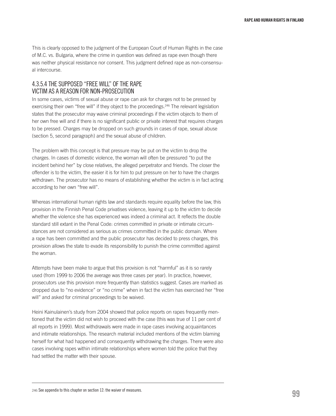This is clearly opposed to the judgment of the European Court of Human Rights in the case of M.C. vs. Bulgaria, where the crime in question was defined as rape even though there was neither physical resistance nor consent. This judgment defined rape as non-consensual intercourse.

# 4.3.5.4 The supposed "free will" of the rape victim as a reason for non-prosecution

In some cases, victims of sexual abuse or rape can ask for charges not to be pressed by exercising their own "free will" if they object to the proceedings.<sup>246</sup> The relevant legislation states that the prosecutor may waive criminal proceedings if the victim objects to them of her own free will and if there is no significant public or private interest that requires charges to be pressed. Charges may be dropped on such grounds in cases of rape, sexual abuse (section 5, second paragraph) and the sexual abuse of children.

The problem with this concept is that pressure may be put on the victim to drop the charges. In cases of domestic violence, the woman will often be pressured "to put the incident behind her" by close relatives, the alleged perpetrator and friends. The closer the offender is to the victim, the easier it is for him to put pressure on her to have the charges withdrawn. The prosecutor has no means of establishing whether the victim is in fact acting according to her own "free will".

Whereas international human rights law and standards require equality before the law, this provision in the Finnish Penal Code privatises violence, leaving it up to the victim to decide whether the violence she has experienced was indeed a criminal act. It reflects the double standard still extant in the Penal Code: crimes committed in private or intimate circumstances are not considered as serious as crimes committed in the public domain. Where a rape has been committed and the public prosecutor has decided to press charges, this provision allows the state to evade its responsibility to punish the crime committed against the woman.

Attempts have been make to argue that this provision is not "harmful" as it is so rarely used (from 1999 to 2006 the average was three cases per year). In practice, however, prosecutors use this provision more frequently than statistics suggest. Cases are marked as dropped due to "no evidence" or "no crime" when in fact the victim has exercised her "free will" and asked for criminal proceedings to be waived.

Heini Kainulainen's study from 2004 showed that police reports on rapes frequently mentioned that the victim did not wish to proceed with the case (this was true of 11 per cent of all reports in 1999). Most withdrawals were made in rape cases involving acquaintances and intimate relationships. The research material included mentions of the victim blaming herself for what had happened and consequently withdrawing the charges. There were also cases involving rapes within intimate relationships where women told the police that they had settled the matter with their spouse.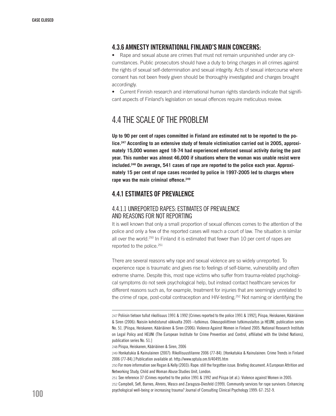# 4.3.6 Amnesty International Finland's main concerns:

• Rape and sexual abuse are crimes that must not remain unpunished under any circumstances. Public prosecutors should have a duty to bring charges in all crimes against the rights of sexual self-determination and sexual integrity. Acts of sexual intercourse where consent has not been freely given should be thoroughly investigated and charges brought accordingly.

• Current Finnish research and international human rights standards indicate that significant aspects of Finland's legislation on sexual offences require meticulous review.

# 4.4 The scale of the problem

**Up to 90 per cent of rapes committed in Finland are estimated not to be reported to the police.247 According to an extensive study of female victimisation carried out in 2005, approximately 15,000 women aged 18-74 had experienced enforced sexual activity during the past year. This number was almost 46,000 if situations where the woman was unable resist were included.248 On average, 541 cases of rape are reported to the police each year. Approximately 15 per cent of rape cases recorded by police in 1997-2005 led to charges where rape was the main criminal offence.249**

# 4.4.1 Estimates of prevalence

# 4.4.1.1 Unreported rapes: estimates of prevalence and reasons for not reporting

It is well known that only a small proportion of sexual offences comes to the attention of the police and only a few of the reported cases will reach a court of law. The situation is similar all over the world.<sup>250</sup> In Finland it is estimated that fewer than 10 per cent of rapes are reported to the police.<sup>251</sup>

There are several reasons why rape and sexual violence are so widely unreported. To experience rape is traumatic and gives rise to feelings of self-blame, vulnerability and often extreme shame. Despite this, most rape victims who suffer from trauma-related psychological symptoms do not seek psychological help, but instead contact healthcare services for different reasons such as, for example, treatment for injuries that are seemingly unrelated to the crime of rape, post-coital contraception and HIV-testing.252 Not naming or identifying the

<sup>247</sup> Poliisin tietoon tullut rikollisuus 1991 & 1992 [Crimes reported to the police 1991 & 1992], Piispa, Heiskanen, Kääriäinen & Siren (2006): Naisiin kohdistunut väkivalta 2005 –tutkimus. Oikeuspoliittinen tutkimuslaitos ja HEUNI, publication series No. 51. [Piispa, Heiskanen, Kääriäinen & Siren (2006): Violence Against Women in Finland 2005. National Research Institute on Legal Policy and HEUNI (The European Institute for Crime Prevention and Control, affiliated with the United Nations), publication series No. 51.]

<sup>248</sup> Piispa, Heiskanen, Kääriäinen & Siren, 2006

<sup>249</sup> Honkatukia & Kainulainen (2007): Rikollisuustilanne 2006 (77-84). [Honkatukia & Kainulainen: Crime Trends in Finland 2006 (77-84).] Publication available at: http://www.optula.om.fi/40495.htm

<sup>250</sup> For more information see Regan & Kelly (2003): Rape: still the forgotten issue. Briefing document. A European Attrition and Networking Study, Child and Woman Abuse Studies Unit, London.

<sup>251</sup> See reference 37 (Crimes reported to the police 1991 & 1992 and Piispa (et al.): Violence against Women in 2005.

<sup>252</sup> Campbell, Sefl, Barnes, Ahrens, Wasco and Zaragoza-Diesfeld (1999). Community services for rape survivors: Enhancing psychological well-being or increasing trauma? Journal of Consulting Clinical Psychology 1999: 67: 252-9.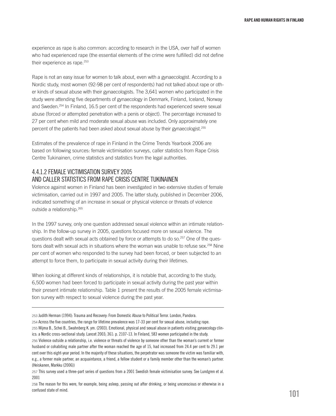experience as rape is also common: according to research in the USA, over half of women who had experienced rape (the essential elements of the crime were fulfilled) did not define their experience as rape.<sup>253</sup>

Rape is not an easy issue for women to talk about, even with a gynaecologist. According to a Nordic study, most women (92-98 per cent of respondents) had not talked about rape or other kinds of sexual abuse with their gynaecologists. The 3,641 women who participated in the study were attending five departments of gynaecology in Denmark, Finland, Iceland, Norway and Sweden.254 In Finland, 16.5 per cent of the respondents had experienced severe sexual abuse (forced or attempted penetration with a penis or object). The percentage increased to 27 per cent when mild and moderate sexual abuse was included. Only approximately one percent of the patients had been asked about sexual abuse by their gynaecologist.255

Estimates of the prevalence of rape in Finland in the Crime Trends Yearbook 2006 are based on following sources: female victimisation surveys, caller statistics from Rape Crisis Centre Tukinainen, crime statistics and statistics from the legal authorities.

# 4.4.1.2 Female victimisation survey 2005 and caller statistics from Rape Crisis Centre Tukinainen

Violence against women in Finland has been investigated in two extensive studies of female victimisation, carried out in 1997 and 2005. The latter study, published in December 2006, indicated something of an increase in sexual or physical violence or threats of violence outside a relationship.265

In the 1997 survey, only one question addressed sexual violence within an intimate relationship. In the follow-up survey in 2005, questions focused more on sexual violence. The questions dealt with sexual acts obtained by force or attempts to do so.257 One of the questions dealt with sexual acts in situations where the woman was unable to refuse sex.<sup>258</sup> Nine per cent of women who responded to the survey had been forced, or been subjected to an attempt to force them, to participate in sexual activity during their lifetimes.

When looking at different kinds of relationships, it is notable that, according to the study, 6,500 women had been forced to participate in sexual activity during the past year within their present intimate relationship. Table 1 present the results of the 2005 female victimisation survey with respect to sexual violence during the past year.

<sup>253</sup> Judith Herman (1994): Trauma and Recovery: From Domestic Abuse to Political Terror. London, Pandora. 254 Across the five countries, the range for lifetime prevalence was 17-33 per cent for sexual abuse, including rape. 255 Wijma B., Schei B., Swahnberg K. ym. (2003). Emotional, physical and sexual abuse in patients visiting gynaecology clinics: a Nordic cross-sectional study. Lancet 2003; 361: p. 2107-13. In Finland, 583 women participated in the study. 256 Violence outside a relationship, i.e. violence or threats of violence by someone other than the woman's current or former husband or cohabiting male partner after the woman reached the age of 15, had increased from 24.4 per cent to 29.1 per cent over this eight-year period. In the majority of these situations, the perpetrator was someone the victim was familiar with, e.g., a former male partner, an acquaintance, a friend, a fellow student or a family member other than the woman's partner. (Heiskanen, Markku (2006))

<sup>257</sup> This survey used a three-part series of questions from a 2001 Swedish female victimisation survey. See Lundgren et al. 2001

<sup>258</sup> The reason for this were, for example, being asleep, passing out after drinking, or being unconscious or otherwise in a confused state of mind.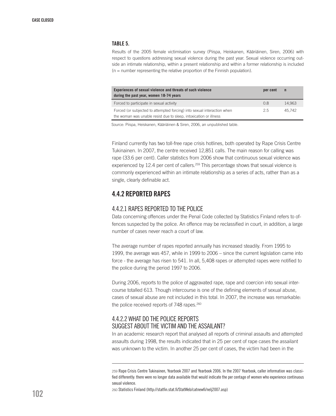#### Table 5.

Results of the 2005 female victimisation survey (Piispa, Heiskanen, Kääriäinen, Siren, 2006) with respect to questions addressing sexual violence during the past year. Sexual violence occurring outside an intimate relationship, within a present relationship and within a former relationship is included (n = number representing the relative proportion of the Finnish population).

| Experiences of sexual violence and threats of such violence<br>during the past year, women 18-74 years                                       | per cent | $\mathbf n$ |
|----------------------------------------------------------------------------------------------------------------------------------------------|----------|-------------|
| Forced to participate in sexual activity                                                                                                     | 0.8      | 14.963      |
| Forced (or subjected to attempted forcing) into sexual interaction when<br>the woman was unable resist due to sleep, intoxication or illness | 25       | 45.742      |

Source: Piispa, Heiskanen, Kääriäinen & Siren, 2006, an unpublished table.

Finland currently has two toll-free rape crisis hotlines, both operated by Rape Crisis Centre Tukinainen. In 2007, the centre received 12,851 calls. The main reason for calling was rape (33.6 per cent). Caller statistics from 2006 show that continuous sexual violence was experienced by 12.4 per cent of callers.<sup>259</sup> This percentage shows that sexual violence is commonly experienced within an intimate relationship as a series of acts, rather than as a single, clearly definable act.

# 4.4.2 Reported rapes

#### 4.4.2.1 Rapes reported to the police

Data concerning offences under the Penal Code collected by Statistics Finland refers to offences suspected by the police. An offence may be reclassified in court, in addition, a large number of cases never reach a court of law.

The average number of rapes reported annually has increased steadily. From 1995 to 1999, the average was 457, while in 1999 to 2006 – since the current legislation came into force - the average has risen to 541. In all, 5,408 rapes or attempted rapes were notified to the police during the period 1997 to 2006.

During 2006, reports to the police of aggravated rape, rape and coercion into sexual intercourse totalled 613. Though intercourse is one of the defining elements of sexual abuse, cases of sexual abuse are not included in this total. In 2007, the increase was remarkable: the police received reports of 748 rapes.<sup>260</sup>

## 4.4.2.2 What do the police reports suggest about the victim and the assailant?

In an academic research report that analysed all reports of criminal assaults and attempted assaults during 1998, the results indicated that in 25 per cent of rape cases the assailant was unknown to the victim. In another 25 per cent of cases, the victim had been in the

260 Statistics Finland (http://statfin.stat.fi/StatWeb/catnewfi/nelj2007.asp)

<sup>259</sup> Rape Crisis Centre Tukinainen, Yearbook 2007 and Yearbook 2006. In the 2007 Yearbook, caller information was classified differently: there were no longer data available that would indicate the per centage of women who experience continuous sexual violence.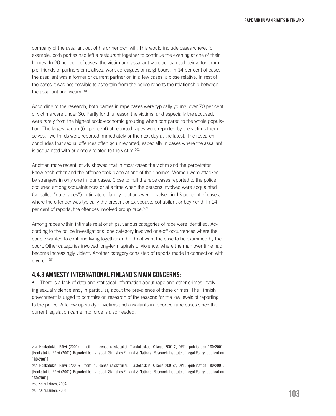company of the assailant out of his or her own will. This would include cases where, for example, both parties had left a restaurant together to continue the evening at one of their homes. In 20 per cent of cases, the victim and assailant were acquainted being, for example, friends of partners or relatives, work colleagues or neighbours. In 14 per cent of cases the assailant was a former or current partner or, in a few cases, a close relative. In rest of the cases it was not possible to ascertain from the police reports the relationship between the assailant and victim.<sup>261</sup>

According to the research, both parties in rape cases were typically young: over 70 per cent of victims were under 30. Partly for this reason the victims, and especially the accused, were rarely from the highest socio-economic grouping when compared to the whole population. The largest group (61 per cent) of reported rapes were reported by the victims themselves. Two-thirds were reported immediately or the next day at the latest. The research concludes that sexual offences often go unreported, especially in cases where the assailant is acquainted with or closely related to the victim.262

Another, more recent, study showed that in most cases the victim and the perpetrator knew each other and the offence took place at one of their homes. Women were attacked by strangers in only one in four cases. Close to half the rape cases reported to the police occurred among acquaintances or at a time when the persons involved were acquainted (so-called "date rapes"). Intimate or family relations were involved in 13 per cent of cases, where the offender was typically the present or ex-spouse, cohabitant or boyfriend. In 14 per cent of reports, the offences involved group rape.263

Among rapes within intimate relationships, various categories of rape were identified. According to the police investigations, one category involved one-off occurrences where the couple wanted to continue living together and did not want the case to be examined by the court. Other categories involved long-term spirals of violence, where the man over time had become increasingly violent. Another category consisted of reports made in connection with divorce.<sup>264</sup>

## 4.4.3 Amnesty International Finland's main concerns:

• There is a lack of data and statistical information about rape and other crimes involving sexual violence and, in particular, about the prevalence of these crimes. The Finnish government is urged to commission research of the reasons for the low levels of reporting to the police. A follow-up study of victims and assailants in reported rape cases since the current legislation came into force is also needed.

<sup>261</sup> Honkatukia, Päivi (2001): Ilmoitti tulleensa raiskatuksi. Tilastokeskus, Oikeus 2001:2, OPTL :publication 180/2001. [Honkatukia, Päivi (2001): Reported being raped. Statistics Finland & National Research Institute of Legal Policy: publication 180/2001]

<sup>262</sup> Honkatukia, Päivi (2001): Ilmoitti tulleensa raiskatuksi. Tilastokeskus, Oikeus 2001:2, OPTL :publication 180/2001. [Honkatukia, Päivi (2001): Reported being raped. Statistics Finland & National Research Institute of Legal Policy: publication 180/2001]

<sup>263</sup> Kainulainen, 2004

<sup>264</sup> Kainulainen, 2004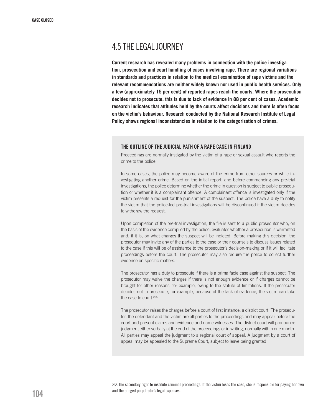# 4.5 The legal journey

**Current research has revealed many problems in connection with the police investigation, prosecution and court handling of cases involving rape. There are regional variations in standards and practices in relation to the medical examination of rape victims and the relevant recommendations are neither widely known nor used in public health services. Only a few (approximately 15 per cent) of reported rapes reach the courts. Where the prosecution decides not to prosecute, this is due to lack of evidence in 88 per cent of cases. Academic research indicates that attitudes held by the courts affect decisions and there is often focus on the victim's behaviour. Research conducted by the National Research Institute of Legal Policy shows regional inconsistencies in relation to the categorisation of crimes.** 

#### THE OUTLINE OF THE JUDICIAL PATH OF A RAPE CASE IN FINLAND

Proceedings are normally instigated by the victim of a rape or sexual assault who reports the crime to the police.

In some cases, the police may become aware of the crime from other sources or while investigating another crime. Based on the initial report, and before commencing any pre-trial investigations, the police determine whether the crime in question is subject to public prosecution or whether it is a complainant offence. A complainant offence is investigated only if the victim presents a request for the punishment of the suspect. The police have a duty to notify the victim that the police-led pre-trial investigations will be discontinued if the victim decides to withdraw the request

Upon completion of the pre-trial investigation, the file is sent to a public prosecutor who, on the basis of the evidence compiled by the police, evaluates whether a prosecution is warranted and, if it is, on what charges the suspect will be indicted. Before making this decision, the prosecutor may invite any of the parties to the case or their counsels to discuss issues related to the case if this will be of assistance to the prosecutor's decision-making or if it will facilitate proceedings before the court. The prosecutor may also require the police to collect further evidence on specific matters.

The prosecutor has a duty to prosecute if there is a prima facie case against the suspect. The prosecutor may waive the charges if there is not enough evidence or if charges cannot be brought for other reasons, for example, owing to the statute of limitations. If the prosecutor decides not to prosecute, for example, because of the lack of evidence, the victim can take the case to court.<sup>265</sup>

The prosecutor raises the charges before a court of first instance, a district court. The prosecutor, the defendant and the victim are all parties to the proceedings and may appear before the court and present claims and evidence and name witnesses. The district court will pronounce judgment either verbally at the end of the proceedings or in writing, normally within one month. All parties may appeal the judgment to a regional court of appeal. A judgment by a court of appeal may be appealed to the Supreme Court, subject to leave being granted.

265 The secondary right to institute criminal proceedings. If the victim loses the case, she is responsible for paying her own and the alleged perpetrator's legal expenses.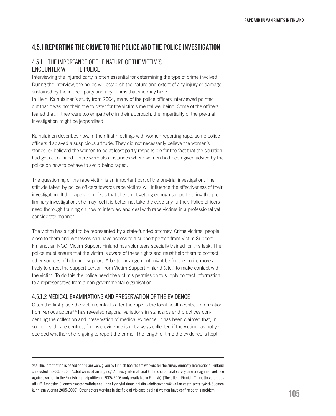# 4.5.1 Reporting the crime to the police and the police investigation

# 4.5.1.1 The importance of the nature of the victim's encounter with the police

Interviewing the injured party is often essential for determining the type of crime involved. During the interview, the police will establish the nature and extent of any injury or damage sustained by the injured party and any claims that she may have.

In Heini Kainulainen's study from 2004, many of the police officers interviewed pointed out that it was not their role to cater for the victim's mental wellbeing. Some of the officers feared that, if they were too empathetic in their approach, the impartiality of the pre-trial investigation might be jeopardised.

Kainulainen describes how, in their first meetings with women reporting rape, some police officers displayed a suspicious attitude. They did not necessarily believe the women's stories, or believed the women to be at least partly responsible for the fact that the situation had got out of hand. There were also instances where women had been given advice by the police on how to behave to avoid being raped.

The questioning of the rape victim is an important part of the pre-trial investigation. The attitude taken by police officers towards rape victims will influence the effectiveness of their investigation. If the rape victim feels that she is not getting enough support during the preliminary investigation, she may feel it is better not take the case any further. Police officers need thorough training on how to interview and deal with rape victims in a professional yet considerate manner.

The victim has a right to be represented by a state-funded attorney. Crime victims, people close to them and witnesses can have access to a support person from Victim Support Finland, an NGO. Victim Support Finland has volunteers specially trained for this task. The police must ensure that the victim is aware of these rights and must help them to contact other sources of help and support. A better arrangement might be for the police more actively to direct the support person from Victim Support Finland (etc.) to make contact with the victim. To do this the police need the victim's permission to supply contact information to a representative from a non-governmental organisation.

# 4.5.1.2 Medical examinations and preservation of the evidence

Often the first place the victim contacts after the rape is the local health centre. Information from various actors<sup>266</sup> has revealed regional variations in standards and practices concerning the collection and preservation of medical evidence. It has been claimed that, in some healthcare centres, forensic evidence is not always collected if the victim has not yet decided whether she is going to report the crime. The length of time the evidence is kept

266 This information is based on the answers given by Finnish healthcare workers for the survey Amnesty International Finland conducted in 2005-2006: "...but we need an engine," Amnesty International Finland's national survey on work against violence against women in the Finnish municipalities in 2005-2006 (only available in Finnish). [The title in Finnish: "...mutta veturi puuttuu". Amnestyn Suomen osaston valtakunnallinen kyselytutkimus naisiin kohdistuvan väkivallan vastaisesta työstä Suomen kunnissa vuonna 2005-2006]. Other actors working in the field of violence against women have confirmed this problem.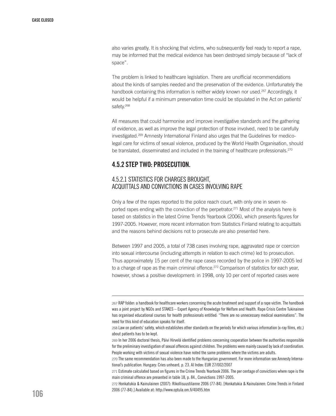also varies greatly. It is shocking that victims, who subsequently feel ready to report a rape, may be informed that the medical evidence has been destroyed simply because of "lack of space".

The problem is linked to healthcare legislation. There are unofficial recommendations about the kinds of samples needed and the preservation of the evidence. Unfortunately the handbook containing this information is neither widely known nor used.<sup>267</sup> Accordingly, it would be helpful if a minimum preservation time could be stipulated in the Act on patients' safety.<sup>268</sup>

All measures that could harmonise and improve investigative standards and the gathering of evidence, as well as improve the legal protection of those involved, need to be carefully investigated.269 Amnesty International Finland also urges that the Guidelines for medicolegal care for victims of sexual violence, produced by the World Health Organisation, should be translated, disseminated and included in the training of healthcare professionals.<sup>270</sup>

# 4.5.2 Step two: prosecution.

# 4.5.2.1 Statistics for charges brought, acquittals and convictions in cases involving rape

Only a few of the rapes reported to the police reach court, with only one in seven reported rapes ending with the conviction of the perpetrator.<sup>271</sup> Most of the analysis here is based on statistics in the latest Crime Trends Yearbook (2006), which presents figures for 1997-2005. However, more recent information from Statistics Finland relating to acquittals and the reasons behind decisions not to prosecute are also presented here.

Between 1997 and 2005, a total of 738 cases involving rape, aggravated rape or coercion into sexual intercourse (including attempts in relation to each crime) led to prosecution. Thus approximately 15 per cent of the rape cases recorded by the police in 1997-2005 led to a charge of rape as the main criminal offence.<sup>272</sup> Comparison of statistics for each year, however, shows a positive development: in 1998, only 10 per cent of reported cases were

<sup>267</sup> RAP folder: a handbook for healthcare workers concerning the acute treatment and support of a rape victim. The handbook was a joint project by NGOs and STAKES – Expert Agency of Knowledge for Welfare and Health. Rape Crisis Centre Tukinainen has organised educational courses for health professionals entitled: "There are no unnecessary medical examinations". The need for this kind of education speaks for itself.

<sup>268</sup> Law on patients' safety, which establishes other standards on the periods for which various information (x-ray films, etc.) about patients has to be kept.

<sup>269</sup> In her 2006 doctoral thesis, Päivi Hirvelä identified problems concerning cooperation between the authorities responsible for the preliminary investigation of sexual offences against children. The problems were mainly caused by lack of coordination. People working with victims of sexual violence have noted the same problems where the victims are adults.

<sup>270</sup> The same recommendation has also been made to the Hungarian government. For more information see Amnesty International's publication: Hungary: Cries unheard, p. 23. AI Index: EUR 27/002/2007

<sup>271</sup> Estimate calculated based on figures in the Crime Trends Yearbook 2006. The per centage of convictions where rape is the main criminal offence are presented in table 18, p. 84., Convictions 1997-2005.

<sup>272</sup> Honkatukia & Kainulainen (2007): Rikollisuustilanne 2006 (77-84). [Honkatukia & Kainulainen: Crime Trends in Finland 2006 (77-84).] Available at: http://www.optula.om.fi/40495.htm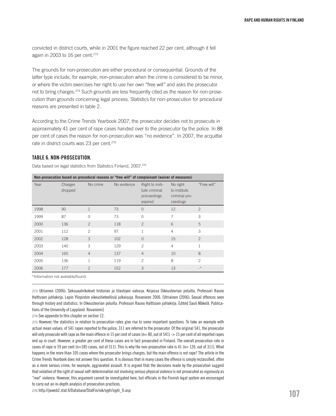convicted in district courts, while in 2001 the figure reached 22 per cent, although it fell again in 2003 to 16 per cent.<sup>273</sup>

The grounds for non-prosecution are either procedural or consequential. Grounds of the latter type include, for example, non-prosecution when the crime is considered to be minor, or where the victim exercises her right to use her own "free will" and asks the prosecutor not to bring charges.274 Such grounds are less frequently cited as the reason for non-prosecution than grounds concerning legal process. Statistics for non-prosecution for procedural reasons are presented in table 2.

According to the Crime Trends Yearbook 2007, the prosecutor decides not to prosecute in approximately 41 per cent of rape cases handed over to the prosecutor by the police. In 88 per cent of cases the reason for non-prosecution was "no evidence". In 2007, the acquittal rate in district courts was 23 per cent.<sup>275</sup>

#### Table 6. Non-prosecution.

Data based on legal statistics from Statistics Finland, 2007.<sup>276</sup>

| Non-prosecution based on procedural reasons or "free will" of complainant (waiver of measures) |                    |                          |             |                                                            |                                                       |                |  |  |
|------------------------------------------------------------------------------------------------|--------------------|--------------------------|-------------|------------------------------------------------------------|-------------------------------------------------------|----------------|--|--|
| Year                                                                                           | Charges<br>dropped | No crime                 | No evidence | Right to insti-<br>tute criminal<br>proceedings<br>expired | No right<br>to institute<br>criminal pro-<br>ceedings | "Free will"    |  |  |
| 1998                                                                                           | 90                 | 1                        | 73          | $\Omega$                                                   | 12                                                    | $\mathcal{P}$  |  |  |
| 1999                                                                                           | 87                 | $\Omega$                 | 73          | $\Omega$                                                   | 7                                                     | 3              |  |  |
| 2000                                                                                           | 136                | $\overline{c}$           | 118         | $\overline{2}$                                             | 6                                                     | 5              |  |  |
| 2001                                                                                           | 112                | $\overline{\phantom{a}}$ | 97          | $\mathbf{1}$                                               | $\overline{4}$                                        | 3              |  |  |
| 2002                                                                                           | 128                | 3                        | 102         | $\Omega$                                                   | 15                                                    | $\overline{c}$ |  |  |
| 2003                                                                                           | 140                | 3                        | 129         | $\mathfrak{D}$                                             | $\overline{4}$                                        | $\mathbf{1}$   |  |  |
| 2004                                                                                           | 165                | $\overline{4}$           | 137         | $\overline{4}$                                             | 10                                                    | 8              |  |  |
| 2005                                                                                           | 136                | 1                        | 119         | $\mathfrak{D}$                                             | 8                                                     | $\mathfrak{D}$ |  |  |
| 2006                                                                                           | 177                | $\overline{2}$           | 152         | 3                                                          | 13                                                    | $-$ *          |  |  |
| *Information not available/found.                                                              |                    |                          |             |                                                            |                                                       |                |  |  |

273 Utriainen (2006): Seksuaalirikokset historian ja tilastojen valossa. Kirjassa Oikeusteorian poluilla. Professori Rauno Halttusen juhlakirja. Lapin Yliopiston oikeustieteellisiä julkaisuja. Rovaniemi 2006. [Utriainen (2006): Sexual offences seen through history and statistics. In Oikeusteorian poluilla. Professori Rauno Halttusen juhlakirja. Edited Sauli Mäkelä. Publications of the University of Lappland. Rovaniemi]

274 See appendix to this chapter on section 12.

275 However, the statistics in relation to prosecution rates give rise to some important questions. To take an example with actual mean values: of 541 rapes reported to the police, 311 are referred to the prosecutor. Of the original 541, the prosecutor will only prosecute with rape as the main offence in 15 per cent of cases ( $n=80$ , out of  $541$ )  $\rightarrow$  15 per cent of all reported rapes end up in court. However, a greater per cent of these cases are in fact prosecuted in Finland. The overall prosecution rate in cases of rape is 59 per cent (n=185 cases, out of 311). This is why the non-prosecution rate is 41 (n= 126, out of 311). What happens in the more than 105 cases where the prosecutor brings charges, but the main offence is not rape? The article in the Crime Trends Yearbook does not answer this question. It is obvious that in many cases the offence is simply reclassified, often as a more serious crime, for example, aggravated assault. It is argued that the decisions made by the prosecution suggest that violation of the right of sexual self-determination not involving serious physical violence is not prosecuted as vigorously as "real" violence. However, this argument cannot be investigated here, but officials in the Finnish legal system are encouraged to carry out an in-depth analysis of prosecution practices.

276 http://pxweb2.stat.fi/Database/StatFin/oik/syytr/syytr\_fi.asp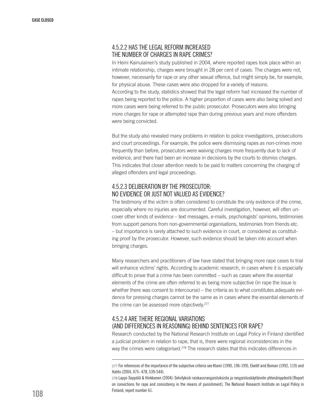# 4.5.2.2 Has the legal reform increased the number of charges in rape crimes?

In Heini Kainulainen's study published in 2004, where reported rapes took place within an intimate relationship, charges were brought in 28 per cent of cases. The charges were not, however, necessarily for rape or any other sexual offence, but might simply be, for example, for physical abuse. These cases were also dropped for a variety of reasons. According to the study, statistics showed that the legal reform had increased the number of rapes being reported to the police. A higher proportion of cases were also being solved and more cases were being referred to the public prosecutor. Prosecutors were also bringing more charges for rape or attempted rape than during previous years and more offenders were being convicted.

But the study also revealed many problems in relation to police investigations, prosecutions and court proceedings. For example, the police were dismissing rapes as non-crimes more frequently than before, prosecutors were waiving charges more frequently due to lack of evidence, and there had been an increase in decisions by the courts to dismiss charges. This indicates that closer attention needs to be paid to matters concerning the charging of alleged offenders and legal proceedings.

# 4.5.2.3 Deliberation by the prosecutor: no evidence or just not valued as evidence?

The testimony of the victim is often considered to constitute the only evidence of the crime, especially where no injuries are documented. Careful investigation, however, will often uncover other kinds of evidence – text messages, e-mails, psychologists' opinions, testimonies from support persons from non-governmental organisations, testimonies from friends etc. – but importance is rarely attached to such evidence in court, or considered as constituting proof by the prosecutor. However, such evidence should be taken into account when bringing charges.

Many researchers and practitioners of law have stated that bringing more rape cases to trial will enhance victims' rights. According to academic research, in cases where it is especially difficult to prove that a crime has been committed – such as cases where the essential elements of the crime are often referred to as being more subjective (in rape the issue is whether there was consent to intercourse) – the criteria as to what constitutes adequate evidence for pressing charges cannot be the same as in cases where the essential elements of the crime can be assessed more objectively.277

# 4.5.2.4 Are there regional variations (and differences in reasoning) behind sentences for rape?

Research conducted by the National Research Institute on Legal Policy in Finland identified a judicial problem in relation to rape, that is, there were regional inconsistencies in the way the crimes were categorised.<sup>278</sup> The research states that this indicates differences in

<sup>277</sup> For references of the importance of the subjective criteria see Klami (1990, 196-199), Ekelöf and Boman (1992, 119) and Hahto (2004, 475- 478, 539-544).

<sup>278</sup> Lappi-Seppälä & Hinkkanen (2004): Selvityksiä raiskausrangaistuksista ja rangaistuskäytännön yhtenäisyydestä [Report on convictions for rape and consistency in the means of punishment]. The National Research Institute on Legal Policy in Finland, report number 61.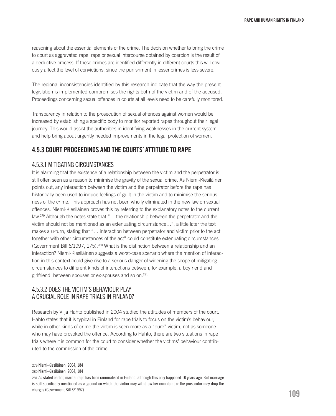reasoning about the essential elements of the crime. The decision whether to bring the crime to court as aggravated rape, rape or sexual intercourse obtained by coercion is the result of a deductive process. If these crimes are identified differently in different courts this will obviously affect the level of convictions, since the punishment in lesser crimes is less severe.

The regional inconsistencies identified by this research indicate that the way the present legislation is implemented compromises the rights both of the victim and of the accused. Proceedings concerning sexual offences in courts at all levels need to be carefully monitored.

Transparency in relation to the prosecution of sexual offences against women would be increased by establishing a specific body to monitor reported rapes throughout their legal journey. This would assist the authorities in identifying weaknesses in the current system and help bring about urgently needed improvements in the legal protection of women.

# 4.5.3 Court proceedings and the courts' attitude to rape

# 4.5.3.1 Mitigating circumstances

It is alarming that the existence of a relationship between the victim and the perpetrator is still often seen as a reason to minimise the gravity of the sexual crime. As Niemi-Kiesiläinen points out, any interaction between the victim and the perpetrator before the rape has historically been used to induce feelings of guilt in the victim and to minimise the seriousness of the crime. This approach has not been wholly eliminated in the new law on sexual offences. Niemi-Kiesiläinen proves this by referring to the explanatory notes to the current law.279 Although the notes state that "… the relationship between the perpetrator and the victim should not be mentioned as an extenuating circumstance…", a little later the text makes a u-turn, stating that "… interaction between perpetrator and victim prior to the act together with other circumstances of the act" could constitute extenuating circumstances (Government Bill 6/1997, 175).280 What is the distinction between a relationship and an interaction? Niemi-Kiesiläinen suggests a worst-case scenario where the mention of interaction in this context could give rise to a serious danger of widening the scope of mitigating circumstances to different kinds of interactions between, for example, a boyfriend and girlfriend, between spouses or ex-spouses and so on.281

# 4.5.3.2 Does the victim's behaviour play a crucial role in rape trials in Finland?

Research by Vilja Hahto published in 2004 studied the attitudes of members of the court. Hahto states that it is typical in Finland for rape trials to focus on the victim's behaviour, while in other kinds of crime the victim is seen more as a "pure" victim, not as someone who may have provoked the offence. According to Hahto, there are two situations in rape trials where it is common for the court to consider whether the victims' behaviour contributed to the commission of the crime.

<sup>279</sup> Niemi-Kiesiläinen, 2004, 184

<sup>280</sup> Niemi-Kiesiläinen, 2004, 184

<sup>281</sup> As stated earlier, marital rape has been criminalised in Finland, although this only happened 10 years ago. But marriage is still specifically mentioned as a ground on which the victim may withdraw her complaint or the prosecutor may drop the charges (Government Bill 6/1997).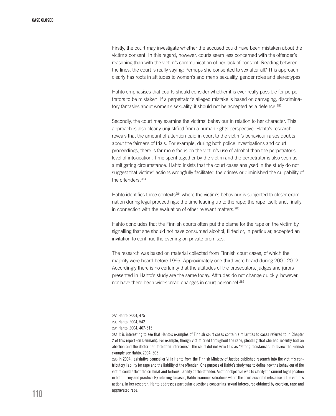Firstly, the court may investigate whether the accused could have been mistaken about the victim's consent. In this regard, however, courts seem less concerned with the offender's reasoning than with the victim's communication of her lack of consent. Reading between the lines, the court is really saying: Perhaps she consented to sex after all? This approach clearly has roots in attitudes to women's and men's sexuality, gender roles and stereotypes.

Hahto emphasises that courts should consider whether it is ever really possible for perpetrators to be mistaken. If a perpetrator's alleged mistake is based on damaging, discriminatory fantasies about women's sexuality, it should not be accepted as a defence.<sup>282</sup>

Secondly, the court may examine the victims' behaviour in relation to her character. This approach is also clearly unjustified from a human rights perspective. Hahto's research reveals that the amount of attention paid in court to the victim's behaviour raises doubts about the fairness of trials. For example, during both police investigations and court proceedings, there is far more focus on the victim's use of alcohol than the perpetrator's level of intoxication. Time spent together by the victim and the perpetrator is also seen as a mitigating circumstance. Hahto insists that the court cases analysed in the study do not suggest that victims' actions wrongfully facilitated the crimes or diminished the culpability of the offenders.<sup>283</sup>

Hahto identifies three contexts<sup>284</sup> where the victim's behaviour is subjected to closer examination during legal proceedings: the time leading up to the rape; the rape itself; and, finally, in connection with the evaluation of other relevant matters.285

Hahto concludes that the Finnish courts often put the blame for the rape on the victim by signalling that she should not have consumed alcohol, flirted or, in particular, accepted an invitation to continue the evening on private premises.

The research was based on material collected from Finnish court cases, of which the majority were heard before 1999. Approximately one-third were heard during 2000-2002. Accordingly there is no certainty that the attitudes of the prosecutors, judges and jurors presented in Hahto's study are the same today. Attitudes do not change quickly, however, nor have there been widespread changes in court personnel.286

<sup>282</sup> Hahto, 2004, 475

<sup>283</sup> Hahto, 2004, 542

<sup>284</sup> Hahto, 2004, 467-515

<sup>285</sup> It is interesting to see that Hahto's examples of Finnish court cases contain similarities to cases referred to in Chapter 2 of this report (on Denmark). For example, though victim cried throughout the rape, pleading that she had recently had an abortion and the doctor had forbidden intercourse. The court did not view this as "strong resistance". To review the Finnish example see Hahto, 2004, 505

<sup>286</sup> In 2004, legislative counsellor Vilja Hahto from the Finnish Ministry of Justice published research into the victim's contributory liability for rape and the liability of the offender . One purpose of Hahto's study was to define how the behaviour of the victim could affect the criminal and tortious liability of the offender. Another objective was to clarify the current legal position in both theory and practice. By referring to cases, Hahto examines situations where the court accorded relevance to the victim's actions. In her research, Hahto addresses particular questions concerning sexual intercourse obtained by coercion, rape and aggravated rape.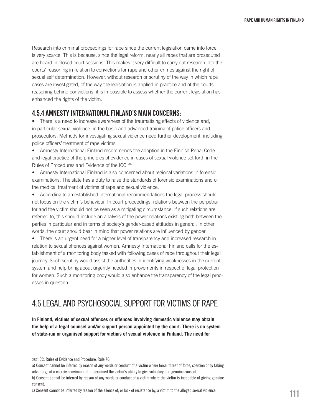Research into criminal proceedings for rape since the current legislation came into force is very scarce. This is because, since the legal reform, nearly all rapes that are prosecuted are heard in closed court sessions. This makes it very difficult to carry out research into the courts' reasoning in relation to convictions for rape and other crimes against the right of sexual self determination. However, without research or scrutiny of the way in which rape cases are investigated, of the way the legislation is applied in practice and of the courts' reasoning behind convictions, it is impossible to assess whether the current legislation has enhanced the rights of the victim.

## 4.5.4 Amnesty International Finland's main concerns:

• There is a need to increase awareness of the traumatising effects of violence and, in particular sexual violence, in the basic and advanced training of police officers and prosecutors. Methods for investigating sexual violence need further development, including police officers' treatment of rape victims.

• Amnesty International Finland recommends the adoption in the Finnish Penal Code and legal practice of the principles of evidence in cases of sexual violence set forth in the Rules of Procedures and Evidence of the ICC.<sup>287</sup>

• Amnesty International Finland is also concerned about regional variations in forensic examinations. The state has a duty to raise the standards of forensic examinations and of the medical treatment of victims of rape and sexual violence.

• According to an established international recommendations the legal process should not focus on the victim's behaviour. In court proceedings, relations between the perpetrator and the victim should not be seen as a mitigating circumstance. If such relations are referred to, this should include an analysis of the power relations existing both between the parties in particular and in terms of society's gender-based attitudes in general. In other words, the court should bear in mind that power relations are influenced by gender.

• There is an urgent need for a higher level of transparency and increased research in relation to sexual offences against women. Amnesty International Finland calls for the establishment of a monitoring body tasked with following cases of rape throughout their legal journey. Such scrutiny would assist the authorities in identifying weaknesses in the current system and help bring about urgently needed improvements in respect of legal protection for women. Such a monitoring body would also enhance the transparency of the legal processes in question.

# 4.6 Legal and psychosocial support for victims of rape

**In Finland, victims of sexual offences or offences involving domestic violence may obtain the help of a legal counsel and/or support person appointed by the court. There is no system of state-run or organised support for victims of sexual violence in Finland. The need for** 

<sup>287</sup> ICC, Rules of Evidence and Procedure, Rule 70:

a) Consent cannot be inferred by reason of any words or conduct of a victim where force, threat of force, coercion or by taking advantage of a coercive environment undermined the victim´s ability to give voluntary and genuine consent, b) Consent cannot be inferred by reason of any words or conduct of a victim where the victim is incapable of giving genuine

consent.

c) Consent cannot be inferred by reason of the silence of, or lack of resistance by, a victim to the alleged sexual violence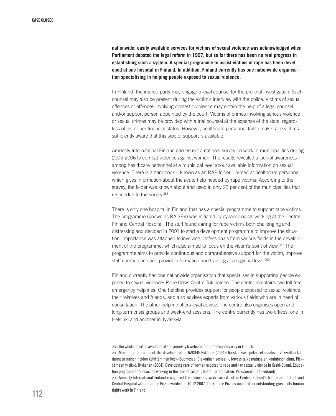**nationwide, easily available services for victims of sexual violence was acknowledged when Parliament debated the legal reform in 1997, but so far there has been no real progress in establishing such a system. A special programme to assist victims of rape has been developed at one hospital in Finland. In addition, Finland currently has one nationwide organisation specialising in helping people exposed to sexual violence.**

In Finland, the injured party may engage a legal counsel for the pre-trial investigation. Such counsel may also be present during the victim's interview with the police. Victims of sexual offences or offences involving domestic violence may obtain the help of a legal counsel and/or support person appointed by the court. Victims of crimes involving serious violence or sexual crimes may be provided with a trial counsel at the expense of the state, regardless of his or her financial status. However, healthcare personnel fail to make rape victims sufficiently aware that this type of support is available.

Amnesty International Finland carried out a national survey on work in municipalities during 2005-2006 to combat violence against women. The results revealed a lack of awareness among healthcare personnel at a municipal level about available information on sexual violence. There is a handbook – known as an RAP folder – aimed at healthcare personnel, which gives information about the acute help needed by rape victims. According to the survey, the folder was known about and used in only 23 per cent of the municipalities that responded to the survey.288

There is only one hospital in Finland that has a special programme to support rape victims. The programme (known as RAISEK) was initiated by gynaecologists working at the Central Finland Central Hospital. The staff found caring for rape victims both challenging and distressing and decided in 2001 to start a development programme to improve the situation. Importance was attached to involving professionals from various fields in the development of the programme, which also aimed to focus on the victim's point of view.289 The programme aims to provide continuous and comprehensive support for the victim, improve staff competence and provide information and training at a regional level.<sup>290</sup>

Finland currently has one nationwide organisation that specialises in supporting people exposed to sexual violence: Rape Crisis Centre Tukinainen. The centre maintains two toll-free emergency helplines. One helpline provides support for people exposed to sexual violence, their relatives and friends, and also advises experts from various fields who are in need of consultation. The other helpline offers legal advice. The centre also organises open and long-term crisis groups and week-end sessions. The centre currently has two offices, one in Helsinki and another in Jyväskylä.

<sup>288</sup> The whole report is available at the amnesty.fi website, but unfortunately only in Finnish.

<sup>289</sup> More information about the development of RAISEK: Nykänen (2004): Raiskauksen ja/tai seksuaalisen väkivallan kohdanneen naisen hoidon kehittäminen Keski-Suomessa. Diakoninen sosiaali-, terveys ja kasvatusalan koulutusohjelma, Pieksämäen yksikkö. [Nykänen (2004): Developing care of women exposed to rape and / or sexual violence in Keski-Suomi. Education programme for deacons working in the area of social-, health- or education. Pieksämäki unit, Finland]

<sup>290</sup> Amnesty International Finland recognised the pioneering work carried out in Central Finland's healthcare district and Central Hospital with a Candle Prize awarded on 10.12.2007. The Candle Prize is awarded for outstanding grassroots human rights work in Finland.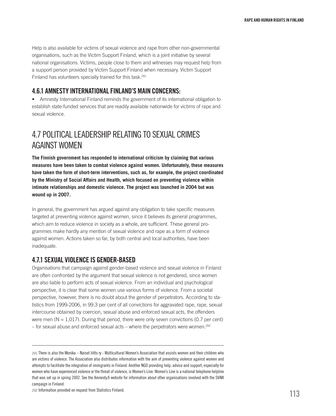Help is also available for victims of sexual violence and rape from other non-governmental organisations, such as the Victim Support Finland, which is a joint initiative by several national organisations. Victims, people close to them and witnesses may request help from a support person provided by Victim Support Finland when necessary. Victim Support Finland has volunteers specially trained for this task.291

# 4.6.1 Amnesty International Finland's main concerns:

• Amnesty International Finland reminds the government of its international obligation to establish state-funded services that are readily available nationwide for victims of rape and sexual violence.

# 4.7 Political leadership relating to sexual crimes against women

**The Finnish government has responded to international criticism by claiming that various measures have been taken to combat violence against women. Unfortunately, these measures have taken the form of short-term interventions, such as, for example, the project coordinated by the Ministry of Social Affairs and Health, which focused on preventing violence within intimate relationships and domestic violence. The project was launched in 2004 but was wound up in 2007.**

In general, the government has argued against any obligation to take specific measures targeted at preventing violence against women, since it believes its general programmes, which aim to reduce violence in society as a whole, are sufficient. These general programmes make hardly any mention of sexual violence and rape as a form of violence against women. Actions taken so far, by both central and local authorities, have been inadequate.

# 4.7.1 Sexual violence is gender-based

Organisations that campaign against gender-based violence and sexual violence in Finland are often confronted by the argument that sexual violence is not gendered, since women are also liable to perform acts of sexual violence. From an individual and psychological perspective, it is clear that some women use various forms of violence. From a societal perspective, however, there is no doubt about the gender of perpetrators. According to statistics from 1999-2006, in 99.3 per cent of all convictions for aggravated rape, rape, sexual intercourse obtained by coercion, sexual abuse and enforced sexual acts, the offenders were men ( $N = 1,017$ ). During that period, there were only seven convictions (0.7 per cent) – for sexual abuse and enforced sexual acts – where the perpetrators were women.<sup>292</sup>

<sup>291</sup> There is also the Monika – Naiset liitto ry - Multicultural Women's Association that assists women and their children who are victims of violence. The Association also distributes information with the aim of preventing violence against women and attempts to facilitate the integration of immigrants in Finland. Another NGO providing help, advice and support, especially for women who have experienced violence or the threat of violence, is Women's Line. Women's Line is a national telephone helpline that was set up in spring 2002. See the Amnesty.fi website for information about other organisations involved with the SVAW campaign in Finland.

<sup>292</sup> Information provided on request from Statistics Finland.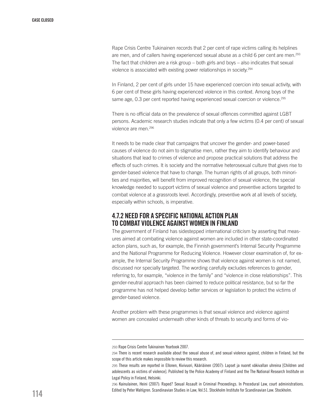Rape Crisis Centre Tukinainen records that 2 per cent of rape victims calling its helplines are men, and of callers having experienced sexual abuse as a child 6 per cent are men.293 The fact that children are a risk group – both girls and boys – also indicates that sexual violence is associated with existing power relationships in society.294

In Finland, 2 per cent of girls under 15 have experienced coercion into sexual activity, with 6 per cent of these girls having experienced violence in this context. Among boys of the same age, 0.3 per cent reported having experienced sexual coercion or violence.<sup>295</sup>

There is no official data on the prevalence of sexual offences committed against LGBT persons. Academic research studies indicate that only a few victims (0.4 per cent) of sexual violence are men.296

It needs to be made clear that campaigns that uncover the gender- and power-based causes of violence do not aim to stigmatise men, rather they aim to identify behaviour and situations that lead to crimes of violence and propose practical solutions that address the effects of such crimes. It is society and the normative heterosexual culture that gives rise to gender-based violence that have to change. The human rights of all groups, both minorities and majorities, will benefit from improved recognition of sexual violence, the special knowledge needed to support victims of sexual violence and preventive actions targeted to combat violence at a grassroots level. Accordingly, preventive work at all levels of society, especially within schools, is imperative.

# 4.7.2 Need for a specific national action plan to combat violence against women in Finland

The government of Finland has sidestepped international criticism by asserting that measures aimed at combating violence against women are included in other state-coordinated action plans, such as, for example, the Finnish government's Internal Security Programme and the National Programme for Reducing Violence. However closer examination of, for example, the Internal Security Programme shows that violence against women is not named, discussed nor specially targeted. The wording carefully excludes references to gender, referring to, for example, "violence in the family" and "violence in close relationships". This gender-neutral approach has been claimed to reduce political resistance, but so far the programme has not helped develop better services or legislation to protect the victims of gender-based violence.

Another problem with these programmes is that sexual violence and violence against women are concealed underneath other kinds of threats to security and forms of vio-

<sup>293</sup> Rape Crisis Centre Tukinainen Yearbook 2007.

<sup>294</sup> There is recent research available about the sexual abuse of, and sexual violence against, children in Finland, but the scope of this article makes impossible to review this research.

<sup>295</sup> These results are reported in Ellonen, Kivivuori, Kääriäinen (2007): Lapset ja nuoret väkivallan uhreina [Children and adolescents as victims of violence]. Published by the Police Academy of Finland and the The National Research Institute on Legal Policy in Finland, Helsinki.

<sup>296</sup> Kainulainen, Heini (2007): Raped? Sexual Assault in Criminal Proceedings. In Procedural Law, court administrations. Edited by Peter Wahlgren. Scandinavian Studies in Law, Vol.51. Stockholm Institute for Scandinavian Law. Stockholm.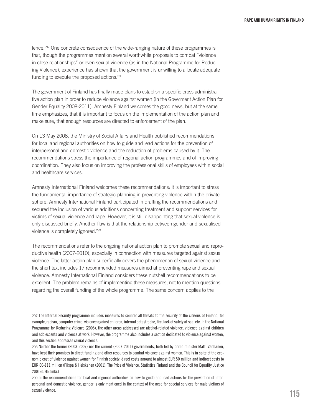lence.297 One concrete consequence of the wide-ranging nature of these programmes is that, though the programmes mention several worthwhile proposals to combat "violence in close relationships" or even sexual violence (as in the National Programme for Reducing Violence), experience has shown that the government is unwilling to allocate adequate funding to execute the proposed actions.298

The government of Finland has finally made plans to establish a specific cross administrative action plan in order to reduce violence against women (in the Goverment Action Plan for Gender Equality 2008-2011). Amnesty Finland welcomes the good news, but at the same time emphasizes, that it is important to focus on the implementation of the action plan and make sure, that enough resources are directed to enforcement of the plan.

On 13 May 2008, the Ministry of Social Affairs and Health published recommendations for local and regional authorities on how to guide and lead actions for the prevention of interpersonal and domestic violence and the reduction of problems caused by it. The recommendations stress the importance of regional action programmes and of improving coordination. They also focus on improving the professional skills of employees within social and healthcare services.

Amnesty International Finland welcomes these recommendations: it is important to stress the fundamental importance of strategic planning in preventing violence within the private sphere. Amnesty International Finland participated in drafting the recommendations and secured the inclusion of various additions concerning treatment and support services for victims of sexual violence and rape. However, it is still disappointing that sexual violence is only discussed briefly. Another flaw is that the relationship between gender and sexualised violence is completely ignored.299

The recommendations refer to the ongoing national action plan to promote sexual and reproductive health (2007-2010), especially in connection with measures targeted against sexual violence. The latter action plan superficially covers the phenomenon of sexual violence and the short text includes 17 recommended measures aimed at preventing rape and sexual violence. Amnesty International Finland considers these nutshell recommendations to be excellent. The problem remains of implementing these measures, not to mention questions regarding the overall funding of the whole programme. The same concern applies to the

<sup>297</sup> The Internal Security programme includes measures to counter all threats to the security of the citizens of Finland, for example, racism, computer crime, violence against children, internal catastrophe, fire, lack of safety at sea, etc. In the National Programme for Reducing Violence (2005), the other areas addressed are alcohol-related violence, violence against children and adolescents and violence at work. However, the programme also includes a section dedicated to violence against women, and this section addresses sexual violence.

<sup>298</sup> Neither the former (2003-2007) nor the current (2007-2011) governments, both led by prime minister Matti Vanhanen, have kept their promises to direct funding and other resources to combat violence against women. This is in spite of the economic cost of violence against women for Finnish society: direct costs amount to almost EUR 50 million and indirect costs to EUR 60-111 million (Piispa & Heiskanen (2001): The Price of Violence. Statistics Finland and the Council for Equality. Justice 2001:3, Helsinki.)

<sup>299</sup> In the recommendations for local and regional authorities on how to guide and lead actions for the prevention of interpersonal and domestic violence, gender is only mentioned in the context of the need for special services for male victims of sexual violence.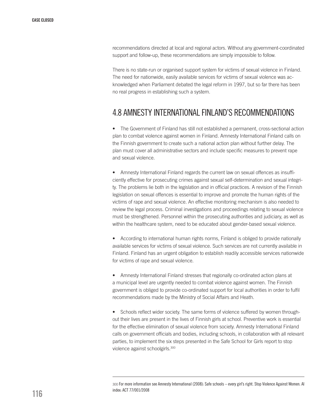recommendations directed at local and regional actors. Without any government-coordinated support and follow-up, these recommendations are simply impossible to follow.

There is no state-run or organised support system for victims of sexual violence in Finland. The need for nationwide, easily available services for victims of sexual violence was acknowledged when Parliament debated the legal reform in 1997, but so far there has been no real progress in establishing such a system.

# 4.8 Amnesty INternational Finland's recommendations

• The Government of Finland has still not established a permanent, cross-sectional action plan to combat violence against women in Finland. Amnesty International Finland calls on the Finnish government to create such a national action plan without further delay. The plan must cover all administrative sectors and include specific measures to prevent rape and sexual violence.

• Amnesty International Finland regards the current law on sexual offences as insufficiently effective for prosecuting crimes against sexual self-determination and sexual integrity. The problems lie both in the legislation and in official practices. A revision of the Finnish legislation on sexual offences is essential to improve and promote the human rights of the victims of rape and sexual violence. An effective monitoring mechanism is also needed to review the legal process. Criminal investigations and proceedings relating to sexual violence must be strengthened. Personnel within the prosecuting authorities and judiciary, as well as within the healthcare system, need to be educated about gender-based sexual violence.

According to international human rights norms, Finland is obliged to provide nationally available services for victims of sexual violence. Such services are not currently available in Finland. Finland has an urgent obligation to establish readily accessible services nationwide for victims of rape and sexual violence.

• Amnesty International Finland stresses that regionally co-ordinated action plans at a municipal level are urgently needed to combat violence against women. The Finnish government is obliged to provide co-ordinated support for local authorities in order to fulfil recommendations made by the Ministry of Social Affairs and Heath.

• Schools reflect wider society. The same forms of violence suffered by women throughout their lives are present in the lives of Finnish girls at school. Preventive work is essential for the effective elimination of sexual violence from society. Amnesty International Finland calls on government officials and bodies, including schools, in collaboration with all relevant parties, to implement the six steps presented in the Safe School for Girls report to stop violence against schoolgirls.300

<sup>300</sup> For more information see Amnesty International (2008): Safe schools – every girl's right. Stop Violence Against Women. AI index: ACT 77/001/2008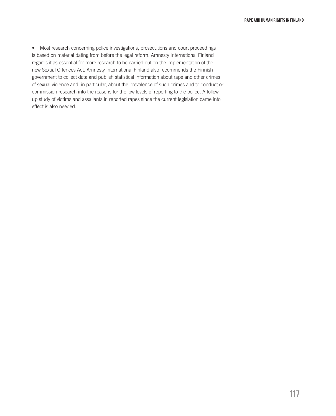• Most research concerning police investigations, prosecutions and court proceedings is based on material dating from before the legal reform. Amnesty International Finland regards it as essential for more research to be carried out on the implementation of the new Sexual Offences Act. Amnesty International Finland also recommends the Finnish government to collect data and publish statistical information about rape and other crimes of sexual violence and, in particular, about the prevalence of such crimes and to conduct or commission research into the reasons for the low levels of reporting to the police. A followup study of victims and assailants in reported rapes since the current legislation came into effect is also needed.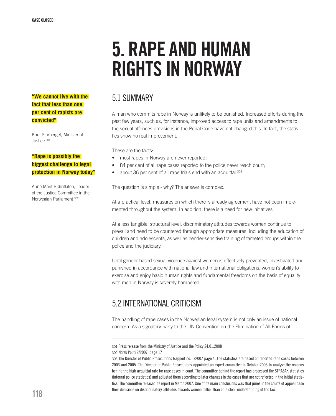# 5. RAPE and human rights IN NORWAY

## **"We cannot live with the fact that less than one per cent of rapists are convicted"**

Knut Storberget, Minister of Justice 301

## **"Rape is possibly the biggest challenge to legal protection in Norway today"**

Anne Marit Bjørnflaten, Leader of the Justice Committee in the Norwegian Parliament 302

# 5.1 Summary

A man who commits rape in Norway is unlikely to be punished. Increased efforts during the past few years, such as, for instance, improved access to rape units and amendments to the sexual offences provisions in the Penal Code have not changed this. In fact, the statistics show no real improvement.

These are the facts:

- most rapes in Norway are never reported:
- 84 per cent of all rape cases reported to the police never reach court;
- about 36 per cent of all rape trials end with an acquittal.<sup>303</sup>

The question is simple - why? The answer is complex.

At a practical level, measures on which there is already agreement have not been implemented throughout the system. In addition, there is a need for new initiatives.

At a less tangible, structural level, discriminatory attitudes towards women continue to prevail and need to be countered through appropriate measures, including the education of children and adolescents, as well as gender-sensitive training of targeted groups within the police and the judiciary.

Until gender-based sexual violence against women is effectively prevented, investigated and punished in accordance with national law and international obligations, women's ability to exercise and enjoy basic human rights and fundamental freedoms on the basis of equality with men in Norway is severely hampered.

# 5.2 International criticism

The handling of rape cases in the Norwegian legal system is not only an issue of national concern. As a signatory party to the UN Convention on the Elimination of All Forms of

<sup>301</sup> Press release from the Ministry of Justice and the Policy 24.01.2008 302 Norsk Politi 2/2007, page 17

<sup>303</sup> The Director of Public Prosecutions Rapport no. 1/2007 page 4. The statistics are based on reported rape cases between 2003 and 2005. The Director of Public Prosecutions appointed an expert committee in October 2005 to analyse the reasons behind the high acquittal rate for rape cases in court. The committee behind the report has processed the STRASAK statistics (internal police statistics) and adjusted them according to later changes in the cases that are not reflected in the initial statistics. The committee released its report in March 2007. One of its main conclusions was that juries in the courts of appeal base their decisions on discriminatory attitudes towards women rather than on a clear understanding of the law.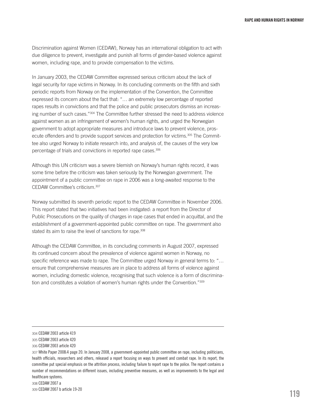Discrimination against Women (CEDAW), Norway has an international obligation to act with due diligence to prevent, investigate and punish all forms of gender-based violence against women, including rape, and to provide compensation to the victims.

In January 2003, the CEDAW Committee expressed serious criticism about the lack of legal security for rape victims in Norway. In its concluding comments on the fifth and sixth periodic reports from Norway on the implementation of the Convention, the Committee expressed its concern about the fact that: "… an extremely low percentage of reported rapes results in convictions and that the police and public prosecutors dismiss an increasing number of such cases."304 The Committee further stressed the need to address violence against women as an infringement of women's human rights, and urged the Norwegian government to adopt appropriate measures and introduce laws to prevent violence, prosecute offenders and to provide support services and protection for victims.<sup>305</sup> The Committee also urged Norway to initiate research into, and analysis of, the causes of the very low percentage of trials and convictions in reported rape cases.306

Although this UN criticism was a severe blemish on Norway's human rights record, it was some time before the criticism was taken seriously by the Norwegian government. The appointment of a public committee on rape in 2006 was a long-awaited response to the CEDAW Committee's criticism.307

Norway submitted its seventh periodic report to the CEDAW Committee in November 2006. This report stated that two initiatives had been instigated: a report from the Director of Public Prosecutions on the quality of charges in rape cases that ended in acquittal, and the establishment of a government-appointed public committee on rape. The government also stated its aim to raise the level of sanctions for rape.<sup>308</sup>

Although the CEDAW Committee, in its concluding comments in August 2007, expressed its continued concern about the prevalence of violence against women in Norway, no specific reference was made to rape. The Committee urged Norway in general terms to: "… ensure that comprehensive measures are in place to address all forms of violence against women, including domestic violence, recognising that such violence is a form of discrimination and constitutes a violation of women's human rights under the Convention."309

<sup>304</sup> CEDAW 2003 article 419

<sup>305</sup> CEDAW 2003 article 420

<sup>306</sup> CEDAW 2003 article 420

<sup>307</sup> White Paper 2008:4 page 20. In January 2008, a government-appointed public committee on rape, including politicians, health officials, researchers and others, released a report focusing on ways to prevent and combat rape. In its report, the committee put special emphasis on the attrition process, including failure to report rape to the police. The report contains a number of recommendations on different issues, including preventive measures, as well as improvements to the legal and healthcare systems.

<sup>308</sup> CEDAW 2007 a

<sup>309</sup> CEDAW 2007 b article 19-20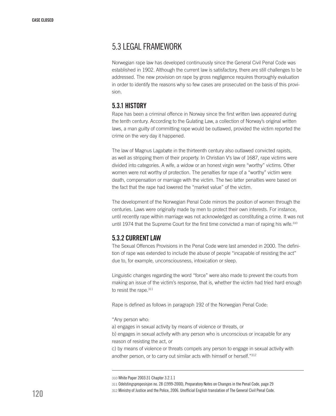# 5.3 Legal framework

Norwegian rape law has developed continuously since the General Civil Penal Code was established in 1902. Although the current law is satisfactory, there are still challenges to be addressed. The new provision on rape by gross negligence requires thoroughly evaluation in order to identify the reasons why so few cases are prosecuted on the basis of this provision.

# 5.3.1 History

Rape has been a criminal offence in Norway since the first written laws appeared during the tenth century. According to the Gulating Law, a collection of Norway's original written laws, a man guilty of committing rape would be outlawed, provided the victim reported the crime on the very day it happened.

The law of Magnus Lagabøte in the thirteenth century also outlawed convicted rapists, as well as stripping them of their property. In Christian V's law of 1687, rape victims were divided into categories. A wife, a widow or an honest virgin were "worthy" victims. Other women were not worthy of protection. The penalties for rape of a "worthy" victim were death, compensation or marriage with the victim. The two latter penalties were based on the fact that the rape had lowered the "market value" of the victim.

The development of the Norwegian Penal Code mirrors the position of women through the centuries. Laws were originally made by men to protect their own interests. For instance, until recently rape within marriage was not acknowledged as constituting a crime. It was not until 1974 that the Supreme Court for the first time convicted a man of raping his wife.<sup>310</sup>

# 5.3.2 Currentlaw

The Sexual Offences Provisions in the Penal Code were last amended in 2000. The definition of rape was extended to include the abuse of people "incapable of resisting the act" due to, for example, unconsciousness, intoxication or sleep.

Linguistic changes regarding the word "force" were also made to prevent the courts from making an issue of the victim's response, that is, whether the victim had tried hard enough to resist the rape.<sup>311</sup>

Rape is defined as follows in paragraph 192 of the Norwegian Penal Code:

"Any person who:

a) engages in sexual activity by means of violence or threats, or

b) engages in sexual activity with any person who is unconscious or incapable for any reason of resisting the act, or

c) by means of violence or threats compels any person to engage in sexual activity with another person, or to carry out similar acts with himself or herself."312

311 Odelstingsproposisjon no. 28 (1999-2000), Preparatory Notes on Changes in the Penal Code, page 29

<sup>310</sup> White Paper 2003:31 Chapter 3.2.1.1

<sup>312</sup> Ministry of Justice and the Police, 2006. Unofficial English translation of The General Civil Penal Code.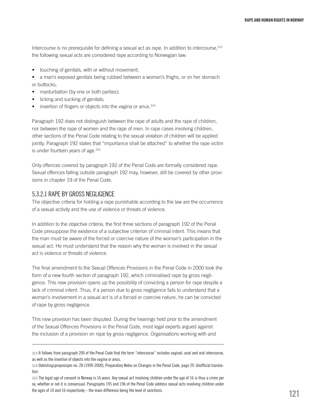Intercourse is no prerequisite for defining a sexual act as rape. In addition to intercourse, 313 the following sexual acts are considered rape according to Norwegian law:

- touching of genitals, with or without movement;
- a man's exposed genitals being rubbed between a woman's thighs, or on her stomach or buttocks;
- masturbation (by one or both parties);
- licking and sucking of genitals;
- $\bullet$  insertion of fingers or objects into the vagina or anus.<sup>314</sup>

Paragraph 192 does not distinguish between the rape of adults and the rape of children, nor between the rape of women and the rape of men. In rape cases involving children, other sections of the Penal Code relating to the sexual violation of children will be applied jointly. Paragraph 192 states that "importance shall be attached" to whether the rape victim is under fourteen years of age.<sup>315</sup>

Only offences covered by paragraph 192 of the Penal Code are formally considered rape. Sexual offences falling outside paragraph 192 may, however, still be covered by other provisions in chapter 19 of the Penal Code.

#### 5.3.2.1 Rape by gross negligence

The objective criteria for holding a rape punishable according to the law are the occurrence of a sexual activity and the use of violence or threats of violence.

In addition to the objective criteria, the first three sections of paragraph 192 of the Penal Code presuppose the existence of a subjective criterion of criminal intent. This means that the man must be aware of the forced or coercive nature of the woman's participation in the sexual act. He must understand that the reason why the woman is involved in the sexual act is violence or threats of violence.

The final amendment to the Sexual Offences Provisions in the Penal Code in 2000 took the form of a new fourth section of paragraph 192, which criminalised rape by gross negligence. This new provision opens up the possibility of convicting a person for rape despite a lack of criminal intent. Thus, if a person due to gross negligence fails to understand that a woman's involvement in a sexual act is of a forced or coercive nature, he can be convicted of rape by gross negligence.

This new provision has been disputed. During the hearings held prior to the amendment of the Sexual Offences Provisions in the Penal Code, most legal experts argued against the inclusion of a provision on rape by gross negligence. Organisations working with and

<sup>313</sup> It follows from paragraph 206 of the Penal Code that the term "intercourse" includes vaginal, anal and oral intercourse, as well as the insertion of objects into the vagina or anus.

<sup>314</sup> Odelstingsproposisjon no. 28 (1999-2000), Preparatory Notes on Changes in the Penal Code, page 29. Unofficial translation.

<sup>315</sup> The legal age of consent in Norway is 16 years. Any sexual act involving children under the age of 16 is thus a crime per se, whether or not it is consensual. Paragraphs 195 and 196 of the Penal Code address sexual acts involving children under the ages of 14 and 16 respectively – the main difference being the level of sanctions.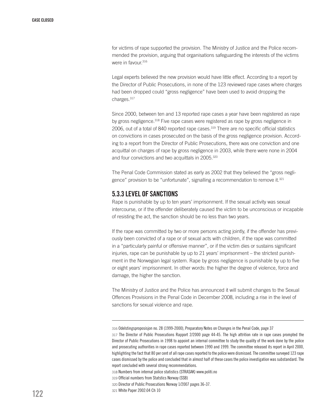for victims of rape supported the provision. The Ministry of Justice and the Police recommended the provision, arguing that organisations safeguarding the interests of the victims were in favour.<sup>316</sup>

Legal experts believed the new provision would have little effect. According to a report by the Director of Public Prosecutions, in none of the 123 reviewed rape cases where charges had been dropped could "gross negligence" have been used to avoid dropping the charges.317

Since 2000, between ten and 13 reported rape cases a year have been registered as rape by gross negligence.<sup>318</sup> Five rape cases were registered as rape by gross negligence in 2006, out of a total of 840 reported rape cases.<sup>319</sup> There are no specific official statistics on convictions in cases prosecuted on the basis of the gross negligence provision. According to a report from the Director of Public Prosecutions, there was one conviction and one acquittal on charges of rape by gross negligence in 2003, while there were none in 2004 and four convictions and two acquittals in 2005.<sup>320</sup>

The Penal Code Commission stated as early as 2002 that they believed the "gross negligence" provision to be "unfortunate", signalling a recommendation to remove it.<sup>321</sup>

# 5.3.3 Level of sanctions

Rape is punishable by up to ten years' imprisonment. If the sexual activity was sexual intercourse, or if the offender deliberately caused the victim to be unconscious or incapable of resisting the act, the sanction should be no less than two years.

If the rape was committed by two or more persons acting jointly, if the offender has previously been convicted of a rape or of sexual acts with children, if the rape was committed in a "particularly painful or offensive manner", or if the victim dies or sustains significant injuries, rape can be punishable by up to 21 years' imprisonment – the strictest punishment in the Norwegian legal system. Rape by gross negligence is punishable by up to five or eight years' imprisonment. In other words: the higher the degree of violence, force and damage, the higher the sanction.

The Ministry of Justice and the Police has announced it will submit changes to the Sexual Offences Provisions in the Penal Code in December 2008, including a rise in the level of sanctions for sexual violence and rape.

<sup>316</sup> Odelstingsproposisjon no. 28 (1999-2000), Preparatory Notes on Changes in the Penal Code, page 37

<sup>317</sup> The Director of Public Prosecutions Rapport 2/2000 page 44-45. The high attrition rate in rape cases prompted the Director of Public Prosecutions in 1998 to appoint an internal committee to study the quality of the work done by the police and prosecuting authorities in rape cases reported between 1990 and 1999. The committee released its report in April 2000, highlighting the fact that 80 per cent of all rape cases reported to the police were dismissed. The committee surveyed 123 rape cases dismissed by the police and concluded that in almost half of these cases the police investigation was substandard. The report concluded with several strong recommendations.

<sup>318</sup> Numbers from internal police statistics (STRASAK) www.politi.no

<sup>319</sup> Official numbers from Statstics Norway (SSB)

<sup>320</sup> Director of Public Prosecutions Norway 1/2007 pages 36-37.

<sup>321</sup> White Paper 2002:04 Ch 10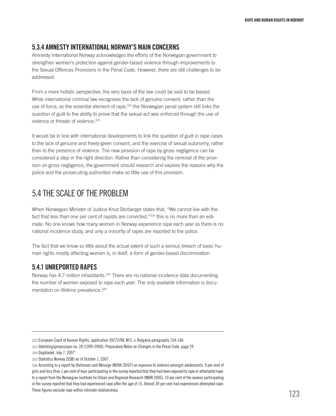#### 5.3.4 Amnesty International Norway's main concerns

Amnesty International Norway acknowledges the efforts of the Norwegian government to strengthen women's protection against gender-based violence through improvements to the Sexual Offences Provisions in the Penal Code. However, there are still challenges to be addressed.

From a more holistic perspective, the very basis of the law could be said to be biased. While international criminal law recognises the lack of genuine consent, rather than the use of force, as the essential element of rape,<sup>322</sup> the Norwegian penal system still links the question of guilt to the ability to prove that the sexual act was enforced through the use of violence or threats of violence.323

It would be in line with international developments to link the question of guilt in rape cases to the lack of genuine and freely-given consent, and the exercise of sexual autonomy, rather than to the presence of violence. The new provision of rape by gross negligence can be considered a step in the right direction. Rather than considering the removal of the provision on gross negligence, the government should research and explore the reasons why the police and the prosecuting authorities make so little use of this provision.

# 5.4 The scale of the problem

When Norwegian Minister of Justice Knut Storberget states that, "We cannot live with the fact that less than one per cent of rapists are convicted,"<sup>324</sup> this is no more than an estimate. No one knows how many women in Norway experience rape each year as there is no national incidence study, and only a minority of rapes are reported to the police.

The fact that we know so little about the actual extent of such a serious breach of basic human rights mostly affecting women is, in itself, a form of gender-based discrimination.

## 5.4.1 Unreported rapes

Norway has 4.7 million inhabitants.<sup>325</sup> There are no national incidence data documenting the number of women exposed to rape each year. The only available information is documentation on lifetime prevalence.<sup>326</sup>

323 Odelstingsproposisjon no. 28 (1999-2000), Preparatory Notes on Changes in the Penal Code, page 29

<sup>322</sup> European Court of Human Rights, application 39272/98, M.C. v. Bulgaria paragraphs 154-166

<sup>324</sup> Dagbladet, July 7, 2007¨

<sup>325</sup> Statistics Norway (SSB) as of October 1, 2007.

<sup>326</sup> According to a report by Stefansen and Mossige (NOVA 20/07) on exposure to violence amongst adolescents, 9 per cent of girls and less than 1 per cent of boys participating in the survey reported that they had been exposed to rape or attempted rape. In a report from the Norwegian Institute for Urban and Regional Research (NIBR 2005), 10 per cent of the women participating in the survey reported that they had experienced rape after the age of 15. Almost 20 per cent had experienced attempted rape. These figures exclude rape within intimate relationships.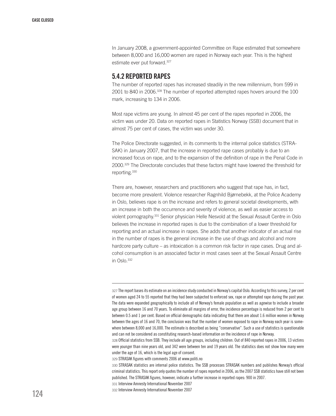In January 2008, a government-appointed Committee on Rape estimated that somewhere between 8,000 and 16,000 women are raped in Norway each year. This is the highest estimate ever put forward.327

#### 5.4.2 Reported rapes

The number of reported rapes has increased steadily in the new millennium, from 599 in 2001 to 840 in 2006.328 The number of reported attempted rapes hovers around the 100 mark, increasing to 134 in 2006.

Most rape victims are young. In almost 45 per cent of the rapes reported in 2006, the victim was under 20. Data on reported rapes in Statistics Norway (SSB) document that in almost 75 per cent of cases, the victim was under 30.

The Police Directorate suggested, in its comments to the internal police statistics (STRA-SAK) in January 2007, that the increase in reported rape cases probably is due to an increased focus on rape, and to the expansion of the definition of rape in the Penal Code in 2000.329 The Directorate concludes that these factors might have lowered the threshold for reporting.330

There are, however, researchers and practitioners who suggest that rape has, in fact, become more prevalent. Violence researcher Ragnhild Bjørnebekk, at the Police Academy in Oslo, believes rape is on the increase and refers to general societal developments, with an increase in both the occurrence and severity of violence, as well as easier access to violent pornography.331 Senior physician Helle Nesvold at the Sexual Assault Centre in Oslo believes the increase in reported rapes is due to the combination of a lower threshold for reporting and an actual increase in rapes. She adds that another indicator of an actual rise in the number of rapes is the general increase in the use of drugs and alcohol and more hardcore party culture – as intoxication is a common risk factor in rape cases. Drug and alcohol consumption is an associated factor in most cases seen at the Sexual Assault Centre in Oslo.<sup>332</sup>

<sup>327</sup> The report bases its estimate on an incidence study conducted in Norway's capital Oslo. According to this survey, 2 per cent of women aged 24 to 55 reported that they had been subjected to enforced sex, rape or attempted rape during the past year. The data were expanded geographically to include all of Norway's female population as well as agewise to include a broader age group between 16 and 70 years. To eliminate all margins of error, the incidence percentage is reduced from 2 per cent to between 0.5 and 1 per cent. Based on official demographic data indicating that there are about 1.6 million women in Norway between the ages of 16 and 70, the conclusion was that the number of women exposed to rape in Norway each year is somewhere between 8,000 and 16,000. The estimate is described as being "conservative". Such a use of statistics is questionable and can not be considered as constituting research-based information on the incidence of rape in Norway.

<sup>328</sup> Official statistics from SSB. They include all age groups, including children. Out of 840 reported rapes in 2006, 13 victims were younger than nine years old, and 342 were between ten and 19 years old. The statistics does not show how many were under the age of 16, which is the legal age of consent.

<sup>329</sup> STRASAK figures with comments 2006 at www.politi.no

<sup>330</sup> STRASAK statistics are internal police statistics. The SSB processes STRASAK numbers and publishes Norway's official criminal statistics. This report only quotes the number of rapes reported in 2006, as the 2007 SSB statistics have still not been published. The STRASAK figures, however, indicate a further increase in reported rapes: 900 in 2007.

<sup>331</sup> Interview Amnesty International November 2007

<sup>332</sup> Interview Amnesty International November 2007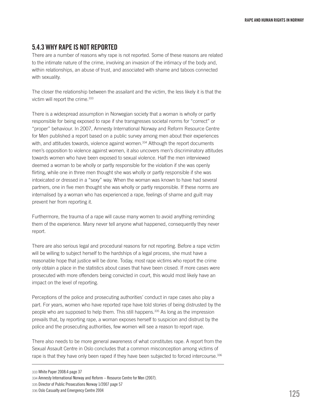# 5.4.3 Why rape is not reported

There are a number of reasons why rape is not reported. Some of these reasons are related to the intimate nature of the crime, involving an invasion of the intimacy of the body and, within relationships, an abuse of trust, and associated with shame and taboos connected with sexuality.

The closer the relationship between the assailant and the victim, the less likely it is that the victim will report the crime.<sup>333</sup>

There is a widespread assumption in Norwegian society that a woman is wholly or partly responsible for being exposed to rape if she transgresses societal norms for "correct" or "proper" behaviour. In 2007, Amnesty International Norway and Reform Resource Centre for Men published a report based on a public survey among men about their experiences with, and attitudes towards, violence against women.<sup>334</sup> Although the report documents men's opposition to violence against women, it also uncovers men's discriminatory attitudes towards women who have been exposed to sexual violence. Half the men interviewed deemed a woman to be wholly or partly responsible for the violation if she was openly flirting, while one in three men thought she was wholly or partly responsible if she was intoxicated or dressed in a "sexy" way. When the woman was known to have had several partners, one in five men thought she was wholly or partly responsible. If these norms are internalised by a woman who has experienced a rape, feelings of shame and guilt may prevent her from reporting it.

Furthermore, the trauma of a rape will cause many women to avoid anything reminding them of the experience. Many never tell anyone what happened, consequently they never report.

There are also serious legal and procedural reasons for not reporting. Before a rape victim will be willing to subject herself to the hardships of a legal process, she must have a reasonable hope that justice will be done. Today, most rape victims who report the crime only obtain a place in the statistics about cases that have been closed. If more cases were prosecuted with more offenders being convicted in court, this would most likely have an impact on the level of reporting.

Perceptions of the police and prosecuting authorities' conduct in rape cases also play a part. For years, women who have reported rape have told stories of being distrusted by the people who are supposed to help them. This still happens.<sup>335</sup> As long as the impression prevails that, by reporting rape, a woman exposes herself to suspicion and distrust by the police and the prosecuting authorities, few women will see a reason to report rape.

There also needs to be more general awareness of what constitutes rape. A report from the Sexual Assault Centre in Oslo concludes that a common misconception among victims of rape is that they have only been raped if they have been subjected to forced intercourse.<sup>336</sup>

<sup>333</sup> White Paper 2008:4 page 37

<sup>334</sup> Amnesty International Norway and Reform – Resource Centre for Men (2007).

<sup>335</sup> Director of Public Prosecutions Norway 1/2007 page 57

<sup>336</sup> Oslo Casualty and Emergency Centre 2004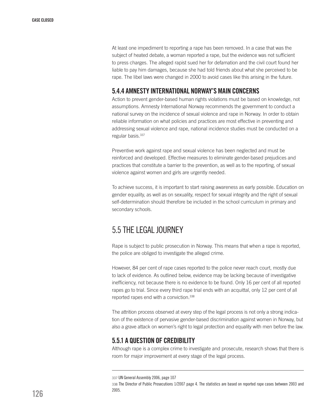At least one impediment to reporting a rape has been removed. In a case that was the subject of heated debate, a woman reported a rape, but the evidence was not sufficient to press charges. The alleged rapist sued her for defamation and the civil court found her liable to pay him damages, because she had told friends about what she perceived to be rape. The libel laws were changed in 2000 to avoid cases like this arising in the future.

## 5.4.4 Amnesty International Norway's main concerns

Action to prevent gender-based human rights violations must be based on knowledge, not assumptions. Amnesty International Norway recommends the government to conduct a national survey on the incidence of sexual violence and rape in Norway. In order to obtain reliable information on what policies and practices are most effective in preventing and addressing sexual violence and rape, national incidence studies must be conducted on a regular basis.<sup>337</sup>

Preventive work against rape and sexual violence has been neglected and must be reinforced and developed. Effective measures to eliminate gender-based prejudices and practices that constitute a barrier to the prevention, as well as to the reporting, of sexual violence against women and girls are urgently needed.

To achieve success, it is important to start raising awareness as early possible. Education on gender equality, as well as on sexuality, respect for sexual integrity and the right of sexual self-determination should therefore be included in the school curriculum in primary and secondary schools.

# 5.5 The legal journey

Rape is subject to public prosecution in Norway. This means that when a rape is reported, the police are obliged to investigate the alleged crime.

However, 84 per cent of rape cases reported to the police never reach court, mostly due to lack of evidence. As outlined below, evidence may be lacking because of investigative inefficiency, not because there is no evidence to be found. Only 16 per cent of all reported rapes go to trial. Since every third rape trial ends with an acquittal, only 12 per cent of all reported rapes end with a conviction.<sup>338</sup>

The attrition process observed at every step of the legal process is not only a strong indication of the existence of pervasive gender-based discrimination against women in Norway, but also a grave attack on women's right to legal protection and equality with men before the law.

## 5.5.1 A question of credibility

Although rape is a complex crime to investigate and prosecute, research shows that there is room for major improvement at every stage of the legal process.

<sup>337</sup> UN General Assembly 2006, page 107

<sup>338</sup> The Director of Public Prosecutions 1/2007 page 4. The statistics are based on reported rape cases between 2003 and 2005.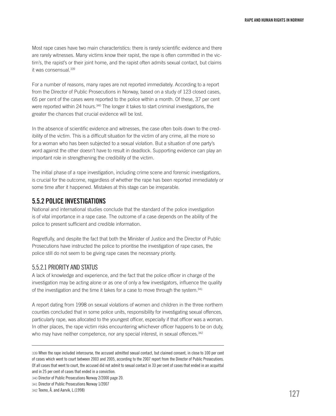Most rape cases have two main characteristics: there is rarely scientific evidence and there are rarely witnesses. Many victims know their rapist, the rape is often committed in the victim's, the rapist's or their joint home, and the rapist often admits sexual contact, but claims it was consensual<sup>339</sup>

For a number of reasons, many rapes are not reported immediately. According to a report from the Director of Public Prosecutions in Norway, based on a study of 123 closed cases, 65 per cent of the cases were reported to the police within a month. Of these, 37 per cent were reported within 24 hours.<sup>340</sup> The longer it takes to start criminal investigations, the greater the chances that crucial evidence will be lost.

In the absence of scientific evidence and witnesses, the case often boils down to the credibility of the victim. This is a difficult situation for the victim of any crime, all the more so for a woman who has been subjected to a sexual violation. But a situation of one party's word against the other doesn't have to result in deadlock. Supporting evidence can play an important role in strengthening the credibility of the victim.

The initial phase of a rape investigation, including crime scene and forensic investigations, is crucial for the outcome, regardless of whether the rape has been reported immediately or some time after it happened. Mistakes at this stage can be irreparable.

## 5.5.2 Police investigations

National and international studies conclude that the standard of the police investigation is of vital importance in a rape case. The outcome of a case depends on the ability of the police to present sufficient and credible information.

Regretfully, and despite the fact that both the Minister of Justice and the Director of Public Prosecutions have instructed the police to prioritise the investigation of rape cases, the police still do not seem to be giving rape cases the necessary priority.

#### 5.5.2.1 Priority and status

A lack of knowledge and experience, and the fact that the police officer in charge of the investigation may be acting alone or as one of only a few investigators, influence the quality of the investigation and the time it takes for a case to move through the system.<sup>341</sup>

A report dating from 1998 on sexual violations of women and children in the three northern counties concluded that in some police units, responsibility for investigating sexual offences, particularly rape, was allocated to the youngest officer, especially if that officer was a woman. In other places, the rape victim risks encountering whichever officer happens to be on duty, who may have neither competence, nor any special interest, in sexual offences.<sup>342</sup>

<sup>339</sup> When the rape included intercourse, the accused admitted sexual contact, but claimed consent, in close to 100 per cent of cases which went to court between 2003 and 2005, according to the 2007 report from the Director of Public Prosecutions. Of all cases that went to court, the accused did not admit to sexual contact in 33 per cent of cases that ended in an acquittal and in 25 per cent of cases that ended in a conviction.

<sup>340</sup> Director of Public Prosecutions Norway 2/2000 page 20.

<sup>341</sup> Director of Public Prosecutions Norway 1/2007

<sup>342</sup> Texmo, Å. and Aarvik, L.(1998)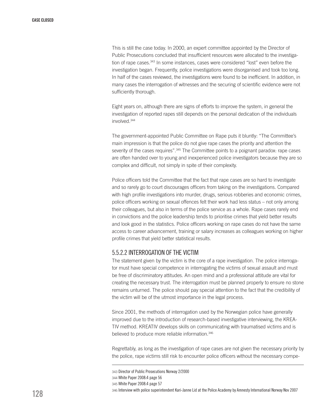This is still the case today. In 2000, an expert committee appointed by the Director of Public Prosecutions concluded that insufficient resources were allocated to the investigation of rape cases.<sup>343</sup> In some instances, cases were considered "lost" even before the investigation began. Frequently, police investigations were disorganised and took too long. In half of the cases reviewed, the investigations were found to be inefficient. In addition, in many cases the interrogation of witnesses and the securing of scientific evidence were not sufficiently thorough.

Eight years on, although there are signs of efforts to improve the system, in general the investigation of reported rapes still depends on the personal dedication of the individuals involved.344

The government-appointed Public Committee on Rape puts it bluntly: "The Committee's main impression is that the police do not give rape cases the priority and attention the severity of the cases requires".<sup>345</sup> The Committee points to a poignant paradox: rape cases are often handed over to young and inexperienced police investigators because they are so complex and difficult, not simply in spite of their complexity.

Police officers told the Committee that the fact that rape cases are so hard to investigate and so rarely go to court discourages officers from taking on the investigations. Compared with high profile investigations into murder, drugs, serious robberies and economic crimes, police officers working on sexual offences felt their work had less status – not only among their colleagues, but also in terms of the police service as a whole. Rape cases rarely end in convictions and the police leadership tends to prioritise crimes that yield better results and look good in the statistics. Police officers working on rape cases do not have the same access to career advancement, training or salary increases as colleagues working on higher profile crimes that yield better statistical results.

#### 5.5.2.2 Interrogation of the victim

The statement given by the victim is the core of a rape investigation. The police interrogator must have special competence in interrogating the victims of sexual assault and must be free of discriminatory attitudes. An open mind and a professional attitude are vital for creating the necessary trust. The interrogation must be planned properly to ensure no stone remains unturned. The police should pay special attention to the fact that the credibility of the victim will be of the utmost importance in the legal process.

Since 2001, the methods of interrogation used by the Norwegian police have generally improved due to the introduction of research-based investigative interviewing, the KREA-TIV method. KREATIV develops skills on communicating with traumatised victims and is believed to produce more reliable information.<sup>346</sup>

Regrettably, as long as the investigation of rape cases are not given the necessary priority by the police, rape victims still risk to encounter police officers without the necessary compe-

346 Interview with police superintendent Kari-Janne Lid at the Police Academy by Amnesty International Norway Nov 2007

<sup>343</sup> Director of Public Prosecutions Norway 2/2000

<sup>344</sup> White Paper 2008:4 page 56

<sup>345</sup> White Paper 2008:4 page 57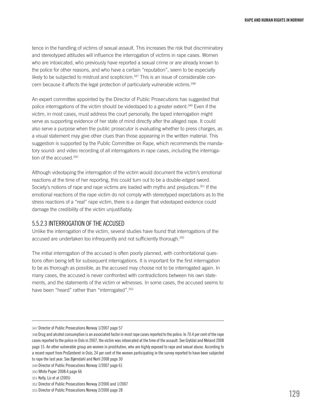tence in the handling of victims of sexual assault. This increases the risk that discriminatory and stereotyped attitudes will influence the interrogation of victims in rape cases. Women who are intoxicated, who previously have reported a sexual crime or are already known to the police for other reasons, and who have a certain "reputation", seem to be especially likely to be subjected to mistrust and scepticism.<sup>347</sup> This is an issue of considerable concern because it affects the legal protection of particularly vulnerable victims.<sup>348</sup>

An expert committee appointed by the Director of Public Prosecutions has suggested that police interrogations of the victim should be videotaped to a greater extent.349 Even if the victim, in most cases, must address the court personally, the taped interrogation might serve as supporting evidence of her state of mind directly after the alleged rape. It could also serve a purpose when the public prosecutor is evaluating whether to press charges, as a visual statement may give other clues than those appearing in the written material. This suggestion is supported by the Public Committee on Rape, which recommends the mandatory sound- and video recording of all interrogations in rape cases, including the interrogation of the accused.350

Although videotaping the interrogation of the victim would document the victim's emotional reactions at the time of her reporting, this could turn out to be a double-edged sword. Society's notions of rape and rape victims are loaded with myths and prejudices.<sup>351</sup> If the emotional reactions of the rape victim do not comply with stereotyped expectations as to the stress reactions of a "real" rape victim, there is a danger that videotaped evidence could damage the credibility of the victim unjustifiably.

#### 5.5.2.3 Interrogation of the accused

Unlike the interrogation of the victim, several studies have found that interrogations of the accused are undertaken too infrequently and not sufficiently thorough.<sup>352</sup>

The initial interrogation of the accused is often poorly planned, with confrontational questions often being left for subsequent interrogations. It is important for the first interrogation to be as thorough as possible, as the accused may choose not to be interrogated again. In many cases, the accused is never confronted with contradictions between his own statements, and the statements of the victim or witnesses. In some cases, the accused seems to have been "heard" rather than "interrogated".<sup>353</sup>

<sup>347</sup> Director of Public Prosecutions Norway 1/2007 page 57

<sup>348</sup> Drug and alcohol consumption is an associated factor in most rape cases reported to the police. In 70.4 per cent of the rape cases reported to the police in Oslo in 2007, the victim was intoxicated at the time of the assault. See Grytdal and Meland 2008 page 15. An other vulnerable group are women in prostitution, who are highly exposed to rape and sexual abuse. According to a recent report from ProSenteret in Oslo, 24 per cent of the women participating in the survey reported to have been subjected to rape the last year. See Bjørndahl and Norli 2008 page 30

<sup>349</sup> Director of Public Prosecutions Norway 1/2007 page 61

<sup>350</sup> White Paper 2008:4 page 66

<sup>351</sup> Kelly, Liz et al (2005)

<sup>352</sup> Director of Public Prosecutions Norway 2/2000 and 1/2007

<sup>353</sup> Director of Public Prosecutions Norway 2/2000 page 28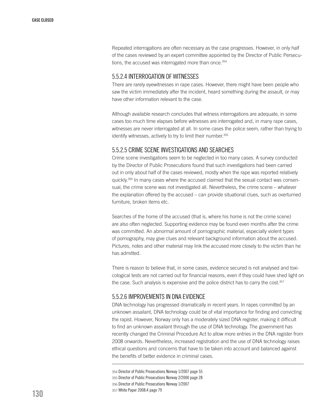Repeated interrogations are often necessary as the case progresses. However, in only half of the cases reviewed by an expert committee appointed by the Director of Public Persecutions, the accused was interrogated more than once.<sup>354</sup>

#### 5.5.2.4 Interrogation of witnesses

There are rarely eyewitnesses in rape cases. However, there might have been people who saw the victim immediately after the incident, heard something during the assault, or may have other information relevant to the case.

Although available research concludes that witness interrogations are adequate, in some cases too much time elapses before witnesses are interrogated and, in many rape cases, witnesses are never interrogated at all. In some cases the police seem, rather than trying to identify witnesses, actively to try to limit their number.<sup>355</sup>

#### 5.5.2.5 Crime scene investigations and searches

Crime scene investigations seem to be neglected in too many cases. A survey conducted by the Director of Public Prosecutions found that such investigations had been carried out in only about half of the cases reviewed, mostly when the rape was reported relatively quickly.<sup>356</sup> In many cases where the accused claimed that the sexual contact was consensual, the crime scene was not investigated all. Nevertheless, the crime scene – whatever the explanation offered by the accused – can provide situational clues, such as overturned furniture, broken items etc.

Searches of the home of the accused (that is, where his home is not the crime scene) are also often neglected. Supporting evidence may be found even months after the crime was committed. An abnormal amount of pornographic material, especially violent types of pornography, may give clues and relevant background information about the accused. Pictures, notes and other material may link the accused more closely to the victim than he has admitted.

There is reason to believe that, in some cases, evidence secured is not analysed and toxicological tests are not carried out for financial reasons, even if they could have shed light on the case. Such analysis is expensive and the police district has to carry the cost.<sup>357</sup>

#### 5.5.2.6 IMPROVEMENTS in DNA evidence

DNA technology has progressed dramatically in recent years. In rapes committed by an unknown assailant, DNA technology could be of vital importance for finding and convicting the rapist. However, Norway only has a moderately sized DNA register, making it difficult to find an unknown assailant through the use of DNA technology. The government has recently changed the Criminal Procedure Act to allow more entries in the DNA register from 2008 onwards. Nevertheless, increased registration and the use of DNA technology raises ethical questions and concerns that have to be taken into account and balanced against the benefits of better evidence in criminal cases.

 Director of Public Prosecutions Norway 1/2007 page 55 Director of Public Prosecutions Norway 2/2000 page 28 Director of Public Prosecutions Norway 1/2007 White Paper 2008:4 page 79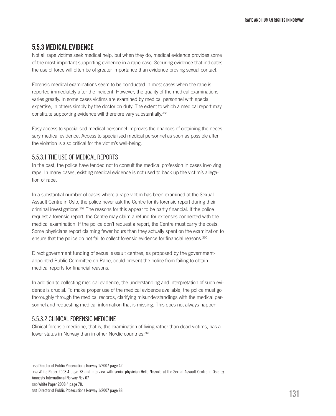#### 5.5.3 Medical evidence

Not all rape victims seek medical help, but when they do, medical evidence provides some of the most important supporting evidence in a rape case. Securing evidence that indicates the use of force will often be of greater importance than evidence proving sexual contact.

Forensic medical examinations seem to be conducted in most cases when the rape is reported immediately after the incident. However, the quality of the medical examinations varies greatly. In some cases victims are examined by medical personnel with special expertise, in others simply by the doctor on duty. The extent to which a medical report may constitute supporting evidence will therefore vary substantially.358

Easy access to specialised medical personnel improves the chances of obtaining the necessary medical evidence. Access to specialised medical personnel as soon as possible after the violation is also critical for the victim's well-being.

#### 5.5.3.1 The use of medical reports

In the past, the police have tended not to consult the medical profession in cases involving rape. In many cases, existing medical evidence is not used to back up the victim's allegation of rape.

In a substantial number of cases where a rape victim has been examined at the Sexual Assault Centre in Oslo, the police never ask the Centre for its forensic report during their criminal investigations.359 The reasons for this appear to be partly financial. If the police request a forensic report, the Centre may claim a refund for expenses connected with the medical examination. If the police don't request a report, the Centre must carry the costs. Some physicians report claiming fewer hours than they actually spent on the examination to ensure that the police do not fail to collect forensic evidence for financial reasons.<sup>360</sup>

Direct government funding of sexual assault centres, as proposed by the governmentappointed Public Committee on Rape, could prevent the police from failing to obtain medical reports for financial reasons.

In addition to collecting medical evidence, the understanding and interpretation of such evidence is crucial. To make proper use of the medical evidence available, the police must go thoroughly through the medical records, clarifying misunderstandings with the medical personnel and requesting medical information that is missing. This does not always happen.

#### 5.5.3.2 Clinical forensic medicine

Clinical forensic medicine, that is, the examination of living rather than dead victims, has a lower status in Norway than in other Nordic countries.<sup>361</sup>

359 White Paper 2008:4 page 78 and interview with senior physician Helle Nesvold at the Sexual Assault Centre in Oslo by Amnesty International Norway Nov 07

360 White Paper 2008:4 page 78.

<sup>358</sup> Director of Public Prosecutions Norway 1/2007 page 42.

<sup>361</sup> Director of Public Prosecutions Norway 1/2007 page 88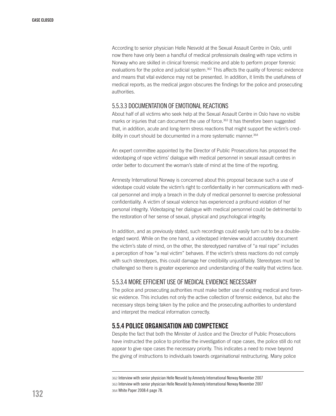According to senior physician Helle Nesvold at the Sexual Assault Centre in Oslo, until now there have only been a handful of medical professionals dealing with rape victims in Norway who are skilled in clinical forensic medicine and able to perform proper forensic evaluations for the police and judicial system. $362$  This affects the quality of forensic evidence and means that vital evidence may not be presented. In addition, it limits the usefulness of medical reports, as the medical jargon obscures the findings for the police and prosecuting authorities.

#### 5.5.3.3 Documentation of emotional reactions

About half of all victims who seek help at the Sexual Assault Centre in Oslo have no visible marks or injuries that can document the use of force.<sup>363</sup> It has therefore been suggested that, in addition, acute and long-term stress reactions that might support the victim's credibility in court should be documented in a more systematic manner.<sup>364</sup>

An expert committee appointed by the Director of Public Prosecutions has proposed the videotaping of rape victims' dialogue with medical personnel in sexual assault centres in order better to document the woman's state of mind at the time of the reporting.

Amnesty International Norway is concerned about this proposal because such a use of videotape could violate the victim's right to confidentiality in her communications with medical personnel and imply a breach in the duty of medical personnel to exercise professional confidentiality. A victim of sexual violence has experienced a profound violation of her personal integrity. Videotaping her dialogue with medical personnel could be detrimental to the restoration of her sense of sexual, physical and psychological integrity.

In addition, and as previously stated, such recordings could easily turn out to be a doubleedged sword. While on the one hand, a videotaped interview would accurately document the victim's state of mind, on the other, the stereotyped narrative of "a real rape" includes a perception of how "a real victim" behaves. If the victim's stress reactions do not comply with such stereotypes, this could damage her credibility unjustifiably. Stereotypes must be challenged so there is greater experience and understanding of the reality that victims face.

#### 5.5.3.4 More efficient use of medical evidence necessary

The police and prosecuting authorities must make better use of existing medical and forensic evidence. This includes not only the active collection of forensic evidence, but also the necessary steps being taken by the police and the prosecuting authorities to understand and interpret the medical information correctly.

#### 5.5.4 Police organisation and competence

Despite the fact that both the Minister of Justice and the Director of Public Prosecutions have instructed the police to prioritise the investigation of rape cases, the police still do not appear to give rape cases the necessary priority. This indicates a need to move beyond the giving of instructions to individuals towards organisational restructuring. Many police

<sup>362</sup> Interview with senior physician Helle Nesvold by Amnesty International Norway November 2007 363 Interview with senior physician Helle Nesvold by Amnesty International Norway November 2007 364 White Paper 2008:4 page 78.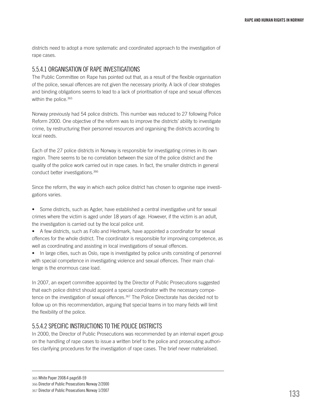districts need to adopt a more systematic and coordinated approach to the investigation of rape cases.

#### 5.5.4.1 Organisation of rape investigations

The Public Committee on Rape has pointed out that, as a result of the flexible organisation of the police, sexual offences are not given the necessary priority. A lack of clear strategies and binding obligations seems to lead to a lack of prioritisation of rape and sexual offences within the police.<sup>365</sup>

Norway previously had 54 police districts. This number was reduced to 27 following Police Reform 2000. One objective of the reform was to improve the districts' ability to investigate crime, by restructuring their personnel resources and organising the districts according to local needs.

Each of the 27 police districts in Norway is responsible for investigating crimes in its own region. There seems to be no correlation between the size of the police district and the quality of the police work carried out in rape cases. In fact, the smaller districts in general conduct better investigations.366

Since the reform, the way in which each police district has chosen to organise rape investigations varies.

• Some districts, such as Agder, have established a central investigative unit for sexual crimes where the victim is aged under 18 years of age. However, if the victim is an adult, the investigation is carried out by the local police unit.

• A few districts, such as Follo and Hedmark, have appointed a coordinator for sexual offences for the whole district. The coordinator is responsible for improving competence, as well as coordinating and assisting in local investigations of sexual offences.

• In large cities, such as Oslo, rape is investigated by police units consisting of personnel with special competence in investigating violence and sexual offences. Their main challenge is the enormous case load.

In 2007, an expert committee appointed by the Director of Public Prosecutions suggested that each police district should appoint a special coordinator with the necessary competence on the investigation of sexual offences.367 The Police Directorate has decided not to follow up on this recommendation, arguing that special teams in too many fields will limit the flexibility of the police.

### 5.5.4.2 Specific instructions to the police districts

In 2000, the Director of Public Prosecutions was recommended by an internal expert group on the handling of rape cases to issue a written brief to the police and prosecuting authorities clarifying procedures for the investigation of rape cases. The brief never materialised.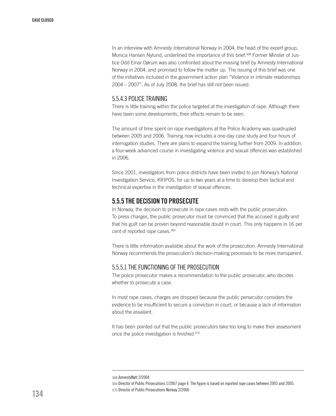In an interview with Amnesty International Norway in 2004, the head of the expert group, Monica Hansen Nylund, underlined the importance of this brief.<sup>368</sup> Former Minster of Justice Odd Einar Dørum was also confronted about the missing brief by Amnesty International Norway in 2004, and promised to follow the matter up. The issuing of this brief was one of the initiatives included in the government action plan "Violence in intimate relationships 2004 – 2007". As of July 2008, the brief has still not been issued.

#### 5.5.4.3 Police training

There is little training within the police targeted at the investigation of rape. Although there have been some developments, their effects remain to be seen.

The amount of time spent on rape investigations at the Police Academy was quadrupled between 2005 and 2006. Training now includes a one-day case study and four hours of interrogation studies. There are plans to expand the training further from 2009. In addition, a four-week advanced course in investigating violence and sexual offences was established in 2006.

Since 2001, investigators from police districts have been invited to join Norway's National Investigation Service, KRIPOS, for up to two years at a time to develop their tactical and technical expertise in the investigation of sexual offences.

# 5.5.5 The decision to prosecute

In Norway, the decision to prosecute in rape cases rests with the public prosecution. To press charges, the public prosecutor must be convinced that the accused is guilty and that his guilt can be proven beyond reasonable doubt in court. This only happens in 16 per cent of reported rape cases.<sup>369</sup>

There is little information available about the work of the prosecution. Amnesty International Norway recommends the prosecution's decision-making processes to be more transparent.

#### 5.5.5.1 The functioning of the prosecution

The police prosecutor makes a recommendation to the public prosecutor, who decides whether to prosecute a case.

In most rape cases, charges are dropped because the public persecutor considers the evidence to be insufficient to secure a conviction in court, or because a lack of information about the assailant.

It has been pointed out that the public prosecutors take too long to make their assessment once the police investigation is finished.370

<sup>368</sup> AmnestyNytt 2/2004

<sup>369</sup> Director of Public Prosecutions 1/2007 page 4. The figure is based on reported rape cases between 2003 and 2005. 370 Director of Public Prosecutions Norway 2/2000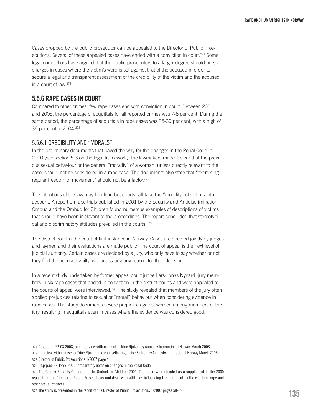Cases dropped by the public prosecutor can be appealed to the Director of Public Prosecutions. Several of these appealed cases have ended with a conviction in court.<sup>371</sup> Some legal counsellors have argued that the public prosecutors to a larger degree should press charges in cases where the victim's word is set against that of the accused in order to secure a legal and transparent assessment of the credibility of the victim and the accused in a court of law.372

# 5.5.6 Rape cases in court

Compared to other crimes, few rape cases end with conviction in court. Between 2001 and 2005, the percentage of acquittals for all reported crimes was 7-8 per cent. During the same period, the percentage of acquittals in rape cases was 25-30 per cent, with a high of 36 per cent in 2004.373

#### 5.5.6.1 Credibility and "morals"

In the preliminary documents that paved the way for the changes in the Penal Code in 2000 (see section 5.3 on the legal framework), the lawmakers made it clear that the previous sexual behaviour or the general "morality" of a woman, unless directly relevant to the case, should not be considered in a rape case. The documents also state that "exercising regular freedom of movement" should not be a factor.374

The intentions of the law may be clear, but courts still take the "morality" of victims into account. A report on rape trials published in 2001 by the Equality and Antidiscrimination Ombud and the Ombud for Children found numerous examples of descriptions of victims that should have been irrelevant to the proceedings. The report concluded that stereotypical and discriminatory attitudes prevailed in the courts.375

The district court is the court of first instance in Norway. Cases are decided jointly by judges and laymen and their evaluations are made public. The court of appeal is the next level of judicial authority. Certain cases are decided by a jury, who only have to say whether or not they find the accused guilty, without stating any reason for their decision.

In a recent study undertaken by former appeal court judge Lars-Jonas Nygard, jury members in six rape cases that ended in conviction in the district courts and were appealed to the courts of appeal were interviewed.<sup>376</sup> The study revealed that members of the jury often applied prejudices relating to sexual or "moral" behaviour when considering evidence in rape cases. The study documents severe prejudice against women among members of the jury, resulting in acquittals even in cases where the evidence was considered good.

<sup>371</sup> Dagbladet 22.03.2008, and interview with counsellor Trine Rjukan by Amnesty International Norway March 2008

<sup>372</sup> Interview with counsellor Trine Rjukan and counsellor Inger Lise Sætren by Amnesty International Norway March 2008 373 Director of Public Prosecutions 1/2007 page 4

<sup>374</sup> Ot.prp.no 28 1999-2000, preparatory notes on changes in the Penal Code.

<sup>375</sup> The Gender Equality Ombud and the Ombud for Children 2001. The report was intended as a supplement to the 2000 report from the Director of Public Prosecutions and dealt with attitudes influencing the treatment by the courts of rape and other sexual offences.

<sup>376</sup> The study is presented in the report of the Director of Public Prosecutions 1/2007 pages 58-59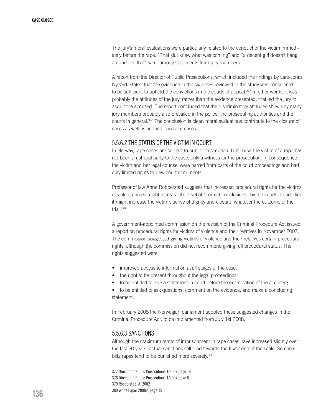The jury's moral evaluations were particularly related to the conduct of the victim immediately before the rape. "That slut knew what was coming" and "a decent girl doesn't hang around like that" were among statements from jury members.

A report from the Director of Public Prosecutions, which included the findings by Lars-Jonas Nygard, stated that the evidence in the six cases reviewed in the study was considered to be sufficient to uphold the convictions in the courts of appeal.<sup>377</sup> In other words, it was probably the attitudes of the jury, rather than the evidence presented, that led the jury to acquit the accused. The report concluded that the discriminatory attitudes shown by many jury members probably also prevailed in the police, the prosecuting authorities and the courts in general.378 The conclusion is clear: moral evaluations contribute to the closure of cases as well as acquittals in rape cases.

#### 5.5.6.2 The status of the victim in court

In Norway, rape cases are subject to public prosecution. Until now, the victim of a rape has not been an official party to the case, only a witness for the prosecution. In consequence, the victim and her legal counsel were barred from parts of the court proceedings and had only limited rights to view court documents.

Professor of law Anne Robberstad suggests that increased procedural rights for the victims of violent crimes might increase the level of "correct conclusions" by the courts. In addition, it might increase the victim's sense of dignity and closure, whatever the outcome of the trial.379

A government-appointed commission on the revision of the Criminal Procedure Act issued a report on procedural rights for victims of violence and their relatives in November 2007. The commission suggested giving victims of violence and their relatives certain procedural rights, although the commission did not recommend giving full procedural status. The rights suggested were:

- improved access to information at all stages of the case;
- the right to be present throughout the legal proceedings;
- to be entitled to give a statement in court before the examination of the accused;

• to be entitled to ask questions, comment on the evidence, and make a concluding statement.

In February 2008 the Norwegian parliament adopted these suggested changes in the Criminal Procedure Act, to be implemented from July 1st 2008.

#### 5.5.6.3 Sanctions

Although the maximum terms of imprisonment in rape cases have increased slightly over the last 20 years, actual sanctions still tend towards the lower end of the scale. So-called blitz rapes tend to be punished more severely.<sup>380</sup>

377 Director of Public Prosecutions 1/2007 page 14 378 Director of Public Prosecutions 1/2007 page 6 379 Robberstad, A. 2002 380 White Paper 2008:4 page 19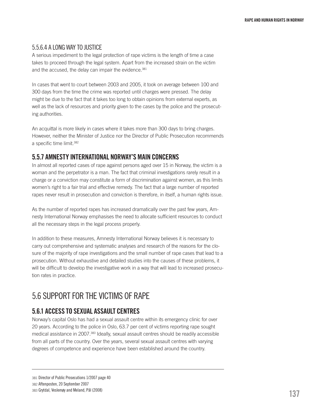## 5.5.6.4 A long way to justice

A serious impediment to the legal protection of rape victims is the length of time a case takes to proceed through the legal system. Apart from the increased strain on the victim and the accused, the delay can impair the evidence.<sup>381</sup>

In cases that went to court between 2003 and 2005, it took on average between 100 and 300 days from the time the crime was reported until charges were pressed. The delay might be due to the fact that it takes too long to obtain opinions from external experts, as well as the lack of resources and priority given to the cases by the police and the prosecuting authorities.

An acquittal is more likely in cases where it takes more than 300 days to bring charges. However, neither the Minister of Justice nor the Director of Public Prosecution recommends a specific time limit.382

# 5.5.7 Amnesty International Norway's main concerns

In almost all reported cases of rape against persons aged over 15 in Norway, the victim is a woman and the perpetrator is a man. The fact that criminal investigations rarely result in a charge or a conviction may constitute a form of discrimination against women, as this limits women's right to a fair trial and effective remedy. The fact that a large number of reported rapes never result in prosecution and conviction is therefore, in itself, a human rights issue.

As the number of reported rapes has increased dramatically over the past few years, Amnesty International Norway emphasises the need to allocate sufficient resources to conduct all the necessary steps in the legal process properly.

In addition to these measures, Amnesty International Norway believes it is necessary to carry out comprehensive and systematic analyses and research of the reasons for the closure of the majority of rape investigations and the small number of rape cases that lead to a prosecution. Without exhaustive and detailed studies into the causes of these problems, it will be difficult to develop the investigative work in a way that will lead to increased prosecution rates in practice.

# 5.6 Support for the victims of rape

# 5.6.1 Access to sexual assault centres

Norway's capital Oslo has had a sexual assault centre within its emergency clinic for over 20 years. According to the police in Oslo, 63.7 per cent of victims reporting rape sought medical assistance in 2007.383 Ideally, sexual assault centres should be readily accessible from all parts of the country. Over the years, several sexual assault centres with varying degrees of competence and experience have been established around the country.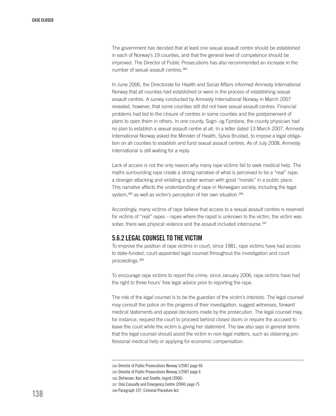The government has decided that at least one sexual assault centre should be established in each of Norway's 19 counties, and that the general level of competence should be improved. The Director of Public Prosecutions has also recommended an increase in the number of sexual assault centres.<sup>384</sup>

In June 2006, the Directorate for Health and Social Affairs informed Amnesty International Norway that all counties had established or were in the process of establishing sexual assault centres. A survey conducted by Amnesty International Norway in March 2007 revealed, however, that some counties still did not have sexual assault centres. Financial problems had led to the closure of centres in some counties and the postponement of plans to open them in others. In one county, Sogn- og Fjordane, the county physician had no plan to establish a sexual assault centre at all. In a letter dated 13 March 2007, Amnesty International Norway asked the Minister of Health, Sylvia Brustad, to impose a legal obligation on all counties to establish and fund sexual assault centres. As of July 2008, Amnesty International is still waiting for a reply.

Lack of access is not the only reason why many rape victims fail to seek medical help. The myths surrounding rape create a strong narrative of what is perceived to be a "real" rape: a stranger attacking and violating a sober woman with good "morals" in a public place. This narrative affects the understanding of rape in Norwegian society, including the legal system,<sup>385</sup> as well as victim's perception of her own situation.<sup>386</sup>

Accordingly, many victims of rape believe that access to a sexual assault centres is reserved for victims of "real" rapes – rapes where the rapist is unknown to the victim, the victim was sober, there was physical violence and the assault included intercourse.<sup>387</sup>

# 5.6.2 LEGAL COUNSEL TO THE VICTIM

To improve the position of rape victims in court, since 1981, rape victims have had access to state-funded, court-appointed legal counsel throughout the investigation and court proceedings.388

To encourage rape victims to report the crime, since January 2006, rape victims have had the right to three hours' free legal advice prior to reporting the rape.

The role of the legal counsel is to be the guardian of the victim's interests. The legal counsel may consult the police on the progress of their investigation, suggest witnesses, forward medical statements and appeal decisions made by the prosecution. The legal counsel may, for instance, request the court to proceed behind closed doors or require the accused to leave the court while the victim is giving her statement. The law also says in general terms that the legal counsel should assist the victim in non-legal matters, such as obtaining professional medical help or applying for economic compensation.

384 Director of Public Prosecutions Norway 1/2007 page 60 385 Director of Public Prosecutions Norway 1/2007 page 6 386 Stefansen, Kari and Smette, Ingrid (2006)

388 Paragraph 107, Criminal Procedure Act.

<sup>387</sup> Oslo Casualty and Emergency Centre (2004) page 75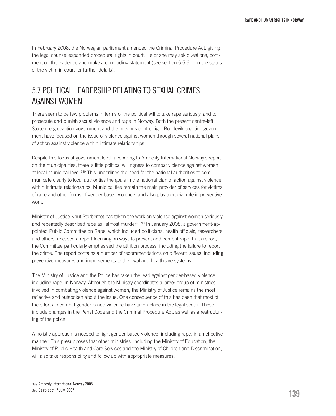In February 2008, the Norwegian parliament amended the Criminal Procedure Act, giving the legal counsel expanded procedural rights in court. He or she may ask questions, comment on the evidence and make a concluding statement (see section 5.5.6.1 on the status of the victim in court for further details).

# 5.7 Political leadership relating to sexual crimes against women

There seem to be few problems in terms of the political will to take rape seriously, and to prosecute and punish sexual violence and rape in Norway. Both the present centre-left Stoltenberg coalition government and the previous centre-right Bondevik coalition government have focused on the issue of violence against women through several national plans of action against violence within intimate relationships.

Despite this focus at government level, according to Amnesty International Norway's report on the municipalities, there is little political willingness to combat violence against women at local municipal level.<sup>389</sup> This underlines the need for the national authorities to communicate clearly to local authorities the goals in the national plan of action against violence within intimate relationships. Municipalities remain the main provider of services for victims of rape and other forms of gender-based violence, and also play a crucial role in preventive work.

Minister of Justice Knut Storberget has taken the work on violence against women seriously, and repeatedly described rape as "almost murder".390 In January 2008, a government-appointed Public Committee on Rape, which included politicians, health officials, researchers and others, released a report focusing on ways to prevent and combat rape. In its report, the Committee particularly emphasised the attrition process, including the failure to report the crime. The report contains a number of recommendations on different issues, including preventive measures and improvements to the legal and healthcare systems.

The Ministry of Justice and the Police has taken the lead against gender-based violence, including rape, in Norway. Although the Ministry coordinates a larger group of ministries involved in combating violence against women, the Ministry of Justice remains the most reflective and outspoken about the issue. One consequence of this has been that most of the efforts to combat gender-based violence have taken place in the legal sector. These include changes in the Penal Code and the Criminal Procedure Act, as well as a restructuring of the police.

A holistic approach is needed to fight gender-based violence, including rape, in an effective manner. This presupposes that other ministries, including the Ministry of Education, the Ministry of Public Health and Care Services and the Ministry of Children and Discrimination, will also take responsibility and follow up with appropriate measures.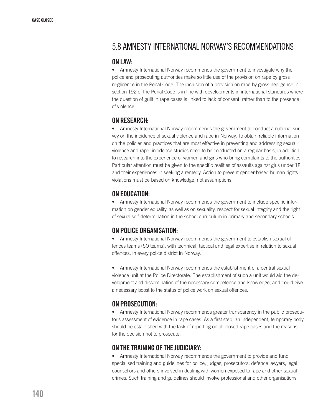# 5.8 Amnesty International Norway's recommendations

#### On law:

• Amnesty International Norway recommends the government to investigate why the police and prosecuting authorities make so little use of the provision on rape by gross negligence in the Penal Code. The inclusion of a provision on rape by gross negligence in section 192 of the Penal Code is in line with developments in international standards where the question of guilt in rape cases is linked to lack of consent, rather than to the presence of violence.

## On research:

• Amnesty International Norway recommends the government to conduct a national survey on the incidence of sexual violence and rape in Norway. To obtain reliable information on the policies and practices that are most effective in preventing and addressing sexual violence and rape, incidence studies need to be conducted on a regular basis, in addition to research into the experience of women and girls who bring complaints to the authorities. Particular attention must be given to the specific realities of assaults against girls under 18, and their experiences in seeking a remedy. Action to prevent gender-based human rights violations must be based on knowledge, not assumptions.

# On education:

• Amnesty International Norway recommends the government to include specific information on gender equality, as well as on sexuality, respect for sexual integrity and the right of sexual self-determination in the school curriculum in primary and secondary schools.

## On police organisation:

• Amnesty International Norway recommends the government to establish sexual offences teams (SO teams), with technical, tactical and legal expertise in relation to sexual offences, in every police district in Norway.

• Amnesty International Norway recommends the establishment of a central sexual violence unit at the Police Directorate. The establishment of such a unit would aid the development and dissemination of the necessary competence and knowledge, and could give a necessary boost to the status of police work on sexual offences.

# On prosecution:

• Amnesty International Norway recommends greater transparency in the public prosecutor's assessment of evidence in rape cases. As a first step, an independent, temporary body should be established with the task of reporting on all closed rape cases and the reasons for the decision not to prosecute.

## On the training of the judiciary:

• Amnesty International Norway recommends the government to provide and fund specialised training and guidelines for police, judges, prosecutors, defence lawyers, legal counsellors and others involved in dealing with women exposed to rape and other sexual crimes. Such training and guidelines should involve professional and other organisations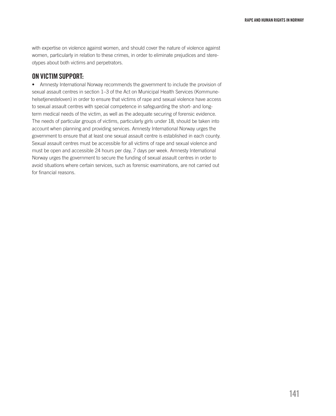with expertise on violence against women, and should cover the nature of violence against women, particularly in relation to these crimes, in order to eliminate prejudices and stereotypes about both victims and perpetrators.

## On victim support:

• Amnesty International Norway recommends the government to include the provision of sexual assault centres in section 1–3 of the Act on Municipal Health Services (Kommunehelsetjenesteloven) in order to ensure that victims of rape and sexual violence have access to sexual assault centres with special competence in safeguarding the short- and longterm medical needs of the victim, as well as the adequate securing of forensic evidence. The needs of particular groups of victims, particularly girls under 18, should be taken into account when planning and providing services. Amnesty International Norway urges the government to ensure that at least one sexual assault centre is established in each county. Sexual assault centres must be accessible for all victims of rape and sexual violence and must be open and accessible 24 hours per day, 7 days per week. Amnesty International Norway urges the government to secure the funding of sexual assault centres in order to avoid situations where certain services, such as forensic examinations, are not carried out for financial reasons.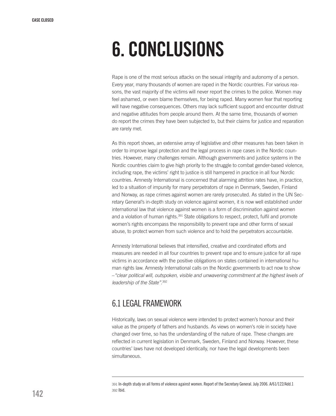# 6. CONCLUSIONS

Rape is one of the most serious attacks on the sexual integrity and autonomy of a person. Every year, many thousands of women are raped in the Nordic countries. For various reasons, the vast majority of the victims will never report the crimes to the police. Women may feel ashamed, or even blame themselves, for being raped. Many women fear that reporting will have negative consequences. Others may lack sufficient support and encounter distrust and negative attitudes from people around them. At the same time, thousands of women do report the crimes they have been subjected to, but their claims for justice and reparation are rarely met.

As this report shows, an extensive array of legislative and other measures has been taken in order to improve legal protection and the legal process in rape cases in the Nordic countries. However, many challenges remain. Although governments and justice systems in the Nordic countries claim to give high priority to the struggle to combat gender-based violence, including rape, the victims' right to justice is still hampered in practice in all four Nordic countries. Amnesty International is concerned that alarming attrition rates have, in practice, led to a situation of impunity for many perpetrators of rape in Denmark, Sweden, Finland and Norway, as rape crimes against women are rarely prosecuted. As stated in the UN Secretary General's in-depth study on violence against women, it is now well established under international law that violence against women is a form of discrimination against women and a violation of human rights.<sup>391</sup> State obligations to respect, protect, fulfil and promote women's rights encompass the responsibility to prevent rape and other forms of sexual abuse, to protect women from such violence and to hold the perpetrators accountable.

Amnesty International believes that intensified, creative and coordinated efforts and measures are needed in all four countries to prevent rape and to ensure justice for all rape victims in accordance with the positive obligations on states contained in international human rights law. Amnesty International calls on the Nordic governments to act now to show –*"clear political will, outspoken, visible and unwavering commitment at the highest levels of leadership of the State"*. 392

# 6.1 LEGALFRAMEWORK

Historically, laws on sexual violence were intended to protect women's honour and their value as the property of fathers and husbands. As views on women's role in society have changed over time, so has the understanding of the nature of rape. These changes are reflected in current legislation in Denmark, Sweden, Finland and Norway. However, these countries' laws have not developed identically, nor have the legal developments been simultaneous.

<sup>391</sup> In-depth study on all forms of violence against women. Report of the Secretary General. July 2006. A/61/122/Add.1 392 Ibid.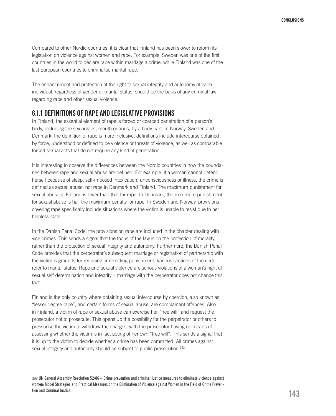Compared to other Nordic countries, it is clear that Finland has been slower to reform its legislation on violence against women and rape. For example, Sweden was one of the first countries in the world to declare rape within marriage a crime, while Finland was one of the last European countries to criminalise marital rape.

The enhancement and protection of the right to sexual integrity and autonomy of each individual, regardless of gender or marital status, should be the basis of any criminal law regarding rape and other sexual violence.

## 6.1.1 Definitions of rape and legislative provisions

In Finland, the essential element of rape is forced or coerced penetration of a person's body, including the sex organs, mouth or anus, by a body part. In Norway, Sweden and Denmark, the definition of rape is more inclusive: definitions include intercourse obtained by force, understood or defined to be violence or threats of violence, as well as comparable forced sexual acts that do not require any kind of penetration.

It is interesting to observe the differences between the Nordic countries in how the boundaries between rape and sexual abuse are defined. For example, if a woman cannot defend herself because of sleep, self-imposed intoxication, unconsciousness or illness, the crime is defined as sexual abuse, not rape in Denmark and Finland. The maximum punishment for sexual abuse in Finland is lower than that for rape. In Denmark, the maximum punishment for sexual abuse is half the maximum penalty for rape. In Sweden and Norway, provisions covering rape specifically include situations where the victim is unable to resist due to her helpless state.

In the Danish Penal Code, the provisions on rape are included in the chapter dealing with vice crimes. This sends a signal that the focus of the law is on the protection of morality, rather than the protection of sexual integrity and autonomy. Furthermore, the Danish Penal Code provides that the perpetrator's subsequent marriage or registration of partnership with the victim is grounds for reducing or remitting punishment. Various sections of the code refer to marital status. Rape and sexual violence are serious violations of a woman's right of sexual self-determination and integrity – marriage with the perpetrator does not change this fact.

Finland is the only country where obtaining sexual intercourse by coercion, also known as "lesser degree rape", and certain forms of sexual abuse, are complainant offences. Also in Finland, a victim of rape or sexual abuse can exercise her "free will" and request the prosecutor not to prosecute. This opens up the possibility for the perpetrator or others to pressurise the victim to withdraw the charges, with the prosecutor having no means of assessing whether the victim is in fact acting of her own "free will". This sends a signal that it is up to the victim to decide whether a crime has been committed. All crimes against sexual integrity and autonomy should be subject to public prosecution.<sup>393</sup>

<sup>393</sup> UN General Assembly Resolution 52/86 – Crime prevention and criminal justice measures to eliminate violence against women: Model Strategies and Practical Measures on the Elimination of Violence against Women in the Field of Crime Prevention and Criminal Justice.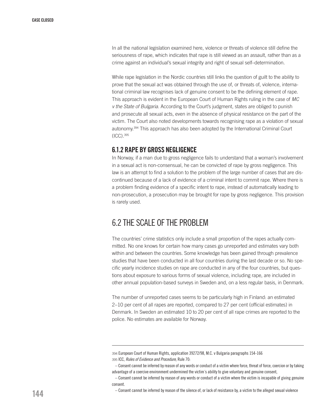In all the national legislation examined here, violence or threats of violence still define the seriousness of rape, which indicates that rape is still viewed as an assault, rather than as a crime against an individual's sexual integrity and right of sexual self–determination.

While rape legislation in the Nordic countries still links the question of guilt to the ability to prove that the sexual act was obtained through the use of, or threats of, violence, international criminal law recognises lack of genuine consent to be the defining element of rape. This approach is evident in the European Court of Human Rights ruling in the case of *MC v the State of Bulgaria*. According to the Court's judgment, states are obliged to punish and prosecute all sexual acts, even in the absence of physical resistance on the part of the victim. The Court also noted developments towards recognising rape as a violation of sexual autonomy.394 This approach has also been adopted by the International Criminal Court (ICC).395

# 6.1.2 Rape by gross negligence

In Norway, if a man due to gross negligence fails to understand that a woman's involvement in a sexual act is non-consensual, he can be convicted of rape by gross negligence. This law is an attempt to find a solution to the problem of the large number of cases that are discontinued because of a lack of evidence of a criminal intent to commit rape. Where there is a problem finding evidence of a specific intent to rape, instead of automatically leading to non-prosecution, a prosecution may be brought for rape by gross negligence. This provision is rarely used.

# 6.2 THE SCALE OFTHE PROBLEM

The countries' crime statistics only include a small proportion of the rapes actually committed. No one knows for certain how many cases go unreported and estimates vary both within and between the countries. Some knowledge has been gained through prevalence studies that have been conducted in all four countries during the last decade or so. No specific yearly incidence studies on rape are conducted in any of the four countries, but questions about exposure to various forms of sexual violence, including rape, are included in other annual population-based surveys in Sweden and, on a less regular basis, in Denmark.

The number of unreported cases seems to be particularly high in Finland: an estimated 2–10 per cent of all rapes are reported, compared to 27 per cent (official estimates) in Denmark. In Sweden an estimated 10 to 20 per cent of all rape crimes are reported to the police. No estimates are available for Norway.

<sup>394</sup> European Court of Human Rights, application 39272/98, M.C. v Bulgaria paragraphs 154-166 395 ICC, *Rules of Evidence and Procedure*, Rule 70:

<sup>–</sup> Consent cannot be inferred by reason of any words or conduct of a victim where force, threat of force, coercion or by taking advantage of a coercive environment undermined the victim´s ability to give voluntary and genuine consent,

<sup>–</sup> Consent cannot be inferred by reason of any words or conduct of a victim where the victim is incapable of giving genuine consent.

<sup>–</sup> Consent cannot be inferred by reason of the silence of, or lack of resistance by, a victim to the alleged sexual violence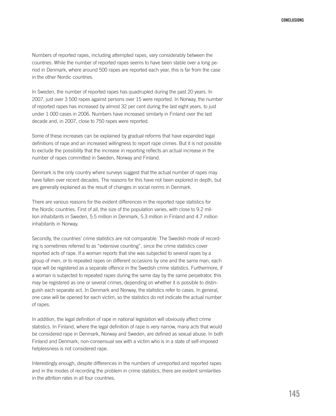Numbers of reported rapes, including attempted rapes, vary considerably between the countries. While the number of reported rapes seems to have been stable over a long period in Denmark, where around 500 rapes are reported each year, this is far from the case in the other Nordic countries.

In Sweden, the number of reported rapes has quadrupled during the past 20 years. In 2007, just over 3 500 rapes against persons over 15 were reported. In Norway, the number of reported rapes has increased by almost 32 per cent during the last eight years, to just under 1 000 cases in 2006. Numbers have increased similarly in Finland over the last decade and, in 2007, close to 750 rapes were reported.

Some of these increases can be explained by gradual reforms that have expanded legal definitions of rape and an increased willingness to report rape crimes. But it is not possible to exclude the possibility that the increase in reporting reflects an actual increase in the number of rapes committed in Sweden, Norway and Finland.

Denmark is the only country where surveys suggest that the actual number of rapes may have fallen over recent decades. The reasons for this have not been explored in depth, but are generally explained as the result of changes in social norms in Denmark.

There are various reasons for the evident differences in the reported rape statistics for the Nordic countries. First of all, the size of the population varies, with close to 9.2 million inhabitants in Sweden, 5.5 million in Denmark, 5.3 million in Finland and 4.7 million inhabitants in Norway.

Secondly, the countries' crime statistics are not comparable. The Swedish mode of recording is sometimes referred to as "extensive counting", since the crime statistics cover reported acts of rape. If a woman reports that she was subjected to several rapes by a group of men, or to repeated rapes on different occasions by one and the same man, each rape will be registered as a separate offence in the Swedish crime statistics. Furthermore, if a woman is subjected to repeated rapes during the same day by the same perpetrator, this may be registered as one or several crimes, depending on whether it is possible to distinguish each separate act. In Denmark and Norway, the statistics refer to cases. In general, one case will be opened for each victim, so the statistics do not indicate the actual number of rapes.

In addition, the legal definition of rape in national legislation will obviously affect crime statistics. In Finland, where the legal definition of rape is very narrow, many acts that would be considered rape in Denmark, Norway and Sweden, are defined as sexual abuse. In both Finland and Denmark, non-consensual sex with a victim who is in a state of self-imposed helplessness is not considered rape.

Interestingly enough, despite differences in the numbers of unreported and reported rapes and in the modes of recording the problem in crime statistics, there are evident similarities in the attrition rates in all four countries.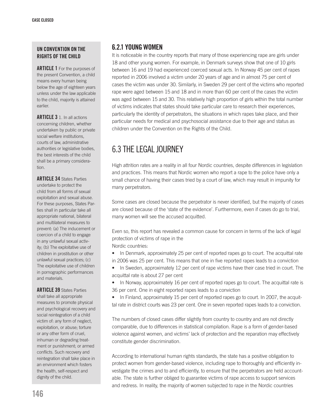#### UN Convention on the rights of the child

**ARTICLE 1** For the purposes of the present Convention, a child means every human being below the age of eighteen years unless under the law applicable to the child, majority is attained earlier.

ARTICLE 3 1. In all actions concerning children, whether undertaken by public or private social welfare institutions, courts of law, administrative authorities or legislative bodies, the best interests of the child shall be a primary consideration.

**ARTICLE 34 States Parties** undertake to protect the child from all forms of sexual exploitation and sexual abuse. For these purposes, States Parties shall in particular take all appropriate national, bilateral and multilateral measures to prevent: (a) The inducement or coercion of a child to engage in any unlawful sexual activity; (b) The exploitative use of children in prostitution or other unlawful sexual practices; (c) The exploitative use of children in pornographic performances and materials.

**ARTICLE 39 States Parties** shall take all appropriate measures to promote physical and psychological recovery and social reintegration of a child victim of: any form of neglect, exploitation, or abuse; torture or any other form of cruel, inhuman or degrading treatment or punishment; or armed conflicts. Such recovery and reintegration shall take place in an environment which fosters the health, self-respect and dignity of the child.

#### 6.2.1 Young women

It is noticeable in the country reports that many of those experiencing rape are girls under 18 and other young women. For example, in Denmark surveys show that one of 10 girls between 16 and 19 had experienced coerced sexual acts. In Norway 45 per cent of rapes reported in 2006 involved a victim under 20 years of age and in almost 75 per cent of cases the victim was under 30. Similarly, in Sweden 29 per cent of the victims who reported rape were aged between 15 and 18 and in more than 60 per cent of the cases the victim was aged between 15 and 30. This relatively high proportion of girls within the total number of victims indicates that states should take particular care to research their experiences, particularly the identity of perpetrators, the situations in which rapes take place, and their particular needs for medical and psychosocial assistance due to their age and status as children under the Convention on the Rights of the Child.

## 6.3 THE LEGAL JOURNEY

High attrition rates are a reality in all four Nordic countries, despite differences in legislation and practices. This means that Nordic women who report a rape to the police have only a small chance of having their cases tried by a court of law, which may result in impunity for many perpetrators.

Some cases are closed because the perpetrator is never identified, but the majority of cases are closed because of the 'state of the evidence'. Furthermore, even if cases do go to trial, many women will see the accused acquitted.

Even so, this report has revealed a common cause for concern in terms of the lack of legal protection of victims of rape in the Nordic countries:

• In Denmark, approximately 25 per cent of reported rapes go to court. The acquittal rate in 2006 was 25 per cent. This means that one in five reported rapes leads to a conviction

• In Sweden, approximately 12 per cent of rape victims have their case tried in court. The acquittal rate is about 27 per cent

• In Norway, approximately 16 per cent of reported rapes go to court. The acquittal rate is 36 per cent. One in eight reported rapes leads to a conviction

• In Finland, approximately 15 per cent of reported rapes go to court. In 2007, the acquittal rate in district courts was 23 per cent. One in seven reported rapes leads to a conviction.

The numbers of closed cases differ slightly from country to country and are not directly comparable, due to differences in statistical compilation. Rape is a form of gender-based violence against women, and victims' lack of protection and the reparation may effectively constitute gender discrimination.

According to international human rights standards, the state has a positive obligation to protect women from gender-based violence, including rape to thoroughly and efficiently investigate the crimes and to and efficiently, to ensure that the perpetrators are held accountable. The state is further obliged to guarantee victims of rape access to support services and redress. In reality, the majority of women subjected to rape in the Nordic countries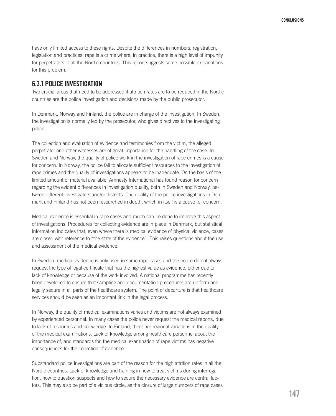have only limited access to these rights. Despite the differences in numbers, registration, legislation and practices, rape is a crime where, in practice, there is a high level of impunity for perpetrators in all the Nordic countries. This report suggests some possible explanations for this problem.

#### 6.3.1 Police investigation

Two crucial areas that need to be addressed if attrition rates are to be reduced in the Nordic countries are the police investigation and decisions made by the public prosecutor.

In Denmark, Norway and Finland, the police are in charge of the investigation. In Sweden, the investigation is normally led by the prosecutor, who gives directives to the investigating police.

The collection and evaluation of evidence and testimonies from the victim, the alleged perpetrator and other witnesses are of great importance for the handling of the case. In Sweden and Norway, the quality of police work in the investigation of rape crimes is a cause for concern. In Norway, the police fail to allocate sufficient resources to the investigation of rape crimes and the quality of investigations appears to be inadequate. On the basis of the limited amount of material available, Amnesty International has found reason for concern regarding the evident differences in investigation quality, both in Sweden and Norway, between different investigators and/or districts. The quality of the police investigations in Denmark and Finland has not been researched in depth, which in itself is a cause for concern.

Medical evidence is essential in rape cases and much can be done to improve this aspect of investigations. Procedures for collecting evidence are in place in Denmark, but statistical information indicates that, even where there is medical evidence of physical violence, cases are closed with reference to "the state of the evidence". This raises questions about the use and assessment of the medical evidence.

In Sweden, medical evidence is only used in some rape cases and the police do not always request the type of legal certificate that has the highest value as evidence, either due to lack of knowledge or because of the work involved. A national programme has recently been developed to ensure that sampling and documentation procedures are uniform and legally secure in all parts of the healthcare system. The point of departure is that healthcare services should be seen as an important link in the legal process.

In Norway, the quality of medical examinations varies and victims are not always examined by experienced personnel. In many cases the police never request the medical reports, due to lack of resources and knowledge. In Finland, there are regional variations in the quality of the medical examinations. Lack of knowledge among healthcare personnel about the importance of, and standards for, the medical examination of rape victims has negative consequences for the collection of evidence.

Substandard police investigations are part of the reason for the high attrition rates in all the Nordic countries. Lack of knowledge and training in how to treat victims during interrogation, how to question suspects and how to secure the necessary evidence are central factors. This may also be part of a vicious circle, as the closure of large numbers of rape cases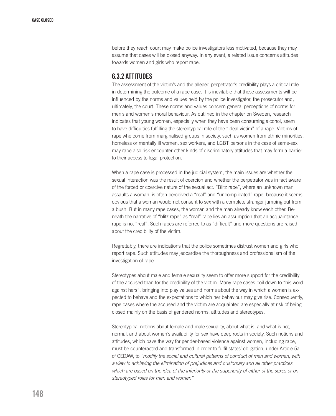before they reach court may make police investigators less motivated, because they may assume that cases will be closed anyway. In any event, a related issue concerns attitudes towards women and girls who report rape.

#### 6.3.2 Attitudes

The assessment of the victim's and the alleged perpetrator's credibility plays a critical role in determining the outcome of a rape case. It is inevitable that these assessments will be influenced by the norms and values held by the police investigator, the prosecutor and, ultimately, the court. These norms and values concern general perceptions of norms for men's and women's moral behaviour. As outlined in the chapter on Sweden, research indicates that young women, especially when they have been consuming alcohol, seem to have difficulties fulfilling the stereotypical role of the "ideal victim" of a rape. Victims of rape who come from marginalised groups in society, such as women from ethnic minorities, homeless or mentally ill women, sex workers, and LGBT persons in the case of same-sex may rape also risk encounter other kinds of discriminatory attitudes that may form a barrier to their access to legal protection.

When a rape case is processed in the judicial system, the main issues are whether the sexual interaction was the result of coercion and whether the perpetrator was in fact aware of the forced or coercive nature of the sexual act. "Blitz rape", where an unknown man assaults a woman, is often perceived a "real" and "uncomplicated" rape, because it seems obvious that a woman would not consent to sex with a complete stranger jumping out from a bush. But in many rape cases, the woman and the man already know each other. Beneath the narrative of "blitz rape" as "real" rape lies an assumption that an acquaintance rape is not "real". Such rapes are referred to as "difficult" and more questions are raised about the credibility of the victim.

Regrettably, there are indications that the police sometimes distrust women and girls who report rape. Such attitudes may jeopardise the thoroughness and professionalism of the investigation of rape.

Stereotypes about male and female sexuality seem to offer more support for the credibility of the accused than for the credibility of the victim. Many rape cases boil down to "his word against hers", bringing into play values and norms about the way in which a woman is expected to behave and the expectations to which her behaviour may give rise. Consequently, rape cases where the accused and the victim are acquainted are especially at risk of being closed mainly on the basis of gendered norms, attitudes and stereotypes.

Stereotypical notions about female and male sexuality, about what is, and what is not, normal, and about women's availability for sex have deep roots in society. Such notions and attitudes, which pave the way for gender-based violence against women, including rape, must be counteracted and transformed in order to fulfil states' obligation, under Article 5a of CEDAW, to *"modify the social and cultural patterns of conduct of men and women, with a view to achieving the elimination of prejudices and customary and all other practices which are based on the idea of the inferiority or the superiority of either of the sexes or on stereotyped roles for men and women"*.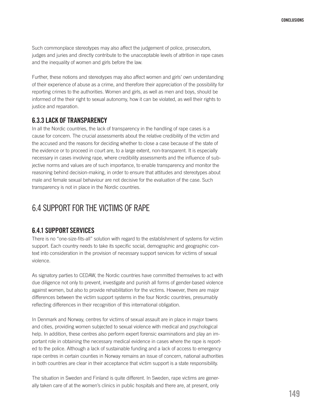Such commonplace stereotypes may also affect the judgement of police, prosecutors, judges and juries and directly contribute to the unacceptable levels of attrition in rape cases and the inequality of women and girls before the law.

Further, these notions and stereotypes may also affect women and girls' own understanding of their experience of abuse as a crime, and therefore their appreciation of the possibility for reporting crimes to the authorities. Women and girls, as well as men and boys, should be informed of the their right to sexual autonomy, how it can be violated, as well their rights to justice and reparation.

#### 6.3.3 Lack of transparency

In all the Nordic countries, the lack of transparency in the handling of rape cases is a cause for concern. The crucial assessments about the relative credibility of the victim and the accused and the reasons for deciding whether to close a case because of the state of the evidence or to proceed in court are, to a large extent, non-transparent. It is especially necessary in cases involving rape, where credibility assessments and the influence of subjective norms and values are of such importance, to enable transparency and monitor the reasoning behind decision-making, in order to ensure that attitudes and stereotypes about male and female sexual behaviour are not decisive for the evaluation of the case. Such transparency is not in place in the Nordic countries.

## 6.4 SUPPORT FOR THE VICTIMS OF RAPE

#### 6.4.1 Support services

There is no "one-size-fits-all" solution with regard to the establishment of systems for victim support. Each country needs to take its specific social, demographic and geographic context into consideration in the provision of necessary support services for victims of sexual violence.

As signatory parties to CEDAW, the Nordic countries have committed themselves to act with due diligence not only to prevent, investigate and punish all forms of gender-based violence against women, but also to provide rehabilitation for the victims. However, there are major differences between the victim support systems in the four Nordic countries, presumably reflecting differences in their recognition of this international obligation.

In Denmark and Norway, centres for victims of sexual assault are in place in major towns and cities, providing women subjected to sexual violence with medical and psychological help. In addition, these centres also perform expert forensic examinations and play an important role in obtaining the necessary medical evidence in cases where the rape is reported to the police. Although a lack of sustainable funding and a lack of access to emergency rape centres in certain counties in Norway remains an issue of concern, national authorities in both countries are clear in their acceptance that victim support is a state responsibility.

The situation in Sweden and Finland is quite different. In Sweden, rape victims are generally taken care of at the women's clinics in public hospitals and there are, at present, only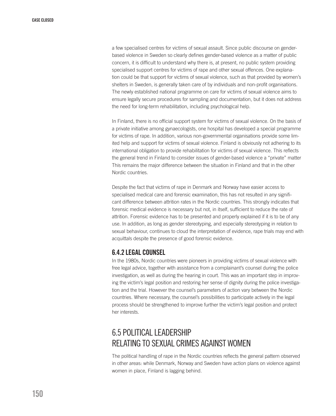a few specialised centres for victims of sexual assault. Since public discourse on genderbased violence in Sweden so clearly defines gender-based violence as a matter of public concern, it is difficult to understand why there is, at present, no public system providing specialised support centres for victims of rape and other sexual offences. One explanation could be that support for victims of sexual violence, such as that provided by women's shelters in Sweden, is generally taken care of by individuals and non-profit organisations. The newly established national programme on care for victims of sexual violence aims to ensure legally secure procedures for sampling and documentation, but it does not address the need for long-term rehabilitation, including psychological help.

In Finland, there is no official support system for victims of sexual violence. On the basis of a private initiative among gynaecologists, one hospital has developed a special programme for victims of rape. In addition, various non-governmental organisations provide some limited help and support for victims of sexual violence. Finland is obviously not adhering to its international obligation to provide rehabilitation for victims of sexual violence. This reflects the general trend in Finland to consider issues of gender-based violence a "private" matter This remains the major difference between the situation in Finland and that in the other Nordic countries.

Despite the fact that victims of rape in Denmark and Norway have easier access to specialised medical care and forensic examination, this has not resulted in any significant difference between attrition rates in the Nordic countries. This strongly indicates that forensic medical evidence is necessary but not, in itself, sufficient to reduce the rate of attrition. Forensic evidence has to be presented and properly explained if it is to be of any use. In addition, as long as gender stereotyping, and especially stereotyping in relation to sexual behaviour, continues to cloud the interpretation of evidence, rape trials may end with acquittals despite the presence of good forensic evidence.

#### 6.4.2 Legal counsel

In the 1980s, Nordic countries were pioneers in providing victims of sexual violence with free legal advice, together with assistance from a complainant's counsel during the police investigation, as well as during the hearing in court. This was an important step in improving the victim's legal position and restoring her sense of dignity during the police investigation and the trial. However the counsel's parameters of action vary between the Nordic countries. Where necessary, the counsel's possibilities to participate actively in the legal process should be strengthened to improve further the victim's legal position and protect her interests.

## 6.5 POLITICAL LEADERSHIP RELATING TO SEXUAL CRIMES AGAINST WOMEN

The political handling of rape in the Nordic countries reflects the general pattern observed in other areas: while Denmark, Norway and Sweden have action plans on violence against women in place, Finland is lagging behind.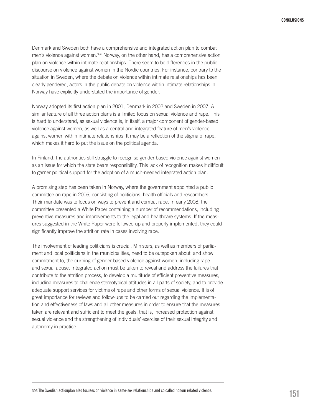Denmark and Sweden both have a comprehensive and integrated action plan to combat men's violence against women.396 Norway, on the other hand, has a comprehensive action plan on violence within intimate relationships. There seem to be differences in the public discourse on violence against women in the Nordic countries. For instance, contrary to the situation in Sweden, where the debate on violence within intimate relationships has been clearly gendered, actors in the public debate on violence within intimate relationships in Norway have explicitly understated the importance of gender.

Norway adopted its first action plan in 2001, Denmark in 2002 and Sweden in 2007. A similar feature of all three action plans is a limited focus on sexual violence and rape. This is hard to understand, as sexual violence is, in itself, a major component of gender-based violence against women, as well as a central and integrated feature of men's violence against women within intimate relationships. It may be a reflection of the stigma of rape, which makes it hard to put the issue on the political agenda.

In Finland, the authorities still struggle to recognise gender-based violence against women as an issue for which the state bears responsibility. This lack of recognition makes it difficult to garner political support for the adoption of a much-needed integrated action plan.

A promising step has been taken in Norway, where the government appointed a public committee on rape in 2006, consisting of politicians, health officials and researchers. Their mandate was to focus on ways to prevent and combat rape. In early 2008, the committee presented a White Paper containing a number of recommendations, including preventive measures and improvements to the legal and healthcare systems. If the measures suggested in the White Paper were followed up and properly implemented, they could significantly improve the attrition rate in cases involving rape.

The involvement of leading politicians is crucial. Ministers, as well as members of parliament and local politicians in the municipalities, need to be outspoken about, and show commitment to, the curbing of gender-based violence against women, including rape and sexual abuse. Integrated action must be taken to reveal and address the failures that contribute to the attrition process, to develop a multitude of efficient preventive measures, including measures to challenge stereotypical attitudes in all parts of society, and to provide adequate support services for victims of rape and other forms of sexual violence. It is of great importance for reviews and follow-ups to be carried out regarding the implementation and effectiveness of laws and all other measures in order to ensure that the measures taken are relevant and sufficient to meet the goals, that is, increased protection against sexual violence and the strengthening of individuals' exercise of their sexual integrity and autonomy in practice.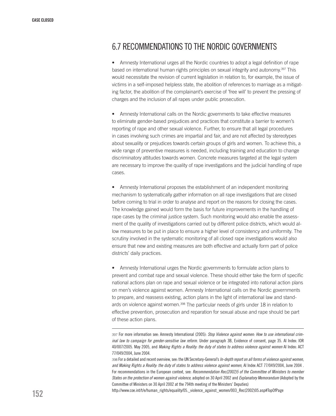## 6.7 RECOMMENDATIONS TO THE NORDIC GOVERNMENTS

• Amnesty International urges all the Nordic countries to adopt a legal definition of rape based on international human rights principles on sexual integrity and autonomy.397 This would necessitate the revision of current legislation in relation to, for example, the issue of victims in a self-imposed helpless state, the abolition of references to marriage as a mitigating factor, the abolition of the complainant's exercise of 'free will' to prevent the pressing of charges and the inclusion of all rapes under public prosecution.

• Amnesty International calls on the Nordic governments to take effective measures to eliminate gender-based prejudices and practices that constitute a barrier to women's reporting of rape and other sexual violence. Further, to ensure that all legal procedures in cases involving such crimes are impartial and fair, and are not affected by stereotypes about sexuality or prejudices towards certain groups of girls and women. To achieve this, a wide range of preventive measures is needed, including training and education to change discriminatory attitudes towards women. Concrete measures targeted at the legal system are necessary to improve the quality of rape investigations and the judicial handling of rape cases.

• Amnesty International proposes the establishment of an independent monitoring mechanism to systematically gather information on all rape investigations that are closed before coming to trial in order to analyse and report on the reasons for closing the cases. The knowledge gained would form the basis for future improvements in the handling of rape cases by the criminal justice system. Such monitoring would also enable the assessment of the quality of investigations carried out by different police districts, which would allow measures to be put in place to ensure a higher level of consistency and uniformity. The scrutiny involved in the systematic monitoring of all closed rape investigations would also ensure that new and existing measures are both effective and actually form part of police districts' daily practices.

• Amnesty International urges the Nordic governments to formulate action plans to prevent and combat rape and sexual violence. These should either take the form of specific national actions plan on rape and sexual violence or be integrated into national action plans on men's violence against women. Amnesty International calls on the Nordic governments to prepare, and reassess existing, action plans in the light of international law and standards on violence against women.<sup>398</sup> The particular needs of girls under 18 in relation to effective prevention, prosecution and reparation for sexual abuse and rape should be part of these action plans.

http://www.coe.int/t/e/human\_rights/equality/05.\_violence\_against\_women/003\_Rec(2002)05.asp#TopOfPage

<sup>397</sup> For more information see: Amnesty International (2005): *Stop Violence against women: How to use international criminal law to campaign for gender-sensitive law reform.* Under paragraph 3B, Evidence of consent, page 35. AI Index: IOR 40/007/2005. May 2005, and *Making Rights a Reality: the duty of states to address violence against women* AI Index: ACT 77/049/2004, June 2004.

<sup>398</sup> For a detailed and recent overview, see: the UN Secretary-General's *In-depth report on all forms of violence against women, and Making Rights a Reality: the duty of states to address violence against women*, AI Index ACT 77/049/2004, June 2004 . For recommendations in the European context, see: *Recommendation Rec(2002)5 of the Committee of Ministers to member States on the protection of women against violence*, adopted on 30 April 2002 and *Explanatory Memorandum* (Adopted by the Committee of Ministers on 30 April 2002 at the 794th meeting of the Ministers' Deputies)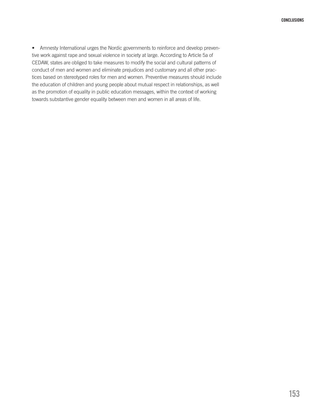• Amnesty International urges the Nordic governments to reinforce and develop preventive work against rape and sexual violence in society at large. According to Article 5a of CEDAW, states are obliged to take measures to modify the social and cultural patterns of conduct of men and women and eliminate prejudices and customary and all other practices based on stereotyped roles for men and women. Preventive measures should include the education of children and young people about mutual respect in relationships, as well as the promotion of equality in public education messages, within the context of working towards substantive gender equality between men and women in all areas of life.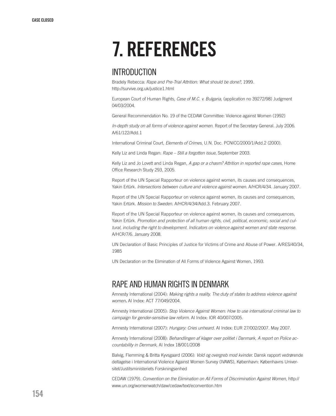## 7. References

## **INTRODUCTION**

Bradely Rebecca: *Rape and Pre-Trial Attrition: What should be done?*, 1999. http://survive.org.uk/justice1.html

European Court of Human Rights, *Case of M.C. v. Bulgaria*, (application no 39272/98) Judgment 04/03/2004.

General Recommendation No. 19 of the CEDAW Committee: Violence against Women (1992)

*In-depth study on all forms of violence against women*. Report of the Secretary General. July 2006. A/61/122/Add.1

International Criminal Court, *Elements of Crimes*, U.N. Doc. PCNICC/2000/1/Add.2 (2000).

Kelly Liz and Linda Regan: *Rape – Still a forgotten issue*, September 2003.

Kelly Liz and Jo Lovett and Linda Regan, *A gap or a chasm? Attrition in reported rape cases*, Home Office Research Study 293, 2005.

Report of the UN Special Rapporteur on violence against women, its causes and consequences, Yakin Ertürk. *Intersections between culture and violence against women.* A/HCR/4/34. January 2007.

Report of the UN Special Rapporteur on violence against women, its causes and consequences, Yakin Ertürk. *Mission to Sweden*. A/HCR/4/34/Add.3. February 2007.

Report of the UN Special Rapporteur on violence against women, its causes and consequences, Yakin Ertürk. *Promotion and protection of all human rights, civil, political, economic, social and cultural, including the right to development. Indicators on violence against women and state response.* A/HCR/7/6. January 2008.

UN Declaration of Basic Principles of Justice for Victims of Crime and Abuse of Power*.* A/RES/40/34, 1985

UN Declaration on the Elimination of All Forms of Violence Against Women, 1993.

## RAPE AND HUMAN RIGHTS IN Denmark

Amnesty International (2004): *Making rights a reality. The duty of states to address violence against women.* AI Index: ACT 77/049/2004.

Amnesty International (2005): *Stop Violence Against Women: How to use international criminal law to campaign for gender-sensitive law reform.* AI Index: IOR 40/007/2005.

Amnesty International (2007): *Hungary: Cries unheard.* AI Index: EUR 27/002/2007. May 2007.

Amnesty International (2008): *Behandlingen af klager over politiet i Danmark, A report on Police accountability in Denmark,* AI Index 18/001/2008

Balvig, Flemming & Britta Kyvsgaard (2006): *Vold og overgreb mod kvinder.* Dansk rapport vedrørende deltagelse i International Violence Against Women Survey (IVAWS), København: Københavns Universitet/Justitsministeriets Forskningsenhed

CEDAW (1979). *Convention on the Elimination on All Forms of Discrimination Against Women*, http:// www.un.org/womenwatch/daw/cedaw/text/econvention.htm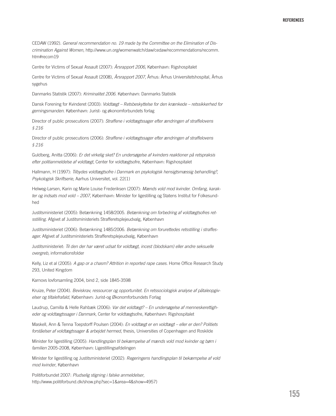CEDAW (1992). *General recommendation no. 19 made by the Committee on the Elimination of Discrimination Against Women*, http://www.un.org/womenwatch/daw/cedaw/recommendations/recomm. htm#recom19

Centre for Victims of Sexual Assault (2007): *Årsrapport 2006*, København: Rigshospitalet

Centre for Victims of Sexual Assault (2008), *Årsrapport 2007*, Århus: Århus Universitetshospital, Århus sygehus

Danmarks Statistik (2007): *Kriminalitet 2006*. København: Danmarks Statistik

Dansk Forening for Kvinderet (2003): *Voldtægt – Retsbeskyttelse for den krænkede – retssikkerhed for gerningsmanden*. København: Jurist- og økonomforbundets forlag

Director of public prosecutions (2007): *Straffene i voldtægtssager efter ændringen af straffelovens § 216*

Director of public prosecutions (2006): *Straffene i voldtægtssager efter ændringen af straffelovens § 216*

Guldberg, Anitta (2006): *Er det virkelig sket? En undersøgelse af kvinders reaktioner på retspraksis efter politianmeldelse af voldtægt*, Center for voldtægtsofre, København: Rigshospitalet

Hallmann, H (1997): *Tilbydes voldtægtsofre i Danmark en psykologisk hensigtsmæssig behandling?, Psykologisk Skriftserie*, Aarhus Universitet, vol. 22(1)

Helweg-Larsen, Karin og Marie Louise Frederiksen (2007): *Mænds vold mod kvinder. Omfang, karakter og indsats mod vold – 2007*, København: Minister for ligestilling og Statens Institut for Folkesundhed

Justitsministeriet (2005): Betænkning 1458/2005. *Betænkning om forbedring af voldtægtsofres retsstilling*. Afgivet af Justitsministeriets Strafferetsplejeudvalg, København

Justitsministeriet (2006): Betænkning 1485/2006. *Betænkning om forurettedes retsstilling i straffesager.* Afgivet af Justitsministeriets Strafferetsplejeudvalg, København

Justitsministeriet: *Til den der har været udsat for voldtægt, incest (blodskam) eller andre seksuelle overgreb*, informationsfolder

Kelly, Liz et al (2005): *A gap or a chasm? Attrition in reported rape cases.* Home Office Research Study 293, United Kingdom

Karnovs lovforsamling 2004, bind 2, side 1845-3598

Kruize, Peter (2004). *Beviskrav, ressourcer og opportunitet. En retssociologisk analyse af påtaleopgivelser og tiltalefrafald*, København: Jurist-og Økonomforbundets Forlag

Laudrup, Camilla & Helle Rahbæk (2006): *Var det voldtægt? – En undersøgelse af menneskerettigheder og voldtægtssager i Danmark*, Center for voldtægtsofre, København: Rigshospitalet

Maskell, Ann & Tenna Toepstorff Poulsen (2004): *En voldtægt er en voldtægt – eller er den? Politiets forståelser af voldtægtssager & arbejdet hermed*, thesis, Universities of Copenhagen and Roskilde

Minister for ligestilling (2005): *Handlingsplan til bekæmpelse af mænds vold mod kvinder og børn i familien* 2005-2008, København: Ligestillingsafdelingen

Minister for ligestilling og Justitsministeriet (2002): *Regeringens handlingsplan til bekæmpelse af vold mod kvinder*, København

Politiforbundet 2007: *Pludselig stigning i falske anmeldelser*, http://www.politiforbund.dk/show.php?sec=1&area=4&show=4957)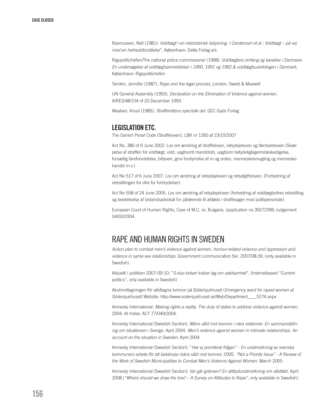Rasmussen, Nell (1981): *Voldtægt i en retshistorisk belysning, I Carstensen et al : Voldtægt – på vej mod en helhedsforståelse*", København: Delta Forlag a/s

Rigspolitichefen/The national police commissioner (1998): *Voldtægters omfang og karakter i Danmark: En undersøgelse af voldtægtsanmeldelser i 1990, 1991 og 1992 & voldtægtsudviklingen i Danmark*. København: Rigspolitichefen

Temkin, Jennifer (1987): *Rape and the legal process*, London: Sweet & Maxwell

UN General Assembly (1993): *Declaration on the Elimination of Violence against women*. A/RES/48/104 of 20 December 1993.

Waaben, Knud (1983): *Strafferettens specielle del*, GEC Gads Forlag

#### Legislation etc.

The Danish Penal Code (Straffeloven), LBK nr 1260 af 23/10/2007

Act No. 380 of 6 June 2002: Lov om ændring af straffeloven, retsplejeloven og færdselsloven (Skærpelse af straffen for voldtægt, vold, uagtsomt manddrab, uagtsom betydeliglegemsbeskadigelse, forsætlig fareforvoldelse, biltyveri, grov forstyrrelse af ro og orden, menneskesmugling og menneskehandel m.v.)

Act No 517 of 6 June 2007. Lov om ændring af retsplejeloven og retsafgiftsloven. (Forbedring af retsstillingen for ofre for forbrydelser)

Act No 558 of 24 June 2005. Lov om ændring af retsplejeloven (forbedring af voldtægtsofres retsstilling og beskikkelse af bistandsadvokat for pårørende til afdøde i straffesager mod politipersonale)

European Court of Human Rights, Case of M.C. vs. Bulgaria, (application no 39272/98) Judgement 04/03/2004.

## RAPE AND HUMAN RIGHTS IN Sweden

*Action plan to combat men's violence against women, honour-related violence and oppression and violence in same-sex relationships*. Government communication Skr. 2007/08:39, (only available in Swedish).

Aktuellt i politiken 2007-09-10: "*S-duo kräver kräver lag om oaktsamhet*". (Internetbased "Current politics", only available in Swedish)

Akutmottagningen för våldtagna kvinnor på Södersjukhuset (*Emergency ward for raped women at Södersjukhuset*) Website: http://www.sodersjukhuset.se/Web/Department\_\_\_\_5274.aspx

Amnesty International: *Making rights a reality. The duty of states to address violence against women*. 2004. AI Index: ACT 77/049/2004.

Amnesty International (Swedish Section): *Mäns våld mot kvinnor i nära relationer. En sammanställning om situationen i Sverige.* April 2004. *Men's violence against women in intimate relationships. An account on the situation in Sweden.* April 2004.

Amnesty International (Swedish Section): "*Har ej prioriterat frågan" - En undersökning av svenska kommuners arbete för att bekämpa mäns våld mot kvinnor.* 2005. *"Not a Priority Issue" - A Review of the Work of Swedish Municipalities to Combat Men's Violence Against Women.* March 2005.

Amnesty International (Swedish Section): *Var går gränsen? En attitydundersökning om våldtäkt.* April 2008 (*"Where should we draw the line? – A Survey on Attitudes to Rape"*, only available in Swedish).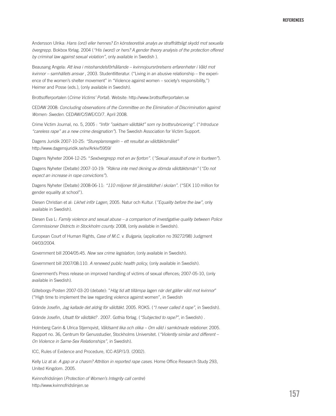Andersson Ulrika: *Hans (ord) eller hennes? En könsteoretisk analys av straffrättsligt skydd mot sexuella övergrepp*. Bokbox förlag. 2004 (*"His (word) or hers? A gender theory analysis of the protection offered by criminal law against sexual violation"*, only available in Swedish ).

Beausang Angela: *Att leva i misshandelsförhållande – kvinnojoursrörelsens erfarenheter i Våld mot kvinnor – samhällets ansvar* , 2003. Studentlitteratur. ("Living in an abusive relationship – the experience of the women's shelter movement" in "Violence against women – society's responsibility,") Heimer and Posse (eds.), (only available in Swedish).

Brottsofferportalen (*Crime Victims' Portal*). Website: http://www.brottsofferportalen.se

CEDAW 2008: *Concluding observations of the Committee on the Elimination of Discrimination against Women: Sweden.* CEDAW/C/SWE/CO/7. April 2008.

Crime Victim Journal, no. 5, 2005 : *"Inför "oaktsam våldtäkt" som ny brottsrubricering"*. ("*Introduce "careless rape" as a new crime designation"*). The Swedish Association for Victim Support.

Dagens Juridik 2007-10-25: *"Stureplansregeln – ett resultat av våldtäktsmålet"* http://www.dagensjuridik.se/sv/Arkiv/5959/

Dagens Nyheter 2004-12-25: "*Sexövergrepp mot en av fjorton".* (*"Sexual assault of one in fourteen"*).

Dagens Nyheter (Debate) 2007-10-19: *"Räkna inte med ökning av dömda våldtäktsmän"* (*"Do not expect an increase in rape convictions"*).

Dagens Nyheter (Debate) 2008-06-11: *"110 miljoner till jämställdhet i skolan"*. ("SEK 110 million for gender equality at school").

Diesen Christian et al: *Likhet inför Lagen*, 2005. Natur och Kultur. (*"Equality before the law"*, only available in Swedish).

Diesen Eva L: *Family violence and sexual abuse – a comparison of investigative quality between Police Commissioner Districts in Stockholm county.* 2008, (only available in Swedish).

European Court of Human Rights, *Case of M.C. v. Bulgaria*, (application no 39272/98) Judgment 04/03/2004.

Government bill 2004/05:45. *New sex crime legislation*, (only available in Swedish).

Government bill 2007/08:110. *A renewed public health policy*, (only available in Swedish).

Government's Press release on improved handling of victims of sexual offences; 2007-05-10, (only available in Swedish).

Göteborgs-Posten 2007-03-20 (debate): "*Hög tid att tillämpa lagen när det gäller våld mot kvinnor*" ("High time to implement the law regarding violence against women", in Swedish

Grände Josefin, *Jag kallade det aldrig för våldtäkt*. 2005. ROKS. (*"I never called it rape"*, in Swedish).

Grände Josefin, *Utsatt för våldtäkt?* . 2007. Gothia förlag. (*"Subjected to rape?"*, in Swedish) .

Holmberg Carin & Ulrica Stjernqvist, *Våldsamt lika och olika – Om våld i samkönade relationer.* 2005. Rapport no. 36, Centrum för Genusstudier, Stockholms Universitet. (*"Violently similar and different – On Violence in Same-Sex Relationships"*, in Swedish).

ICC, Rules of Evidence and Procedure, ICC-ASP/1/3. (2002).

Kelly Liz at al: *A gap or a chasm? Attrition in reported rape cases*. Home Office Research Study 293, United Kingdom. 2005.

Kvinnofridslinjen (*Protection of Women's Integrity call centre*) http://www.kvinnofridslinjen.se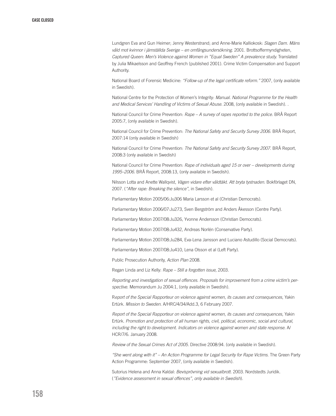Lundgren Eva and Gun Heimer; Jenny Westerstrand; and Anne-Marie Kalliokosk: *Slagen Dam. Mäns våld mot kvinnor i jämställda Sverige – en omfångsundersökning*. 2001. Brottsoffermyndigheten, *Captured Queen: Men's Violence against Women in "Equal Sweden" A prevalence study.* Translated by Julia Mikaelsson and Geoffrey French (published 2001). Crime Victim Compensation and Support Authority.

National Board of Forensic Medicine: *"Follow-up of the legal certificate reform."* 2007, (only available in Swedish).

National Centre for the Protection of Women's Integrity: *Manual. National Programme for the Health and Medical Services' Handling of Victims of Sexual Abuse.* 2008, (only available in Swedish). .

National Council for Crime Prevention: Rape – A survey of rapes reported to the police. BRÅ Report 2005:7, (only available in Swedish).

National Council for Crime Prevention: *The National Safety and Security Survey 2006.* BRÅ Report, 2007:14 (only available in Swedish)

National Council for Crime Prevention: *The National Safety and Security Survey 2007.* BRÅ Report, 2008:3 (only available in Swedish)

National Council for Crime Prevention: *Rape of individuals aged 15 or over – developments during 1995–2006.* BRÅ Report, 2008:13, (only available in Swedish).

Nilsson Lotta and Anette Wallqvist, *Vägen vidare efter våldtäkt. Att bryta tystnaden.* Bokförlaget DN, 2007. (*"After rape: Breaking the silence"*, in Swedish).

Parliamentary Motion 2005/06:Ju306 Maria Larsson et al (Christian Democrats).

Parliamentary Motion 2006/07:Ju273, Sven Bergström and Anders Åkesson (Centre Party).

Parliamentary Motion 2007/08:Ju326, Yvonne Andersson (Christian Democrats).

Parliamentary Motion 2007/08:Ju432, Andreas Norlén (Conservative Party).

Parliamentary Motion 2007/08:Ju284, Eva-Lena Jansson and Luciano Astudillo (Social Democrats).

Parliamentary Motion 2007/08:Ju410, Lena Olsson et al (Left Party).

Public Prosecution Authority, *Action Plan* 2008.

Regan Linda and Liz Kelly: *Rape – Still a forgotten issue,* 2003.

*Reporting and investigation of sexual offences. Proposals for improvement from a crime victim's perspective.* Memorandum Ju 2004:1, (only available in Swedish).

R*eport of the Special Rapporteur on violence against women, its causes and consequences*, Yakin Ertürk. *Mission to Sweden.* A/HRC/4/34/Add.3, 6 February 2007.

*Report of the Special Rapporteur on violence against women, its causes and consequences,* Yakin Ertürk. *Promotion and protection of all human rights, civil, political, economic, social and cultural, including the right to development. Indicators on violence against women and state response.* A/ HCR/7/6. January 2008.

*Review of the Sexual Crimes Act of 2005.* Directive 2008:94. (only available in Swedish).

*"She went along with it" – An Action Programme for Legal Security for Rape Victims.* The Green Party Action Programme: September 2007, (only available in Swedish).

Sutorius Helena and Anna Kaldal: *Bevisprövning vid sexualbrott.* 2003. Nordstedts Juridik. (*"Evidence assessment in sexual offences", only available in Swedish*).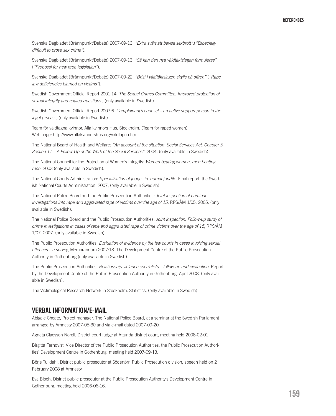Svenska Dagbladet (Brännpunkt/Debate) 2007-09-13: *"Extra svårt att bevisa sexbrott"*.(*"Especially difficult to prove sex crime"*).

Svenska Dagbladet (Brännpunkt/Debate) 2007-09-13: *"Så kan den nya våldtäktslagen formuleras"*. (*"Proposal for new rape legislation"*).

Svenska Dagbladet (Brännpunkt/Debate) 2007-09-22: *"Brist i våldtäktslagen skylls på offren"* (*"Rape law deficiencies blamed on victims"*).

Swedish Government Official Report 2001:14. *The Sexual Crimes Committee: Improved protection of sexual integrity and related questions.*, (only available in Swedish).

Swedish Government Official Report 2007:6. *Complainant's counsel – an active support person in the legal process*, (only available in Swedish).

Team för våldtagna kvinnor. Alla kvinnors Hus, Stockholm. (Team for raped women) Web page: http://www.allakvinnorshus.org/valdtagna.htm

The National Board of Health and Welfare: *"An account of the situation. Social Services Act, Chapter 5, Section 11 – A Follow-Up of the Work of the Social Services"*. 2004. (only available in Swedish)

The National Council for the Protection of Women's Integrity: *Women beating women, men beating men.* 2003 (only available in Swedish).

The National Courts Administration: *Specialisation of judges in 'humanjuridik'.* Final report, the Swedish National Courts Administration, 2007, (only available in Swedish).

The National Police Board and the Public Prosecution Authorities: *Joint inspection of criminal investigations into rape and aggravated rape of victims over the age of 15.* RPS/ÅM 1/05, 2005. (only available in Swedish).

The National Police Board and the Public Prosecution Authorities: *Joint inspection: Follow-up study of crime investigations in cases of rape and aggravated rape of crime victims over the age of 15*, RPS/ÅM 1/07, 2007. (only available in Swedish).

The Public Prosecution Authorities: *Evaluation of evidence by the law courts in cases involving sexual offences – a survey*, Memorandum 2007:13. The Development Centre of the Public Prosecution Authority in Gothenburg (only available in Swedish).

The Public Prosecution Authorities: *Relationship violence specialists – follow-up and evaluation.* Report by the Development Centre of the Public Prosecution Authority in Gothenburg. April 2008, (only available in Swedish).

The Victimological Research Network in Stockholm. Statistics, (only available in Swedish).

#### VERBAL INFORMATION/E-MAIL

Abigale Choate, Project manager, The National Police Board, at a seminar at the Swedish Parliament arranged by Amnesty 2007-05-30 and via e-mail dated 2007-09-20.

Agneta Claesson Norell, District court judge at Attunda district court, meeting held 2008-02-01.

Birgitta Fernqvist, Vice Director of the Public Prosecution Authorities, the Public Prosecution Authorities' Development Centre in Gothenburg, meeting held 2007-09-13.

Börje Tulldahl, District public prosecutor at Södertörn Public Prosecution division; speech held on 2 February 2008 at Amnesty.

Eva Bloch, District public prosecutor at the Public Prosecution Authority's Development Centre in Gothenburg, meeting held 2006-06-16.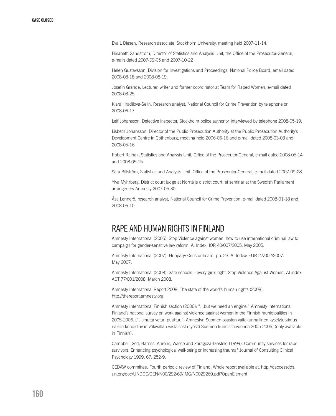Eva L Diesen, Research associate, Stockholm University, meeting held 2007-11-14.

Elisabeth Sandström, Director of Statistics and Analysis Unit, the Office of the Prosecutor-General, e-mails dated 2007-09-05 and 2007-10-22

Helen Gustavsson, Division for Investigations and Proceedings, National Police Board, email dated 2008-08-18 and 2008-08-19.

Josefin Grände, Lecturer, writer and former coordinator at Team for Raped Women, e-mail dated 2008-08-25

Klara Hradilova-Selin, Research analyst, National Council for Crime Prevention by telephone on 2008-06-17.

Leif Johansson, Detective inspector, Stockholm police authority, interviewed by telephone 2008-05-19.

Lisbeth Johansson, Director of the Public Prosecution Authority at the Public Prosecution Authority's Development Centre in Gothenburg, meeting held 2006-06-16 and e-mail dated 2008-03-03 and 2008-05-16.

Robert Rajnak, Statistics and Analysis Unit, Office of the Prosecutor-General, e-mail dated 2008-05-14 and 2008-05-15.

Sara Billström, Statistics and Analysis Unit, Office of the Prosecutor-General, e-mail dated 2007-09-28.

Ylva Myhrberg, District court judge at Norrtälje district court, at seminar at the Swedish Parliament arranged by Amnesty 2007-05-30.

Åsa Lennerö, research analyst, National Council for Crime Prevention, e-mail dated 2008-01-18 and 2008-06-10.

## RAPE AND HUMAN RIGHTS IN Finland

Amnesty International (2005): Stop Violence against women: how to use international criminal law to campaign for gender-sensitive law reform. AI Index: IOR 40/007/2005. May 2005.

Amnesty International (2007): Hungary: Cries unheard, pp. 23. AI Index: EUR 27/002/2007. May 2007.

Amnesty International (2008): Safe schools – every girl's right. Stop Violence Against Women. AI index: ACT 77/001/2008. March 2008.

Amnesty International Report 2008: The state of the world's human rights (2008). http://thereport.amnesty.org

Amnesty International Finnish section (2006): "...but we need an engine." Amnesty International Finland's national survey on work against violence against women in the Finnish municipalities in 2005-2006. ["…mutta veturi puuttuu". Amnestyn Suomen osaston valtakunnallinen kyselytutkimus naisiin kohdistuvan väkivallan vastaisesta työstä Suomen kunnissa vuonna 2005-2006] (only available in Finnish).

Campbell, Sefl, Barnes, Ahrens, Wasco and Zaragoza-Diesfeld (1999). Community services for rape survivors: Enhancing psychological well-being or increasing trauma? Journal of Consulting Clinical Psychology 1999: 67: 252-9.

CEDAW committee: Fourth periodic review of Finland. Whole report available at: http://daccessdds. un.org/doc/UNDOC/GEN/N00/292/69/IMG/N0029269.pdf?OpenElement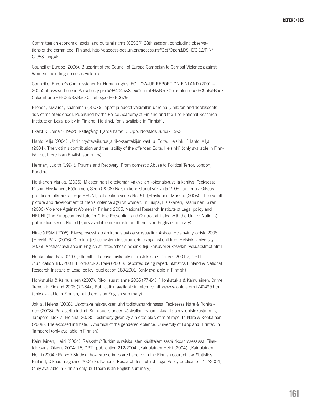Committee on economic, social and cultural rights (CESCR) 38th session, concluding observations of the committee, Finland: http://daccess-ods.un.org/access.nsf/Get?Open&DS=E/C.12/FIN/ CO/5&Lang=E

Council of Europe (2006): Blueprint of the Council of Europe Campaign to Combat Violence against Women, including domestic violence.

Council of Europe's Commissioner for Human rights: FOLLOW-UP REPORT ON FINLAND (2001 – 2005) https://wcd.coe.int/ViewDoc.jsp?id=984045&Site=CommDH&BackColorInternet=FEC65B&Back ColorIntranet=FEC65B&BackColorLogged=FFC679

Ellonen, Kivivuori, Kääriäinen (2007): Lapset ja nuoret väkivallan uhreina [Children and adolescents as victims of violence]. Published by the Police Academy of Finland and the The National Research Institute on Legal policy in Finland, Helsinki. (only available in Finnish).

Ekelöf & Boman (1992): Rättegång. Fjärde häftet. 6 Upp. Norstads Juridik 1992.

Hahto, Vilja (2004): Uhrin myötävaikutus ja rikoksentekijän vastuu. Edita, Helsinki. [Hahto, Vilja (2004): The victim's contribution and the liability of the offender. Edita, Helsinki] (only available in Finnish, but there is an English summary).

Herman, Judith (1994): Trauma and Recovery: From domestic Abuse to Political Terror. London, Pandora.

Heiskanen Markku (2006): Miesten naisille tekemän väkivallan kokonaiskuva ja kehitys. Teoksessa Piispa, Heiskanen, Kääriäinen, Siren (2006) Naisiin kohdistunut väkivalta 2005 -tutkimus. Oikeuspoliittinen tutkimuslaitos ja HEUNI, publication series No. 51. [Heiskanen, Markku (2006): The overall picture and development of men's violence against women. In Piispa, Heiskanen, Kääriäinen, Siren (2006) Violence Against Women in Finland 2005. National Research Institute of Legal policy and HEUNI (The European Institute for Crime Prevention and Control, affiliated with the United Nations), publication series No. 51] (only available in Finnish, but there is an English summary).

Hirvelä Päivi (2006): Rikosprosessi lapsiin kohdistuvissa seksuaalirikoksissa. Helsingin yliopisto 2006 [Hirvelä, Päivi (2006): Criminal justice system in sexual crimes against children. Helsinki University 2006]. Abstract available in English at http://ethesis.helsinki.fi/julkaisut/oik/rikos/vk/hirvela/abstract.html

Honkatukia, Päivi (2001): Ilmoitti tulleensa raiskatuksi. Tilastokeskus, Oikeus 2001:2, OPTL :publication 180/2001. [Honkatukia, Päivi (2001): Reported being raped. Statistics Finland & National Research Institute of Legal policy: publication 180/2001] (only available in Finnish).

Honkatukia & Kainulainen (2007): Rikollisuustilanne 2006 (77-84). [Honkatukia & Kainulainen: Crime Trends in Finland 2006 (77-84).] Publication available in internet: http://www.optula.om.fi/40495.htm (only available in Finnish, but there is an English summary).

Jokila, Helena (2008): Uskottava raiskauksen uhri todistusharkinnassa. Teoksessa Näre & Ronkainen (2008): Paljastettu intiimi. Sukupuolistuneen väkivallan dynamiikkaa. Lapin yliopistokustannus, Tampere. [Jokila, Helena (2008): Testimony given by a a credible victim of rape. In Näre & Ronkainen (2008): The exposed intimate. Dynamics of the gendered violence. Univercity of Lappland. Printed in Tampere] (only available in Finnish).

Kainulainen, Heini (2004): Raiskattu? Tutkimus raiskausten käsittelemisestä rikosprosessissa. Tilastokeskus, Oikeus 2004: 16, OPTL publication 212/2004. [Kainulainen Heini (2004). [Kainulainen Heini (2004): Raped? Study of how rape crimes are handled in the Finnish court of law. Statistics Finland, Oikeus-magazine 2004:16, National Research Institute of Legal Policy publication 212/2004] (only available in Finnish only, but there is an English summary).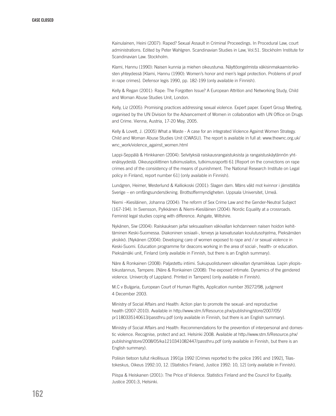Kainulainen, Heini (2007): Raped? Sexual Assault in Criminal Proceedings. In Procedural Law, court administrations. Edited by Peter Wahlgren. Scandinavian Studies in Law, Vol.51. Stockholm Institute for Scandinavian Law. Stockholm.

Klami, Hannu (1990): Naisen kunnia ja miehen oikeusturva. Näyttöongelmista väkisinmakaamisrikosten yhteydessä [Klami, Hannu (1990): Women's honor and men's legal protection. Problems of proof in rape crimes]. Defensor legis 1990, pp. 182-199 (only available in Finnish).

Kelly & Regan (2001): Rape: The Forgotten Issue? A European Attrition and Networking Study, Child and Woman Abuse Studies Unit, London.

Kelly, Liz (2005): Promising practices addressing sexual violence. Expert paper. Expert Group Meeting, organised by the UN Division for the Advancement of Women in collaboration with UN Office on Drugs and Crime. Vienna, Austria, 17-20 May, 2005.

Kelly & Lovett, J. (2005) What a Waste - A case for an integrated Violence Against Women Strategy. Child and Woman Abuse Studies Unit (CWASU). The report is available in full at: www.thewnc.org.uk/ wnc\_work/violence\_against\_women.html

Lappi-Seppälä & Hinkkanen (2004): Selvityksiä raiskausrangaistuksista ja rangaistuskäytännön yhtenäisyydestä. Oikeuspoliittinen tutkimuslaitos, tutkimusraportti 61 [Report on the convictions on rape crimes and of the consistency of the means of punishment. The National Research Institute on Legal policy in Finland, report number 61] (only available in Finnish).

Lundgren, Heimer, Westerlund & Kalliokoski (2001): Slagen dam. Mäns våld mot kvinnor i jämställda Sverige – en omfångsundersökning. Brottsoffermyndigheten. Uppsala Universitet, Umeå.

Niemi –Kiesiläinen, Johanna (2004): The reform of Sex Crime Law and the Gender-Neutral Subject (167-194). In Svensson, Pylkkänen & Niemi-Kiesiläinen (2004): Nordic Equality at a crossroads. Feminist legal studies coping with difference. Ashgate, Wiltshire.

Nykänen, Siw (2004): Raiskauksen ja/tai seksuaalisen väkivallan kohdanneen naisen hoidon kehittäminen Keski-Suomessa. Diakoninen sosiaali-, terveys ja kasvatusalan koulutusohjelma, Pieksämäen yksikkö. [Nykänen (2004): Developing care of women exposed to rape and / or sexual violence in Keski-Suomi. Education programme for deacons working in the area of social-, health- or education. Pieksämäki unit, Finland (only available in Finnish, but there is an English summary).

Näre & Ronkainen (2008): Paljastettu intiimi. Sukupuolistuneen väkivallan dynamiikkaa. Lapin yliopistokustannus, Tampere. [Näre & Ronkainen (2008): The exposed intimate. Dynamics of the gendered violence. Univercity of Lappland. Printed in Tampere] (only available in Finnish).

M.C v Bulgaria, European Court of Human Rights, Application number 39272/98, judgment 4 December 2003.

Ministry of Social Affairs and Health: Action plan to promote the sexual- and reproductive health (2007-2010). Available in http://www.stm.fi/Resource.phx/publishing/store/2007/05/ pr1180335140613/passthru.pdf (only available in Finnish, but there is an English summary).

Ministry of Social Affairs and Health: Recommendations for the prevention of interpersonal and domestic violence. Recognise, protect and act. Helsinki 2008. Available at http://www.stm.fi/Resource.phx/ publishing/store/2008/05/ka1210341082447/passthru.pdf (only available in Finnish, but there is an English summary).

Poliisin tietoon tullut rikollisuus 1991 ia 1992 [Crimes reported to the police 1991 and 1992]. Tilastokeskus, Oikeus 1992:10, 12. [Statistics Finland, Justice 1992: 10, 12] (only available in Finnish).

Piispa & Heiskanen (2001): The Price of Violence. Statistics Finland and the Council for Equality. Justice 2001:3, Helsinki.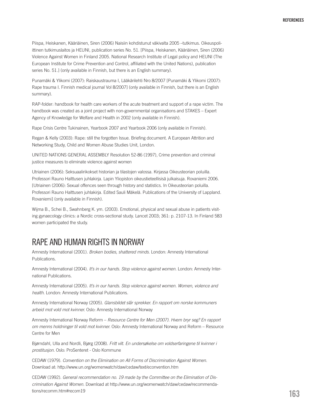Piispa, Heiskanen, Kääriäinen, Siren (2006) Naisiin kohdistunut väkivalta 2005 –tutkimus. Oikeuspoliittinen tutkimuslaitos ja HEUNI, publication series No. 51. [Piispa, Heiskanen, Kääriäinen, Siren (2006) Violence Against Women in Finland 2005. National Research Institute of Legal policy and HEUNI (The European Institute for Crime Prevention and Control, affiliated with the United Nations), publication series No. 51.] (only available in Finnish, but there is an English summary).

Punamäki & Ylikomi (2007): Raiskaustrauma I, Lääkärilehti Nro 8/2007 [Punamäki & Ylikomi (2007): Rape trauma I. Finnish medical journal Vol 8/2007] (only available in Finnish, but there is an English summary).

RAP-folder: handbook for health care workers of the acute treatment and support of a rape victim. The handbook was created as a joint project with non-governmental organisations and STAKES – Expert Agency of Knowledge for Welfare and Health in 2002 (only available in Finnish).

Rape Crisis Centre Tukinainen, Yearbook 2007 and Yearbook 2006 (only available in Finnish).

Regan & Kelly (2003): Rape: still the forgotten Issue. Briefing document. A European Attrition and Networking Study, Child and Women Abuse Studies Unit, London.

UNITED NATIONS GENERAL ASSEMBLY Resolution 52-86 (1997), Crime prevention and criminal justice measures to eliminate violence against women

Utriainen (2006): Seksuaalirikokset historian ja tilastojen valossa. Kirjassa Oikeusteorian poluilla. Professori Rauno Halttusen juhlakirja. Lapin Yliopiston oikeustieteellisisä julkaisuja. Rovaniemi 2006. [Utriainen (2006): Sexual offences seen through history and statistics. In Oikeusteorian poluilla. Professori Rauno Halttusen juhlakirja. Edited Sauli Mäkelä. Publications of the University of Lappland. Rovaniemi] (only available in Finnish).

Wijma B., Schei B., Swahnberg K. ym. (2003). Emotional, physical and sexual abuse in patients visiting gynaecology clinics: a Nordic cross-sectional study. Lancet 2003; 361: p. 2107-13. In Finland 583 women participated the study.

### RAPE AND HUMAN RIGHTS IN Norway

Amnesty International (2001). *Broken bodies, shattered minds*. London: Amnesty International Publications.

Amnesty International (2004). *It's in our hands. Stop violence against women.* London: Amnesty International Publications.

Amnesty International (2005). *It's in our hands. Stop violence against women. Women, violence and health.* London: Amnesty International Publications.

Amnesty International Norway (2005). *Glansbildet slår sprekker. En rapport om norske kommuners arbeid mot vold mot kvinner.* Oslo: Amnesty International Norway

Amnesty International Norway Reform – *Resource Centre for Men (2007). Hvem bryr seg? En rapport om menns holdninger til vold mot kvinner.* Oslo: Amnesty International Norway and Reform – Resource Centre for Men

Bjørndahl, Ulla and Nordli, Bjørg (2008). *Fritt vilt. En undersøkelse om voldserfaringene til kvinner i prostitusjon.* Oslo: ProSenteret - Oslo Kommune

CEDAW (1979). *Convention on the Elimination on All Forms of Discrimination Against Women.* Download at: http://www.un.org/womenwatch/daw/cedaw/text/econvention.htm

CEDAW (1992). *General recommendation no. 19 made by the Committee on the Elimination of Discrimination Against Women.* Download at http://www.un.org/womenwatch/daw/cedaw/recommendations/recomm.htm#recom19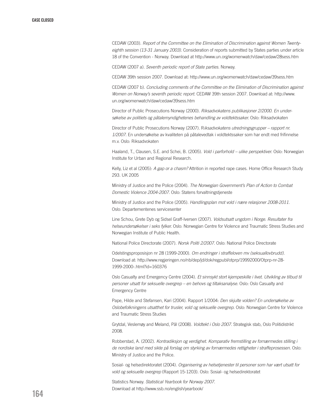CEDAW (2003). *Report of the Committee on the Elimination of Discrimination against Women Twentyeighth session (13-31 January 2003)*. Consideration of reports submitted by States parties under article 18 of the Convention - Norway. Download at http://www.un.org/womenwatch/daw/cedaw/28sess.htm

CEDAW (2007 a). *Seventh periodic report of State parties.* Norway.

CEDAW 39th session 2007. Download at: http://www.un.org/womenwatch/daw/cedaw/39sess.htm

CEDAW (2007 b). *Concluding comments of the Committee on the Elimination of Discrimination against Women on Norway's seventh periodic report.* CEDAW 39th session 2007. Download at: http://www. un.org/womenwatch/daw/cedaw/39sess.htm

Director of Public Prosecutions Norway (2000). *Riksadvokatens publikasjoner 2/2000. En undersøkelse av politiets og påtalemyndighetenes behandling av voldtektssaker.* Oslo: Riksadvokaten

Director of Public Prosecutions Norway (2007). R*iksadvokatens utredningsgrupper – rapport nr. 1/2007*. En undersøkelse av kvaliteten på påtalevedtak i voldtektssaker som har endt med frifinnelse m.v. Oslo: Riksadvokaten

Haaland, T., Clausen, S.E. and Schei, B. (2005). *Vold i parforhold – ulike perspektiver.* Oslo: Norwegian Institute for Urban and Regional Research.

Kelly, Liz et al (2005): *A gap or a chasm?* Attrition in reported rape cases. Home Office Research Study 293. UK 2005

Ministry of Justice and the Police (2004). *The Norwegian Government's Plan of Action to Combat Domestic Violence 2004-2007.* Oslo: Statens forvaltningstjeneste

Ministry of Justice and the Police (2005). *Handlingsplan mot vold i nære relasjoner 2008-2011.* Oslo: Departementenes servicesenter

Line Schou, Grete Dyb og Sidsel Graff-Iversen (2007). *Voldsutsatt ungdom i Norge. Resultater fra helseundersøkelser i seks fylker.* Oslo: Norwegian Centre for Violence and Traumatic Stress Studies and Norwegian Institute of Public Health.

National Police Directorate (2007). *Norsk Politi 2/2007*. Oslo: National Police Directorate

Odelstingsproposisjon nr 28 (1999-2000). *Om endringer i straffeloven mv (seksuallovbrudd)*. Download at: http://www.regjeringen.no/nb/dep/jd/dok/regpubl/otprp/19992000/Otprp-nr-28- 1999-2000-.html?id=160376

Oslo Casualty and Emergency Centre (2004). *Et sinnsykt stort kjempeskille i livet. Utvikling av tilbud til personer utsatt for seksuelle overgrep – en behovs og tiltaksanalyse.* Oslo: Oslo Casualty and Emergency Centre

Pape, Hilde and Stefansen, Kari (2004). Rapport 1/2004: *Den skjulte volden? En undersøkelse av Oslobefolkningens utsatthet for trusler, vold og seksuelle overgrep.* Oslo: Norwegian Centre for Violence and Traumatic Stress Studies

Grytdal, Veslemøy and Meland, Pål (2008). *Voldtekt i Oslo 2007*. Strategisk stab, Oslo Politidistrikt 2008.

Robberstad, A. (2002). *Kontradiksjon og verdighet. Komparativ fremstilling av fornærmedes stilling i de nordiske land med sikte på forslag om styrking av fornærmedes rettigheter i straffeprosessen.* Oslo: Ministry of Justice and the Police.

Sosial- og helsedirektoratet (2004). *Organisering av helsetjenester til personer som har vært utsatt for vold og seksuelle overgrep* (Rapport 15-1203). Oslo: Sosial- og helsedirektoratet

Statistics Norway. *Statistical Yearbook for Norway 2007*. Download at http://www.ssb.no/english/yearbook/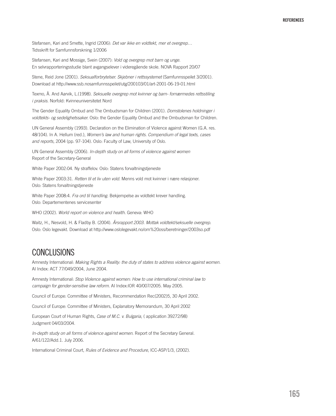Stefansen, Kari and Smette, Ingrid (2006): *Det var ikke en voldtekt, mer et overgrep…* Tidsskrift for Samfunnsforskning 1/2006

Stefansen, Kari and Mossige, Svein (2007): *Vold og overgrep mot barn og unge.* En selvrapporteringsstudie blant avgangselever i videregående skole. NOVA Rapport 20/07

Stene, Reid Jone (2001). *Seksualforbrytelser. Skjebner i rettssystemet* (Samfunnsspeilet 3/2001). Download at http://www.ssb.nosamfunnsspeilet/utg/200103/01/art-2001-06-19-01.html

Texmo, Å. And Aarvik, L.(1998). *Seksuelle overgrep mot kvinner og barn- fornærmedes rettsstiling i praksis.* Norfold: Kvinneuniversitetet Nord

The Gender Equality Ombud and The Ombudsman for Children (2001). *Domstolenes holdninger i voldtekts- og sedelighetssaker.* Oslo: the Gender Equality Ombud and the Ombudsman for Children.

UN General Assembly (1993). Declaration on the Elimination of Violence against Women (G.A. res. 48/104). In A. Hellum (red.), *Women's law and human rights. Compendium of legal texts, cases and reports,* 2004 (pp. 97-104). Oslo: Faculty of Law, University of Oslo.

UN General Assembly (2006). *In-depth study on all forms of violence against women* Report of the Secretary-General

White Paper 2002:04. Ny straffelov. Oslo: Statens forvaltningstjeneste

White Paper 2003:31. *Retten til et liv uten vold.* Menns vold mot kvinner i nære relasjoner. Oslo: Statens forvaltningstjeneste

White Paper 2008:4. *Fra ord til handling.* Bekjempelse av voldtekt krever handling. Oslo: Departementenes servicesenter

WHO (2002). *World report on violence and health.* Geneva: WHO

Waitz, H., Nesvold, H. & Fladby B. (2004). *Årsrapport 2003. Mottak voldtekt/seksuelle overgrep.* Oslo: Oslo legevakt. Download at http://www.oslolegevakt.no/om%20oss/beretninger/2003so.pdf

## **CONCLUSIONS**

Amnesty International: *Making Rights a Reality: the duty of states to address violence against women.* AI Index: ACT 77/049/2004, June 2004.

Amnesty International: *Stop Violence against women: How to use international criminal law to campaign for gender-sensitive law reform.* AI Index:IOR 40/007/2005. May 2005.

Council of Europe: Committee of Ministers, Recommendation Rec(2002)5, 30 April 2002.

Council of Europe: Committee of Ministers, Explanatory Memorandum, 30 April 2002

European Court of Human Rights, *Case of M.C. v. Bulgaria*, ( application 39272/98) Judgment 04/03/2004.

*In-depth study on all forms of violence against women*. Report of the Secretary General. A/61/122/Add.1. July 2006.

International Criminal Court, *Rules of Evidence and Procedure*, ICC-ASP/1/3, (2002).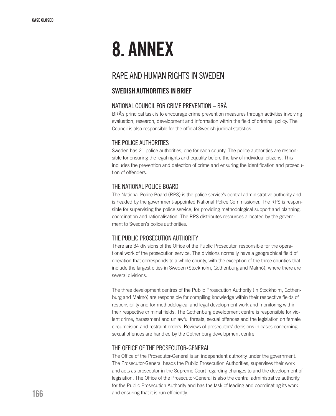# 8. Annex

## RAPE AND HUMAN RIGHTS IN SWEDEN

### Swedish authorities in brief

#### National Council for Crime Prevention – BRÅ

BRÅ's principal task is to encourage crime prevention measures through activities involving evaluation, research, development and information within the field of criminal policy. The Council is also responsible for the official Swedish judicial statistics.

#### The Police Authorities

Sweden has 21 police authorities, one for each county. The police authorities are responsible for ensuring the legal rights and equality before the law of individual citizens. This includes the prevention and detection of crime and ensuring the identification and prosecution of offenders.

#### The National Police Board

The National Police Board (RPS) is the police service's central administrative authority and is headed by the government-appointed National Police Commissioner. The RPS is responsible for supervising the police service, for providing methodological support and planning, coordination and rationalisation. The RPS distributes resources allocated by the government to Sweden's police authorities.

#### The Public Prosecution Authority

There are 34 divisions of the Office of the Public Prosecutor, responsible for the operational work of the prosecution service. The divisions normally have a geographical field of operation that corresponds to a whole county, with the exception of the three counties that include the largest cities in Sweden (Stockholm, Gothenburg and Malmö), where there are several divisions.

The three development centres of the Public Prosecution Authority (in Stockholm, Gothenburg and Malmö) are responsible for compiling knowledge within their respective fields of responsibility and for methodological and legal development work and monitoring within their respective criminal fields. The Gothenburg development centre is responsible for violent crime, harassment and unlawful threats, sexual offences and the legislation on female circumcision and restraint orders. Reviews of prosecutors' decisions in cases concerning sexual offences are handled by the Gothenburg development centre.

#### The Office of the Prosecutor-General

The Office of the Prosecutor-General is an independent authority under the government. The Prosecutor-General heads the Public Prosecution Authorities, supervises their work and acts as prosecutor in the Supreme Court regarding changes to and the development of legislation. The Office of the Prosecutor-General is also the central administrative authority for the Public Prosecution Authority and has the task of leading and coordinating its work and ensuring that it is run efficiently.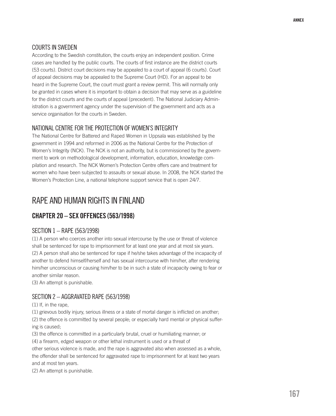#### COURTS IN SWEDEN

According to the Swedish constitution, the courts enjoy an independent position. Crime cases are handled by the public courts. The courts of first instance are the district courts (53 courts). District court decisions may be appealed to a court of appeal (6 courts). Court of appeal decisions may be appealed to the Supreme Court (HD). For an appeal to be heard in the Supreme Court, the court must grant a review permit. This will normally only be granted in cases where it is important to obtain a decision that may serve as a guideline for the district courts and the courts of appeal (precedent). The National Judiciary Administration is a government agency under the supervision of the government and acts as a service organisation for the courts in Sweden.

#### National Centre for the Protection of Women's Integrity

The National Centre for Battered and Raped Women in Uppsala was established by the government in 1994 and reformed in 2006 as the National Centre for the Protection of Women's Integrity (NCK). The NCK is not an authority, but is commissioned by the government to work on methodological development, information, education, knowledge compilation and research. The NCK Women's Protection Centre offers care and treatment for women who have been subjected to assaults or sexual abuse. In 2008, the NCK started the Women's Protection Line, a national telephone support service that is open 24/7.

## RAPE AND HUMAN RIGHTS IN finland

#### Chapter 20 – Sex offences (563/1998)

#### Section 1 – Rape (563/1998)

(1) A person who coerces another into sexual intercourse by the use or threat of violence shall be sentenced for rape to imprisonment for at least one year and at most six years. (2) A person shall also be sentenced for rape if he/she takes advantage of the incapacity of another to defend himself/herself and has sexual intercourse with him/her, after rendering him/her unconscious or causing him/her to be in such a state of incapacity owing to fear or another similar reason.

(3) An attempt is punishable.

#### Section 2 – Aggravated rape (563/1998)

(1) If, in the rape,

(1) grievous bodily injury, serious illness or a state of mortal danger is inflicted on another;

(2) the offence is committed by several people; or especially hard mental or physical suffering is caused;

(3) the offence is committed in a particularly brutal, cruel or humiliating manner; or

(4) a firearm, edged weapon or other lethal instrument is used or a threat of

other serious violence is made, and the rape is aggravated also when assessed as a whole, the offender shall be sentenced for aggravated rape to imprisonment for at least two years and at most ten years.

(2) An attempt is punishable.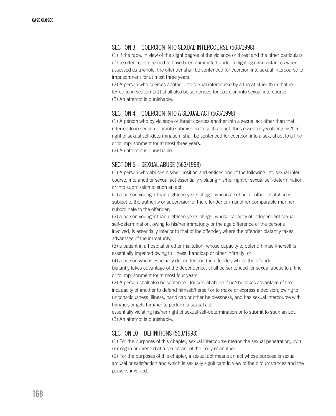#### Section 3 – Coercion into sexual intercourse (563/1998)

(1) If the rape, in view of the slight degree of the violence or threat and the other particulars of the offence, is deemed to have been committed under mitigating circumstances when assessed as a whole, the offender shall be sentenced for coercion into sexual intercourse to imprisonment for at most three years.

(2) A person who coerces another into sexual intercourse by a threat other than that referred to in section 1(1) shall also be sentenced for coercion into sexual intercourse. (3) An attempt is punishable.

#### Section 4 – Coercion into a sexual act (563/1998)

(1) A person who by violence or threat coerces another into a sexual act other than that referred to in section 1 or into submission to such an act, thus essentially violating his/her right of sexual self-determination, shall be sentenced for coercion into a sexual act to a fine or to imprisonment for at most three years.

(2) An attempt is punishable.

#### Section 5 – Sexual abuse (563/1998)

(1) A person who abuses his/her position and entices one of the following into sexual intercourse, into another sexual act essentially violating his/her right of sexual self-determination, or into submission to such an act,

(1) a person younger than eighteen years of age, who in a school or other institution is subject to the authority or supervision of the offender or in another comparable manner subordinate to the offender;

(2) a person younger than eighteen years of age, whose capacity of independent sexual self-determination, owing to his/her immaturity or the age difference of the persons involved, is essentially inferior to that of the offender, where the offender blatantly takes advantage of the immaturity,

(3) a patient in a hospital or other institution, whose capacity to defend himself/herself is essentially impaired owing to illness, handicap or other infirmity; or

(4) a person who is especially dependent on the offender, where the offender blatantly takes advantage of the dependence, shall be sentenced for sexual abuse to a fine or to imprisonment for at most four years.

(2) A person shall also be sentenced for sexual abuse if he/she takes advantage of the incapacity of another to defend himself/herself or to make or express a decision, owing to unconsciousness, illness, handicap or other helplessness, and has sexual intercourse with him/her, or gets him/her to perform a sexual act

essentially violating his/her right of sexual self-determination or to submit to such an act. (3) An attempt is punishable.

#### Section 10 – Definitions (563/1998)

(1) For the purposes of this chapter, sexual intercourse means the sexual penetration, by a sex organ or directed at a sex organ, of the body of another.

(2) For the purposes of this chapter, a sexual act means an act whose purpose is sexual arousal or satisfaction and which is sexually significant in view of the circumstances and the persons involved.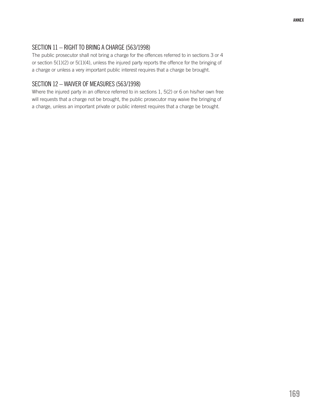## Section 11 – Right to bring a charge (563/1998)

The public prosecutor shall not bring a charge for the offences referred to in sections 3 or 4 or section 5(1)(2) or 5(1)(4), unless the injured party reports the offence for the bringing of a charge or unless a very important public interest requires that a charge be brought.

#### Section 12 – Waiver of measures (563/1998)

Where the injured party in an offence referred to in sections 1, 5(2) or 6 on his/her own free will requests that a charge not be brought, the public prosecutor may waive the bringing of a charge, unless an important private or public interest requires that a charge be brought.